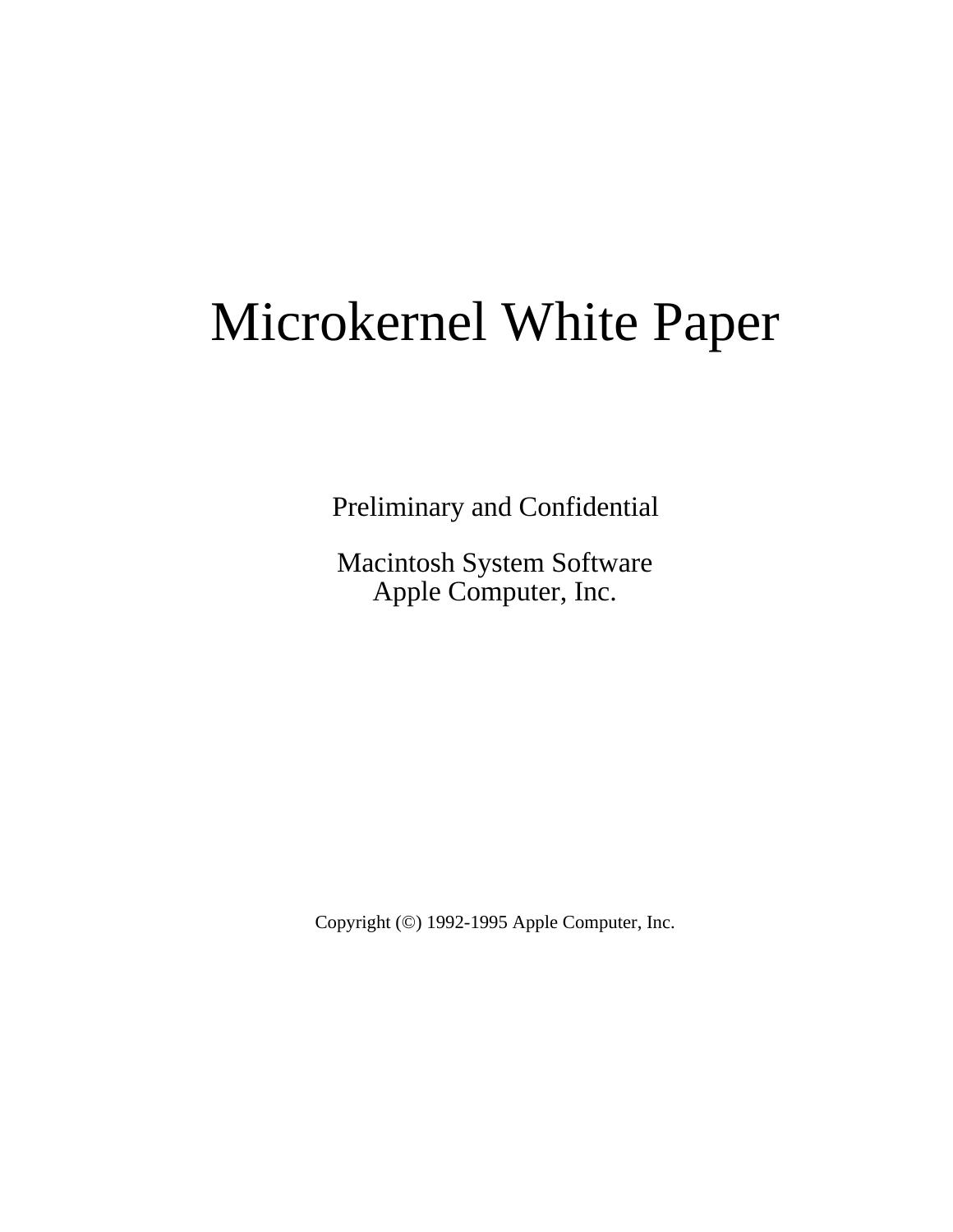# Microkernel White Paper

Preliminary and Confidential

Macintosh System Software Apple Computer, Inc.

Copyright (©) 1992-1995 Apple Computer, Inc.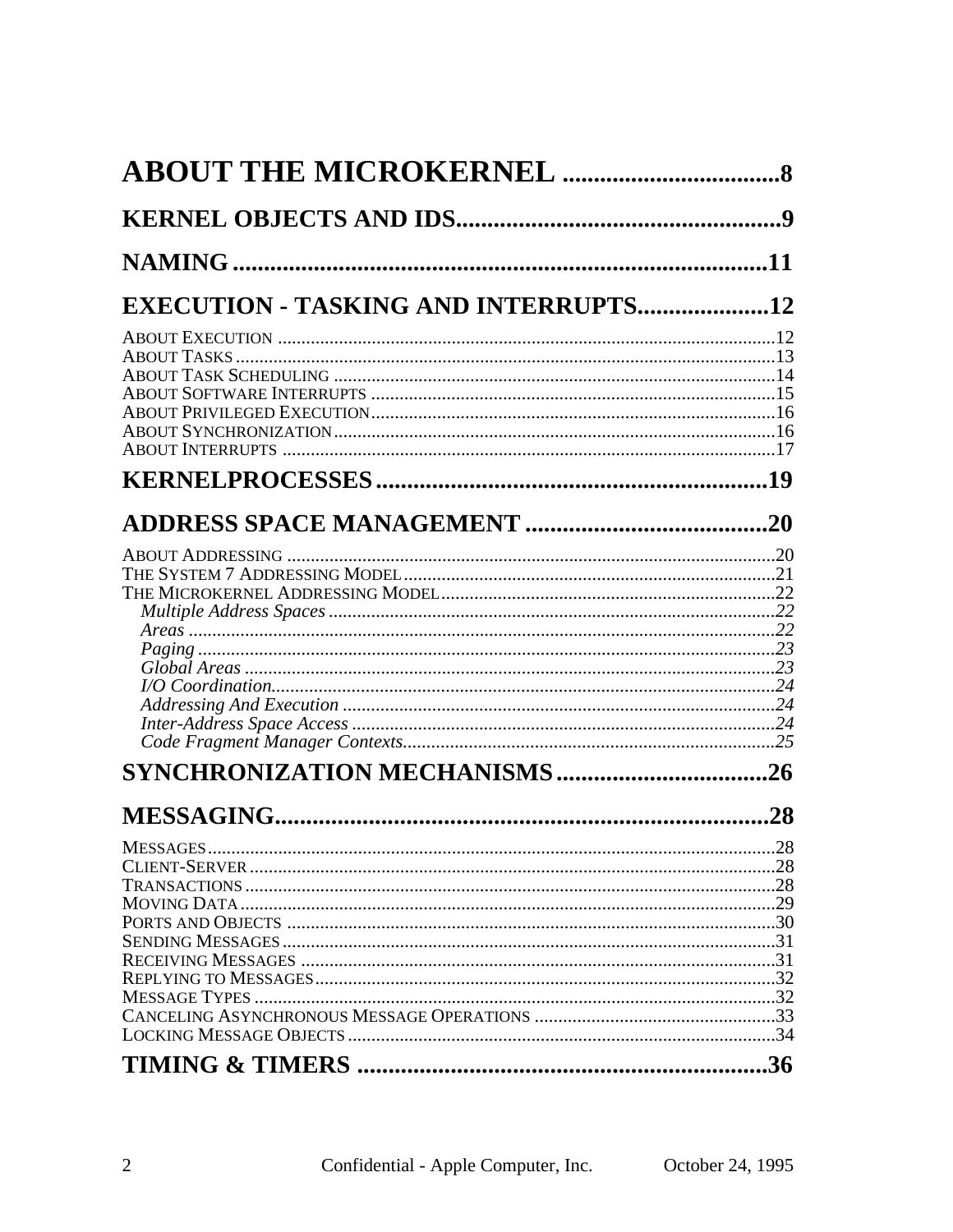| <b>EXECUTION - TASKING AND INTERRUPTS12</b> |     |
|---------------------------------------------|-----|
|                                             |     |
|                                             |     |
|                                             |     |
|                                             |     |
|                                             |     |
|                                             |     |
|                                             |     |
|                                             |     |
|                                             |     |
|                                             |     |
|                                             |     |
|                                             |     |
|                                             |     |
|                                             |     |
|                                             |     |
|                                             |     |
|                                             |     |
|                                             |     |
|                                             |     |
|                                             |     |
|                                             |     |
|                                             |     |
|                                             |     |
|                                             | .28 |
|                                             |     |
|                                             |     |
|                                             |     |
|                                             |     |
|                                             |     |
|                                             |     |
|                                             |     |
|                                             |     |
|                                             | .36 |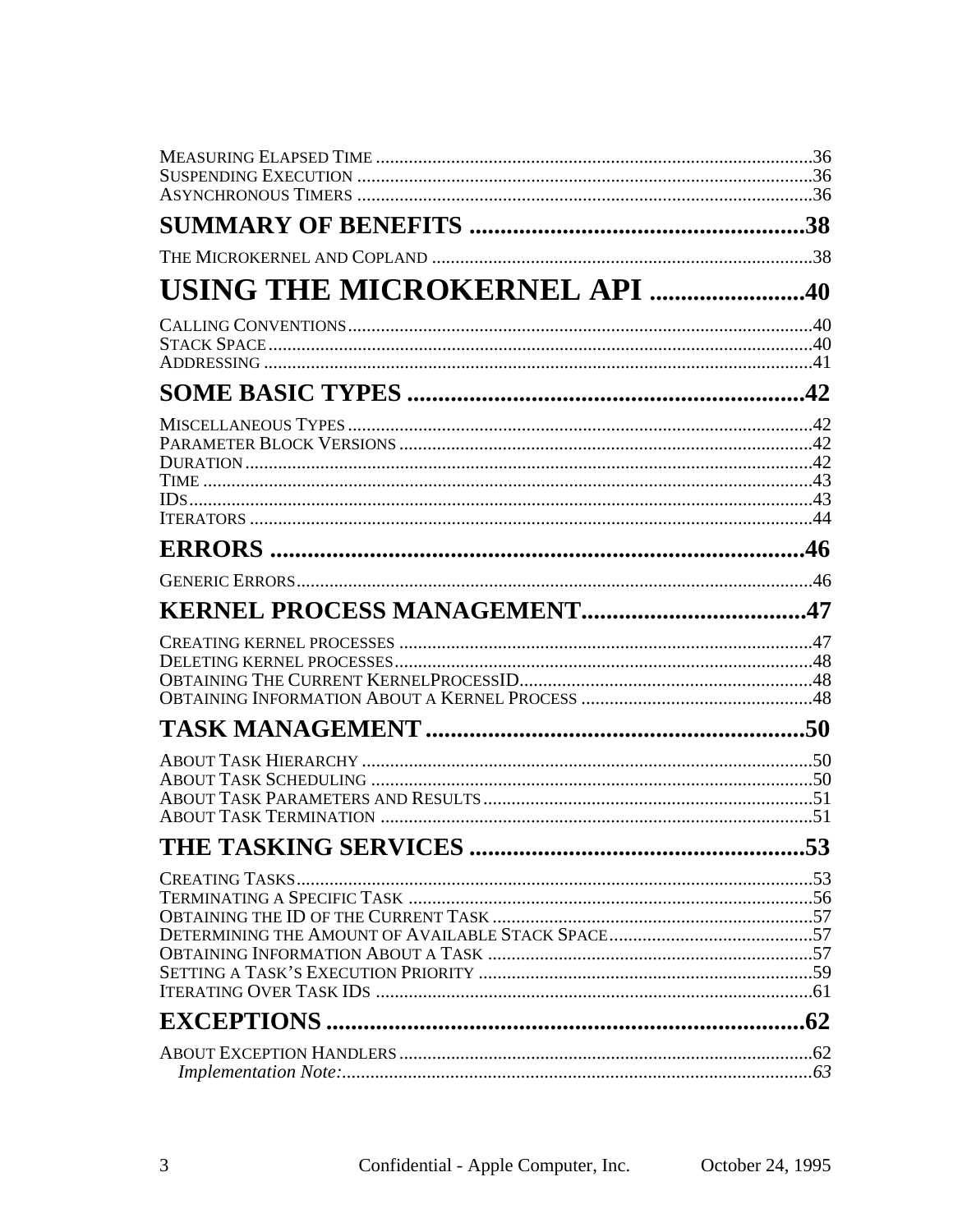| USING THE MICROKERNEL API 40 |  |
|------------------------------|--|
|                              |  |
|                              |  |
|                              |  |
|                              |  |
|                              |  |
|                              |  |
|                              |  |
|                              |  |
|                              |  |
|                              |  |
|                              |  |
|                              |  |
|                              |  |
|                              |  |
|                              |  |
|                              |  |
|                              |  |
|                              |  |
|                              |  |
|                              |  |
|                              |  |
|                              |  |
|                              |  |
|                              |  |
|                              |  |
|                              |  |
|                              |  |
|                              |  |
|                              |  |
|                              |  |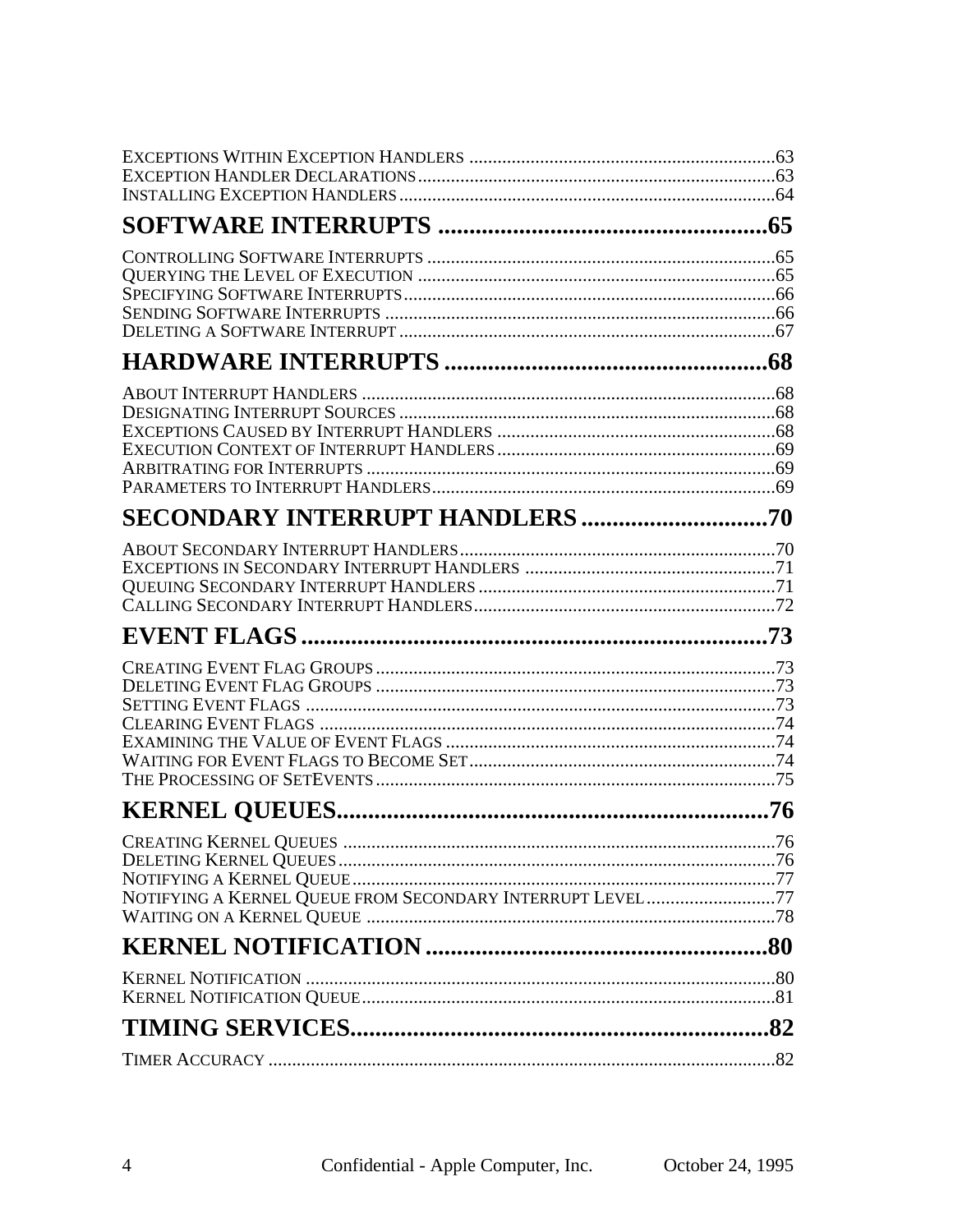| <b>KERNEL QUEUES.</b>                                     |  |
|-----------------------------------------------------------|--|
|                                                           |  |
|                                                           |  |
|                                                           |  |
| NOTIFYING A KERNEL QUEUE FROM SECONDARY INTERRUPT LEVEL77 |  |
|                                                           |  |
|                                                           |  |
|                                                           |  |
|                                                           |  |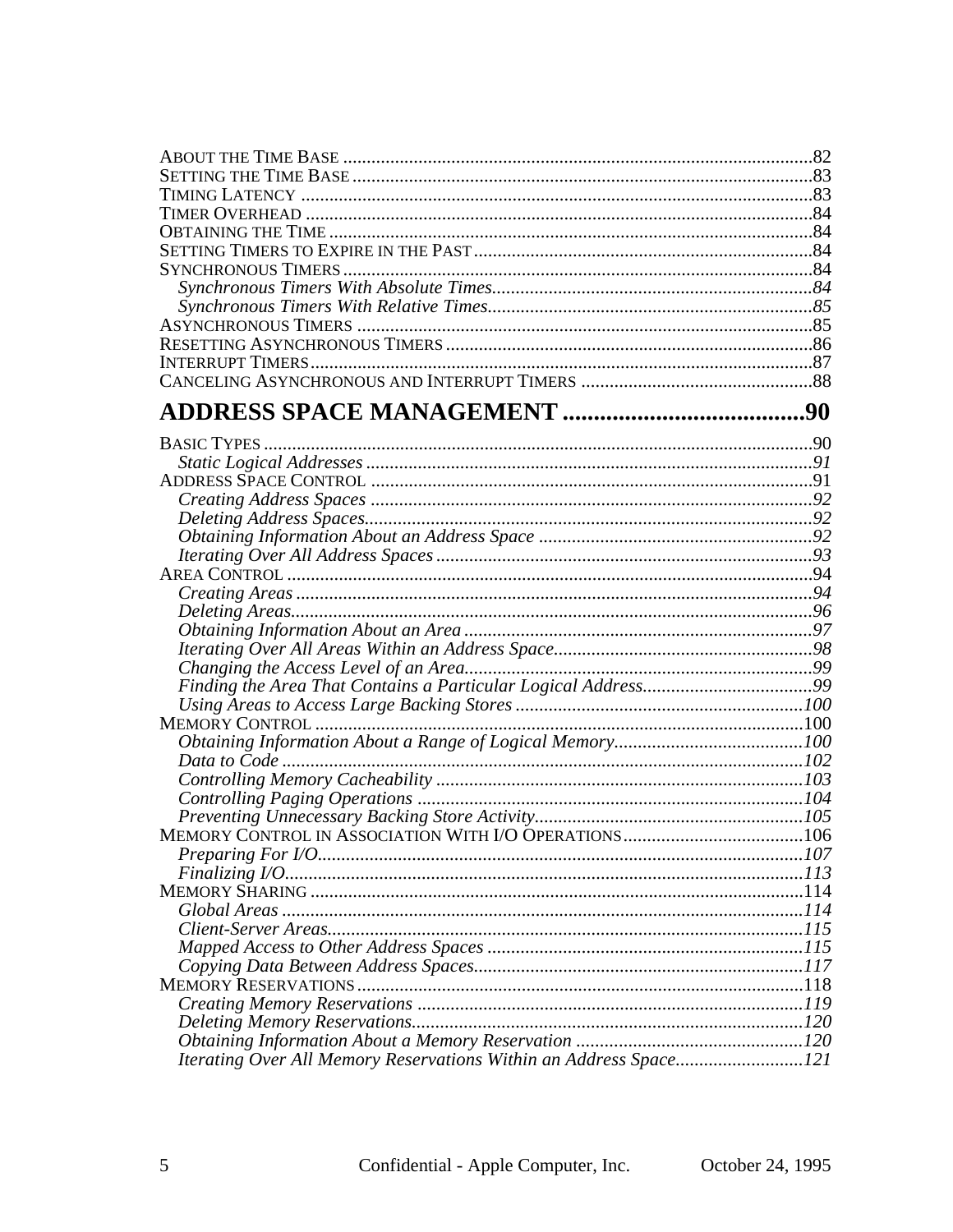| Iterating Over All Memory Reservations Within an Address Space121 |  |
|-------------------------------------------------------------------|--|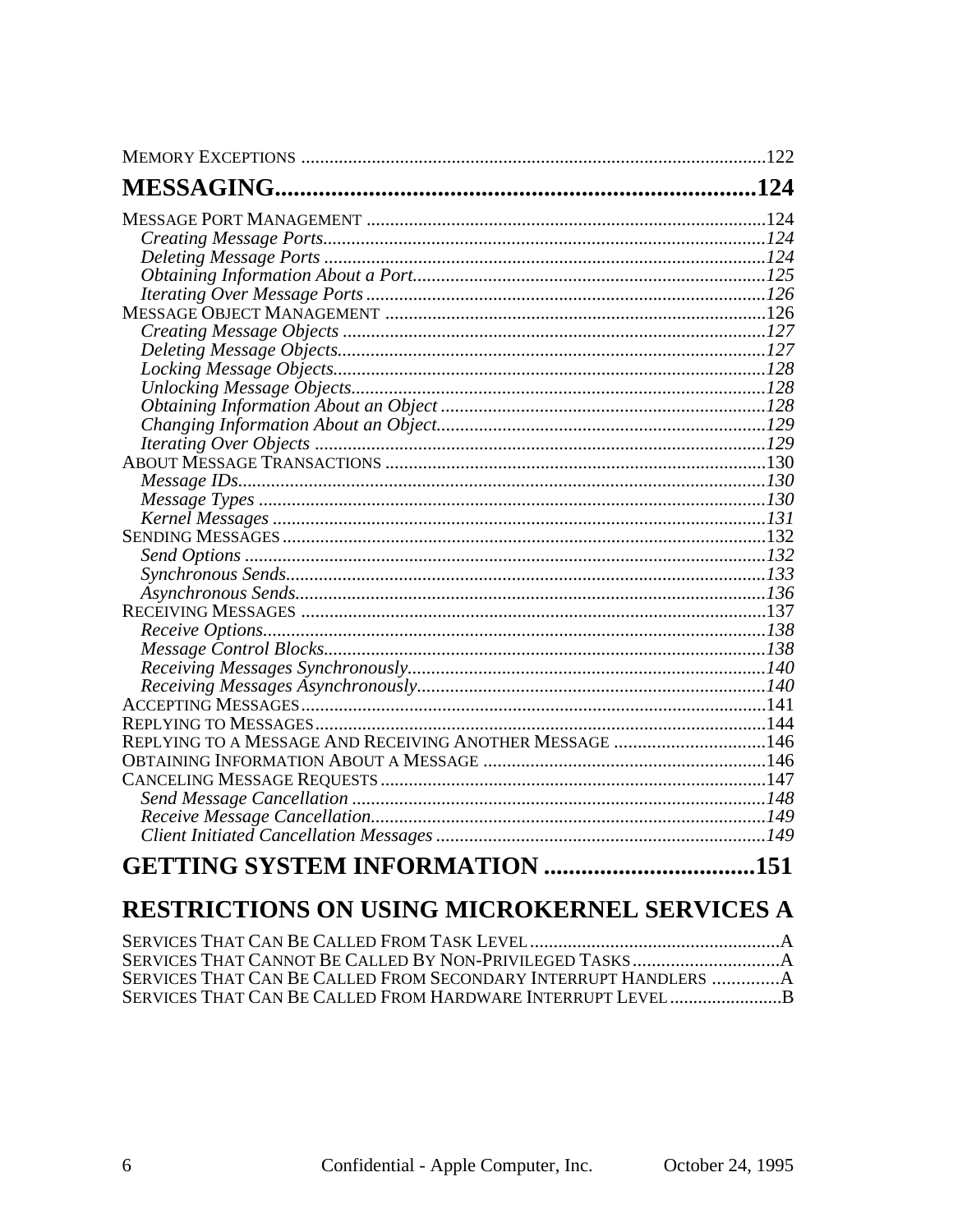| REPLYING TO A MESSAGE AND RECEIVING ANOTHER MESSAGE 146 |  |
|---------------------------------------------------------|--|
|                                                         |  |
|                                                         |  |
|                                                         |  |
|                                                         |  |
|                                                         |  |
| <b>GETTING SYSTEM INFORMATION 151</b>                   |  |

# RESTRICTIONS ON USING MICROKERNEL SERVICES A

| SERVICES THAT CAN BE CALLED FROM SECONDARY INTERRUPT HANDLERS A |  |
|-----------------------------------------------------------------|--|
|                                                                 |  |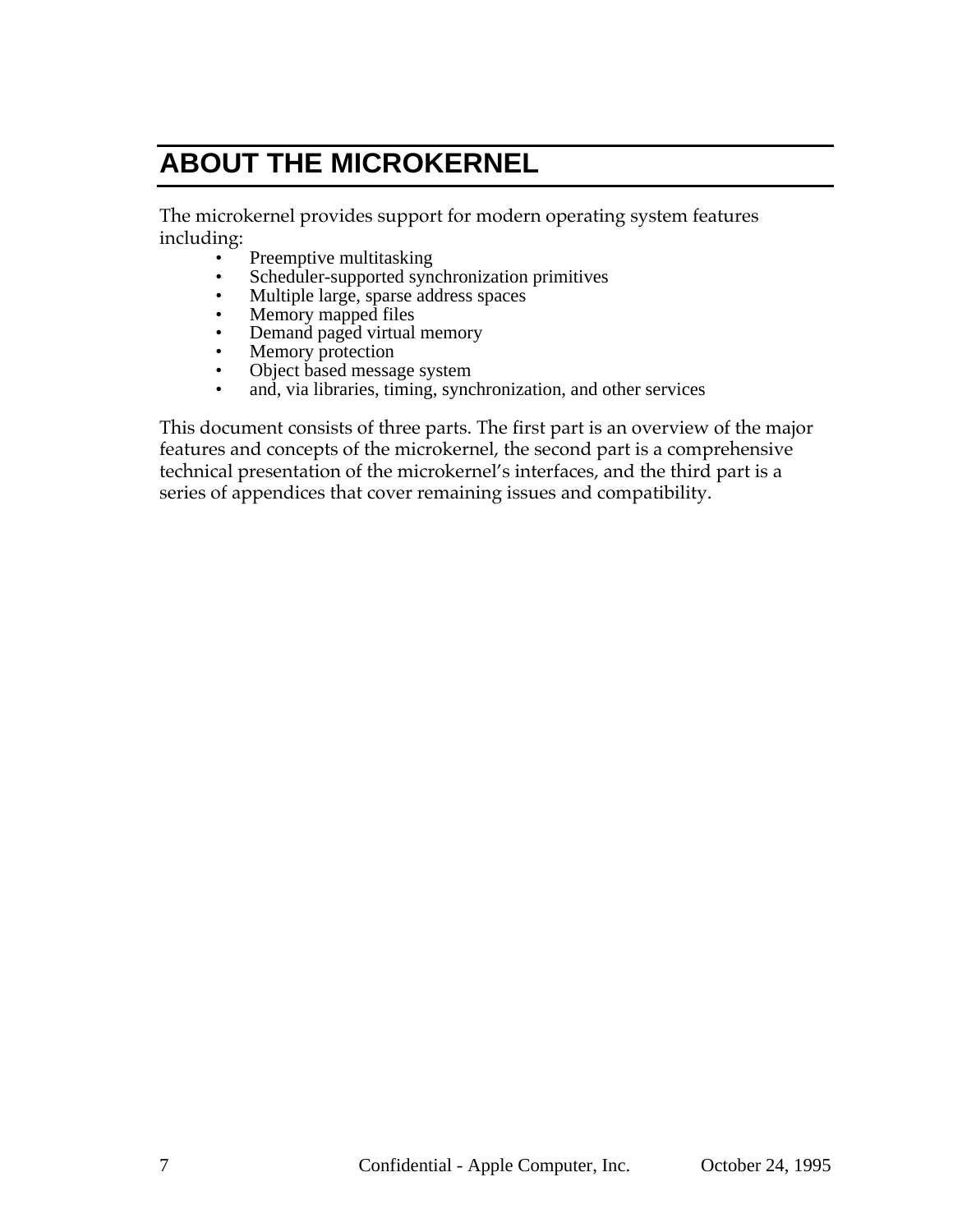# **ABOUT THE MICROKERNEL**

The microkernel provides support for modern operating system features including:

- Preemptive multitasking
- Scheduler-supported synchronization primitives
- Multiple large, sparse address spaces
- Memory mapped files
- Demand paged virtual memory
- Memory protection
- Object based message system
- and, via libraries, timing, synchronization, and other services

This document consists of three parts. The first part is an overview of the major features and concepts of the microkernel, the second part is a comprehensive technical presentation of the microkernel's interfaces, and the third part is a series of appendices that cover remaining issues and compatibility.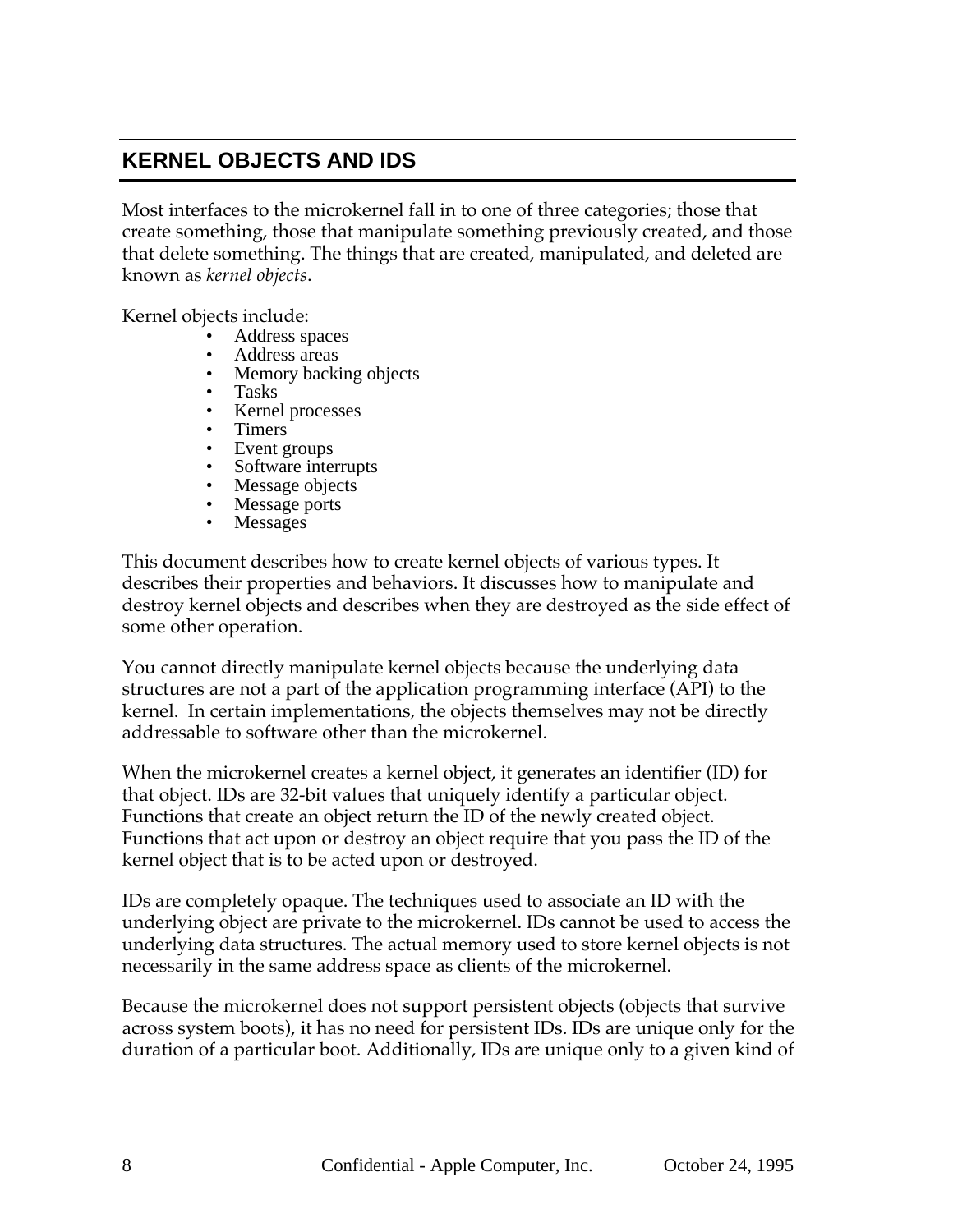# **KERNEL OBJECTS AND IDS**

Most interfaces to the microkernel fall in to one of three categories; those that create something, those that manipulate something previously created, and those that delete something. The things that are created, manipulated, and deleted are known as *kernel objects*.

Kernel objects include:

- Address spaces
- Address areas
- Memory backing objects
- Tasks
- Kernel processes
- Timers
- Event groups
- Software interrupts
- Message objects
- Message ports
- **Messages**

This document describes how to create kernel objects of various types. It describes their properties and behaviors. It discusses how to manipulate and destroy kernel objects and describes when they are destroyed as the side effect of some other operation.

You cannot directly manipulate kernel objects because the underlying data structures are not a part of the application programming interface (API) to the kernel. In certain implementations, the objects themselves may not be directly addressable to software other than the microkernel.

When the microkernel creates a kernel object, it generates an identifier (ID) for that object. IDs are 32-bit values that uniquely identify a particular object. Functions that create an object return the ID of the newly created object. Functions that act upon or destroy an object require that you pass the ID of the kernel object that is to be acted upon or destroyed.

IDs are completely opaque. The techniques used to associate an ID with the underlying object are private to the microkernel. IDs cannot be used to access the underlying data structures. The actual memory used to store kernel objects is not necessarily in the same address space as clients of the microkernel.

Because the microkernel does not support persistent objects (objects that survive across system boots), it has no need for persistent IDs. IDs are unique only for the duration of a particular boot. Additionally, IDs are unique only to a given kind of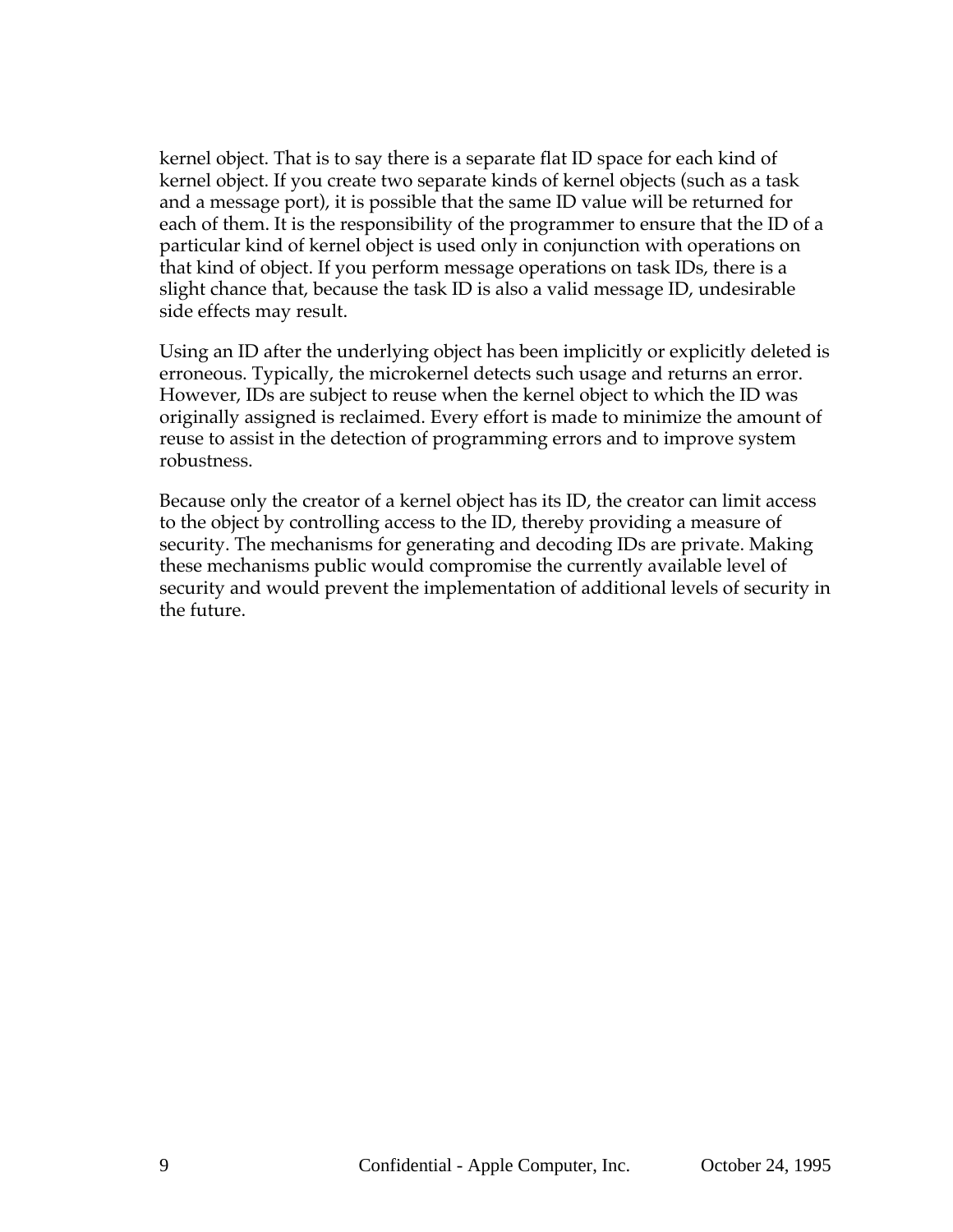kernel object. That is to say there is a separate flat ID space for each kind of kernel object. If you create two separate kinds of kernel objects (such as a task and a message port), it is possible that the same ID value will be returned for each of them. It is the responsibility of the programmer to ensure that the ID of a particular kind of kernel object is used only in conjunction with operations on that kind of object. If you perform message operations on task IDs, there is a slight chance that, because the task ID is also a valid message ID, undesirable side effects may result.

Using an ID after the underlying object has been implicitly or explicitly deleted is erroneous. Typically, the microkernel detects such usage and returns an error. However, IDs are subject to reuse when the kernel object to which the ID was originally assigned is reclaimed. Every effort is made to minimize the amount of reuse to assist in the detection of programming errors and to improve system robustness.

Because only the creator of a kernel object has its ID, the creator can limit access to the object by controlling access to the ID, thereby providing a measure of security. The mechanisms for generating and decoding IDs are private. Making these mechanisms public would compromise the currently available level of security and would prevent the implementation of additional levels of security in the future.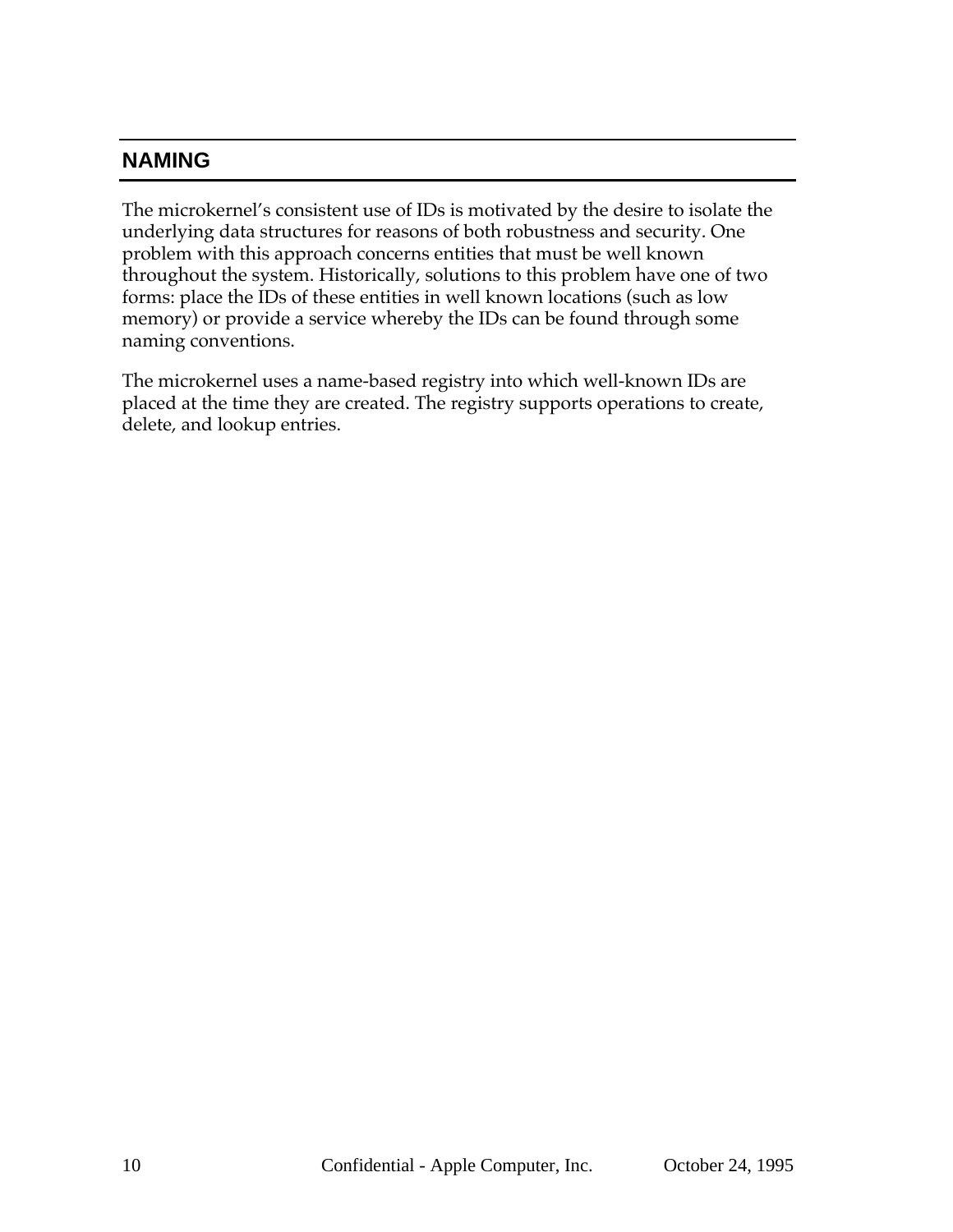# **NAMING**

The microkernel's consistent use of IDs is motivated by the desire to isolate the underlying data structures for reasons of both robustness and security. One problem with this approach concerns entities that must be well known throughout the system. Historically, solutions to this problem have one of two forms: place the IDs of these entities in well known locations (such as low memory) or provide a service whereby the IDs can be found through some naming conventions.

The microkernel uses a name-based registry into which well-known IDs are placed at the time they are created. The registry supports operations to create, delete, and lookup entries.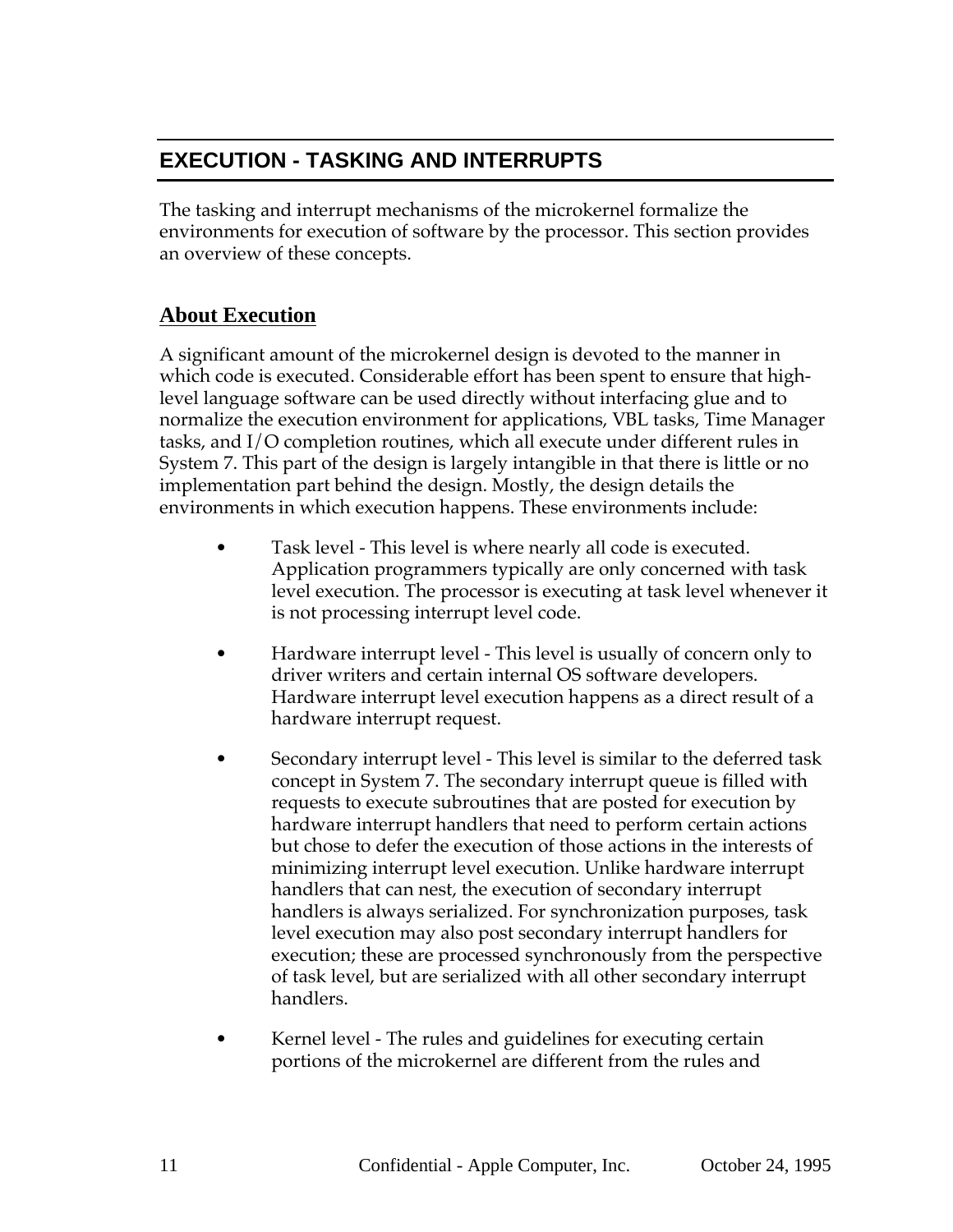# **EXECUTION - TASKING AND INTERRUPTS**

The tasking and interrupt mechanisms of the microkernel formalize the environments for execution of software by the processor. This section provides an overview of these concepts.

# **About Execution**

A significant amount of the microkernel design is devoted to the manner in which code is executed. Considerable effort has been spent to ensure that highlevel language software can be used directly without interfacing glue and to normalize the execution environment for applications, VBL tasks, Time Manager tasks, and I/O completion routines, which all execute under different rules in System 7. This part of the design is largely intangible in that there is little or no implementation part behind the design. Mostly, the design details the environments in which execution happens. These environments include:

- Task level This level is where nearly all code is executed. Application programmers typically are only concerned with task level execution. The processor is executing at task level whenever it is not processing interrupt level code.
- Hardware interrupt level This level is usually of concern only to driver writers and certain internal OS software developers. Hardware interrupt level execution happens as a direct result of a hardware interrupt request.
- Secondary interrupt level This level is similar to the deferred task concept in System 7. The secondary interrupt queue is filled with requests to execute subroutines that are posted for execution by hardware interrupt handlers that need to perform certain actions but chose to defer the execution of those actions in the interests of minimizing interrupt level execution. Unlike hardware interrupt handlers that can nest, the execution of secondary interrupt handlers is always serialized. For synchronization purposes, task level execution may also post secondary interrupt handlers for execution; these are processed synchronously from the perspective of task level, but are serialized with all other secondary interrupt handlers.
- Kernel level The rules and guidelines for executing certain portions of the microkernel are different from the rules and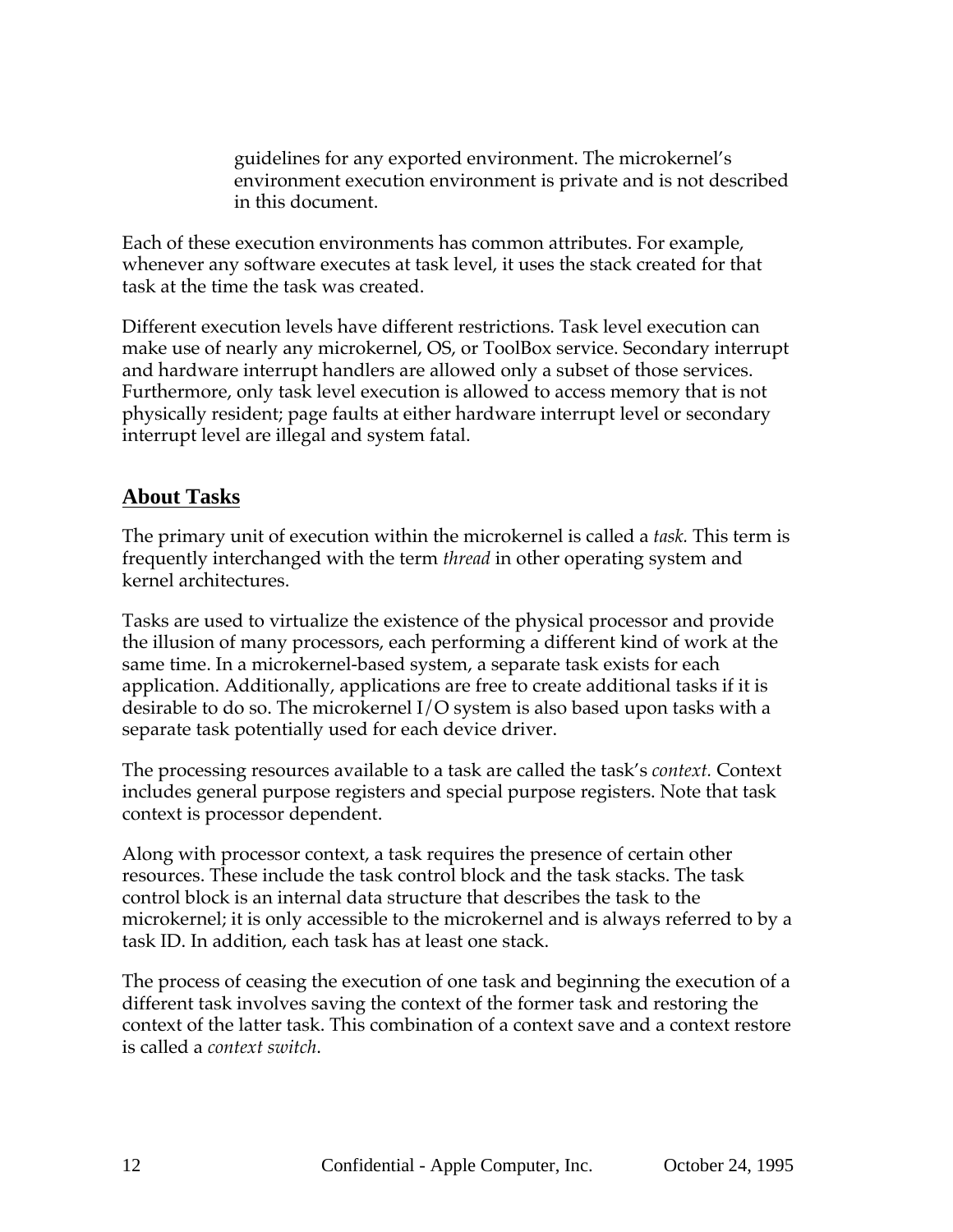guidelines for any exported environment. The microkernel's environment execution environment is private and is not described in this document.

Each of these execution environments has common attributes. For example, whenever any software executes at task level, it uses the stack created for that task at the time the task was created.

Different execution levels have different restrictions. Task level execution can make use of nearly any microkernel, OS, or ToolBox service. Secondary interrupt and hardware interrupt handlers are allowed only a subset of those services. Furthermore, only task level execution is allowed to access memory that is not physically resident; page faults at either hardware interrupt level or secondary interrupt level are illegal and system fatal.

#### **About Tasks**

The primary unit of execution within the microkernel is called a *task.* This term is frequently interchanged with the term *thread* in other operating system and kernel architectures.

Tasks are used to virtualize the existence of the physical processor and provide the illusion of many processors, each performing a different kind of work at the same time. In a microkernel-based system, a separate task exists for each application. Additionally, applications are free to create additional tasks if it is desirable to do so. The microkernel I/O system is also based upon tasks with a separate task potentially used for each device driver.

The processing resources available to a task are called the task's *context.* Context includes general purpose registers and special purpose registers. Note that task context is processor dependent.

Along with processor context, a task requires the presence of certain other resources. These include the task control block and the task stacks. The task control block is an internal data structure that describes the task to the microkernel; it is only accessible to the microkernel and is always referred to by a task ID. In addition, each task has at least one stack.

The process of ceasing the execution of one task and beginning the execution of a different task involves saving the context of the former task and restoring the context of the latter task. This combination of a context save and a context restore is called a *context switch*.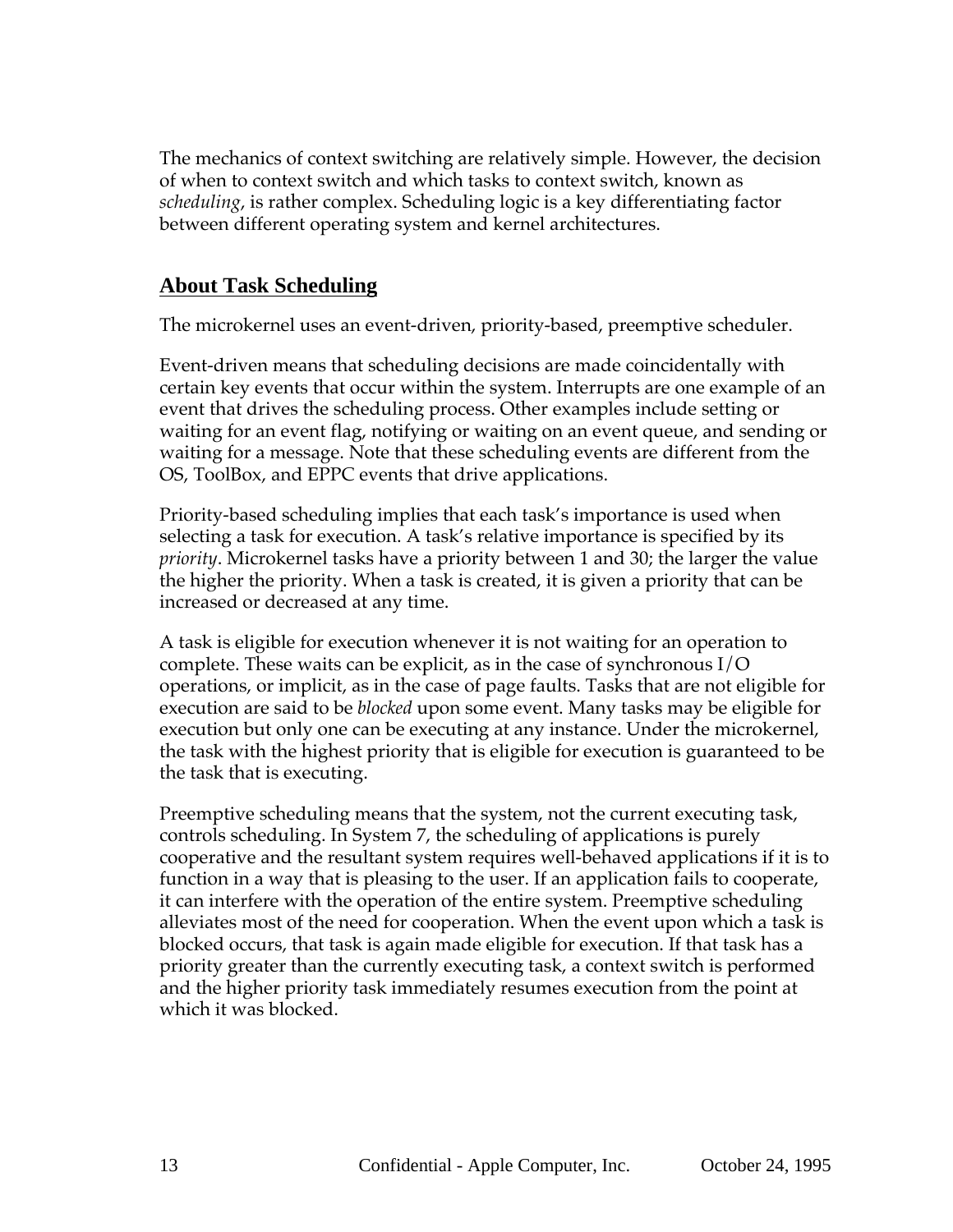The mechanics of context switching are relatively simple. However, the decision of when to context switch and which tasks to context switch, known as *scheduling*, is rather complex. Scheduling logic is a key differentiating factor between different operating system and kernel architectures.

#### **About Task Scheduling**

The microkernel uses an event-driven, priority-based, preemptive scheduler.

Event-driven means that scheduling decisions are made coincidentally with certain key events that occur within the system. Interrupts are one example of an event that drives the scheduling process. Other examples include setting or waiting for an event flag, notifying or waiting on an event queue, and sending or waiting for a message. Note that these scheduling events are different from the OS, ToolBox, and EPPC events that drive applications.

Priority-based scheduling implies that each task's importance is used when selecting a task for execution. A task's relative importance is specified by its *priority*. Microkernel tasks have a priority between 1 and 30; the larger the value the higher the priority. When a task is created, it is given a priority that can be increased or decreased at any time.

A task is eligible for execution whenever it is not waiting for an operation to complete. These waits can be explicit, as in the case of synchronous I/O operations, or implicit, as in the case of page faults. Tasks that are not eligible for execution are said to be *blocked* upon some event. Many tasks may be eligible for execution but only one can be executing at any instance. Under the microkernel, the task with the highest priority that is eligible for execution is guaranteed to be the task that is executing.

Preemptive scheduling means that the system, not the current executing task, controls scheduling. In System 7, the scheduling of applications is purely cooperative and the resultant system requires well-behaved applications if it is to function in a way that is pleasing to the user. If an application fails to cooperate, it can interfere with the operation of the entire system. Preemptive scheduling alleviates most of the need for cooperation. When the event upon which a task is blocked occurs, that task is again made eligible for execution. If that task has a priority greater than the currently executing task, a context switch is performed and the higher priority task immediately resumes execution from the point at which it was blocked.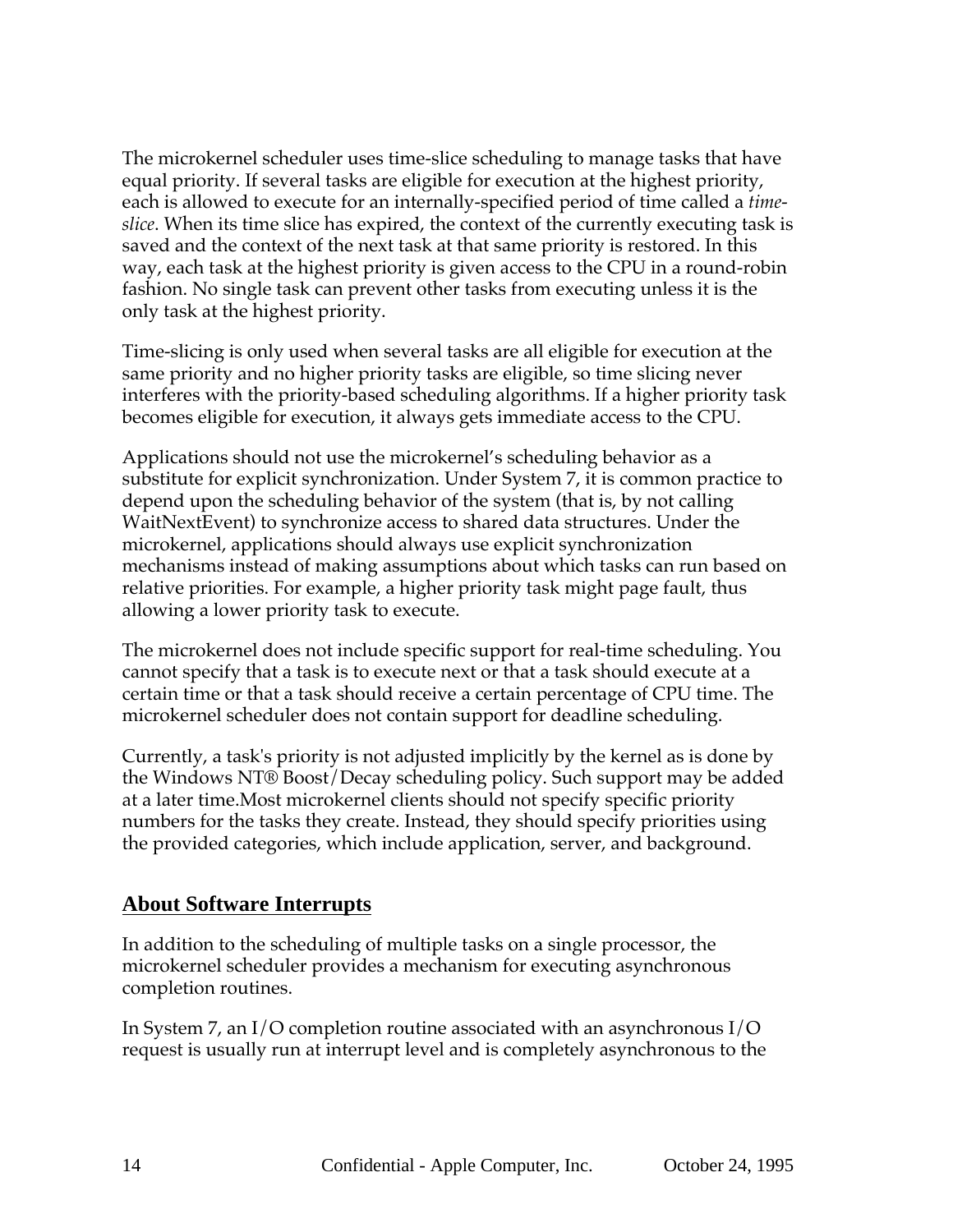The microkernel scheduler uses time-slice scheduling to manage tasks that have equal priority. If several tasks are eligible for execution at the highest priority, each is allowed to execute for an internally-specified period of time called a *timeslice*. When its time slice has expired, the context of the currently executing task is saved and the context of the next task at that same priority is restored. In this way, each task at the highest priority is given access to the CPU in a round-robin fashion. No single task can prevent other tasks from executing unless it is the only task at the highest priority.

Time-slicing is only used when several tasks are all eligible for execution at the same priority and no higher priority tasks are eligible, so time slicing never interferes with the priority-based scheduling algorithms. If a higher priority task becomes eligible for execution, it always gets immediate access to the CPU.

Applications should not use the microkernel's scheduling behavior as a substitute for explicit synchronization. Under System 7, it is common practice to depend upon the scheduling behavior of the system (that is, by not calling WaitNextEvent) to synchronize access to shared data structures. Under the microkernel, applications should always use explicit synchronization mechanisms instead of making assumptions about which tasks can run based on relative priorities. For example, a higher priority task might page fault, thus allowing a lower priority task to execute.

The microkernel does not include specific support for real-time scheduling. You cannot specify that a task is to execute next or that a task should execute at a certain time or that a task should receive a certain percentage of CPU time. The microkernel scheduler does not contain support for deadline scheduling.

Currently, a task's priority is not adjusted implicitly by the kernel as is done by the Windows NT® Boost/Decay scheduling policy. Such support may be added at a later time.Most microkernel clients should not specify specific priority numbers for the tasks they create. Instead, they should specify priorities using the provided categories, which include application, server, and background.

#### **About Software Interrupts**

In addition to the scheduling of multiple tasks on a single processor, the microkernel scheduler provides a mechanism for executing asynchronous completion routines.

In System 7, an I/O completion routine associated with an asynchronous I/O request is usually run at interrupt level and is completely asynchronous to the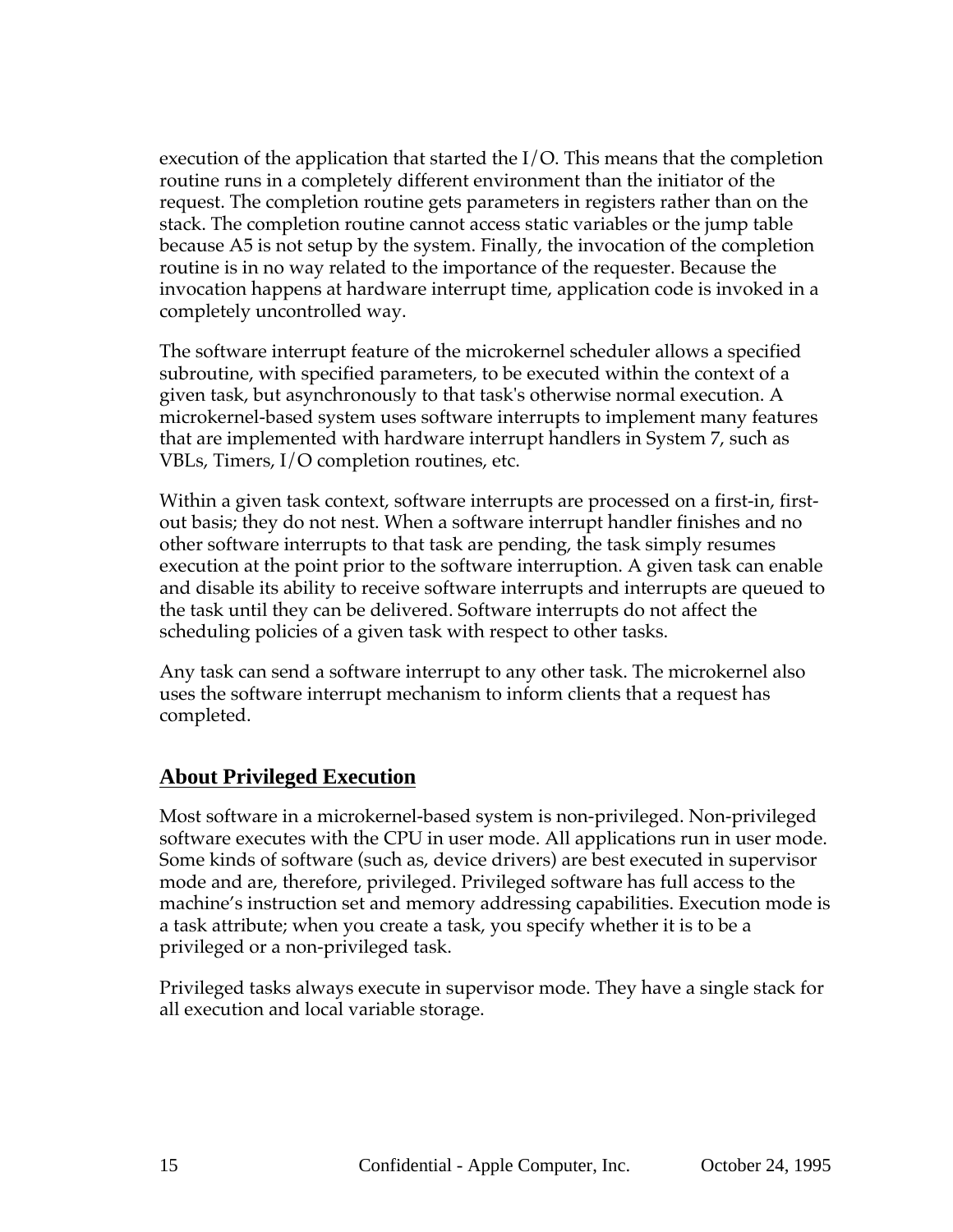execution of the application that started the I/O. This means that the completion routine runs in a completely different environment than the initiator of the request. The completion routine gets parameters in registers rather than on the stack. The completion routine cannot access static variables or the jump table because A5 is not setup by the system. Finally, the invocation of the completion routine is in no way related to the importance of the requester. Because the invocation happens at hardware interrupt time, application code is invoked in a completely uncontrolled way.

The software interrupt feature of the microkernel scheduler allows a specified subroutine, with specified parameters, to be executed within the context of a given task, but asynchronously to that task's otherwise normal execution. A microkernel-based system uses software interrupts to implement many features that are implemented with hardware interrupt handlers in System 7, such as VBLs, Timers, I/O completion routines, etc.

Within a given task context, software interrupts are processed on a first-in, firstout basis; they do not nest. When a software interrupt handler finishes and no other software interrupts to that task are pending, the task simply resumes execution at the point prior to the software interruption. A given task can enable and disable its ability to receive software interrupts and interrupts are queued to the task until they can be delivered. Software interrupts do not affect the scheduling policies of a given task with respect to other tasks.

Any task can send a software interrupt to any other task. The microkernel also uses the software interrupt mechanism to inform clients that a request has completed.

#### **About Privileged Execution**

Most software in a microkernel-based system is non-privileged. Non-privileged software executes with the CPU in user mode. All applications run in user mode. Some kinds of software (such as, device drivers) are best executed in supervisor mode and are, therefore, privileged. Privileged software has full access to the machine's instruction set and memory addressing capabilities. Execution mode is a task attribute; when you create a task, you specify whether it is to be a privileged or a non-privileged task.

Privileged tasks always execute in supervisor mode. They have a single stack for all execution and local variable storage.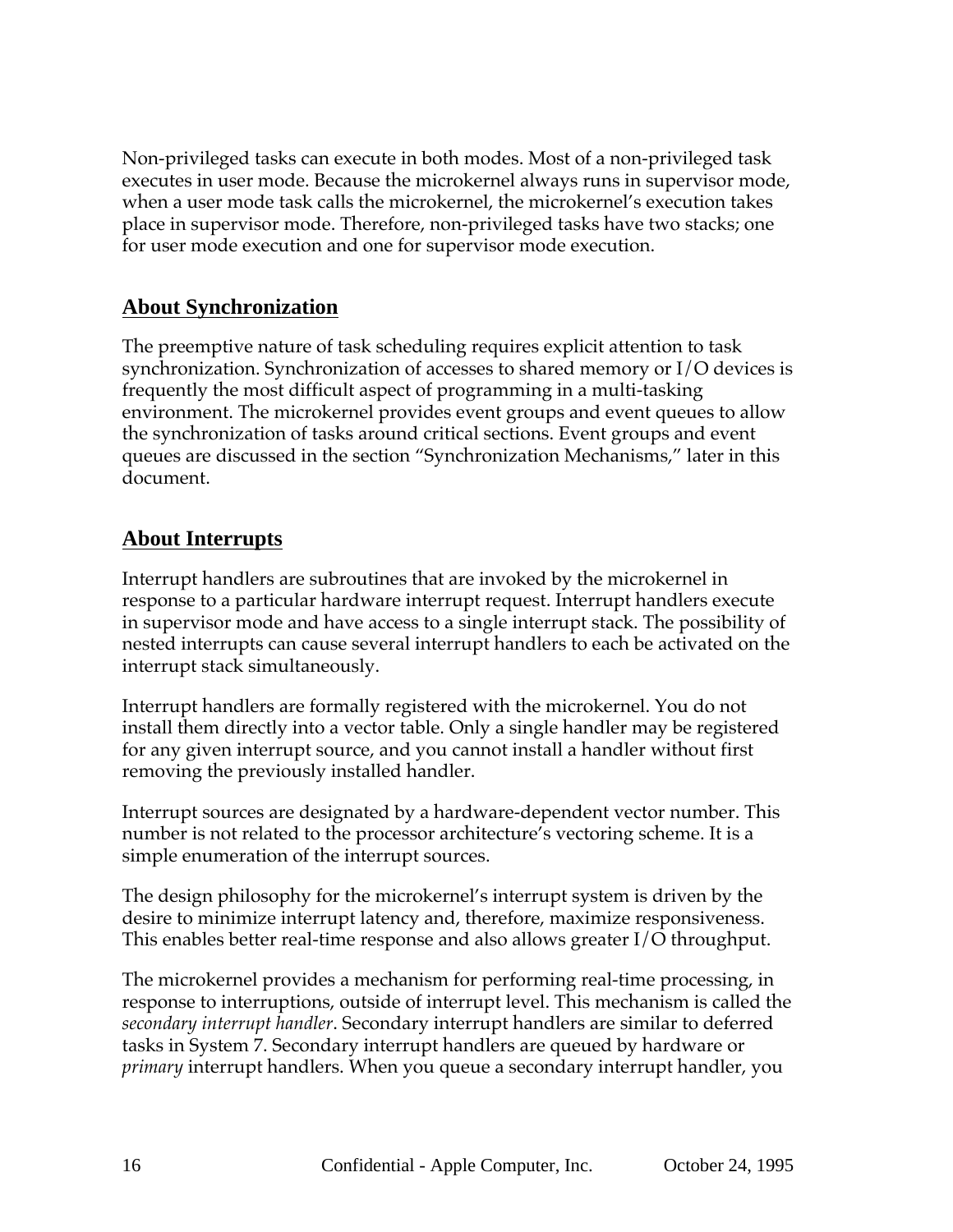Non-privileged tasks can execute in both modes. Most of a non-privileged task executes in user mode. Because the microkernel always runs in supervisor mode, when a user mode task calls the microkernel, the microkernel's execution takes place in supervisor mode. Therefore, non-privileged tasks have two stacks; one for user mode execution and one for supervisor mode execution.

#### **About Synchronization**

The preemptive nature of task scheduling requires explicit attention to task synchronization. Synchronization of accesses to shared memory or I/O devices is frequently the most difficult aspect of programming in a multi-tasking environment. The microkernel provides event groups and event queues to allow the synchronization of tasks around critical sections. Event groups and event queues are discussed in the section "Synchronization Mechanisms," later in this document.

#### **About Interrupts**

Interrupt handlers are subroutines that are invoked by the microkernel in response to a particular hardware interrupt request. Interrupt handlers execute in supervisor mode and have access to a single interrupt stack. The possibility of nested interrupts can cause several interrupt handlers to each be activated on the interrupt stack simultaneously.

Interrupt handlers are formally registered with the microkernel. You do not install them directly into a vector table. Only a single handler may be registered for any given interrupt source, and you cannot install a handler without first removing the previously installed handler.

Interrupt sources are designated by a hardware-dependent vector number. This number is not related to the processor architecture's vectoring scheme. It is a simple enumeration of the interrupt sources.

The design philosophy for the microkernel's interrupt system is driven by the desire to minimize interrupt latency and, therefore, maximize responsiveness. This enables better real-time response and also allows greater I/O throughput.

The microkernel provides a mechanism for performing real-time processing, in response to interruptions, outside of interrupt level. This mechanism is called the *secondary interrupt handler*. Secondary interrupt handlers are similar to deferred tasks in System 7. Secondary interrupt handlers are queued by hardware or *primary* interrupt handlers. When you queue a secondary interrupt handler, you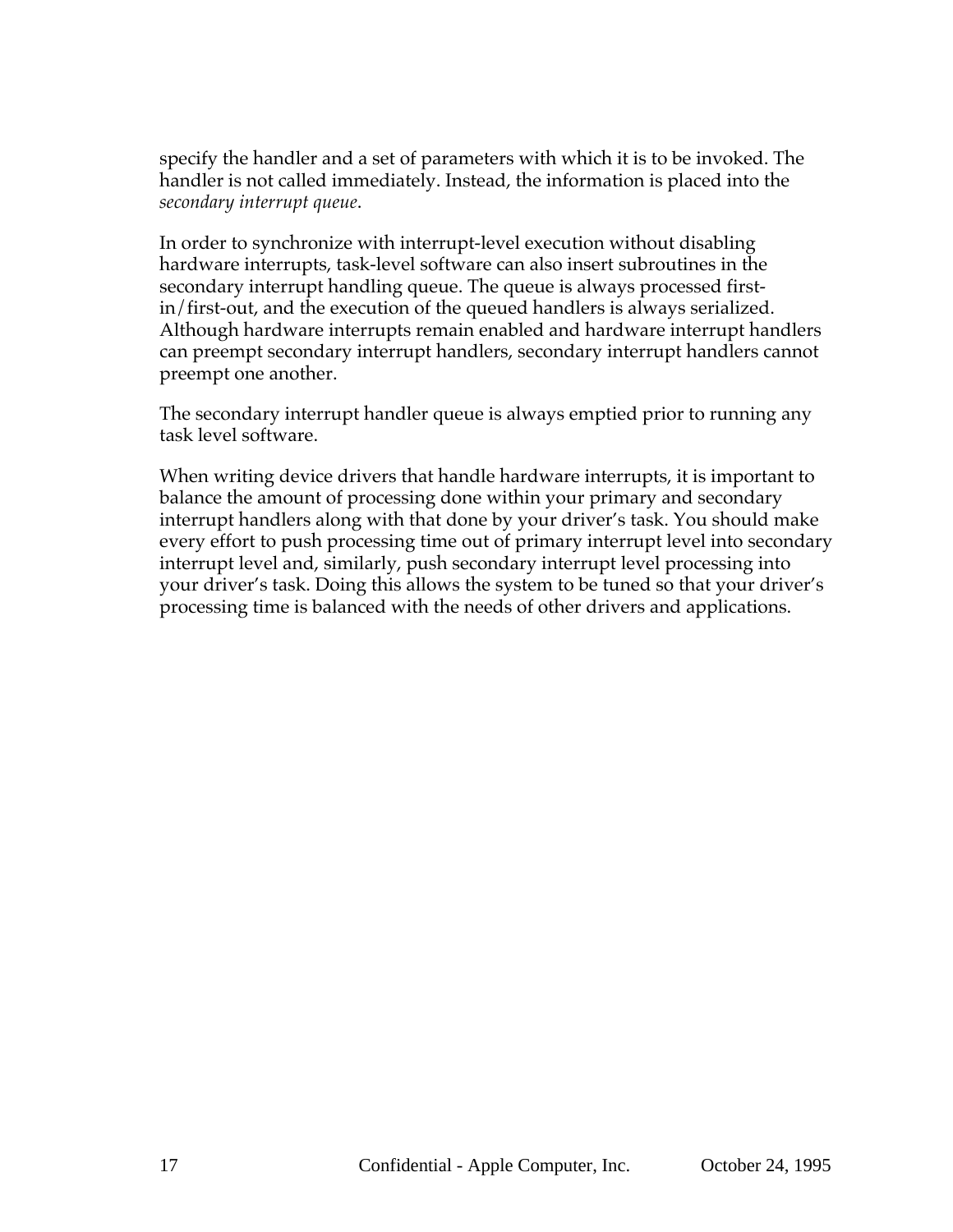specify the handler and a set of parameters with which it is to be invoked. The handler is not called immediately. Instead, the information is placed into the *secondary interrupt queue*.

In order to synchronize with interrupt-level execution without disabling hardware interrupts, task-level software can also insert subroutines in the secondary interrupt handling queue. The queue is always processed firstin/first-out, and the execution of the queued handlers is always serialized. Although hardware interrupts remain enabled and hardware interrupt handlers can preempt secondary interrupt handlers, secondary interrupt handlers cannot preempt one another.

The secondary interrupt handler queue is always emptied prior to running any task level software.

When writing device drivers that handle hardware interrupts, it is important to balance the amount of processing done within your primary and secondary interrupt handlers along with that done by your driver's task. You should make every effort to push processing time out of primary interrupt level into secondary interrupt level and, similarly, push secondary interrupt level processing into your driver's task. Doing this allows the system to be tuned so that your driver's processing time is balanced with the needs of other drivers and applications.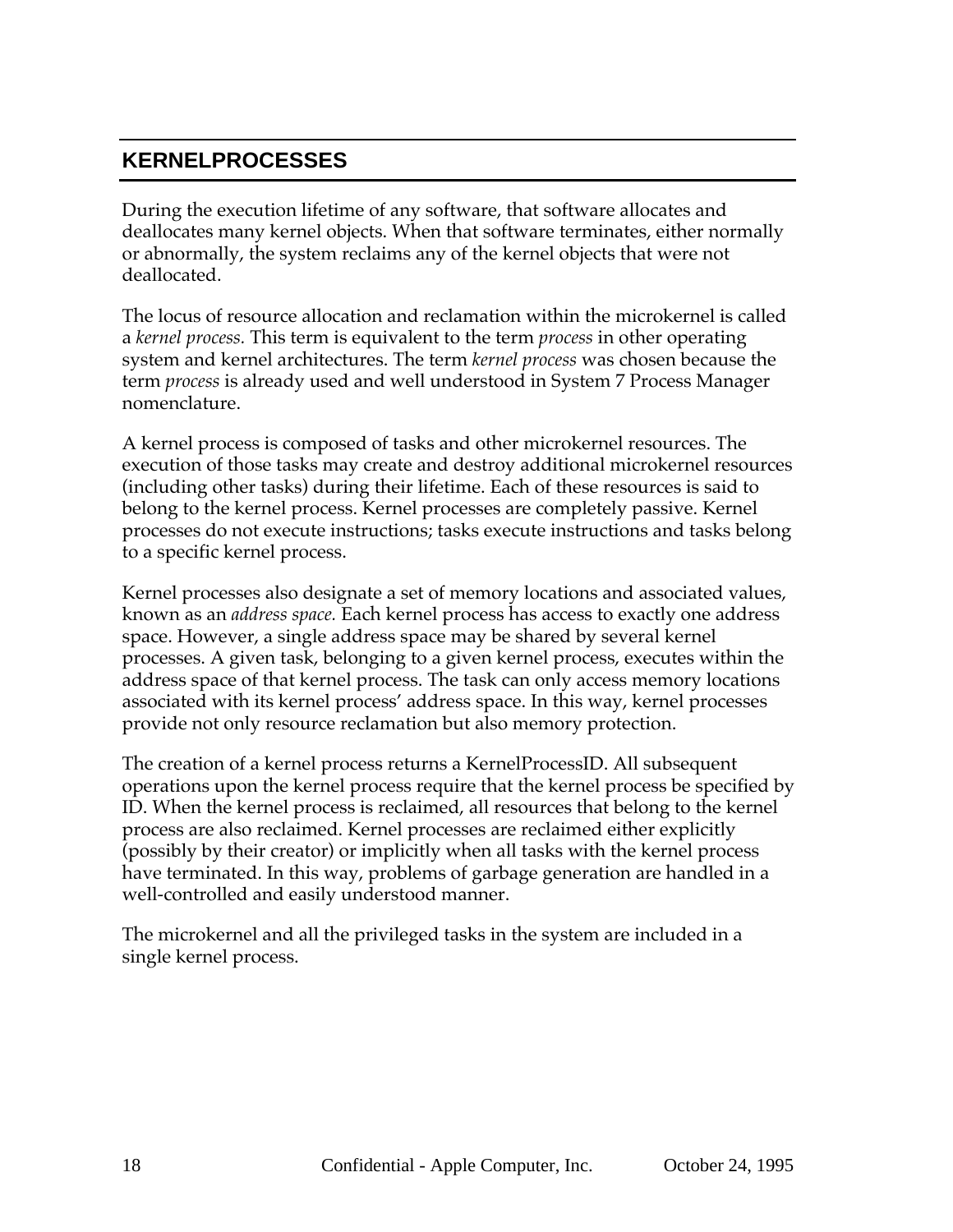# **KERNELPROCESSES**

During the execution lifetime of any software, that software allocates and deallocates many kernel objects. When that software terminates, either normally or abnormally, the system reclaims any of the kernel objects that were not deallocated.

The locus of resource allocation and reclamation within the microkernel is called a *kernel process.* This term is equivalent to the term *process* in other operating system and kernel architectures. The term *kernel process* was chosen because the term *process* is already used and well understood in System 7 Process Manager nomenclature.

A kernel process is composed of tasks and other microkernel resources. The execution of those tasks may create and destroy additional microkernel resources (including other tasks) during their lifetime. Each of these resources is said to belong to the kernel process. Kernel processes are completely passive. Kernel processes do not execute instructions; tasks execute instructions and tasks belong to a specific kernel process.

Kernel processes also designate a set of memory locations and associated values, known as an *address space.* Each kernel process has access to exactly one address space. However, a single address space may be shared by several kernel processes. A given task, belonging to a given kernel process, executes within the address space of that kernel process. The task can only access memory locations associated with its kernel process' address space. In this way, kernel processes provide not only resource reclamation but also memory protection.

The creation of a kernel process returns a KernelProcessID. All subsequent operations upon the kernel process require that the kernel process be specified by ID. When the kernel process is reclaimed, all resources that belong to the kernel process are also reclaimed. Kernel processes are reclaimed either explicitly (possibly by their creator) or implicitly when all tasks with the kernel process have terminated. In this way, problems of garbage generation are handled in a well-controlled and easily understood manner.

The microkernel and all the privileged tasks in the system are included in a single kernel process.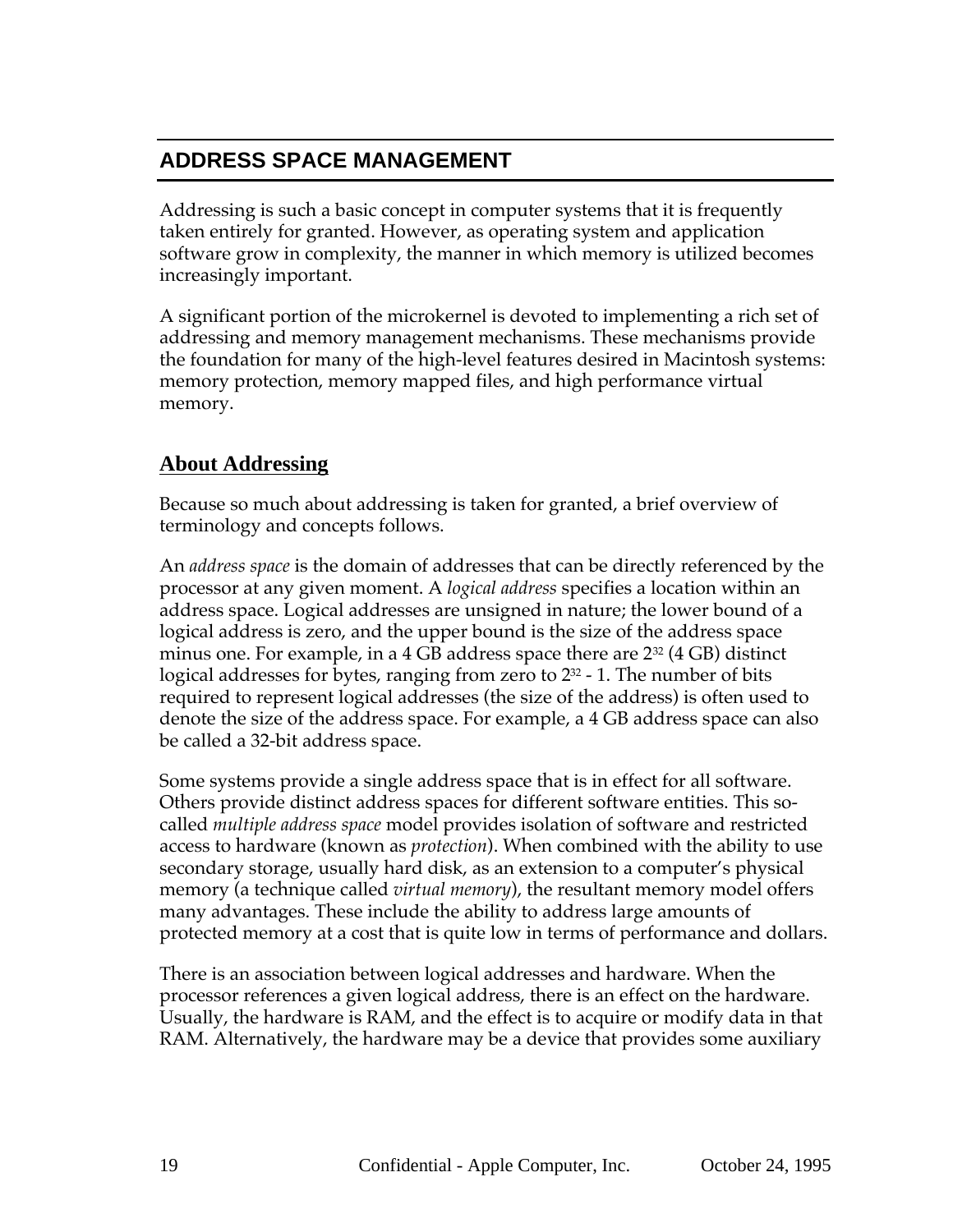# **ADDRESS SPACE MANAGEMENT**

Addressing is such a basic concept in computer systems that it is frequently taken entirely for granted. However, as operating system and application software grow in complexity, the manner in which memory is utilized becomes increasingly important.

A significant portion of the microkernel is devoted to implementing a rich set of addressing and memory management mechanisms. These mechanisms provide the foundation for many of the high-level features desired in Macintosh systems: memory protection, memory mapped files, and high performance virtual memory.

#### **About Addressing**

Because so much about addressing is taken for granted, a brief overview of terminology and concepts follows.

An *address space* is the domain of addresses that can be directly referenced by the processor at any given moment. A *logical address* specifies a location within an address space. Logical addresses are unsigned in nature; the lower bound of a logical address is zero, and the upper bound is the size of the address space minus one. For example, in a 4 GB address space there are  $2^{32}$  (4 GB) distinct logical addresses for bytes, ranging from zero to  $2^{32}$  - 1. The number of bits required to represent logical addresses (the size of the address) is often used to denote the size of the address space. For example, a 4 GB address space can also be called a 32-bit address space.

Some systems provide a single address space that is in effect for all software. Others provide distinct address spaces for different software entities. This socalled *multiple address space* model provides isolation of software and restricted access to hardware (known as *protection*). When combined with the ability to use secondary storage, usually hard disk, as an extension to a computer's physical memory (a technique called *virtual memory*), the resultant memory model offers many advantages. These include the ability to address large amounts of protected memory at a cost that is quite low in terms of performance and dollars.

There is an association between logical addresses and hardware. When the processor references a given logical address, there is an effect on the hardware. Usually, the hardware is RAM, and the effect is to acquire or modify data in that RAM. Alternatively, the hardware may be a device that provides some auxiliary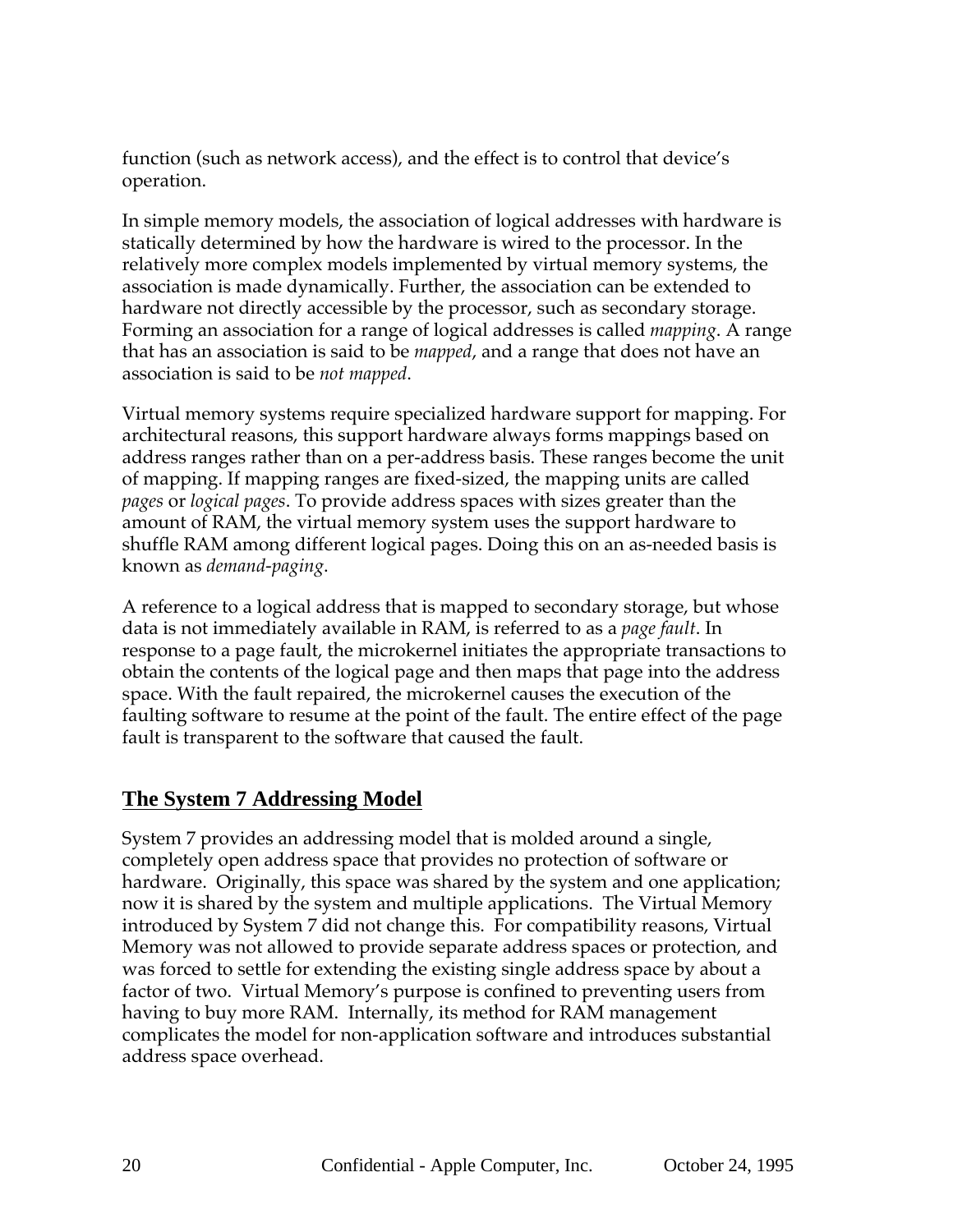function (such as network access), and the effect is to control that device's operation.

In simple memory models, the association of logical addresses with hardware is statically determined by how the hardware is wired to the processor. In the relatively more complex models implemented by virtual memory systems, the association is made dynamically. Further, the association can be extended to hardware not directly accessible by the processor, such as secondary storage. Forming an association for a range of logical addresses is called *mapping*. A range that has an association is said to be *mapped*, and a range that does not have an association is said to be *not mapped*.

Virtual memory systems require specialized hardware support for mapping. For architectural reasons, this support hardware always forms mappings based on address ranges rather than on a per-address basis. These ranges become the unit of mapping. If mapping ranges are fixed-sized, the mapping units are called *pages* or *logical pages*. To provide address spaces with sizes greater than the amount of RAM, the virtual memory system uses the support hardware to shuffle RAM among different logical pages. Doing this on an as-needed basis is known as *demand-paging*.

A reference to a logical address that is mapped to secondary storage, but whose data is not immediately available in RAM, is referred to as a *page fault*. In response to a page fault, the microkernel initiates the appropriate transactions to obtain the contents of the logical page and then maps that page into the address space. With the fault repaired, the microkernel causes the execution of the faulting software to resume at the point of the fault. The entire effect of the page fault is transparent to the software that caused the fault.

#### **The System 7 Addressing Model**

System 7 provides an addressing model that is molded around a single, completely open address space that provides no protection of software or hardware. Originally, this space was shared by the system and one application; now it is shared by the system and multiple applications. The Virtual Memory introduced by System 7 did not change this. For compatibility reasons, Virtual Memory was not allowed to provide separate address spaces or protection, and was forced to settle for extending the existing single address space by about a factor of two. Virtual Memory's purpose is confined to preventing users from having to buy more RAM. Internally, its method for RAM management complicates the model for non-application software and introduces substantial address space overhead.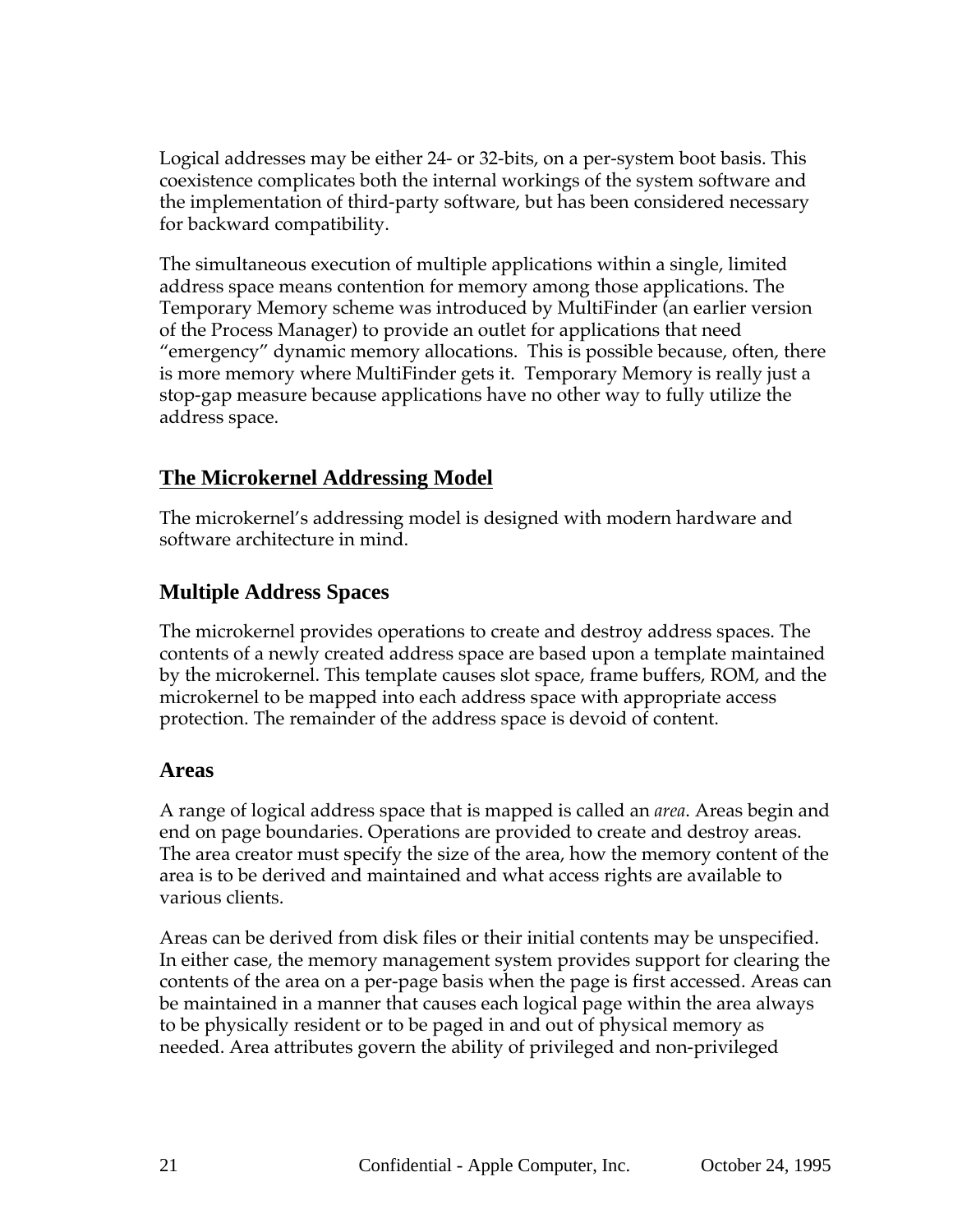Logical addresses may be either 24- or 32-bits, on a per-system boot basis. This coexistence complicates both the internal workings of the system software and the implementation of third-party software, but has been considered necessary for backward compatibility.

The simultaneous execution of multiple applications within a single, limited address space means contention for memory among those applications. The Temporary Memory scheme was introduced by MultiFinder (an earlier version of the Process Manager) to provide an outlet for applications that need "emergency" dynamic memory allocations. This is possible because, often, there is more memory where MultiFinder gets it. Temporary Memory is really just a stop-gap measure because applications have no other way to fully utilize the address space.

#### **The Microkernel Addressing Model**

The microkernel's addressing model is designed with modern hardware and software architecture in mind.

#### **Multiple Address Spaces**

The microkernel provides operations to create and destroy address spaces. The contents of a newly created address space are based upon a template maintained by the microkernel. This template causes slot space, frame buffers, ROM, and the microkernel to be mapped into each address space with appropriate access protection. The remainder of the address space is devoid of content.

#### **Areas**

A range of logical address space that is mapped is called an *area*. Areas begin and end on page boundaries. Operations are provided to create and destroy areas. The area creator must specify the size of the area, how the memory content of the area is to be derived and maintained and what access rights are available to various clients.

Areas can be derived from disk files or their initial contents may be unspecified. In either case, the memory management system provides support for clearing the contents of the area on a per-page basis when the page is first accessed. Areas can be maintained in a manner that causes each logical page within the area always to be physically resident or to be paged in and out of physical memory as needed. Area attributes govern the ability of privileged and non-privileged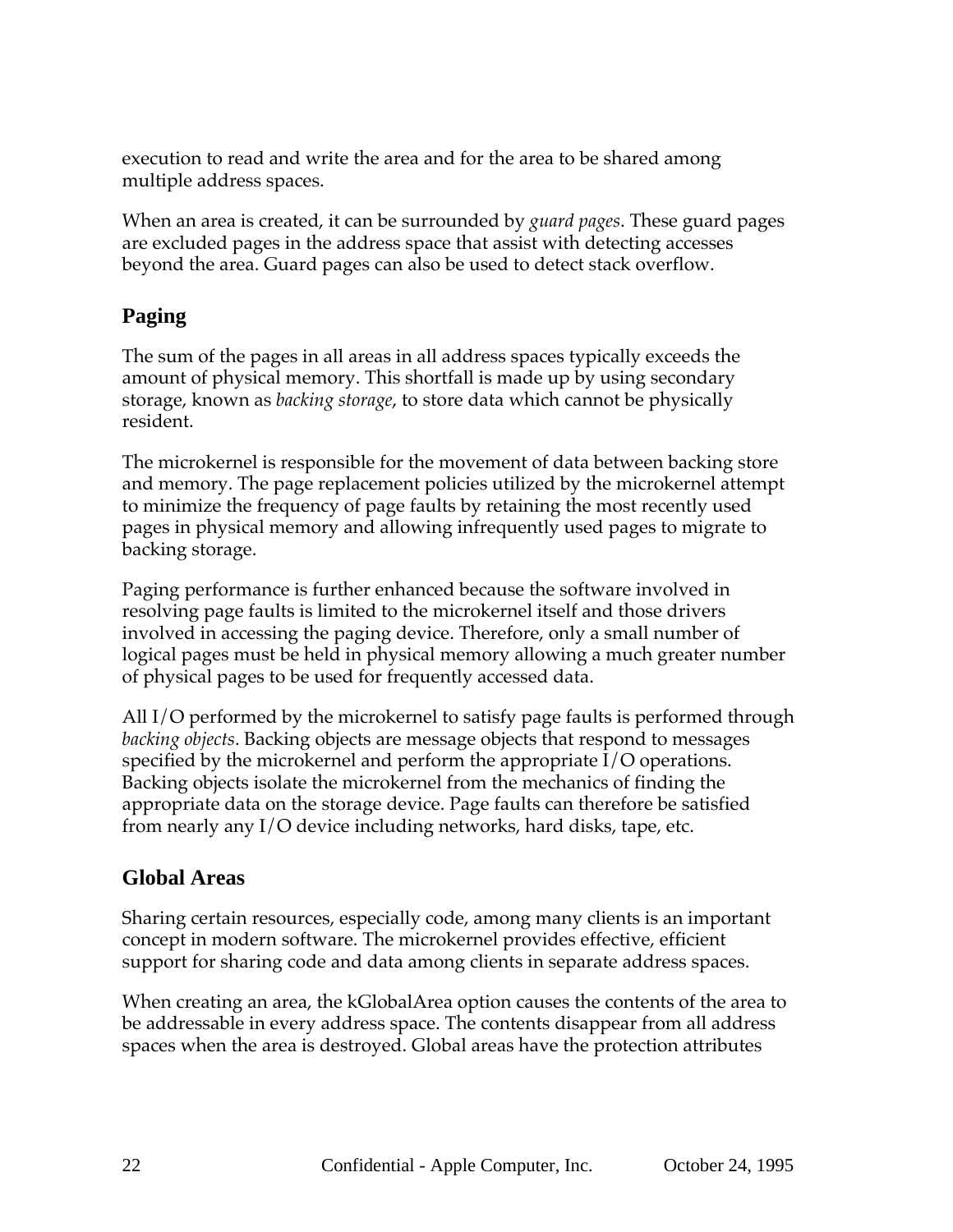execution to read and write the area and for the area to be shared among multiple address spaces.

When an area is created, it can be surrounded by *guard pages*. These guard pages are excluded pages in the address space that assist with detecting accesses beyond the area. Guard pages can also be used to detect stack overflow.

## **Paging**

The sum of the pages in all areas in all address spaces typically exceeds the amount of physical memory. This shortfall is made up by using secondary storage, known as *backing storage*, to store data which cannot be physically resident.

The microkernel is responsible for the movement of data between backing store and memory. The page replacement policies utilized by the microkernel attempt to minimize the frequency of page faults by retaining the most recently used pages in physical memory and allowing infrequently used pages to migrate to backing storage.

Paging performance is further enhanced because the software involved in resolving page faults is limited to the microkernel itself and those drivers involved in accessing the paging device. Therefore, only a small number of logical pages must be held in physical memory allowing a much greater number of physical pages to be used for frequently accessed data.

All I/O performed by the microkernel to satisfy page faults is performed through *backing objects*. Backing objects are message objects that respond to messages specified by the microkernel and perform the appropriate I/O operations. Backing objects isolate the microkernel from the mechanics of finding the appropriate data on the storage device. Page faults can therefore be satisfied from nearly any I/O device including networks, hard disks, tape, etc.

#### **Global Areas**

Sharing certain resources, especially code, among many clients is an important concept in modern software. The microkernel provides effective, efficient support for sharing code and data among clients in separate address spaces.

When creating an area, the kGlobalArea option causes the contents of the area to be addressable in every address space. The contents disappear from all address spaces when the area is destroyed. Global areas have the protection attributes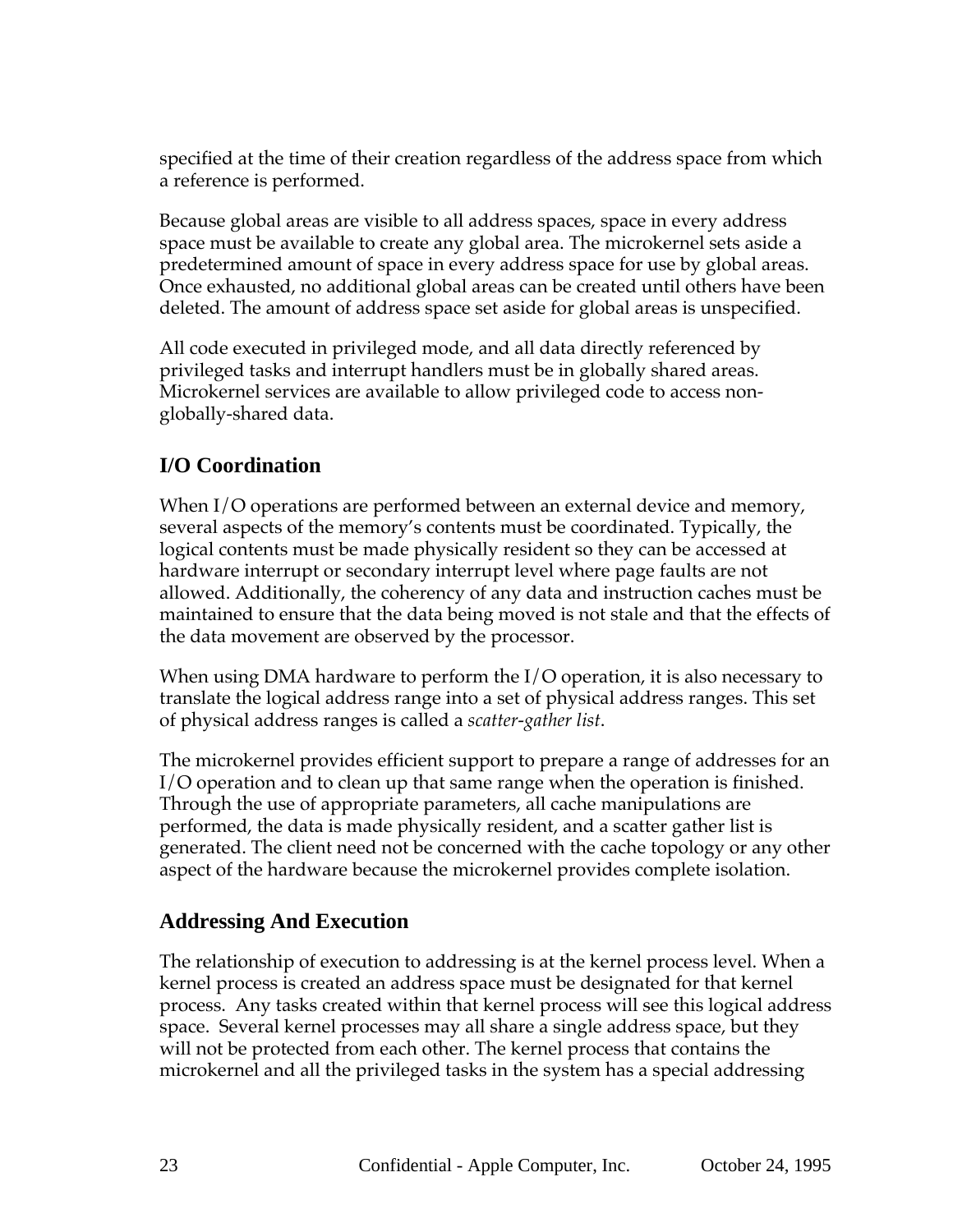specified at the time of their creation regardless of the address space from which a reference is performed.

Because global areas are visible to all address spaces, space in every address space must be available to create any global area. The microkernel sets aside a predetermined amount of space in every address space for use by global areas. Once exhausted, no additional global areas can be created until others have been deleted. The amount of address space set aside for global areas is unspecified.

All code executed in privileged mode, and all data directly referenced by privileged tasks and interrupt handlers must be in globally shared areas. Microkernel services are available to allow privileged code to access nonglobally-shared data.

# **I/O Coordination**

When I/O operations are performed between an external device and memory, several aspects of the memory's contents must be coordinated. Typically, the logical contents must be made physically resident so they can be accessed at hardware interrupt or secondary interrupt level where page faults are not allowed. Additionally, the coherency of any data and instruction caches must be maintained to ensure that the data being moved is not stale and that the effects of the data movement are observed by the processor.

When using DMA hardware to perform the I/O operation, it is also necessary to translate the logical address range into a set of physical address ranges. This set of physical address ranges is called a *scatter-gather list*.

The microkernel provides efficient support to prepare a range of addresses for an I/O operation and to clean up that same range when the operation is finished. Through the use of appropriate parameters, all cache manipulations are performed, the data is made physically resident, and a scatter gather list is generated. The client need not be concerned with the cache topology or any other aspect of the hardware because the microkernel provides complete isolation.

#### **Addressing And Execution**

The relationship of execution to addressing is at the kernel process level. When a kernel process is created an address space must be designated for that kernel process. Any tasks created within that kernel process will see this logical address space. Several kernel processes may all share a single address space, but they will not be protected from each other. The kernel process that contains the microkernel and all the privileged tasks in the system has a special addressing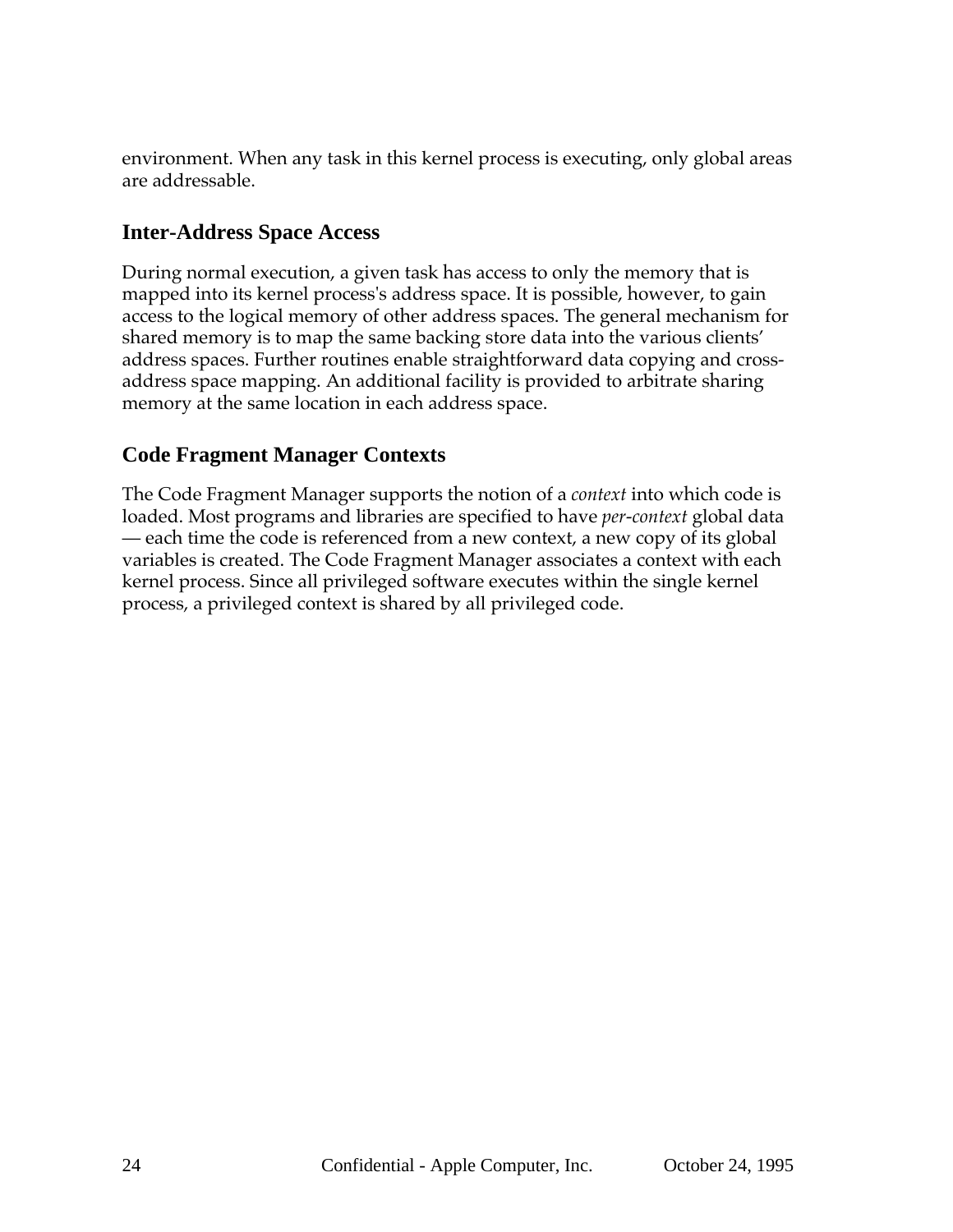environment. When any task in this kernel process is executing, only global areas are addressable.

#### **Inter-Address Space Access**

During normal execution, a given task has access to only the memory that is mapped into its kernel process's address space. It is possible, however, to gain access to the logical memory of other address spaces. The general mechanism for shared memory is to map the same backing store data into the various clients' address spaces. Further routines enable straightforward data copying and crossaddress space mapping. An additional facility is provided to arbitrate sharing memory at the same location in each address space.

#### **Code Fragment Manager Contexts**

The Code Fragment Manager supports the notion of a *context* into which code is loaded. Most programs and libraries are specified to have *per-context* global data — each time the code is referenced from a new context, a new copy of its global variables is created. The Code Fragment Manager associates a context with each kernel process. Since all privileged software executes within the single kernel process, a privileged context is shared by all privileged code.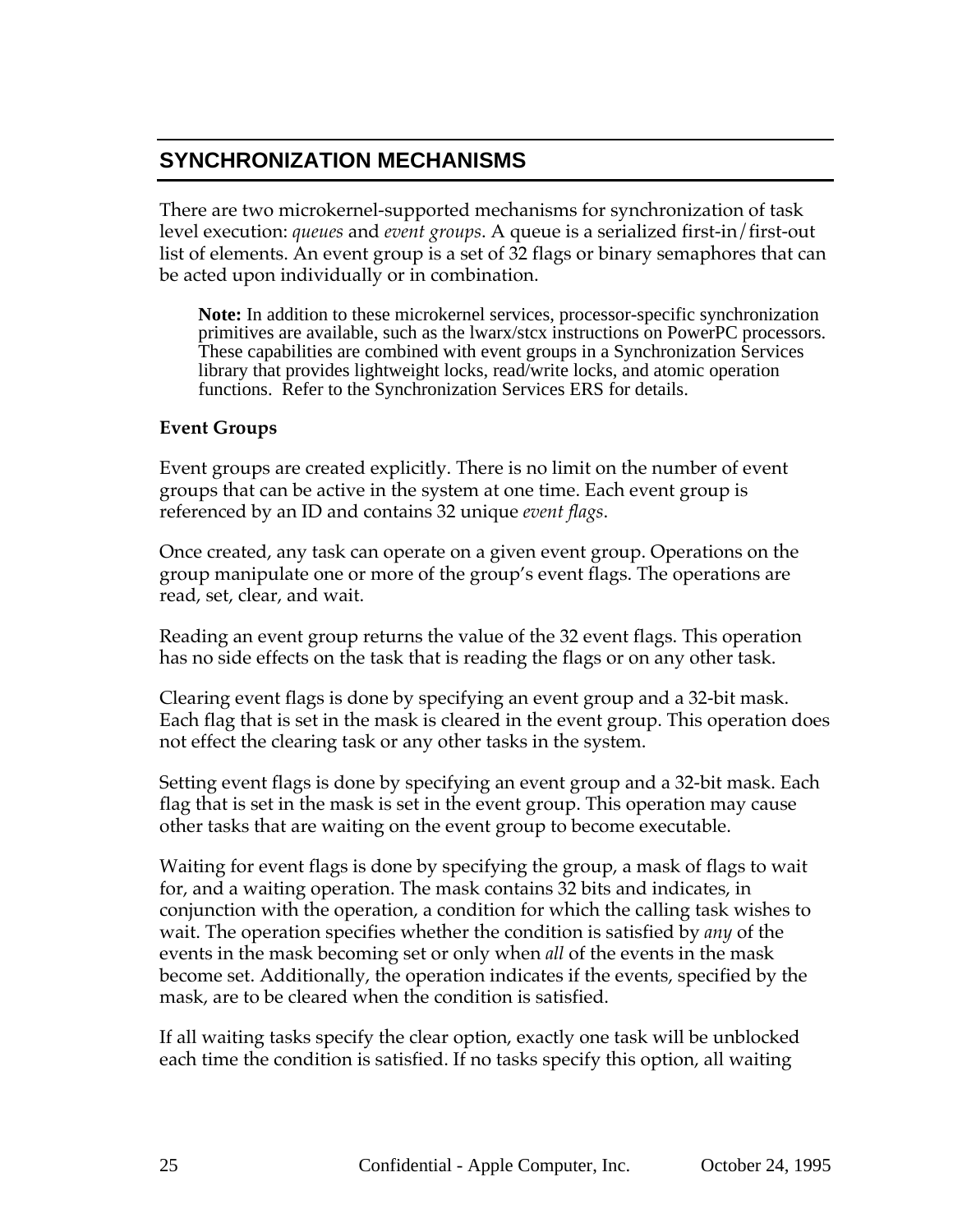# **SYNCHRONIZATION MECHANISMS**

There are two microkernel-supported mechanisms for synchronization of task level execution: *queues* and *event groups*. A queue is a serialized first-in/first-out list of elements. An event group is a set of 32 flags or binary semaphores that can be acted upon individually or in combination.

**Note:** In addition to these microkernel services, processor-specific synchronization primitives are available, such as the lwarx/stcx instructions on PowerPC processors. These capabilities are combined with event groups in a Synchronization Services library that provides lightweight locks, read/write locks, and atomic operation functions. Refer to the Synchronization Services ERS for details.

#### **Event Groups**

Event groups are created explicitly. There is no limit on the number of event groups that can be active in the system at one time. Each event group is referenced by an ID and contains 32 unique *event flags*.

Once created, any task can operate on a given event group. Operations on the group manipulate one or more of the group's event flags. The operations are read, set, clear, and wait.

Reading an event group returns the value of the 32 event flags. This operation has no side effects on the task that is reading the flags or on any other task.

Clearing event flags is done by specifying an event group and a 32-bit mask. Each flag that is set in the mask is cleared in the event group. This operation does not effect the clearing task or any other tasks in the system.

Setting event flags is done by specifying an event group and a 32-bit mask. Each flag that is set in the mask is set in the event group. This operation may cause other tasks that are waiting on the event group to become executable.

Waiting for event flags is done by specifying the group, a mask of flags to wait for, and a waiting operation. The mask contains 32 bits and indicates, in conjunction with the operation, a condition for which the calling task wishes to wait. The operation specifies whether the condition is satisfied by *any* of the events in the mask becoming set or only when *all* of the events in the mask become set. Additionally, the operation indicates if the events, specified by the mask, are to be cleared when the condition is satisfied.

If all waiting tasks specify the clear option, exactly one task will be unblocked each time the condition is satisfied. If no tasks specify this option, all waiting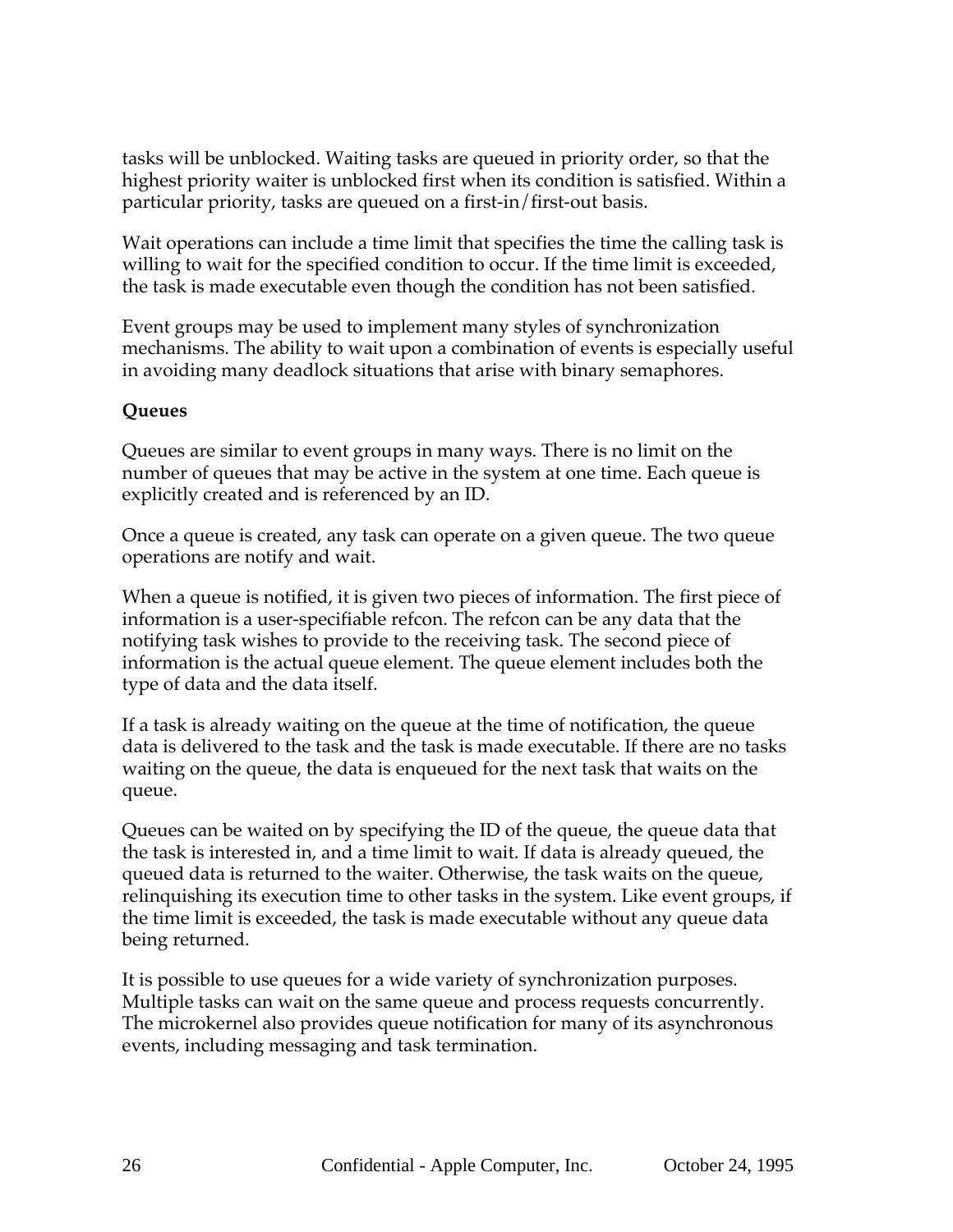tasks will be unblocked. Waiting tasks are queued in priority order, so that the highest priority waiter is unblocked first when its condition is satisfied. Within a particular priority, tasks are queued on a first-in/first-out basis.

Wait operations can include a time limit that specifies the time the calling task is willing to wait for the specified condition to occur. If the time limit is exceeded, the task is made executable even though the condition has not been satisfied.

Event groups may be used to implement many styles of synchronization mechanisms. The ability to wait upon a combination of events is especially useful in avoiding many deadlock situations that arise with binary semaphores.

#### **Queues**

Queues are similar to event groups in many ways. There is no limit on the number of queues that may be active in the system at one time. Each queue is explicitly created and is referenced by an ID.

Once a queue is created, any task can operate on a given queue. The two queue operations are notify and wait.

When a queue is notified, it is given two pieces of information. The first piece of information is a user-specifiable refcon. The refcon can be any data that the notifying task wishes to provide to the receiving task. The second piece of information is the actual queue element. The queue element includes both the type of data and the data itself.

If a task is already waiting on the queue at the time of notification, the queue data is delivered to the task and the task is made executable. If there are no tasks waiting on the queue, the data is enqueued for the next task that waits on the queue.

Queues can be waited on by specifying the ID of the queue, the queue data that the task is interested in, and a time limit to wait. If data is already queued, the queued data is returned to the waiter. Otherwise, the task waits on the queue, relinquishing its execution time to other tasks in the system. Like event groups, if the time limit is exceeded, the task is made executable without any queue data being returned.

It is possible to use queues for a wide variety of synchronization purposes. Multiple tasks can wait on the same queue and process requests concurrently. The microkernel also provides queue notification for many of its asynchronous events, including messaging and task termination.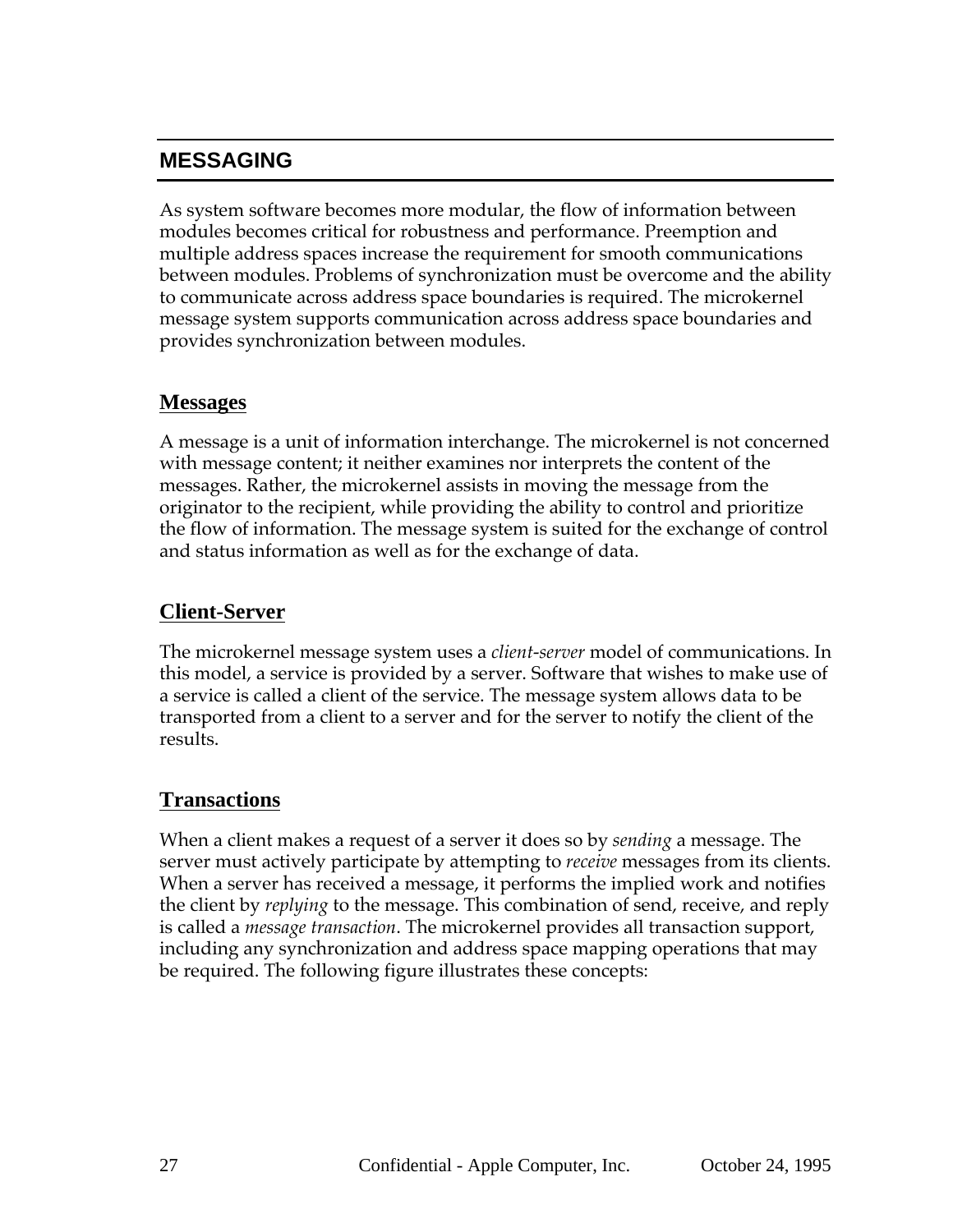# **MESSAGING**

As system software becomes more modular, the flow of information between modules becomes critical for robustness and performance. Preemption and multiple address spaces increase the requirement for smooth communications between modules. Problems of synchronization must be overcome and the ability to communicate across address space boundaries is required. The microkernel message system supports communication across address space boundaries and provides synchronization between modules.

#### **Messages**

A message is a unit of information interchange. The microkernel is not concerned with message content; it neither examines nor interprets the content of the messages. Rather, the microkernel assists in moving the message from the originator to the recipient, while providing the ability to control and prioritize the flow of information. The message system is suited for the exchange of control and status information as well as for the exchange of data.

#### **Client-Server**

The microkernel message system uses a *client-server* model of communications. In this model, a service is provided by a server. Software that wishes to make use of a service is called a client of the service. The message system allows data to be transported from a client to a server and for the server to notify the client of the results.

#### **Transactions**

When a client makes a request of a server it does so by *sending* a message. The server must actively participate by attempting to *receive* messages from its clients. When a server has received a message, it performs the implied work and notifies the client by *replying* to the message. This combination of send, receive, and reply is called a *message transaction*. The microkernel provides all transaction support, including any synchronization and address space mapping operations that may be required. The following figure illustrates these concepts: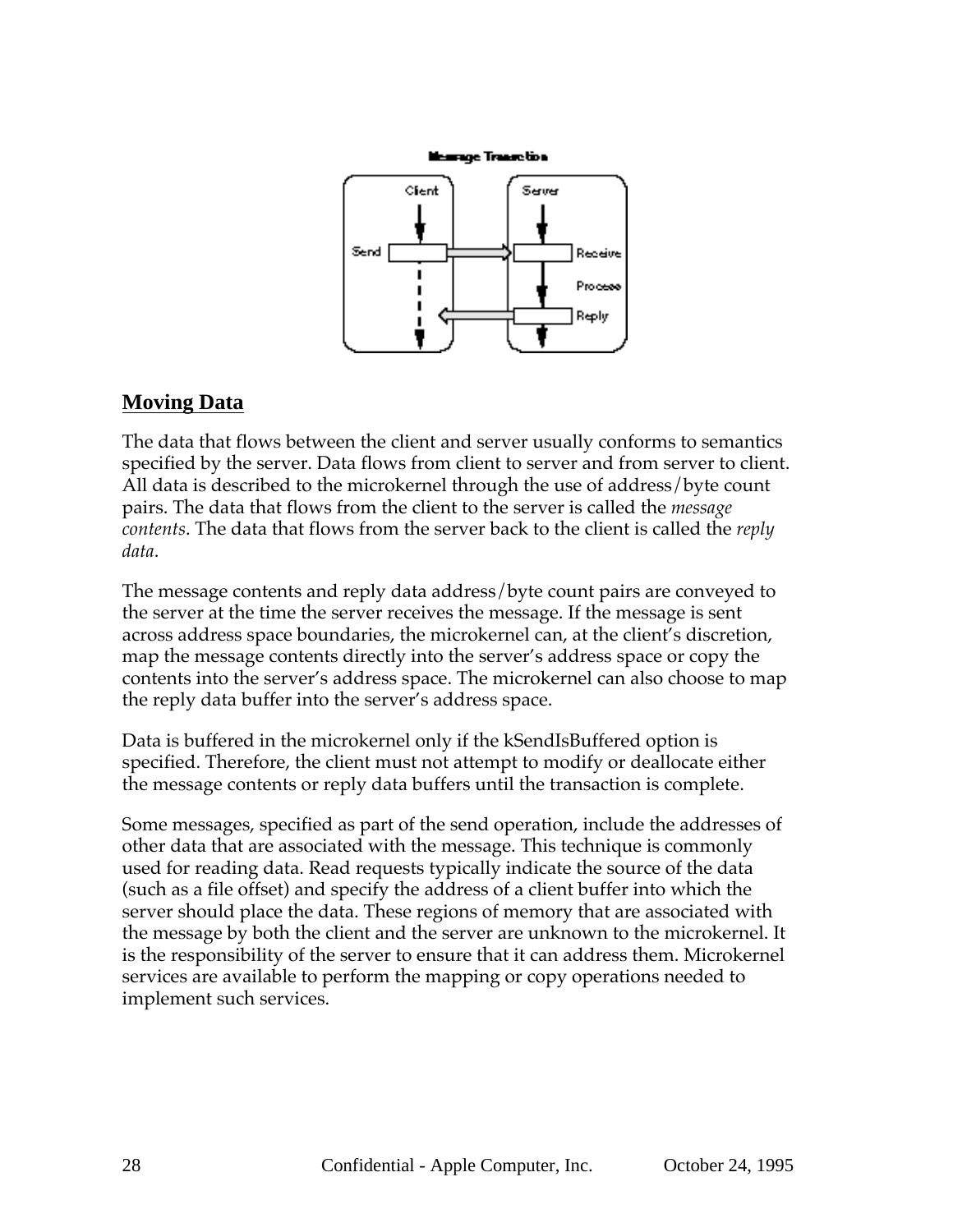

#### **Moving Data**

The data that flows between the client and server usually conforms to semantics specified by the server. Data flows from client to server and from server to client. All data is described to the microkernel through the use of address/byte count pairs. The data that flows from the client to the server is called the *message contents*. The data that flows from the server back to the client is called the *reply data*.

The message contents and reply data address/byte count pairs are conveyed to the server at the time the server receives the message. If the message is sent across address space boundaries, the microkernel can, at the client's discretion, map the message contents directly into the server's address space or copy the contents into the server's address space. The microkernel can also choose to map the reply data buffer into the server's address space.

Data is buffered in the microkernel only if the kSendIsBuffered option is specified. Therefore, the client must not attempt to modify or deallocate either the message contents or reply data buffers until the transaction is complete.

Some messages, specified as part of the send operation, include the addresses of other data that are associated with the message. This technique is commonly used for reading data. Read requests typically indicate the source of the data (such as a file offset) and specify the address of a client buffer into which the server should place the data. These regions of memory that are associated with the message by both the client and the server are unknown to the microkernel. It is the responsibility of the server to ensure that it can address them. Microkernel services are available to perform the mapping or copy operations needed to implement such services.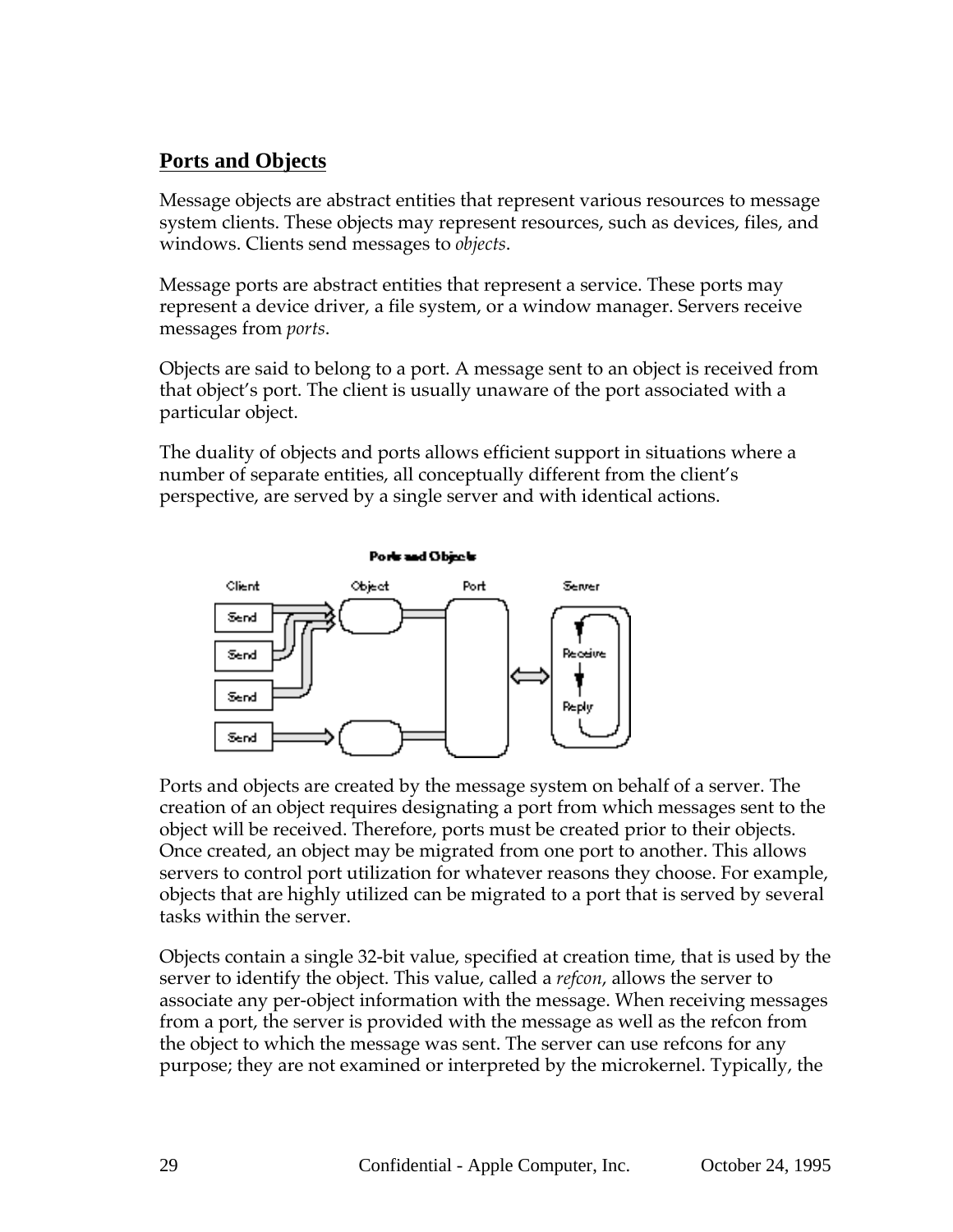# **Ports and Objects**

Message objects are abstract entities that represent various resources to message system clients. These objects may represent resources, such as devices, files, and windows. Clients send messages to *objects*.

Message ports are abstract entities that represent a service. These ports may represent a device driver, a file system, or a window manager. Servers receive messages from *ports*.

Objects are said to belong to a port. A message sent to an object is received from that object's port. The client is usually unaware of the port associated with a particular object.

The duality of objects and ports allows efficient support in situations where a number of separate entities, all conceptually different from the client's perspective, are served by a single server and with identical actions.



Ports and objects are created by the message system on behalf of a server. The creation of an object requires designating a port from which messages sent to the object will be received. Therefore, ports must be created prior to their objects. Once created, an object may be migrated from one port to another. This allows servers to control port utilization for whatever reasons they choose. For example, objects that are highly utilized can be migrated to a port that is served by several tasks within the server.

Objects contain a single 32-bit value, specified at creation time, that is used by the server to identify the object. This value, called a *refcon*, allows the server to associate any per-object information with the message. When receiving messages from a port, the server is provided with the message as well as the refcon from the object to which the message was sent. The server can use refcons for any purpose; they are not examined or interpreted by the microkernel. Typically, the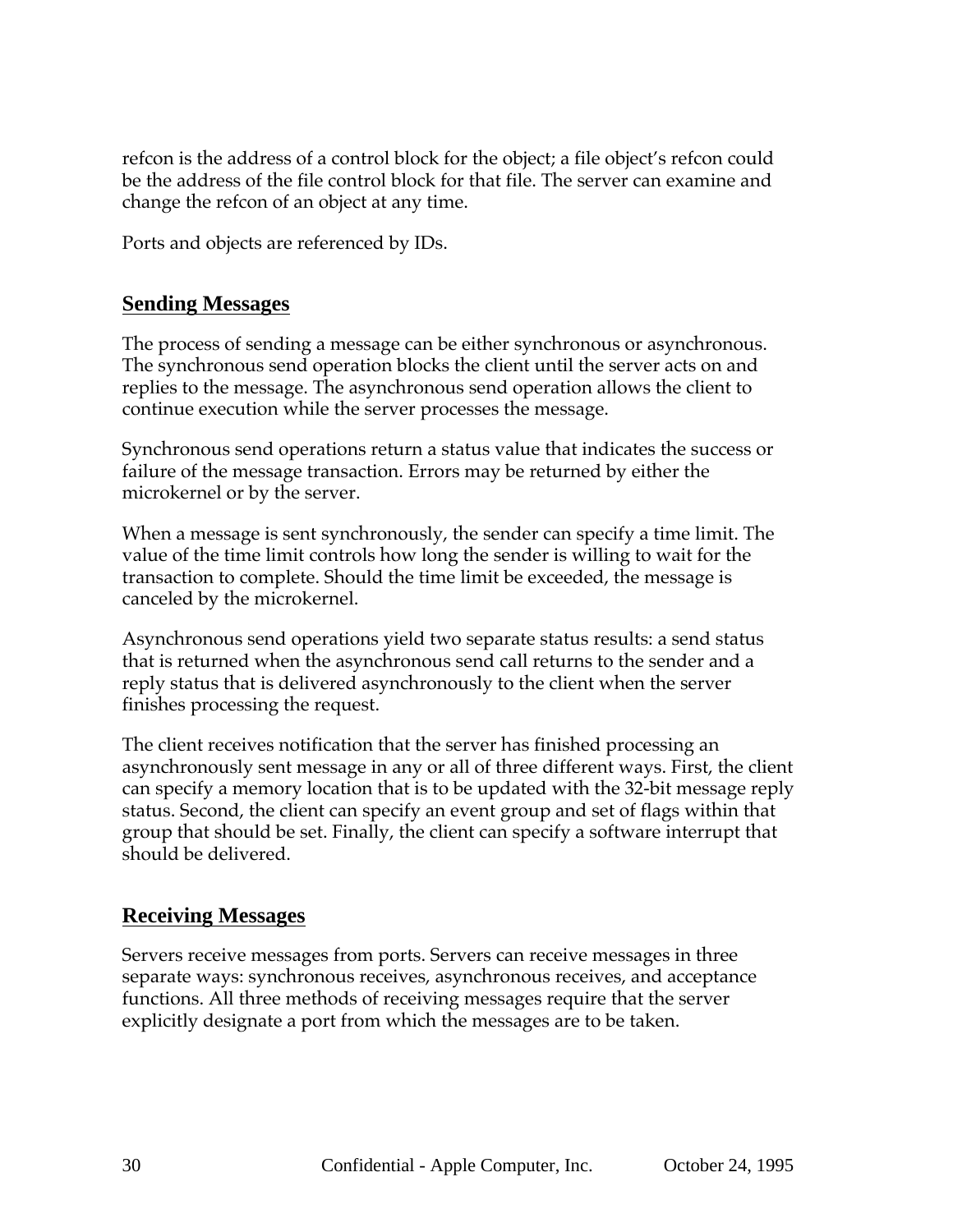refcon is the address of a control block for the object; a file object's refcon could be the address of the file control block for that file. The server can examine and change the refcon of an object at any time.

Ports and objects are referenced by IDs.

#### **Sending Messages**

The process of sending a message can be either synchronous or asynchronous. The synchronous send operation blocks the client until the server acts on and replies to the message. The asynchronous send operation allows the client to continue execution while the server processes the message.

Synchronous send operations return a status value that indicates the success or failure of the message transaction. Errors may be returned by either the microkernel or by the server.

When a message is sent synchronously, the sender can specify a time limit. The value of the time limit controls how long the sender is willing to wait for the transaction to complete. Should the time limit be exceeded, the message is canceled by the microkernel.

Asynchronous send operations yield two separate status results: a send status that is returned when the asynchronous send call returns to the sender and a reply status that is delivered asynchronously to the client when the server finishes processing the request.

The client receives notification that the server has finished processing an asynchronously sent message in any or all of three different ways. First, the client can specify a memory location that is to be updated with the 32-bit message reply status. Second, the client can specify an event group and set of flags within that group that should be set. Finally, the client can specify a software interrupt that should be delivered.

#### **Receiving Messages**

Servers receive messages from ports. Servers can receive messages in three separate ways: synchronous receives, asynchronous receives, and acceptance functions. All three methods of receiving messages require that the server explicitly designate a port from which the messages are to be taken.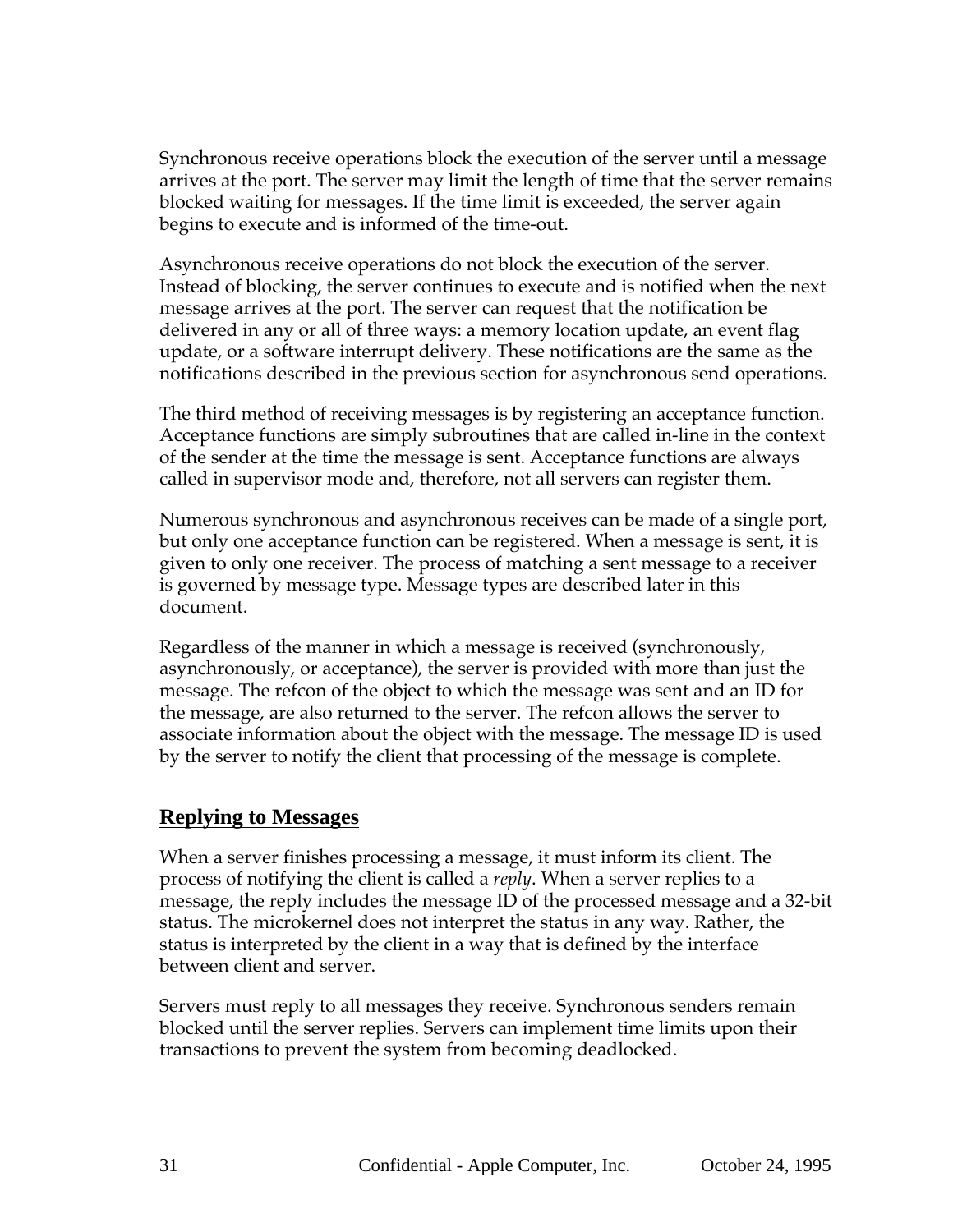Synchronous receive operations block the execution of the server until a message arrives at the port. The server may limit the length of time that the server remains blocked waiting for messages. If the time limit is exceeded, the server again begins to execute and is informed of the time-out.

Asynchronous receive operations do not block the execution of the server. Instead of blocking, the server continues to execute and is notified when the next message arrives at the port. The server can request that the notification be delivered in any or all of three ways: a memory location update, an event flag update, or a software interrupt delivery. These notifications are the same as the notifications described in the previous section for asynchronous send operations.

The third method of receiving messages is by registering an acceptance function. Acceptance functions are simply subroutines that are called in-line in the context of the sender at the time the message is sent. Acceptance functions are always called in supervisor mode and, therefore, not all servers can register them.

Numerous synchronous and asynchronous receives can be made of a single port, but only one acceptance function can be registered. When a message is sent, it is given to only one receiver. The process of matching a sent message to a receiver is governed by message type. Message types are described later in this document.

Regardless of the manner in which a message is received (synchronously, asynchronously, or acceptance), the server is provided with more than just the message. The refcon of the object to which the message was sent and an ID for the message, are also returned to the server. The refcon allows the server to associate information about the object with the message. The message ID is used by the server to notify the client that processing of the message is complete.

#### **Replying to Messages**

When a server finishes processing a message, it must inform its client. The process of notifying the client is called a *reply*. When a server replies to a message, the reply includes the message ID of the processed message and a 32-bit status. The microkernel does not interpret the status in any way. Rather, the status is interpreted by the client in a way that is defined by the interface between client and server.

Servers must reply to all messages they receive. Synchronous senders remain blocked until the server replies. Servers can implement time limits upon their transactions to prevent the system from becoming deadlocked.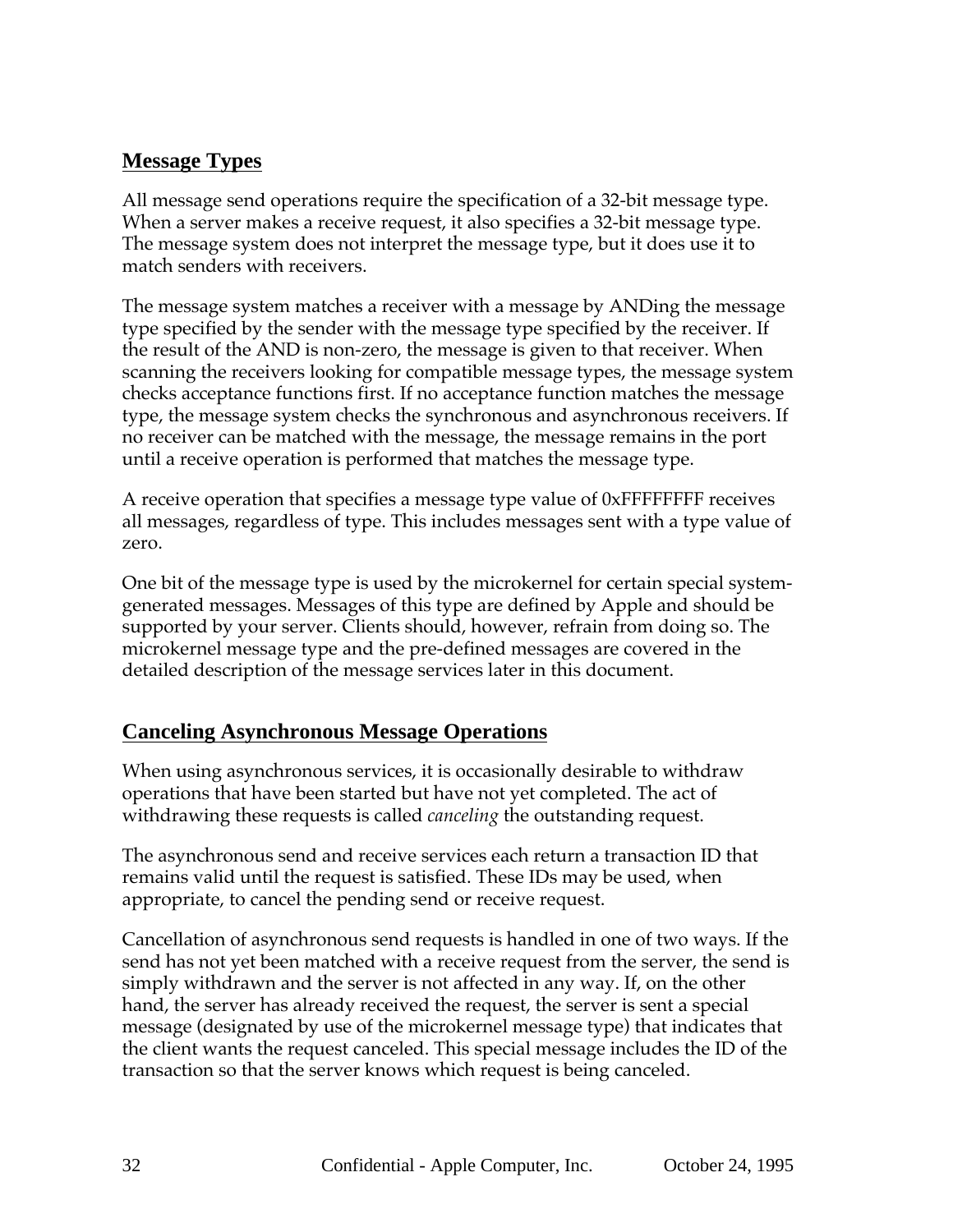## **Message Types**

All message send operations require the specification of a 32-bit message type. When a server makes a receive request, it also specifies a 32-bit message type. The message system does not interpret the message type, but it does use it to match senders with receivers.

The message system matches a receiver with a message by ANDing the message type specified by the sender with the message type specified by the receiver. If the result of the AND is non-zero, the message is given to that receiver. When scanning the receivers looking for compatible message types, the message system checks acceptance functions first. If no acceptance function matches the message type, the message system checks the synchronous and asynchronous receivers. If no receiver can be matched with the message, the message remains in the port until a receive operation is performed that matches the message type.

A receive operation that specifies a message type value of 0xFFFFFFFF receives all messages, regardless of type. This includes messages sent with a type value of zero.

One bit of the message type is used by the microkernel for certain special systemgenerated messages. Messages of this type are defined by Apple and should be supported by your server. Clients should, however, refrain from doing so. The microkernel message type and the pre-defined messages are covered in the detailed description of the message services later in this document.

#### **Canceling Asynchronous Message Operations**

When using asynchronous services, it is occasionally desirable to withdraw operations that have been started but have not yet completed. The act of withdrawing these requests is called *canceling* the outstanding request.

The asynchronous send and receive services each return a transaction ID that remains valid until the request is satisfied. These IDs may be used, when appropriate, to cancel the pending send or receive request.

Cancellation of asynchronous send requests is handled in one of two ways. If the send has not yet been matched with a receive request from the server, the send is simply withdrawn and the server is not affected in any way. If, on the other hand, the server has already received the request, the server is sent a special message (designated by use of the microkernel message type) that indicates that the client wants the request canceled. This special message includes the ID of the transaction so that the server knows which request is being canceled.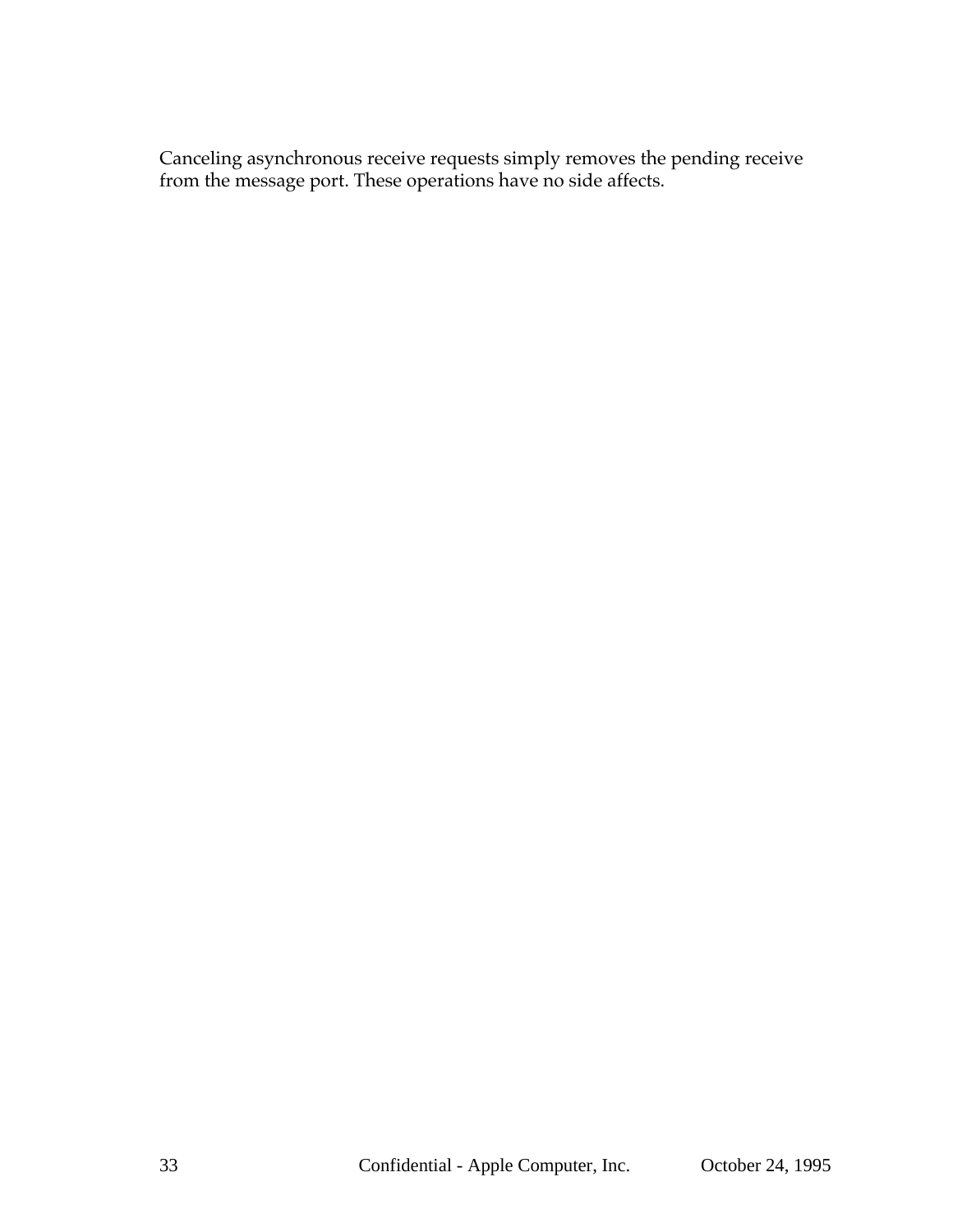Canceling asynchronous receive requests simply removes the pending receive from the message port. These operations have no side affects.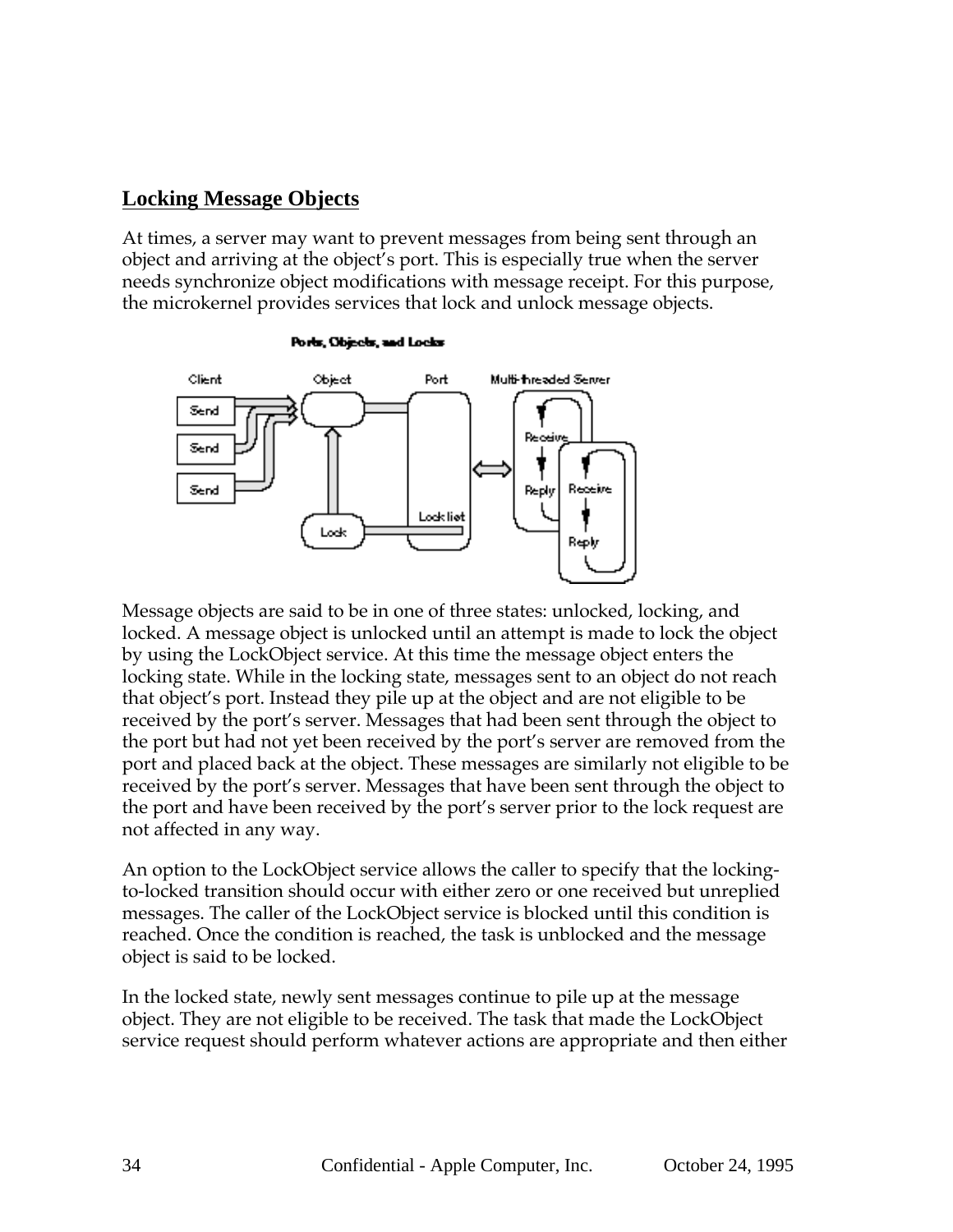#### **Locking Message Objects**

At times, a server may want to prevent messages from being sent through an object and arriving at the object's port. This is especially true when the server needs synchronize object modifications with message receipt. For this purpose, the microkernel provides services that lock and unlock message objects.



Ports, Objects, and Locks

Message objects are said to be in one of three states: unlocked, locking, and locked. A message object is unlocked until an attempt is made to lock the object by using the LockObject service. At this time the message object enters the locking state. While in the locking state, messages sent to an object do not reach that object's port. Instead they pile up at the object and are not eligible to be received by the port's server. Messages that had been sent through the object to the port but had not yet been received by the port's server are removed from the port and placed back at the object. These messages are similarly not eligible to be received by the port's server. Messages that have been sent through the object to the port and have been received by the port's server prior to the lock request are not affected in any way.

An option to the LockObject service allows the caller to specify that the lockingto-locked transition should occur with either zero or one received but unreplied messages. The caller of the LockObject service is blocked until this condition is reached. Once the condition is reached, the task is unblocked and the message object is said to be locked.

In the locked state, newly sent messages continue to pile up at the message object. They are not eligible to be received. The task that made the LockObject service request should perform whatever actions are appropriate and then either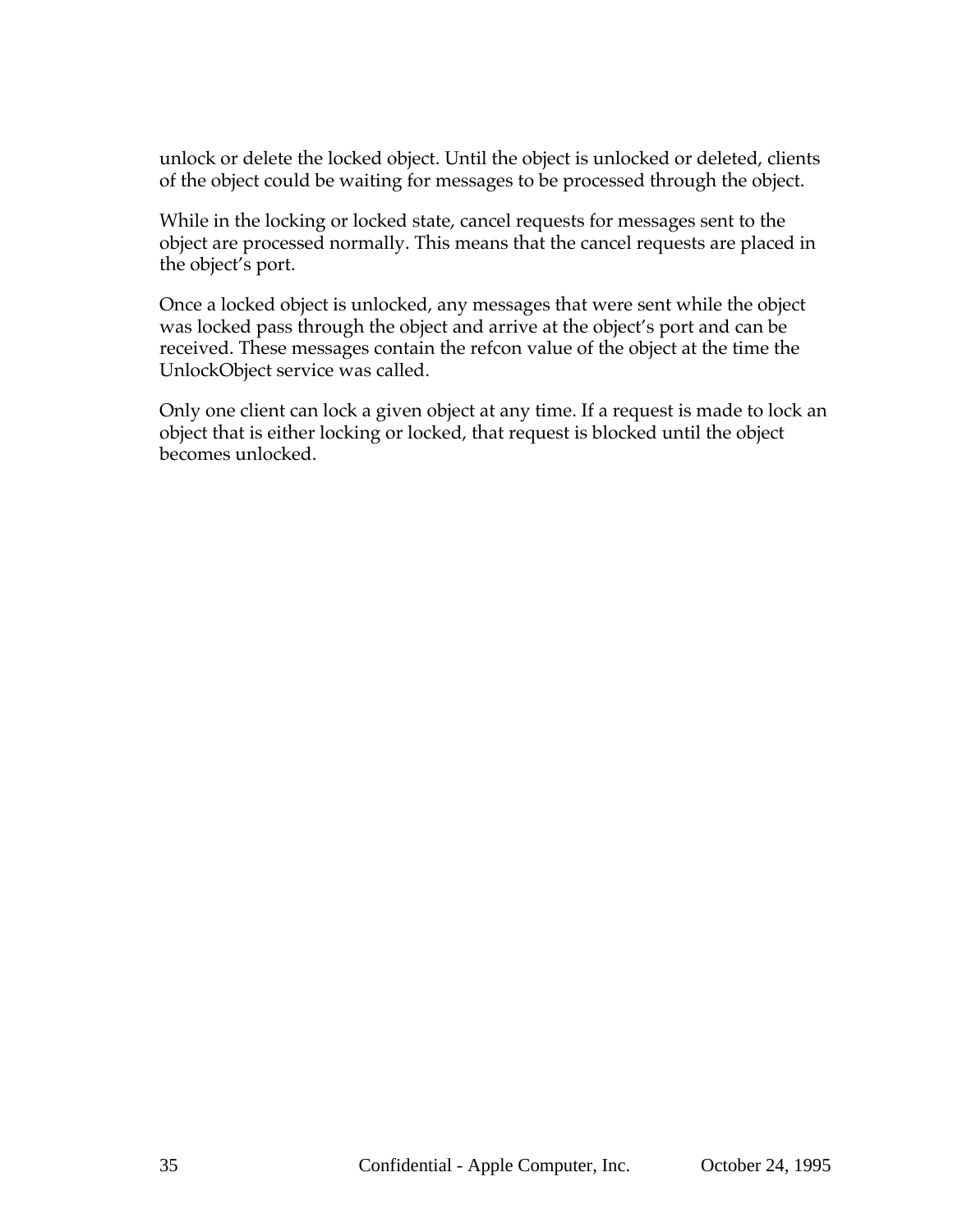unlock or delete the locked object. Until the object is unlocked or deleted, clients of the object could be waiting for messages to be processed through the object.

While in the locking or locked state, cancel requests for messages sent to the object are processed normally. This means that the cancel requests are placed in the object's port.

Once a locked object is unlocked, any messages that were sent while the object was locked pass through the object and arrive at the object's port and can be received. These messages contain the refcon value of the object at the time the UnlockObject service was called.

Only one client can lock a given object at any time. If a request is made to lock an object that is either locking or locked, that request is blocked until the object becomes unlocked.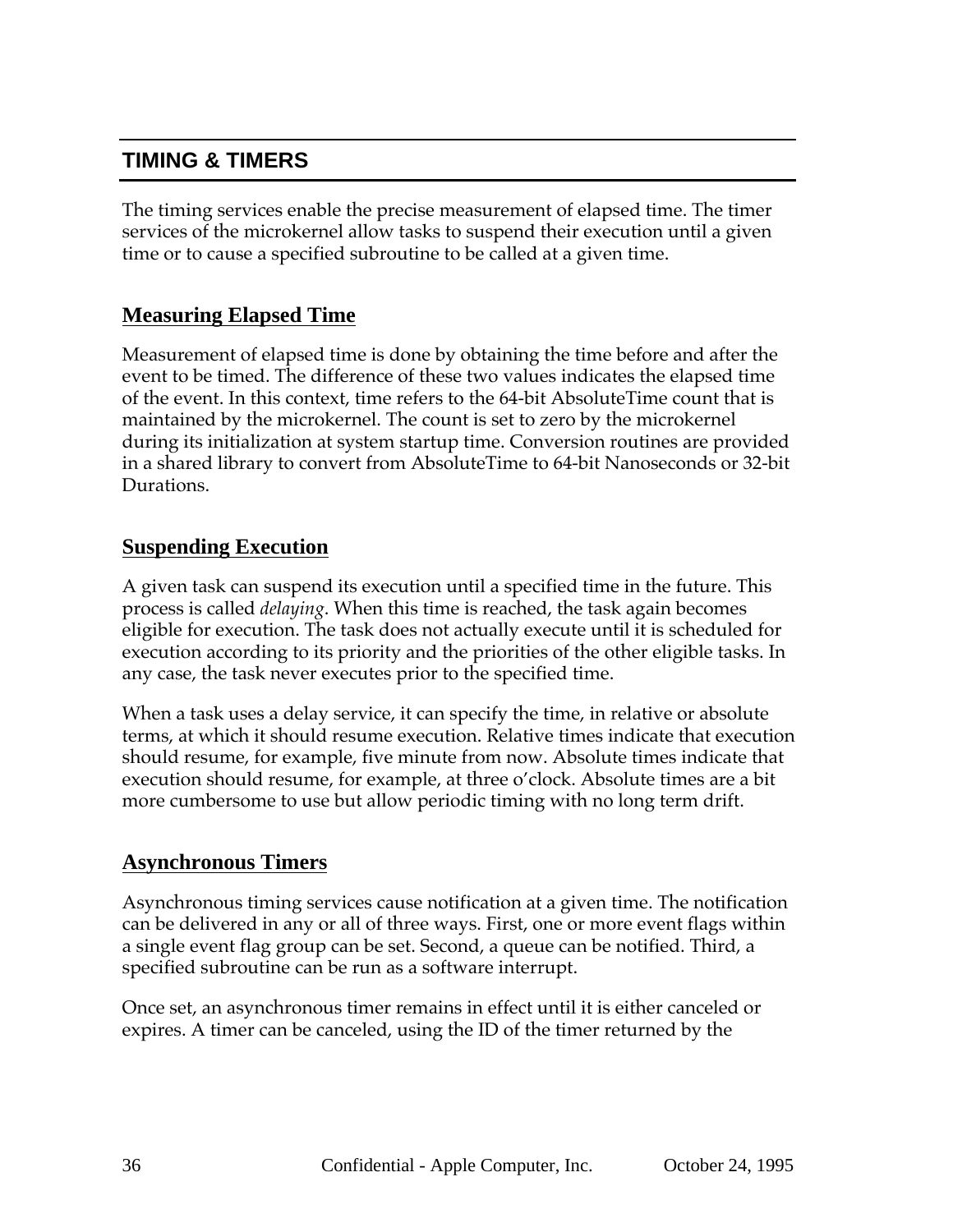# **TIMING & TIMERS**

The timing services enable the precise measurement of elapsed time. The timer services of the microkernel allow tasks to suspend their execution until a given time or to cause a specified subroutine to be called at a given time.

#### **Measuring Elapsed Time**

Measurement of elapsed time is done by obtaining the time before and after the event to be timed. The difference of these two values indicates the elapsed time of the event. In this context, time refers to the 64-bit AbsoluteTime count that is maintained by the microkernel. The count is set to zero by the microkernel during its initialization at system startup time. Conversion routines are provided in a shared library to convert from AbsoluteTime to 64-bit Nanoseconds or 32-bit Durations.

#### **Suspending Execution**

A given task can suspend its execution until a specified time in the future. This process is called *delaying*. When this time is reached, the task again becomes eligible for execution. The task does not actually execute until it is scheduled for execution according to its priority and the priorities of the other eligible tasks. In any case, the task never executes prior to the specified time.

When a task uses a delay service, it can specify the time, in relative or absolute terms, at which it should resume execution. Relative times indicate that execution should resume, for example, five minute from now. Absolute times indicate that execution should resume, for example, at three o'clock. Absolute times are a bit more cumbersome to use but allow periodic timing with no long term drift.

#### **Asynchronous Timers**

Asynchronous timing services cause notification at a given time. The notification can be delivered in any or all of three ways. First, one or more event flags within a single event flag group can be set. Second, a queue can be notified. Third, a specified subroutine can be run as a software interrupt.

Once set, an asynchronous timer remains in effect until it is either canceled or expires. A timer can be canceled, using the ID of the timer returned by the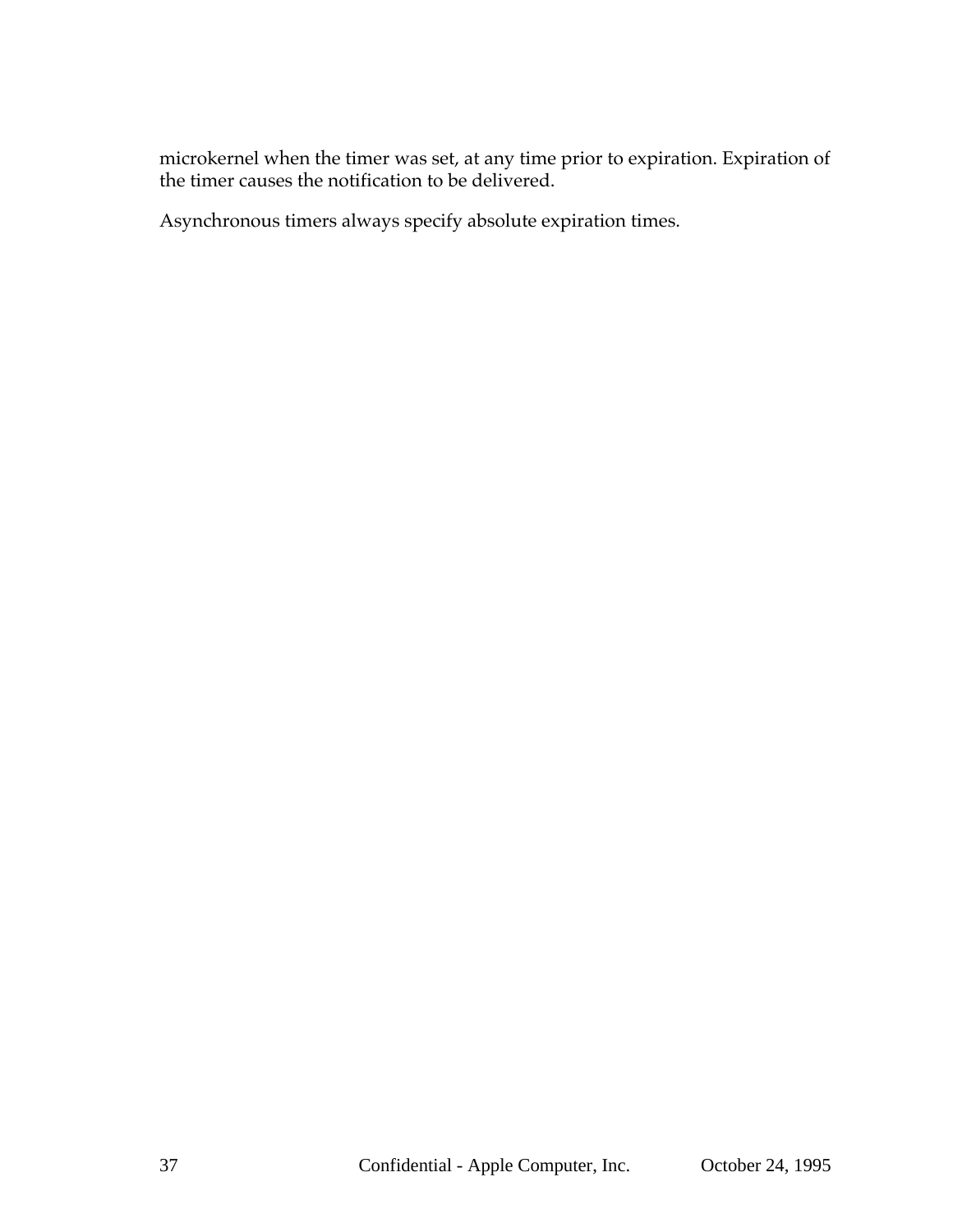microkernel when the timer was set, at any time prior to expiration. Expiration of the timer causes the notification to be delivered.

Asynchronous timers always specify absolute expiration times.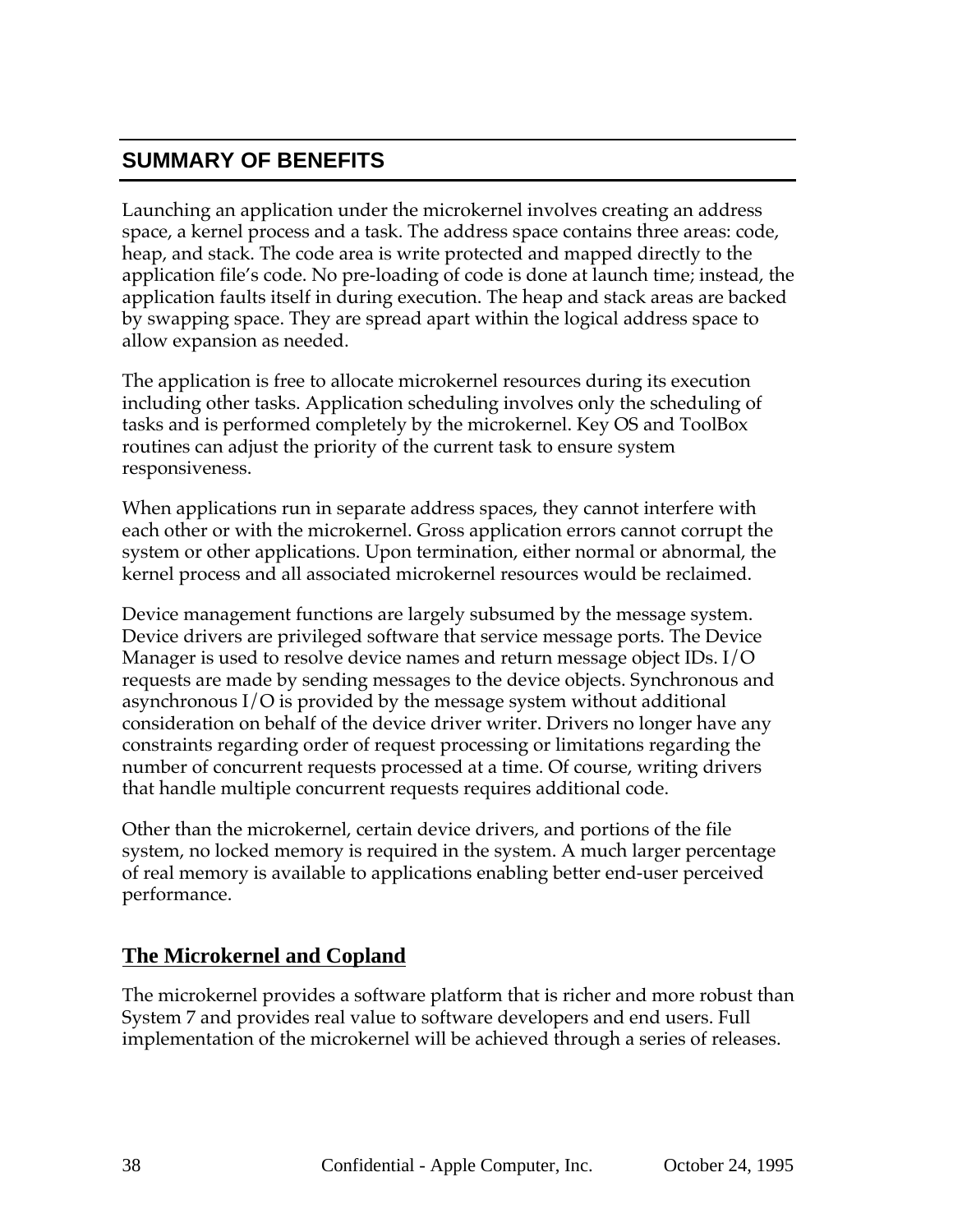## **SUMMARY OF BENEFITS**

Launching an application under the microkernel involves creating an address space, a kernel process and a task. The address space contains three areas: code, heap, and stack. The code area is write protected and mapped directly to the application file's code. No pre-loading of code is done at launch time; instead, the application faults itself in during execution. The heap and stack areas are backed by swapping space. They are spread apart within the logical address space to allow expansion as needed.

The application is free to allocate microkernel resources during its execution including other tasks. Application scheduling involves only the scheduling of tasks and is performed completely by the microkernel. Key OS and ToolBox routines can adjust the priority of the current task to ensure system responsiveness.

When applications run in separate address spaces, they cannot interfere with each other or with the microkernel. Gross application errors cannot corrupt the system or other applications. Upon termination, either normal or abnormal, the kernel process and all associated microkernel resources would be reclaimed.

Device management functions are largely subsumed by the message system. Device drivers are privileged software that service message ports. The Device Manager is used to resolve device names and return message object IDs. I/O requests are made by sending messages to the device objects. Synchronous and asynchronous I/O is provided by the message system without additional consideration on behalf of the device driver writer. Drivers no longer have any constraints regarding order of request processing or limitations regarding the number of concurrent requests processed at a time. Of course, writing drivers that handle multiple concurrent requests requires additional code.

Other than the microkernel, certain device drivers, and portions of the file system, no locked memory is required in the system. A much larger percentage of real memory is available to applications enabling better end-user perceived performance.

### **The Microkernel and Copland**

The microkernel provides a software platform that is richer and more robust than System 7 and provides real value to software developers and end users. Full implementation of the microkernel will be achieved through a series of releases.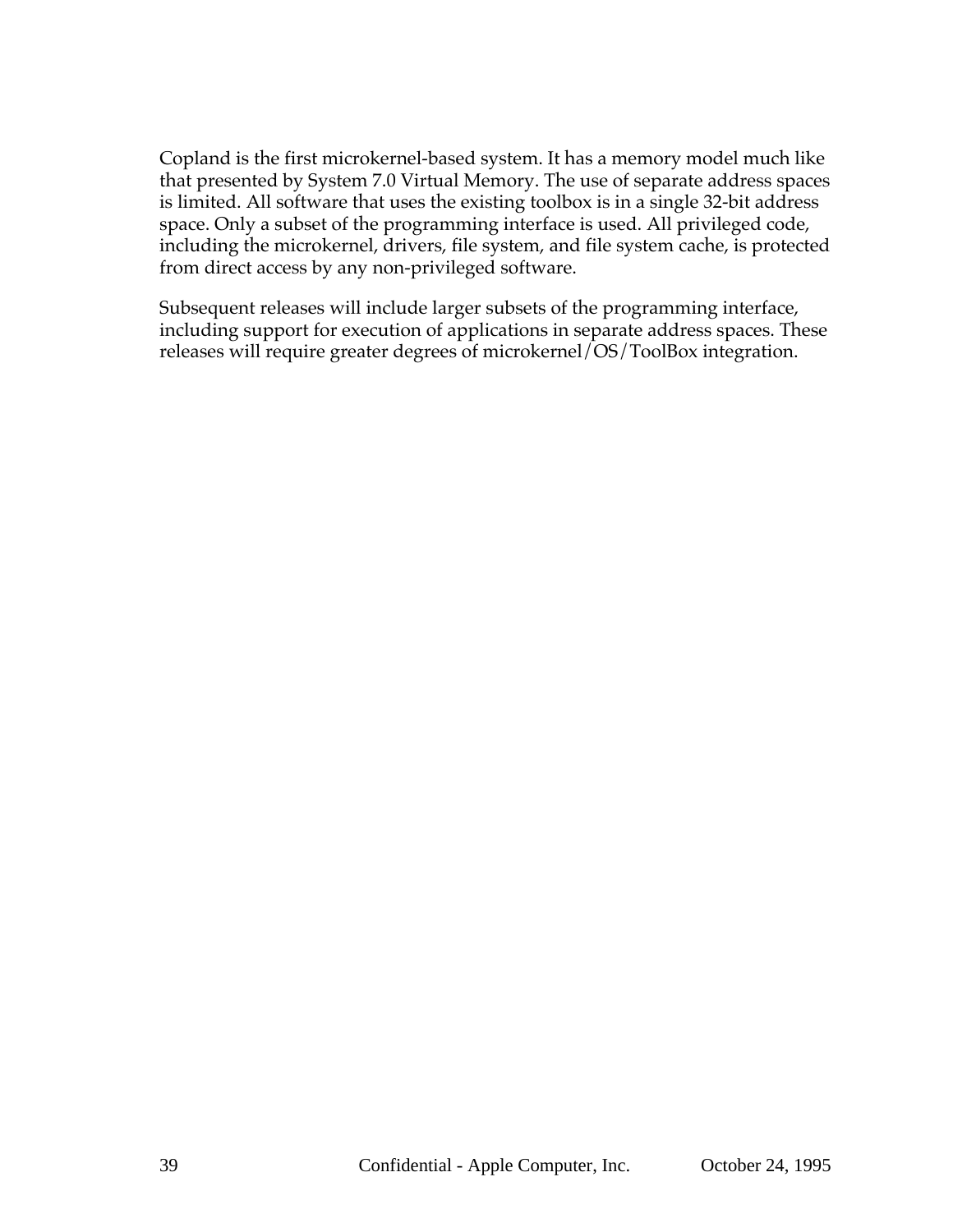Copland is the first microkernel-based system. It has a memory model much like that presented by System 7.0 Virtual Memory. The use of separate address spaces is limited. All software that uses the existing toolbox is in a single 32-bit address space. Only a subset of the programming interface is used. All privileged code, including the microkernel, drivers, file system, and file system cache, is protected from direct access by any non-privileged software.

Subsequent releases will include larger subsets of the programming interface, including support for execution of applications in separate address spaces. These releases will require greater degrees of microkernel/OS/ToolBox integration.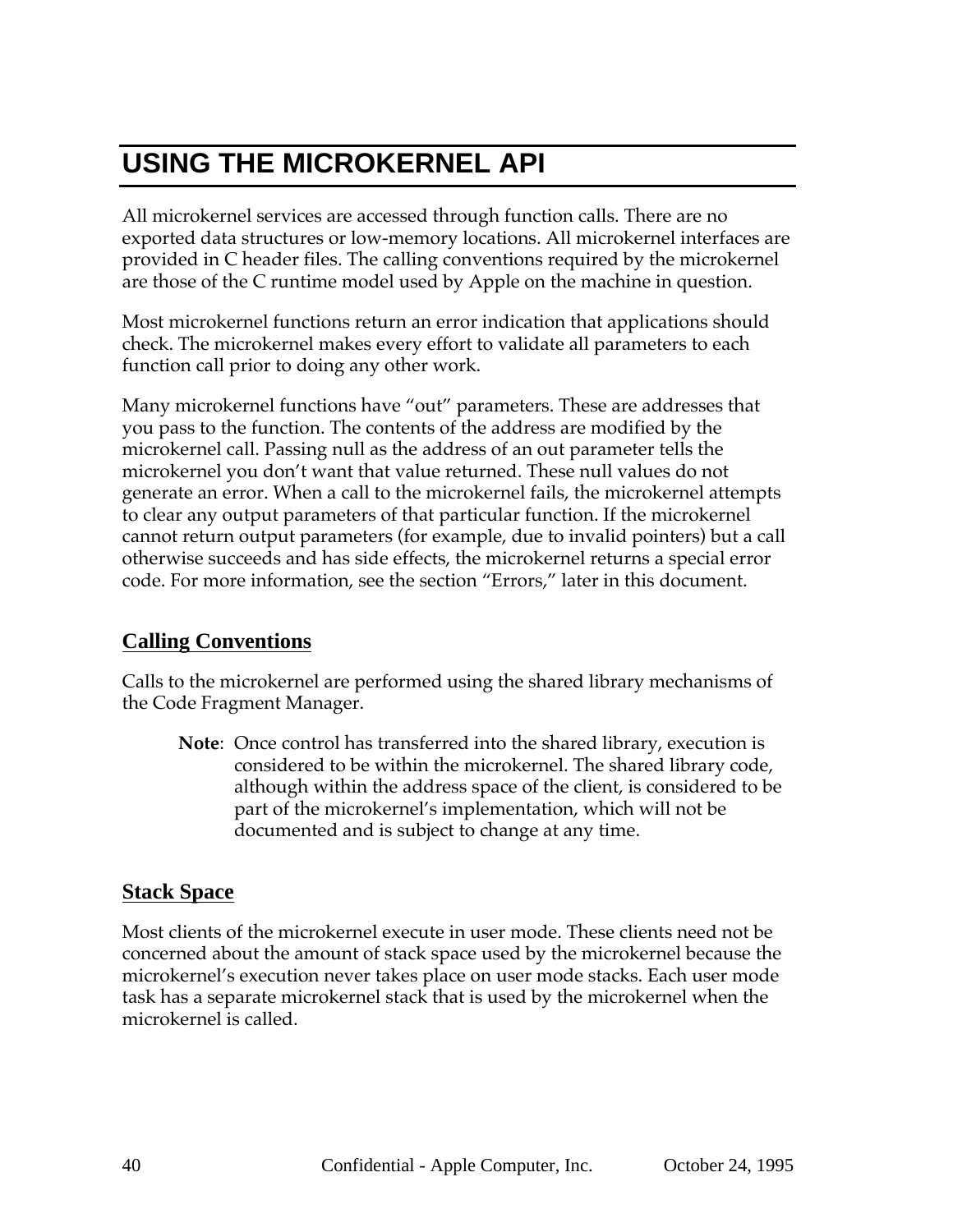# **USING THE MICROKERNEL API**

All microkernel services are accessed through function calls. There are no exported data structures or low-memory locations. All microkernel interfaces are provided in C header files. The calling conventions required by the microkernel are those of the C runtime model used by Apple on the machine in question.

Most microkernel functions return an error indication that applications should check. The microkernel makes every effort to validate all parameters to each function call prior to doing any other work.

Many microkernel functions have "out" parameters. These are addresses that you pass to the function. The contents of the address are modified by the microkernel call. Passing null as the address of an out parameter tells the microkernel you don't want that value returned. These null values do not generate an error. When a call to the microkernel fails, the microkernel attempts to clear any output parameters of that particular function. If the microkernel cannot return output parameters (for example, due to invalid pointers) but a call otherwise succeeds and has side effects, the microkernel returns a special error code. For more information, see the section "Errors," later in this document.

### **Calling Conventions**

Calls to the microkernel are performed using the shared library mechanisms of the Code Fragment Manager.

**Note**: Once control has transferred into the shared library, execution is considered to be within the microkernel. The shared library code, although within the address space of the client, is considered to be part of the microkernel's implementation, which will not be documented and is subject to change at any time.

## **Stack Space**

Most clients of the microkernel execute in user mode. These clients need not be concerned about the amount of stack space used by the microkernel because the microkernel's execution never takes place on user mode stacks. Each user mode task has a separate microkernel stack that is used by the microkernel when the microkernel is called.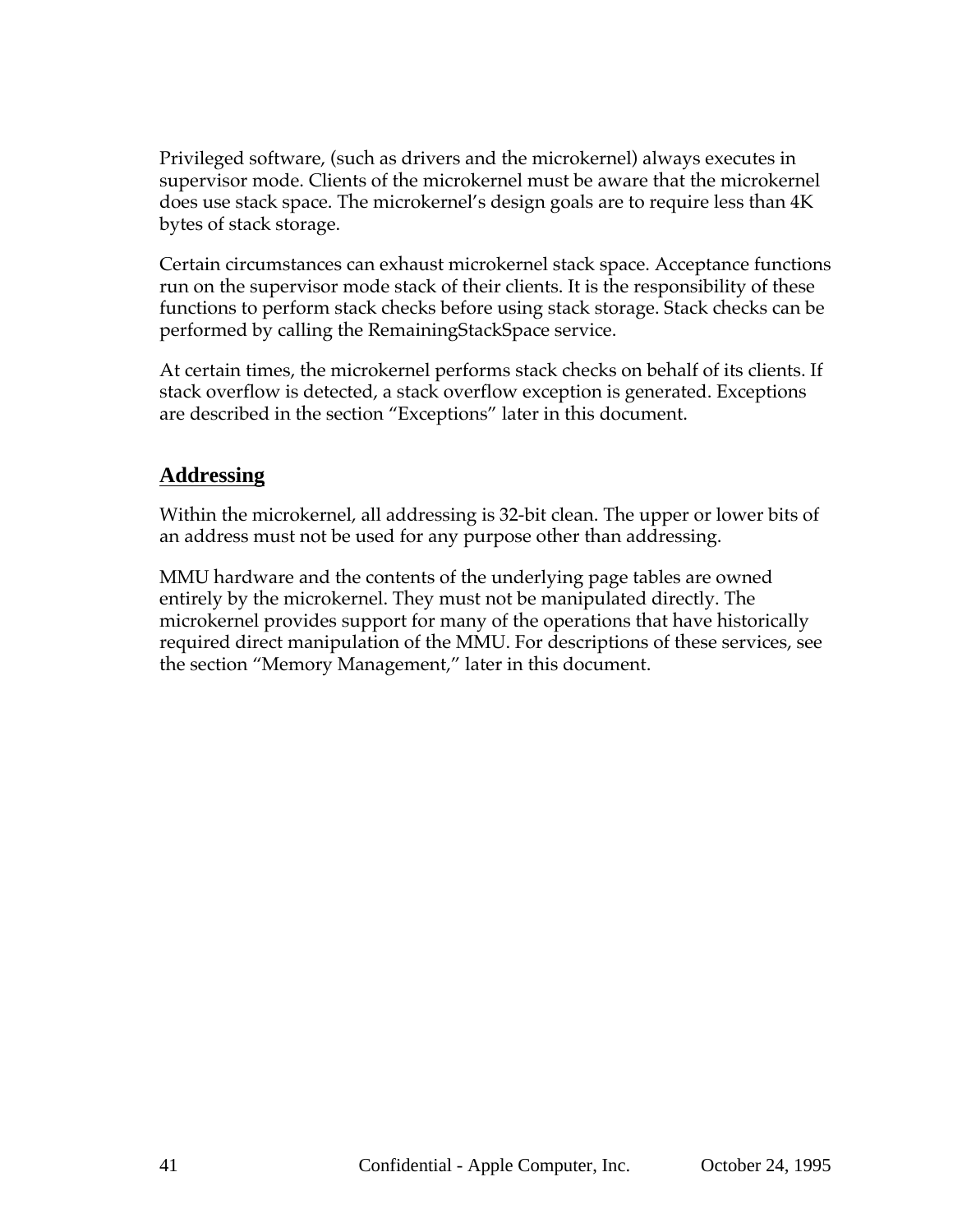Privileged software, (such as drivers and the microkernel) always executes in supervisor mode. Clients of the microkernel must be aware that the microkernel does use stack space. The microkernel's design goals are to require less than 4K bytes of stack storage.

Certain circumstances can exhaust microkernel stack space. Acceptance functions run on the supervisor mode stack of their clients. It is the responsibility of these functions to perform stack checks before using stack storage. Stack checks can be performed by calling the RemainingStackSpace service.

At certain times, the microkernel performs stack checks on behalf of its clients. If stack overflow is detected, a stack overflow exception is generated. Exceptions are described in the section "Exceptions" later in this document.

### **Addressing**

Within the microkernel, all addressing is 32-bit clean. The upper or lower bits of an address must not be used for any purpose other than addressing.

MMU hardware and the contents of the underlying page tables are owned entirely by the microkernel. They must not be manipulated directly. The microkernel provides support for many of the operations that have historically required direct manipulation of the MMU. For descriptions of these services, see the section "Memory Management," later in this document.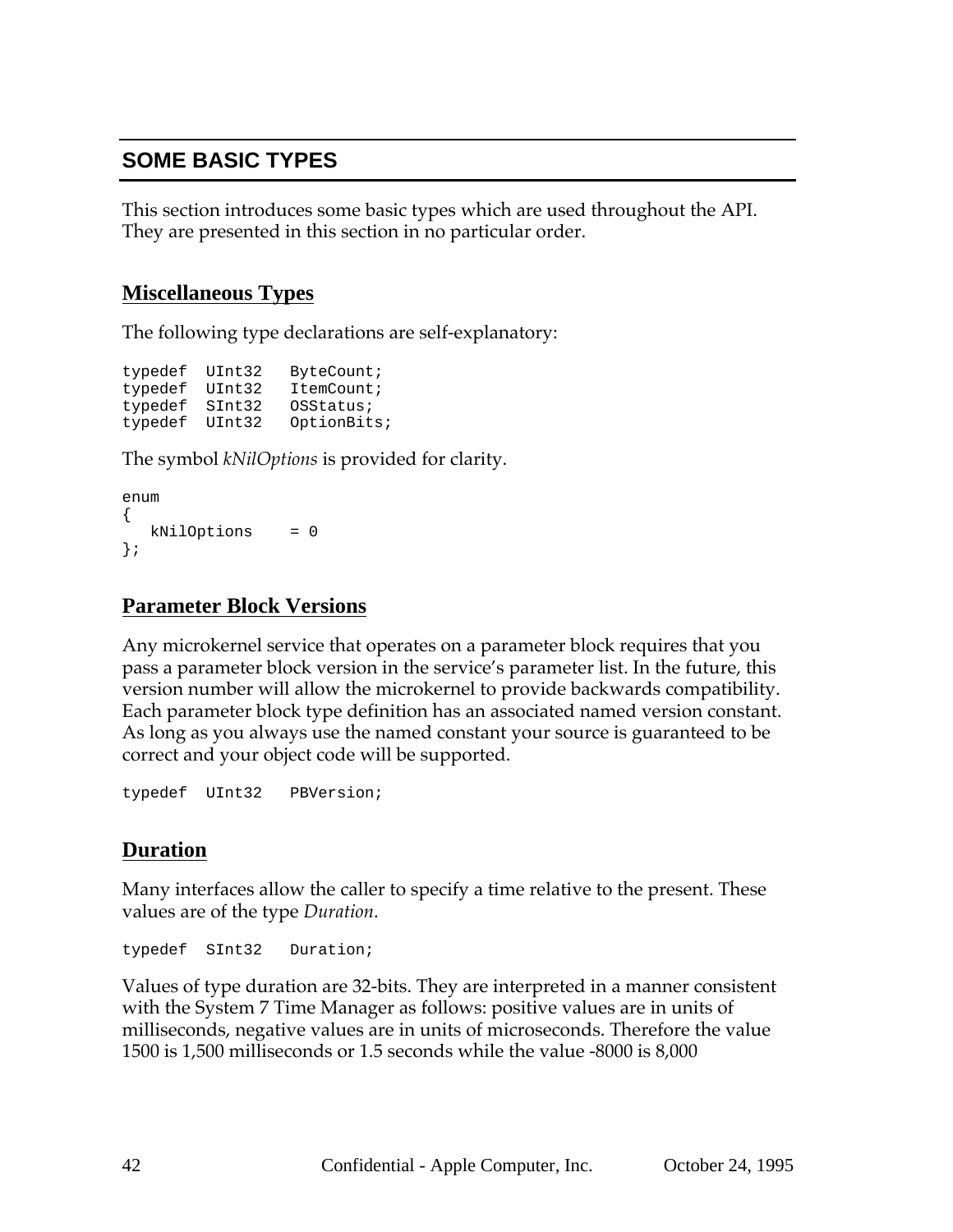## **SOME BASIC TYPES**

This section introduces some basic types which are used throughout the API. They are presented in this section in no particular order.

### **Miscellaneous Types**

The following type declarations are self-explanatory:

typedef UInt32 ByteCount; typedef UInt32 ItemCount; typedef SInt32 OSStatus; typedef UInt32 OptionBits;

The symbol *kNilOptions* is provided for clarity.

```
enum
{
  kNilOptions = 0
};
```
### **Parameter Block Versions**

Any microkernel service that operates on a parameter block requires that you pass a parameter block version in the service's parameter list. In the future, this version number will allow the microkernel to provide backwards compatibility. Each parameter block type definition has an associated named version constant. As long as you always use the named constant your source is guaranteed to be correct and your object code will be supported.

typedef UInt32 PBVersion;

### **Duration**

Many interfaces allow the caller to specify a time relative to the present. These values are of the type *Duration*.

typedef SInt32 Duration;

Values of type duration are 32-bits. They are interpreted in a manner consistent with the System 7 Time Manager as follows: positive values are in units of milliseconds, negative values are in units of microseconds. Therefore the value 1500 is 1,500 milliseconds or 1.5 seconds while the value -8000 is 8,000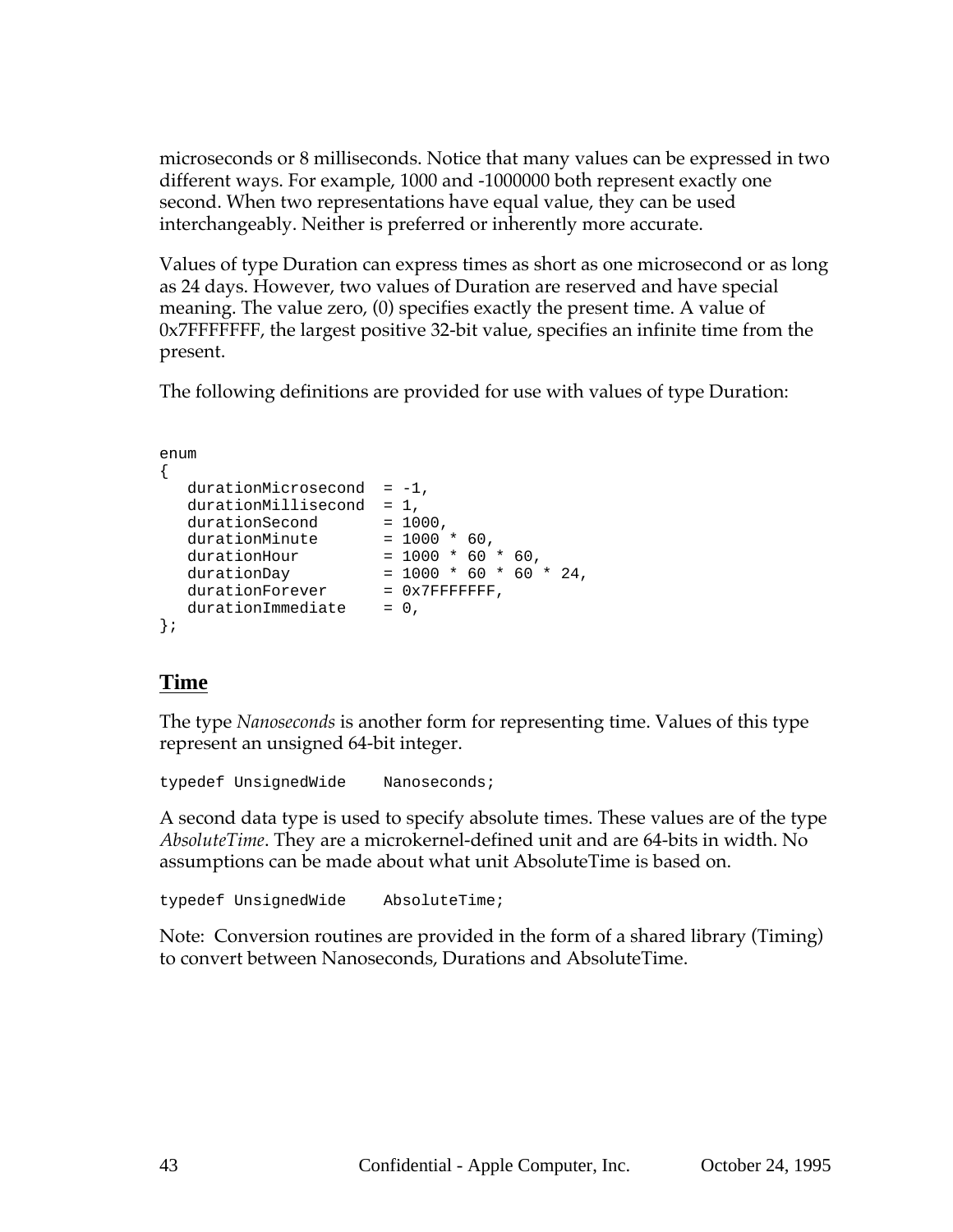microseconds or 8 milliseconds. Notice that many values can be expressed in two different ways. For example, 1000 and -1000000 both represent exactly one second. When two representations have equal value, they can be used interchangeably. Neither is preferred or inherently more accurate.

Values of type Duration can express times as short as one microsecond or as long as 24 days. However, two values of Duration are reserved and have special meaning. The value zero, (0) specifies exactly the present time. A value of 0x7FFFFFFF, the largest positive 32-bit value, specifies an infinite time from the present.

The following definitions are provided for use with values of type Duration:

```
enum
{
  durationMicrosoft = -1,
  durationMillisecond = 1,
  durationSecond = 1000,
  durationMinute = 1000 * 60,
  durationHour = 1000 * 60 * 60,
  durationDay = 1000 * 60 * 60 * 24,durationForever = 0x7FFFFFFF,
  durationImmediate = 0,
};
```
### **Time**

The type *Nanoseconds* is another form for representing time. Values of this type represent an unsigned 64-bit integer.

typedef UnsignedWide Nanoseconds;

A second data type is used to specify absolute times. These values are of the type *AbsoluteTime*. They are a microkernel-defined unit and are 64-bits in width. No assumptions can be made about what unit AbsoluteTime is based on.

typedef UnsignedWide AbsoluteTime;

Note: Conversion routines are provided in the form of a shared library (Timing) to convert between Nanoseconds, Durations and AbsoluteTime.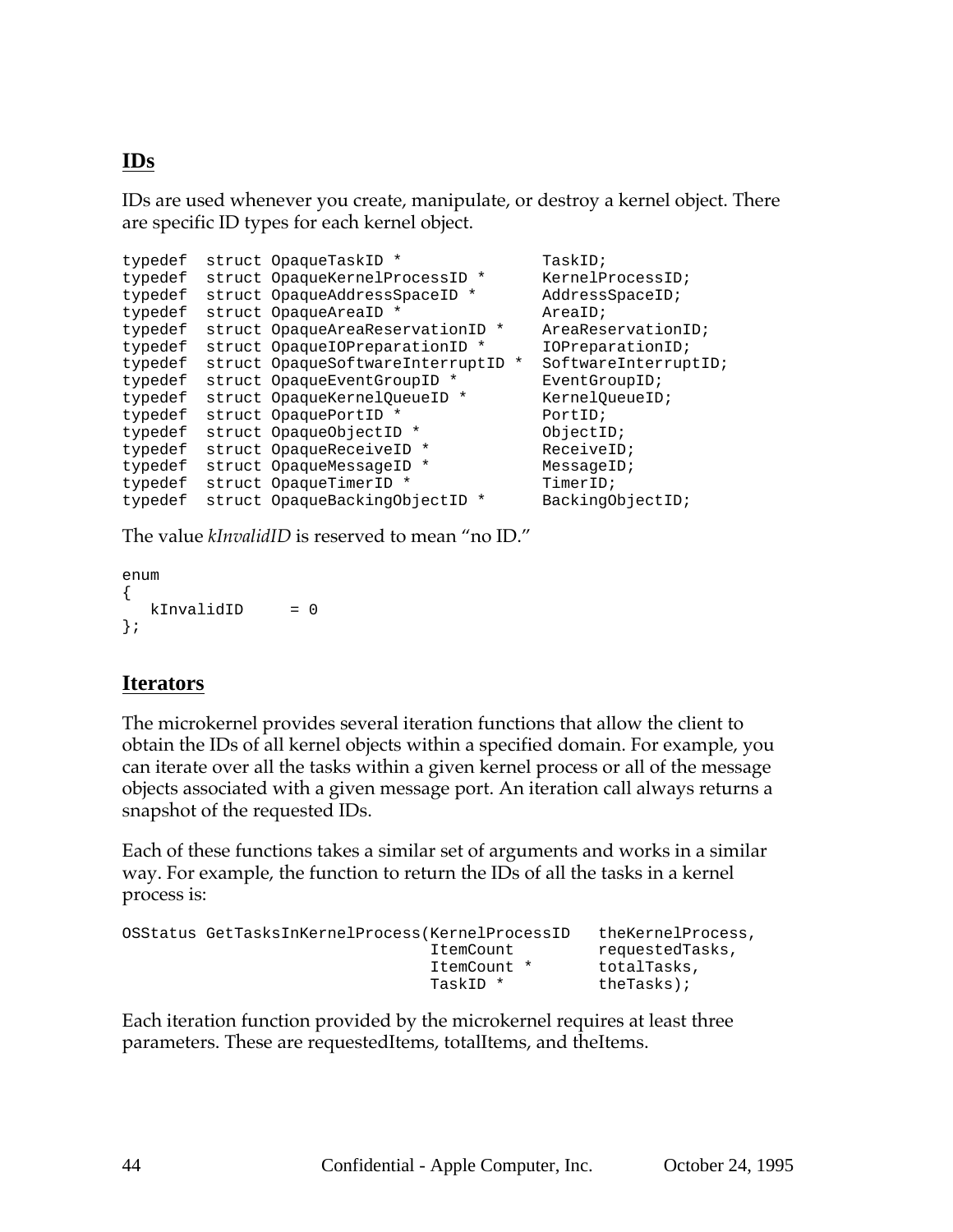## **IDs**

IDs are used whenever you create, manipulate, or destroy a kernel object. There are specific ID types for each kernel object.

```
typedef struct OpaqueTaskID * TaskID;
typedef struct OpaqueKernelProcessID * KernelProcessID;
typedef struct OpaqueAddressSpaceID * AddressSpaceID;
typedef struct OpaqueAreaID * AreaID;
typedef struct OpaqueAreaReservationID * AreaReservationID;
typedef struct OpaqueIOPreparationID * IOPreparationID;
typedef struct OpaqueSoftwareInterruptID * SoftwareInterruptID;
typedef struct OpaqueEventGroupID * FventGroupID;
typedef struct OpaqueKernelQueueID * KernelQueueID;
typedef struct OpaquePortID * PortID;
typedef struct OpaqueObjectID * ObjectID;
typedef struct OpaqueReceiveID * ReceiveID;
typedef struct OpaqueMessageID * MessageID;
typedef struct OpaqueTimerID * TimerID;
typedef struct OpaqueBackingObjectID * BackingObjectID;
```
The value *kInvalidID* is reserved to mean "no ID."

```
enum
{
  kInvalidID = 0};
```
## **Iterators**

The microkernel provides several iteration functions that allow the client to obtain the IDs of all kernel objects within a specified domain. For example, you can iterate over all the tasks within a given kernel process or all of the message objects associated with a given message port. An iteration call always returns a snapshot of the requested IDs.

Each of these functions takes a similar set of arguments and works in a similar way. For example, the function to return the IDs of all the tasks in a kernel process is:

| OSStatus GetTasksInKernelProcess(KernelProcessID |             | theKernelProcess, |
|--------------------------------------------------|-------------|-------------------|
|                                                  | ItemCount   | requestedTasks,   |
|                                                  | ItemCount * | totalTasks,       |
|                                                  | TaskID *    | theTasks);        |

Each iteration function provided by the microkernel requires at least three parameters. These are requestedItems, totalItems, and theItems.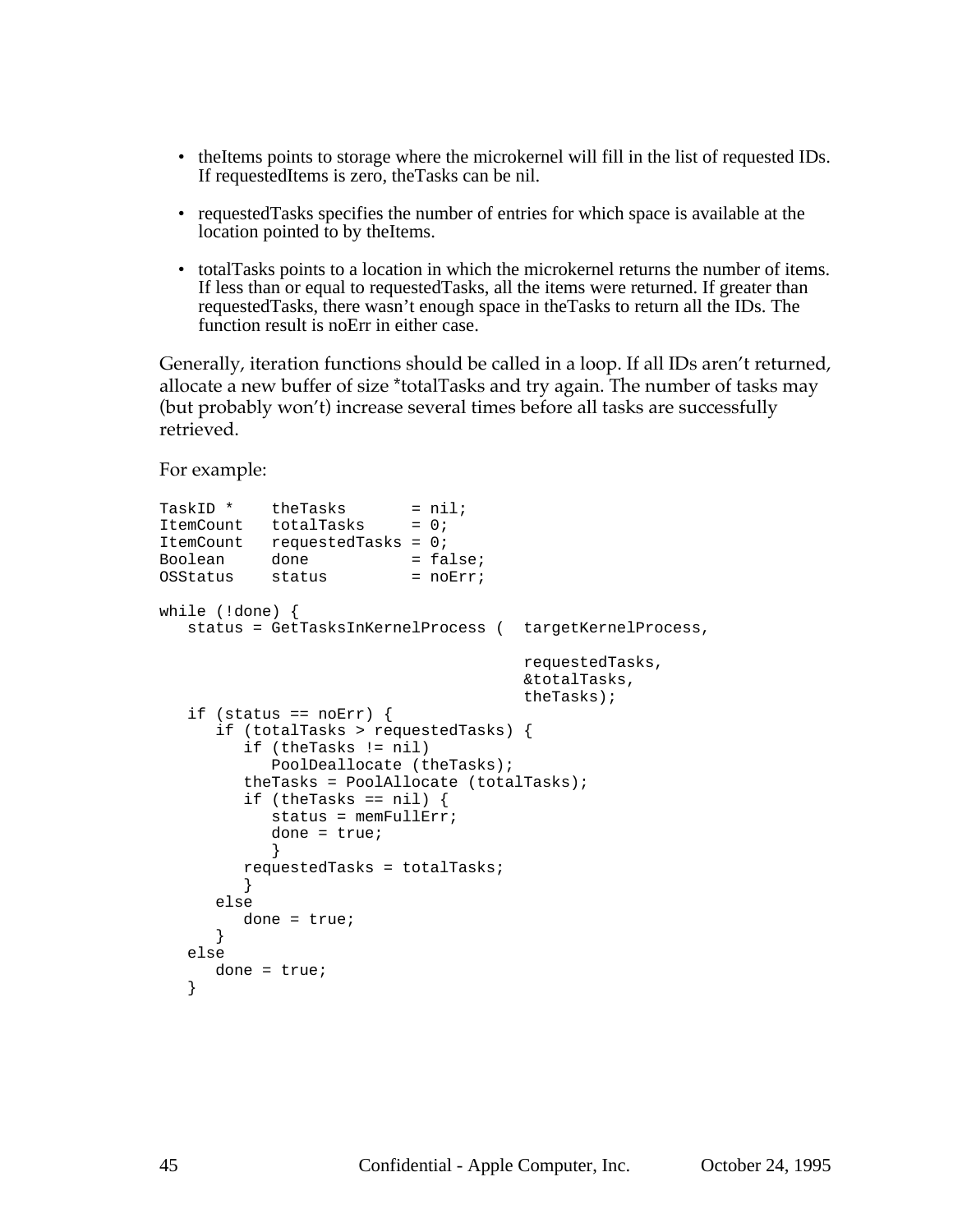- theItems points to storage where the microkernel will fill in the list of requested IDs. If requestedItems is zero, theTasks can be nil.
- requestedTasks specifies the number of entries for which space is available at the location pointed to by theItems.
- totalTasks points to a location in which the microkernel returns the number of items. If less than or equal to requestedTasks, all the items were returned. If greater than requestedTasks, there wasn't enough space in theTasks to return all the IDs. The function result is noErr in either case.

Generally, iteration functions should be called in a loop. If all IDs aren't returned, allocate a new buffer of size \*totalTasks and try again. The number of tasks may (but probably won't) increase several times before all tasks are successfully retrieved.

For example:

```
TaskID * theTasks = niliItemCount totalTasks = 0;
ItemCount requestedTasks = 0;
Boolean done = false;<br>OSStatus status = noErr;
OSStatus status
while (!done) {
   status = GetTasksInKernelProcess ( targetKernelProcess,
                                       requestedTasks,
                                      &totalTasks,
                                     theTasks);
   if (status == noErr) {
      if (totalTasks > requestedTasks) {
         if (theTasks != nil)
            PoolDeallocate (theTasks);
         theTasks = PoolAllocate (totalTasks);
         if (theTasks == nil) {
            status = memFullErr;
            done = true;
            }
         requestedTasks = totalTasks;
         }
      else
        done = true;
      }
   else
     done = true;
   }
```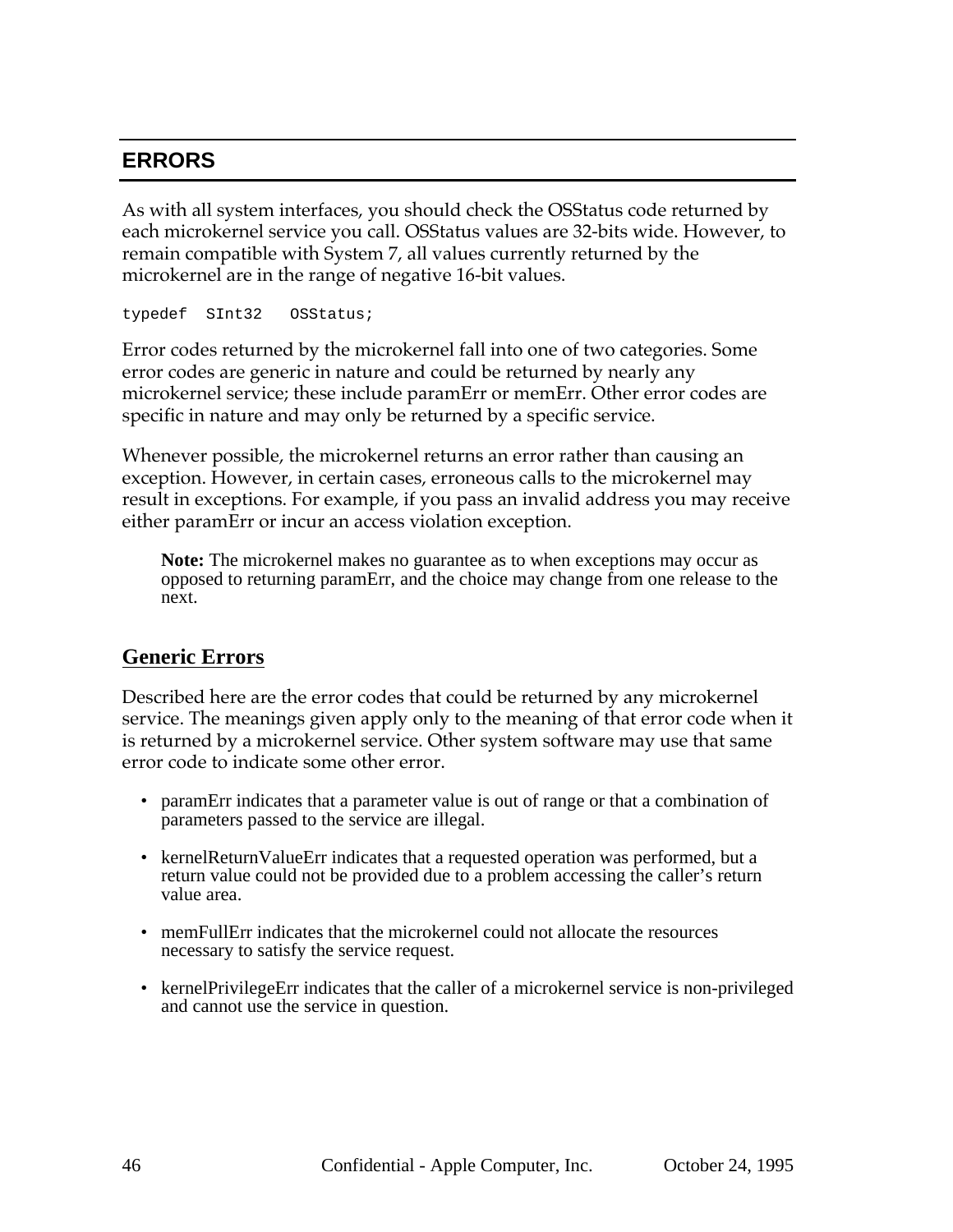## **ERRORS**

As with all system interfaces, you should check the OSStatus code returned by each microkernel service you call. OSStatus values are 32-bits wide. However, to remain compatible with System 7, all values currently returned by the microkernel are in the range of negative 16-bit values.

typedef SInt32 OSStatus;

Error codes returned by the microkernel fall into one of two categories. Some error codes are generic in nature and could be returned by nearly any microkernel service; these include paramErr or memErr. Other error codes are specific in nature and may only be returned by a specific service.

Whenever possible, the microkernel returns an error rather than causing an exception. However, in certain cases, erroneous calls to the microkernel may result in exceptions. For example, if you pass an invalid address you may receive either paramErr or incur an access violation exception.

**Note:** The microkernel makes no guarantee as to when exceptions may occur as opposed to returning paramErr, and the choice may change from one release to the next.

### **Generic Errors**

Described here are the error codes that could be returned by any microkernel service. The meanings given apply only to the meaning of that error code when it is returned by a microkernel service. Other system software may use that same error code to indicate some other error.

- paramErr indicates that a parameter value is out of range or that a combination of parameters passed to the service are illegal.
- kernelReturnValueErr indicates that a requested operation was performed, but a return value could not be provided due to a problem accessing the caller's return value area.
- memFullErr indicates that the microkernel could not allocate the resources necessary to satisfy the service request.
- kernelPrivilegeErr indicates that the caller of a microkernel service is non-privileged and cannot use the service in question.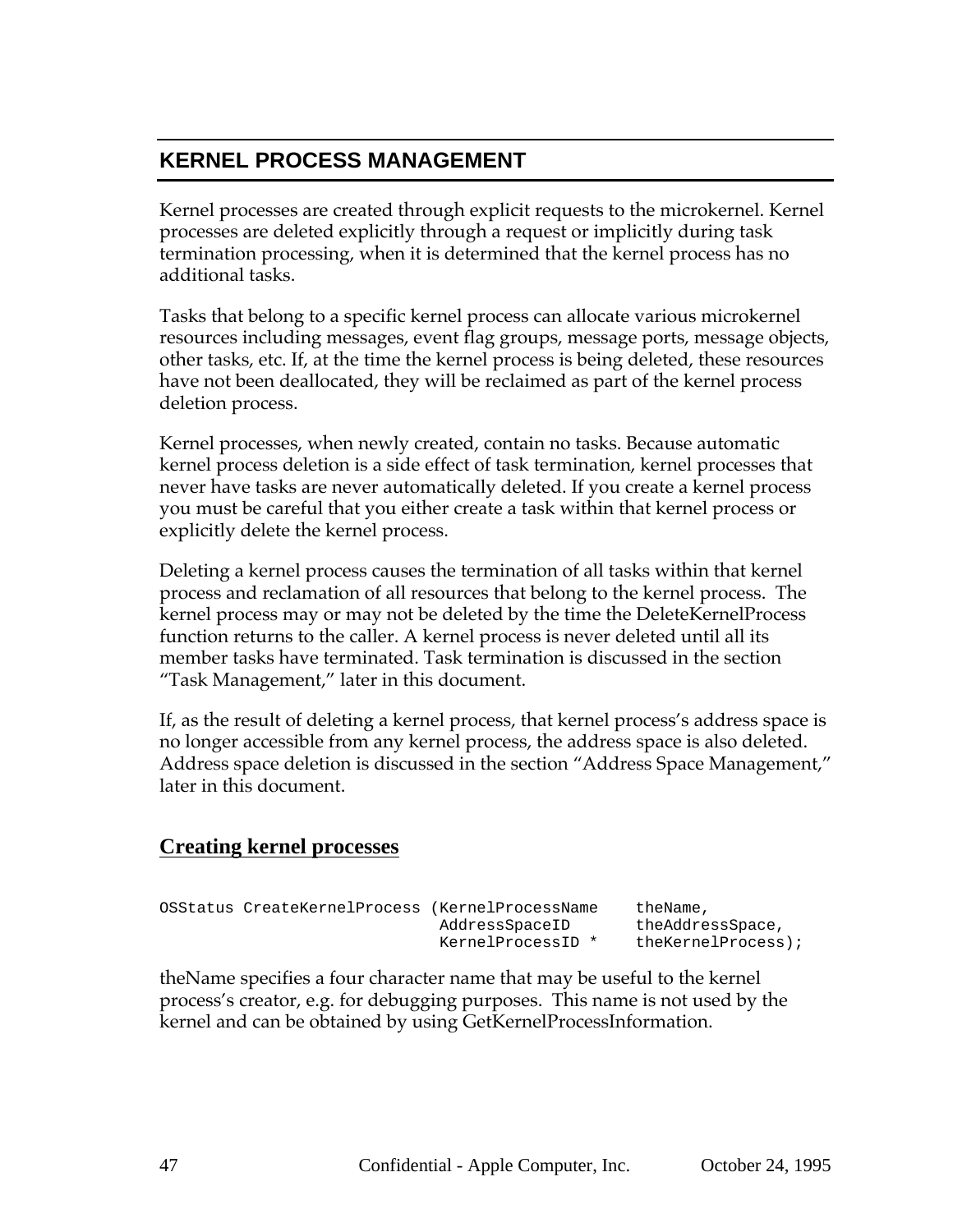## **KERNEL PROCESS MANAGEMENT**

Kernel processes are created through explicit requests to the microkernel. Kernel processes are deleted explicitly through a request or implicitly during task termination processing, when it is determined that the kernel process has no additional tasks.

Tasks that belong to a specific kernel process can allocate various microkernel resources including messages, event flag groups, message ports, message objects, other tasks, etc. If, at the time the kernel process is being deleted, these resources have not been deallocated, they will be reclaimed as part of the kernel process deletion process.

Kernel processes, when newly created, contain no tasks. Because automatic kernel process deletion is a side effect of task termination, kernel processes that never have tasks are never automatically deleted. If you create a kernel process you must be careful that you either create a task within that kernel process or explicitly delete the kernel process.

Deleting a kernel process causes the termination of all tasks within that kernel process and reclamation of all resources that belong to the kernel process. The kernel process may or may not be deleted by the time the DeleteKernelProcess function returns to the caller. A kernel process is never deleted until all its member tasks have terminated. Task termination is discussed in the section "Task Management," later in this document.

If, as the result of deleting a kernel process, that kernel process's address space is no longer accessible from any kernel process, the address space is also deleted. Address space deletion is discussed in the section "Address Space Management," later in this document.

## **Creating kernel processes**

| OSStatus CreateKernelProcess (KernelProcessName |                   | theName,              |
|-------------------------------------------------|-------------------|-----------------------|
|                                                 | AddressSpaceID    | theAddressSpace,      |
|                                                 | KernelProcessID * | $the KernelProcess$ ; |

theName specifies a four character name that may be useful to the kernel process's creator, e.g. for debugging purposes. This name is not used by the kernel and can be obtained by using GetKernelProcessInformation.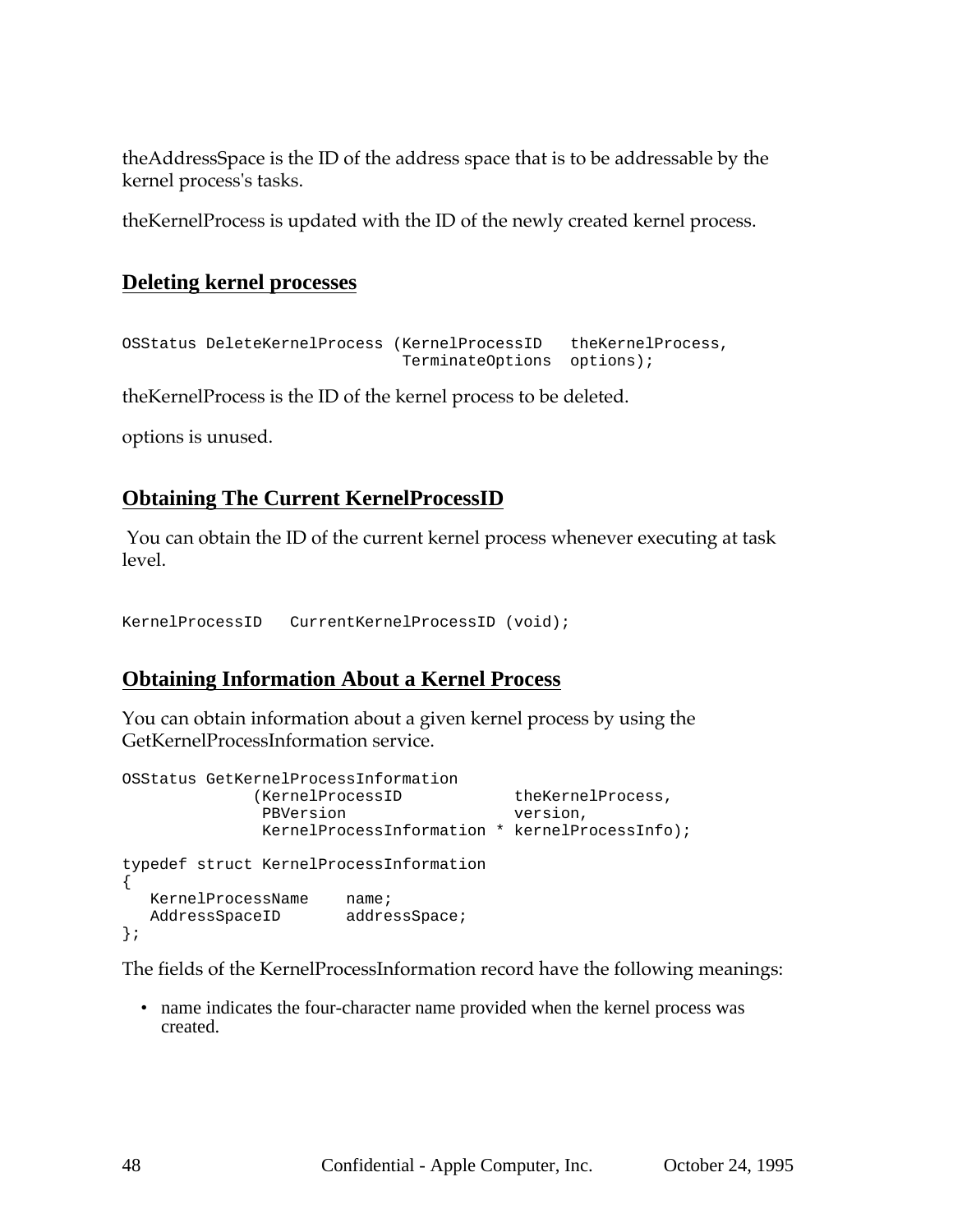theAddressSpace is the ID of the address space that is to be addressable by the kernel process's tasks.

theKernelProcess is updated with the ID of the newly created kernel process.

### **Deleting kernel processes**

```
OSStatus DeleteKernelProcess (KernelProcessID theKernelProcess,
                             TerminateOptions options);
```
theKernelProcess is the ID of the kernel process to be deleted.

options is unused.

## **Obtaining The Current KernelProcessID**

 You can obtain the ID of the current kernel process whenever executing at task level.

KernelProcessID CurrentKernelProcessID (void);

### **Obtaining Information About a Kernel Process**

You can obtain information about a given kernel process by using the GetKernelProcessInformation service.

```
OSStatus GetKernelProcessInformation
          (KernelProcessID theKernelProcess,
             PBVersion version,
            KernelProcessInformation * kernelProcessInfo);
typedef struct KernelProcessInformation
{
  KernelProcessName name;
  AddressSpaceID addressSpace;
};
```
The fields of the KernelProcessInformation record have the following meanings:

• name indicates the four-character name provided when the kernel process was created.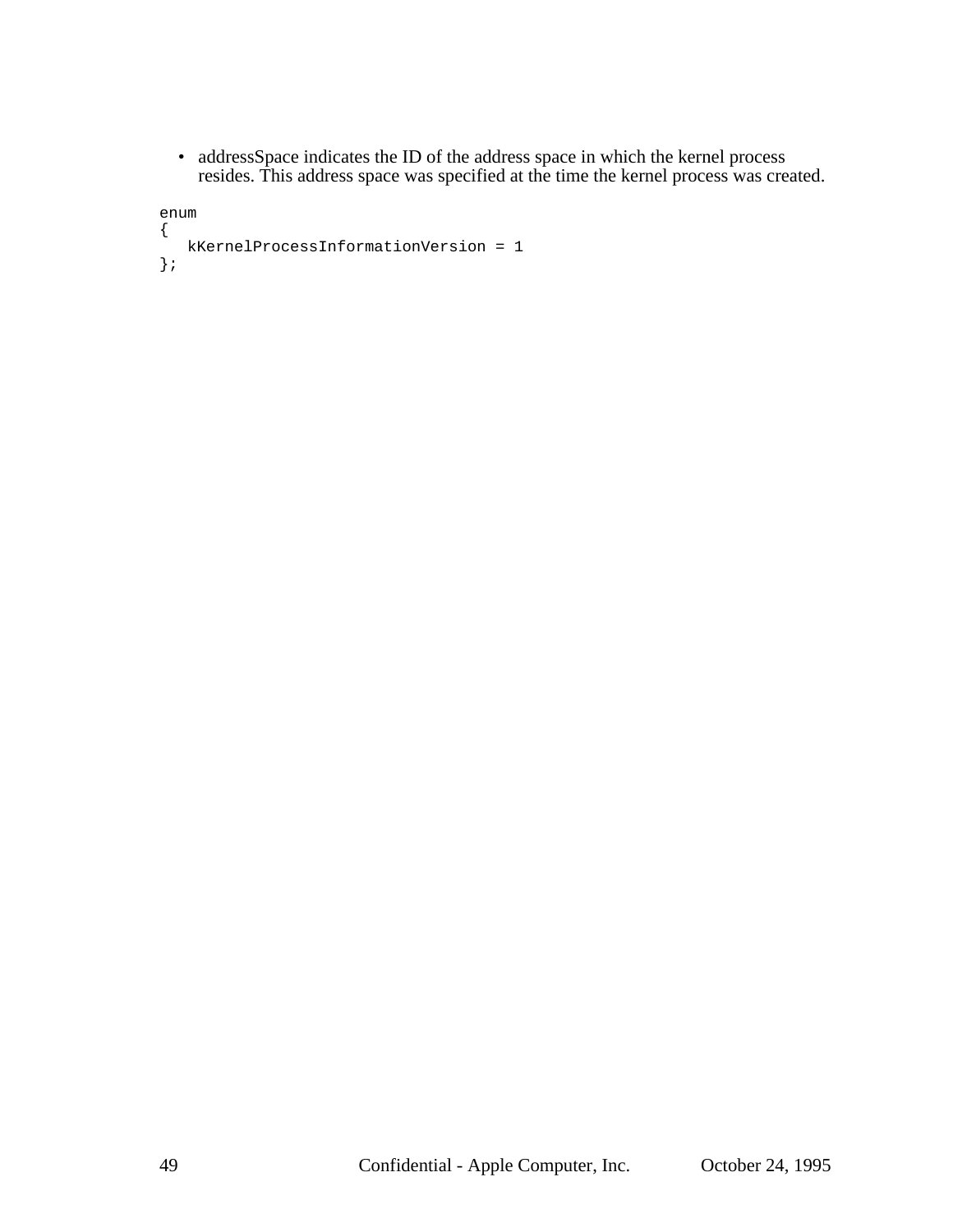• addressSpace indicates the ID of the address space in which the kernel process resides. This address space was specified at the time the kernel process was created.

```
enum
{
   kKernelProcessInformationVersion = 1
};
```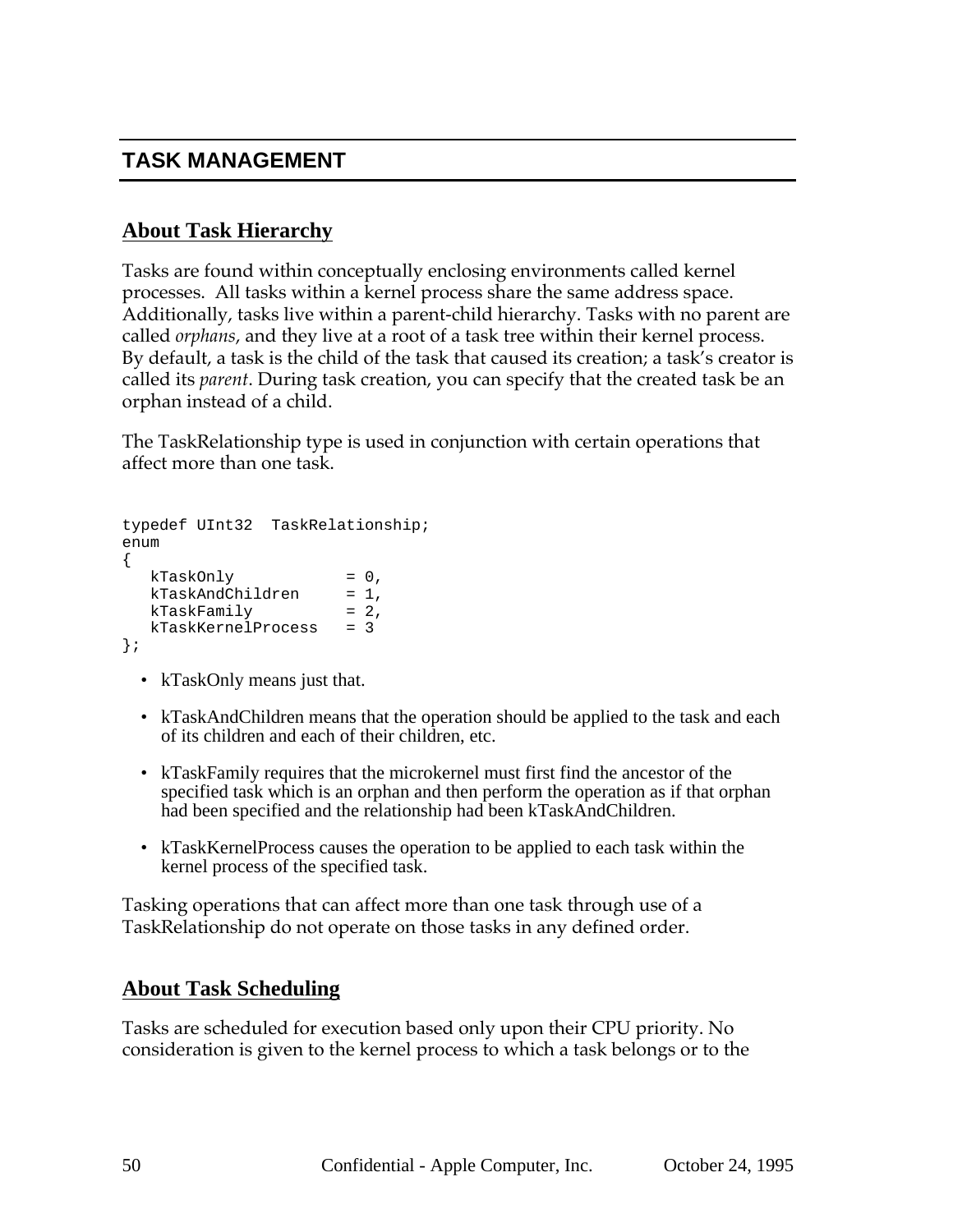## **TASK MANAGEMENT**

## **About Task Hierarchy**

Tasks are found within conceptually enclosing environments called kernel processes. All tasks within a kernel process share the same address space. Additionally, tasks live within a parent-child hierarchy. Tasks with no parent are called *orphans*, and they live at a root of a task tree within their kernel process. By default, a task is the child of the task that caused its creation; a task's creator is called its *parent*. During task creation, you can specify that the created task be an orphan instead of a child.

The TaskRelationship type is used in conjunction with certain operations that affect more than one task.

```
typedef UInt32 TaskRelationship;
enum
{
  kTaskOnly = 0,kTaskAndChildren = 1,
  kTaskFamily = 2,kTaskKernelProcess = 3
};
```
- kTaskOnly means just that.
- kTaskAndChildren means that the operation should be applied to the task and each of its children and each of their children, etc.
- kTaskFamily requires that the microkernel must first find the ancestor of the specified task which is an orphan and then perform the operation as if that orphan had been specified and the relationship had been kTaskAndChildren.
- kTaskKernelProcess causes the operation to be applied to each task within the kernel process of the specified task.

Tasking operations that can affect more than one task through use of a TaskRelationship do not operate on those tasks in any defined order.

### **About Task Scheduling**

Tasks are scheduled for execution based only upon their CPU priority. No consideration is given to the kernel process to which a task belongs or to the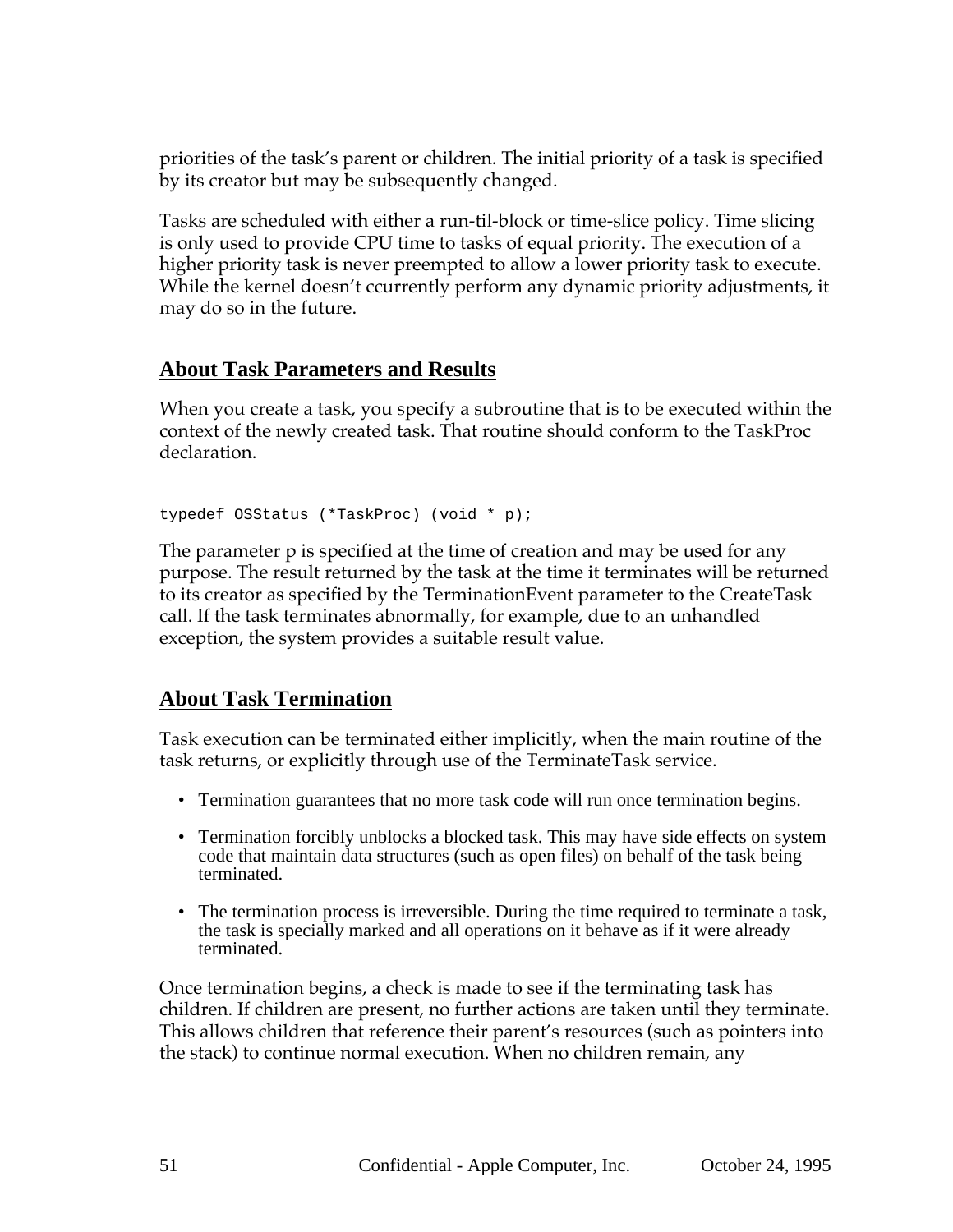priorities of the task's parent or children. The initial priority of a task is specified by its creator but may be subsequently changed.

Tasks are scheduled with either a run-til-block or time-slice policy. Time slicing is only used to provide CPU time to tasks of equal priority. The execution of a higher priority task is never preempted to allow a lower priority task to execute. While the kernel doesn't ccurrently perform any dynamic priority adjustments, it may do so in the future.

### **About Task Parameters and Results**

When you create a task, you specify a subroutine that is to be executed within the context of the newly created task. That routine should conform to the TaskProc declaration.

```
typedef OSStatus (*TaskProc) (void * p);
```
The parameter p is specified at the time of creation and may be used for any purpose. The result returned by the task at the time it terminates will be returned to its creator as specified by the TerminationEvent parameter to the CreateTask call. If the task terminates abnormally, for example, due to an unhandled exception, the system provides a suitable result value.

## **About Task Termination**

Task execution can be terminated either implicitly, when the main routine of the task returns, or explicitly through use of the TerminateTask service.

- Termination guarantees that no more task code will run once termination begins.
- Termination forcibly unblocks a blocked task. This may have side effects on system code that maintain data structures (such as open files) on behalf of the task being terminated.
- The termination process is irreversible. During the time required to terminate a task, the task is specially marked and all operations on it behave as if it were already terminated.

Once termination begins, a check is made to see if the terminating task has children. If children are present, no further actions are taken until they terminate. This allows children that reference their parent's resources (such as pointers into the stack) to continue normal execution. When no children remain, any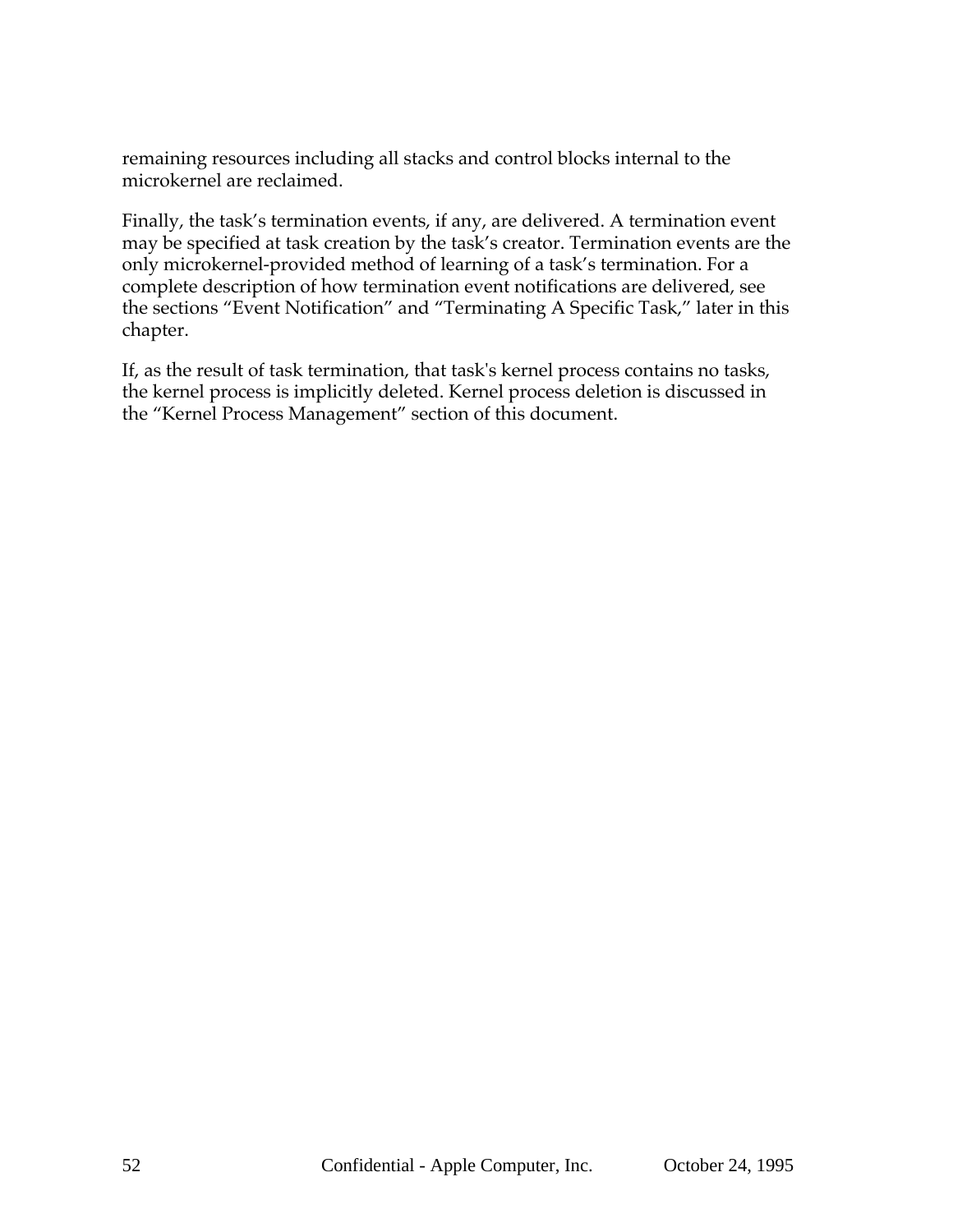remaining resources including all stacks and control blocks internal to the microkernel are reclaimed.

Finally, the task's termination events, if any, are delivered. A termination event may be specified at task creation by the task's creator. Termination events are the only microkernel-provided method of learning of a task's termination. For a complete description of how termination event notifications are delivered, see the sections "Event Notification" and "Terminating A Specific Task," later in this chapter.

If, as the result of task termination, that task's kernel process contains no tasks, the kernel process is implicitly deleted. Kernel process deletion is discussed in the "Kernel Process Management" section of this document.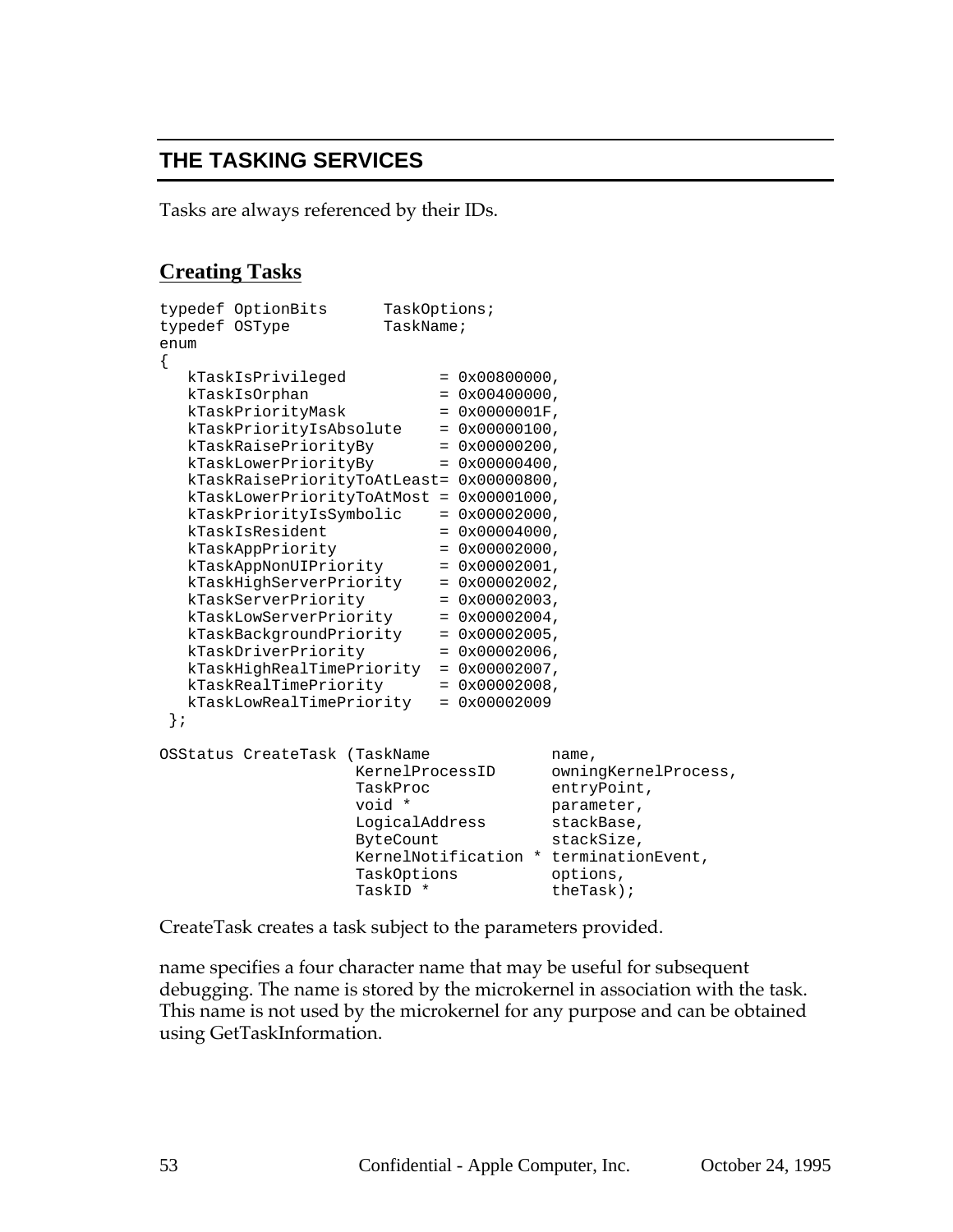## **THE TASKING SERVICES**

Tasks are always referenced by their IDs.

### **Creating Tasks**

| TaskName;<br>typedef OSType<br>enum<br>{<br>kTaskIsPrivileged<br>$= 0 \times 00800000$ ,<br>kTaskIsOrphan<br>$= 0 \times 00400000$ ,<br>kTaskPriorityMask<br>$= 0x0000001F$ ,<br>kTaskPriorityIsAbsolute<br>$= 0x00000100,$<br>kTaskRaisePriorityBy<br>$= 0x00000200,$<br>kTaskLowerPriorityBy<br>$= 0x00000400,$<br>kTaskRaisePriorityToAtLeast= 0x00000800,<br>$kTaskLowerPriorityToAtMost = 0x00001000,$<br>kTaskPriorityIsSymbolic<br>$= 0x00002000$ ,<br>kTaskIsResident<br>$= 0x00004000$ ,<br>kTaskAppPriority<br>$= 0x00002000$ ,<br>kTaskAppNonUIPriority<br>$= 0x00002001,$<br>kTaskHighServerPriority<br>$= 0x00002002$ ,<br>kTaskServerPriority<br>$= 0x00002003$ ,<br>kTaskLowServerPriority<br>$= 0x00002004$ ,<br>kTaskBackgroundPriority<br>$= 0x00002005$ ,<br>kTaskDriverPriority<br>$= 0x00002006$ ,<br>kTaskHighRealTimePriority<br>$= 0x00002007$ , |
|--------------------------------------------------------------------------------------------------------------------------------------------------------------------------------------------------------------------------------------------------------------------------------------------------------------------------------------------------------------------------------------------------------------------------------------------------------------------------------------------------------------------------------------------------------------------------------------------------------------------------------------------------------------------------------------------------------------------------------------------------------------------------------------------------------------------------------------------------------------------------|
|                                                                                                                                                                                                                                                                                                                                                                                                                                                                                                                                                                                                                                                                                                                                                                                                                                                                          |
|                                                                                                                                                                                                                                                                                                                                                                                                                                                                                                                                                                                                                                                                                                                                                                                                                                                                          |
|                                                                                                                                                                                                                                                                                                                                                                                                                                                                                                                                                                                                                                                                                                                                                                                                                                                                          |
|                                                                                                                                                                                                                                                                                                                                                                                                                                                                                                                                                                                                                                                                                                                                                                                                                                                                          |
|                                                                                                                                                                                                                                                                                                                                                                                                                                                                                                                                                                                                                                                                                                                                                                                                                                                                          |
|                                                                                                                                                                                                                                                                                                                                                                                                                                                                                                                                                                                                                                                                                                                                                                                                                                                                          |
|                                                                                                                                                                                                                                                                                                                                                                                                                                                                                                                                                                                                                                                                                                                                                                                                                                                                          |
|                                                                                                                                                                                                                                                                                                                                                                                                                                                                                                                                                                                                                                                                                                                                                                                                                                                                          |
|                                                                                                                                                                                                                                                                                                                                                                                                                                                                                                                                                                                                                                                                                                                                                                                                                                                                          |
|                                                                                                                                                                                                                                                                                                                                                                                                                                                                                                                                                                                                                                                                                                                                                                                                                                                                          |
|                                                                                                                                                                                                                                                                                                                                                                                                                                                                                                                                                                                                                                                                                                                                                                                                                                                                          |
|                                                                                                                                                                                                                                                                                                                                                                                                                                                                                                                                                                                                                                                                                                                                                                                                                                                                          |
|                                                                                                                                                                                                                                                                                                                                                                                                                                                                                                                                                                                                                                                                                                                                                                                                                                                                          |
|                                                                                                                                                                                                                                                                                                                                                                                                                                                                                                                                                                                                                                                                                                                                                                                                                                                                          |
|                                                                                                                                                                                                                                                                                                                                                                                                                                                                                                                                                                                                                                                                                                                                                                                                                                                                          |
|                                                                                                                                                                                                                                                                                                                                                                                                                                                                                                                                                                                                                                                                                                                                                                                                                                                                          |
|                                                                                                                                                                                                                                                                                                                                                                                                                                                                                                                                                                                                                                                                                                                                                                                                                                                                          |
|                                                                                                                                                                                                                                                                                                                                                                                                                                                                                                                                                                                                                                                                                                                                                                                                                                                                          |
|                                                                                                                                                                                                                                                                                                                                                                                                                                                                                                                                                                                                                                                                                                                                                                                                                                                                          |
|                                                                                                                                                                                                                                                                                                                                                                                                                                                                                                                                                                                                                                                                                                                                                                                                                                                                          |
|                                                                                                                                                                                                                                                                                                                                                                                                                                                                                                                                                                                                                                                                                                                                                                                                                                                                          |
| kTaskRealTimePriority<br>$= 0x00002008$ ,                                                                                                                                                                                                                                                                                                                                                                                                                                                                                                                                                                                                                                                                                                                                                                                                                                |
| kTaskLowRealTimePriority<br>$= 0x00002009$                                                                                                                                                                                                                                                                                                                                                                                                                                                                                                                                                                                                                                                                                                                                                                                                                               |
| $\}$ ;                                                                                                                                                                                                                                                                                                                                                                                                                                                                                                                                                                                                                                                                                                                                                                                                                                                                   |
|                                                                                                                                                                                                                                                                                                                                                                                                                                                                                                                                                                                                                                                                                                                                                                                                                                                                          |
| OSStatus CreateTask (TaskName<br>name,                                                                                                                                                                                                                                                                                                                                                                                                                                                                                                                                                                                                                                                                                                                                                                                                                                   |
| KernelProcessID<br>owningKernelProcess,                                                                                                                                                                                                                                                                                                                                                                                                                                                                                                                                                                                                                                                                                                                                                                                                                                  |
| entryPoint,<br>TaskProc                                                                                                                                                                                                                                                                                                                                                                                                                                                                                                                                                                                                                                                                                                                                                                                                                                                  |
| void *<br>parameter,                                                                                                                                                                                                                                                                                                                                                                                                                                                                                                                                                                                                                                                                                                                                                                                                                                                     |
| LogicalAddress<br>stackBase,                                                                                                                                                                                                                                                                                                                                                                                                                                                                                                                                                                                                                                                                                                                                                                                                                                             |
| ByteCount<br>stackSize,                                                                                                                                                                                                                                                                                                                                                                                                                                                                                                                                                                                                                                                                                                                                                                                                                                                  |
| KernelNotification * terminationEvent,                                                                                                                                                                                                                                                                                                                                                                                                                                                                                                                                                                                                                                                                                                                                                                                                                                   |
| TaskOptions<br>options,                                                                                                                                                                                                                                                                                                                                                                                                                                                                                                                                                                                                                                                                                                                                                                                                                                                  |
| TaskID *<br>there                                                                                                                                                                                                                                                                                                                                                                                                                                                                                                                                                                                                                                                                                                                                                                                                                                                        |

CreateTask creates a task subject to the parameters provided.

name specifies a four character name that may be useful for subsequent debugging. The name is stored by the microkernel in association with the task. This name is not used by the microkernel for any purpose and can be obtained using GetTaskInformation.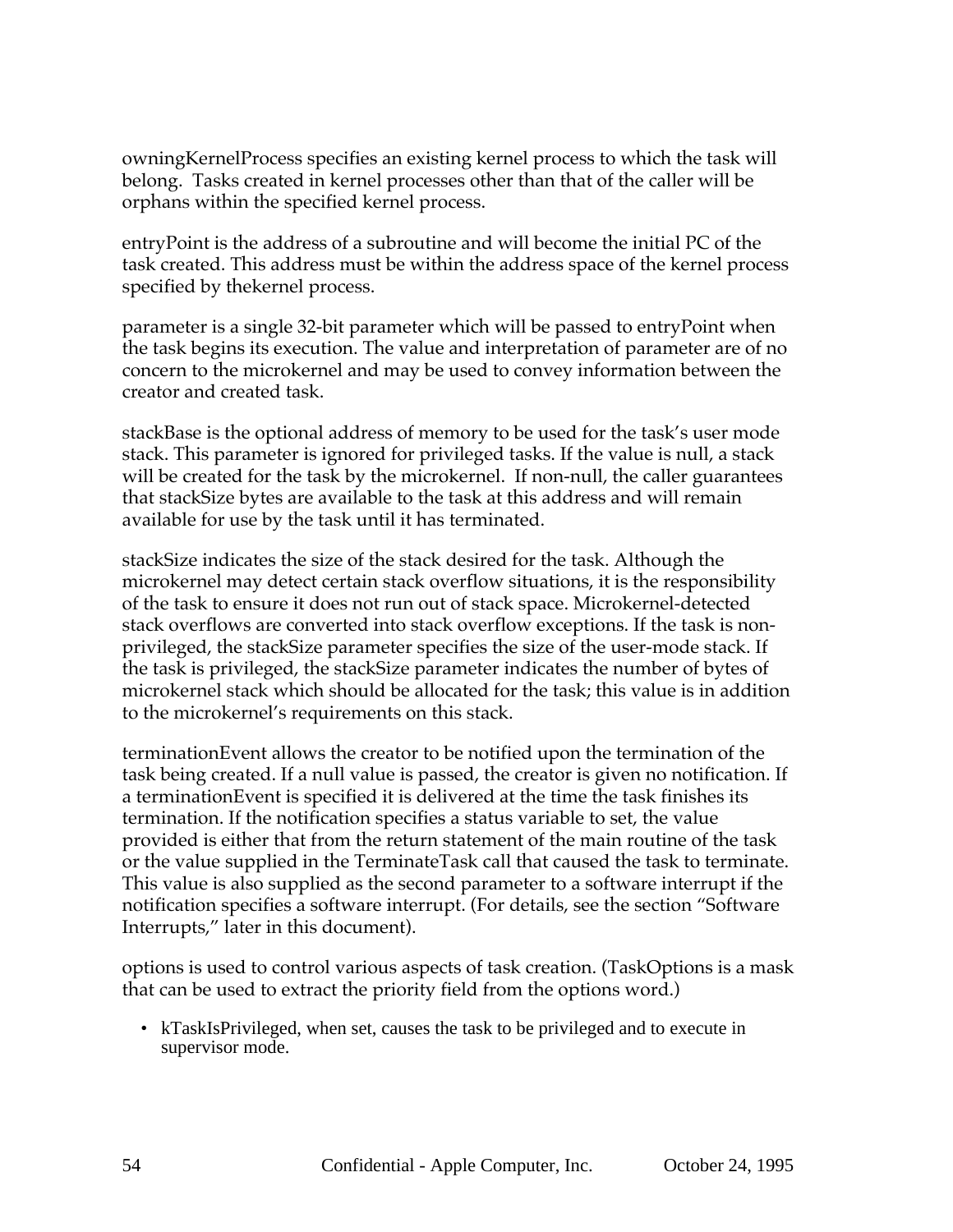owningKernelProcess specifies an existing kernel process to which the task will belong. Tasks created in kernel processes other than that of the caller will be orphans within the specified kernel process.

entryPoint is the address of a subroutine and will become the initial PC of the task created. This address must be within the address space of the kernel process specified by thekernel process.

parameter is a single 32-bit parameter which will be passed to entryPoint when the task begins its execution. The value and interpretation of parameter are of no concern to the microkernel and may be used to convey information between the creator and created task.

stackBase is the optional address of memory to be used for the task's user mode stack. This parameter is ignored for privileged tasks. If the value is null, a stack will be created for the task by the microkernel. If non-null, the caller guarantees that stackSize bytes are available to the task at this address and will remain available for use by the task until it has terminated.

stackSize indicates the size of the stack desired for the task. Although the microkernel may detect certain stack overflow situations, it is the responsibility of the task to ensure it does not run out of stack space. Microkernel-detected stack overflows are converted into stack overflow exceptions. If the task is nonprivileged, the stackSize parameter specifies the size of the user-mode stack. If the task is privileged, the stackSize parameter indicates the number of bytes of microkernel stack which should be allocated for the task; this value is in addition to the microkernel's requirements on this stack.

terminationEvent allows the creator to be notified upon the termination of the task being created. If a null value is passed, the creator is given no notification. If a terminationEvent is specified it is delivered at the time the task finishes its termination. If the notification specifies a status variable to set, the value provided is either that from the return statement of the main routine of the task or the value supplied in the TerminateTask call that caused the task to terminate. This value is also supplied as the second parameter to a software interrupt if the notification specifies a software interrupt. (For details, see the section "Software Interrupts," later in this document).

options is used to control various aspects of task creation. (TaskOptions is a mask that can be used to extract the priority field from the options word.)

• kTaskIsPrivileged, when set, causes the task to be privileged and to execute in supervisor mode.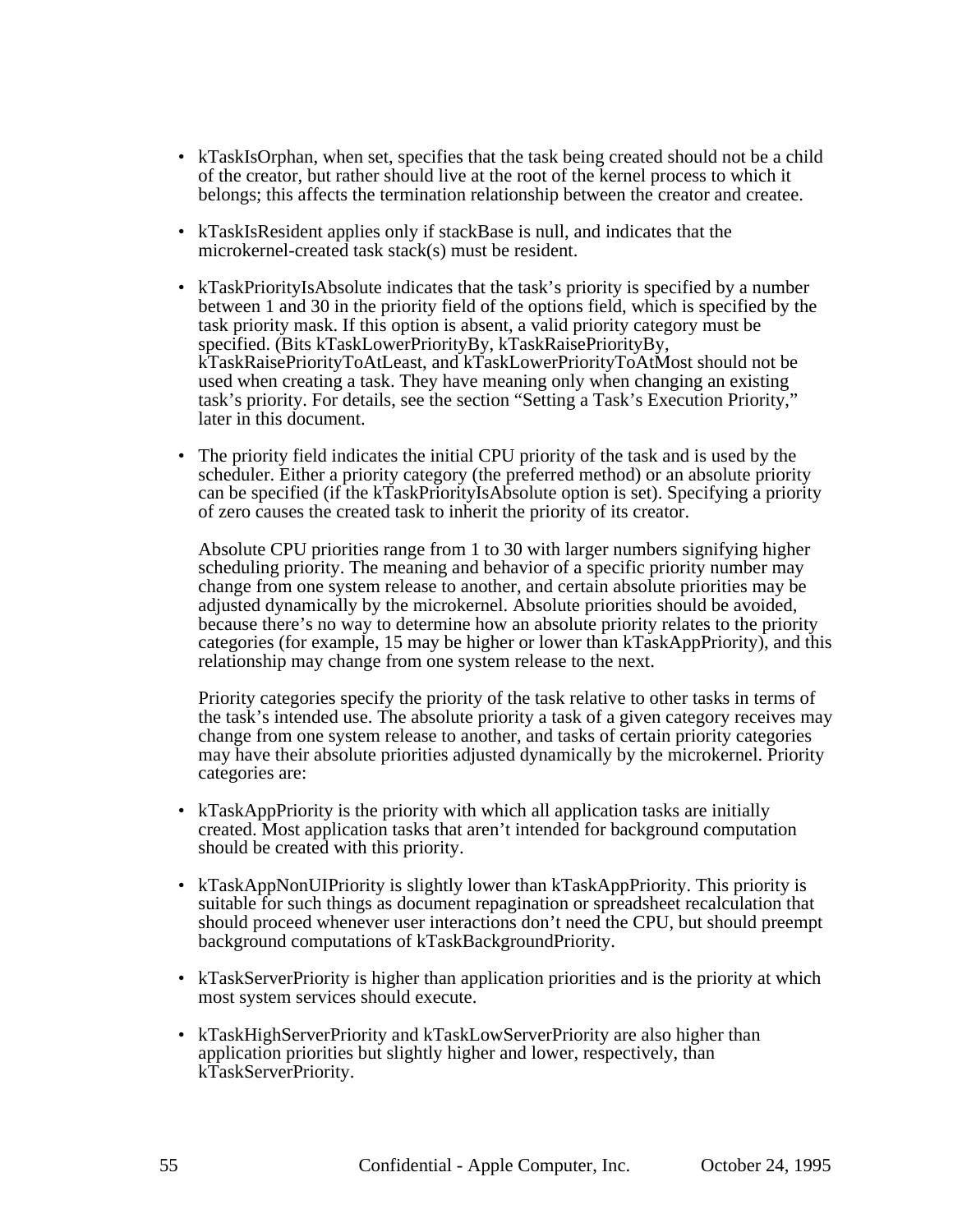- kTaskIsOrphan, when set, specifies that the task being created should not be a child of the creator, but rather should live at the root of the kernel process to which it belongs; this affects the termination relationship between the creator and createe.
- kTaskIsResident applies only if stackBase is null, and indicates that the microkernel-created task stack(s) must be resident.
- kTaskPriorityIsAbsolute indicates that the task's priority is specified by a number between 1 and 30 in the priority field of the options field, which is specified by the task priority mask. If this option is absent, a valid priority category must be specified. (Bits kTaskLowerPriorityBy, kTaskRaisePriorityBy, kTaskRaisePriorityToAtLeast, and kTaskLowerPriorityToAtMost should not be used when creating a task. They have meaning only when changing an existing task's priority. For details, see the section "Setting a Task's Execution Priority," later in this document.
- The priority field indicates the initial CPU priority of the task and is used by the scheduler. Either a priority category (the preferred method) or an absolute priority can be specified (if the kTaskPriorityIsAbsolute option is set). Specifying a priority of zero causes the created task to inherit the priority of its creator.

Absolute CPU priorities range from 1 to 30 with larger numbers signifying higher scheduling priority. The meaning and behavior of a specific priority number may change from one system release to another, and certain absolute priorities may be adjusted dynamically by the microkernel. Absolute priorities should be avoided, because there's no way to determine how an absolute priority relates to the priority categories (for example, 15 may be higher or lower than kTaskAppPriority), and this relationship may change from one system release to the next.

Priority categories specify the priority of the task relative to other tasks in terms of the task's intended use. The absolute priority a task of a given category receives may change from one system release to another, and tasks of certain priority categories may have their absolute priorities adjusted dynamically by the microkernel. Priority categories are:

- kTaskAppPriority is the priority with which all application tasks are initially created. Most application tasks that aren't intended for background computation should be created with this priority.
- kTaskAppNonUIPriority is slightly lower than kTaskAppPriority. This priority is suitable for such things as document repagination or spreadsheet recalculation that should proceed whenever user interactions don't need the CPU, but should preempt background computations of kTaskBackgroundPriority.
- kTaskServerPriority is higher than application priorities and is the priority at which most system services should execute.
- kTaskHighServerPriority and kTaskLowServerPriority are also higher than application priorities but slightly higher and lower, respectively, than kTaskServerPriority.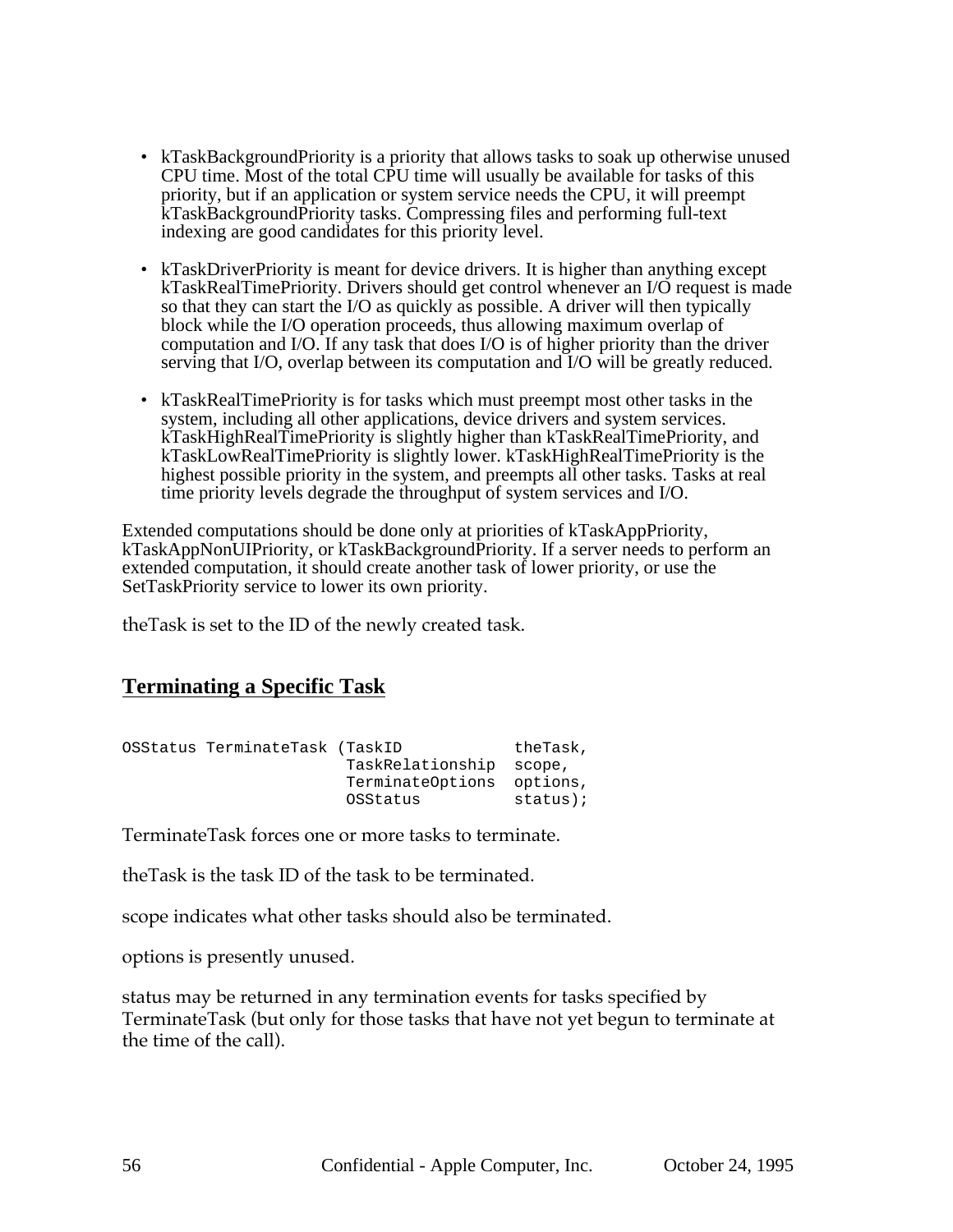- kTaskBackgroundPriority is a priority that allows tasks to soak up otherwise unused CPU time. Most of the total CPU time will usually be available for tasks of this priority, but if an application or system service needs the CPU, it will preempt kTaskBackgroundPriority tasks. Compressing files and performing full-text indexing are good candidates for this priority level.
- kTaskDriverPriority is meant for device drivers. It is higher than anything except kTaskRealTimePriority. Drivers should get control whenever an I/O request is made so that they can start the I/O as quickly as possible. A driver will then typically block while the I/O operation proceeds, thus allowing maximum overlap of computation and I/O. If any task that does I/O is of higher priority than the driver serving that I/O, overlap between its computation and I/O will be greatly reduced.
- kTaskRealTimePriority is for tasks which must preempt most other tasks in the system, including all other applications, device drivers and system services. kTaskHighRealTimePriority is slightly higher than kTaskRealTimePriority, and kTaskLowRealTimePriority is slightly lower. kTaskHighRealTimePriority is the highest possible priority in the system, and preempts all other tasks. Tasks at real time priority levels degrade the throughput of system services and I/O.

Extended computations should be done only at priorities of kTaskAppPriority, kTaskAppNonUIPriority, or kTaskBackgroundPriority. If a server needs to perform an extended computation, it should create another task of lower priority, or use the SetTaskPriority service to lower its own priority.

theTask is set to the ID of the newly created task.

### **Terminating a Specific Task**

| OSStatus TerminateTask (TaskID |                           | theTask, |
|--------------------------------|---------------------------|----------|
|                                | TaskRelationship scope,   |          |
|                                | TerminateOptions options, |          |
|                                | OSStatus                  | status); |

TerminateTask forces one or more tasks to terminate.

theTask is the task ID of the task to be terminated.

scope indicates what other tasks should also be terminated.

options is presently unused.

status may be returned in any termination events for tasks specified by TerminateTask (but only for those tasks that have not yet begun to terminate at the time of the call).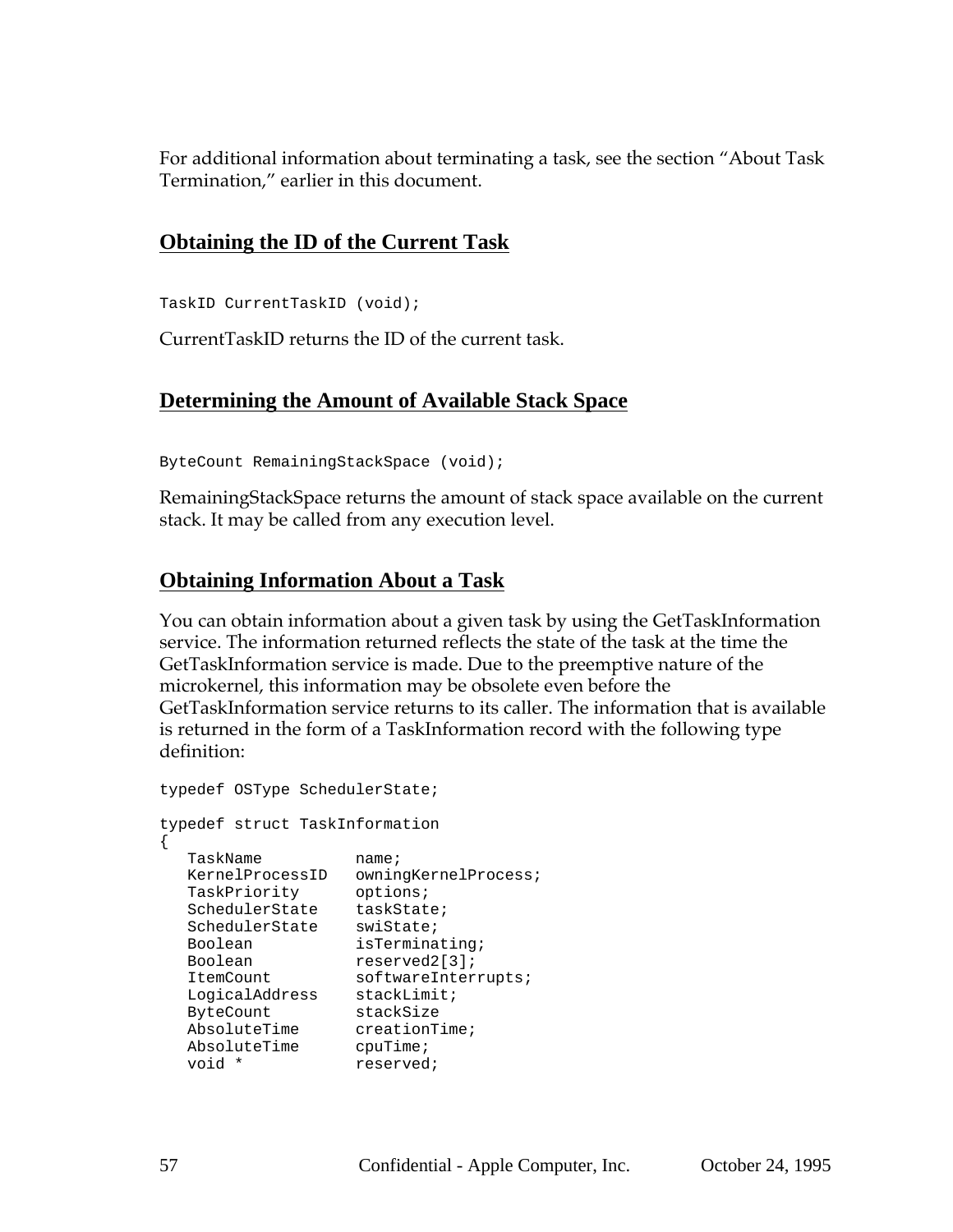For additional information about terminating a task, see the section "About Task Termination," earlier in this document.

## **Obtaining the ID of the Current Task**

TaskID CurrentTaskID (void);

CurrentTaskID returns the ID of the current task.

### **Determining the Amount of Available Stack Space**

ByteCount RemainingStackSpace (void);

RemainingStackSpace returns the amount of stack space available on the current stack. It may be called from any execution level.

## **Obtaining Information About a Task**

You can obtain information about a given task by using the GetTaskInformation service. The information returned reflects the state of the task at the time the GetTaskInformation service is made. Due to the preemptive nature of the microkernel, this information may be obsolete even before the GetTaskInformation service returns to its caller. The information that is available is returned in the form of a TaskInformation record with the following type definition:

```
typedef OSType SchedulerState;
typedef struct TaskInformation
{
  TaskName name;
  KernelProcessID owningKernelProcess;
  TaskPriority options;
  SchedulerState taskState;
  SchedulerState swiState;
  Boolean isTerminating;
  Boolean reserved2[3];
  ItemCount softwareInterrupts;
  LogicalAddress stackLimit;
  ByteCount stackSize
  AbsoluteTime creationTime;
  AbsoluteTime cpuTime;
  void * reserved;
```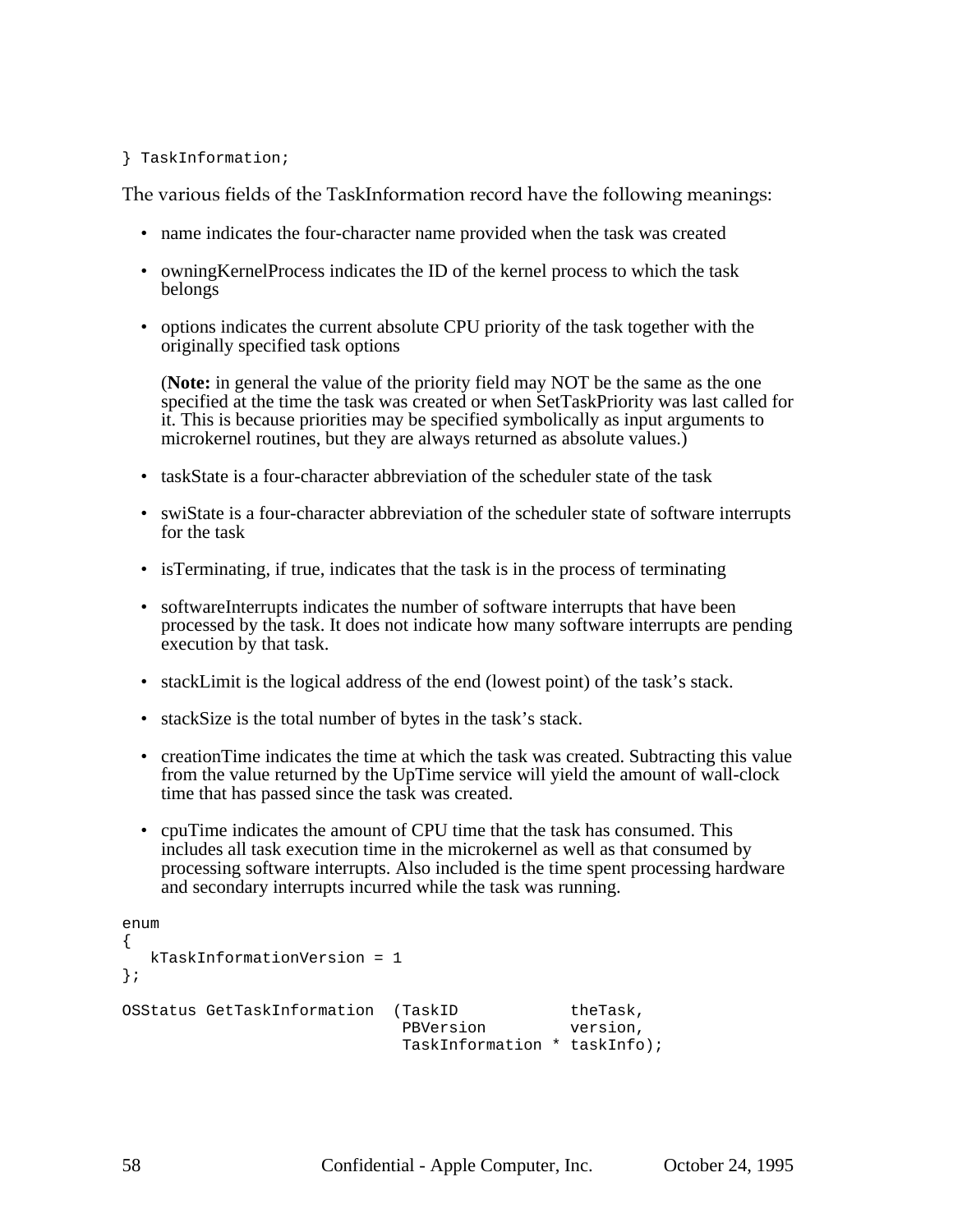#### } TaskInformation;

The various fields of the TaskInformation record have the following meanings:

- name indicates the four-character name provided when the task was created
- owningKernelProcess indicates the ID of the kernel process to which the task belongs
- options indicates the current absolute CPU priority of the task together with the originally specified task options

(**Note:** in general the value of the priority field may NOT be the same as the one specified at the time the task was created or when SetTaskPriority was last called for it. This is because priorities may be specified symbolically as input arguments to microkernel routines, but they are always returned as absolute values.)

- taskState is a four-character abbreviation of the scheduler state of the task
- swiState is a four-character abbreviation of the scheduler state of software interrupts for the task
- isTerminating, if true, indicates that the task is in the process of terminating
- softwareInterrupts indicates the number of software interrupts that have been processed by the task. It does not indicate how many software interrupts are pending execution by that task.
- stackLimit is the logical address of the end (lowest point) of the task's stack.
- stackSize is the total number of bytes in the task's stack.
- creationTime indicates the time at which the task was created. Subtracting this value from the value returned by the UpTime service will yield the amount of wall-clock time that has passed since the task was created.
- cpuTime indicates the amount of CPU time that the task has consumed. This includes all task execution time in the microkernel as well as that consumed by processing software interrupts. Also included is the time spent processing hardware and secondary interrupts incurred while the task was running.

```
enum
{
   kTaskInformationVersion = 1
};
OSStatus GetTaskInformation (TaskID
                                (TaskID theTask,<br>PBVersion version,
                                 TaskInformation * taskInfo);
```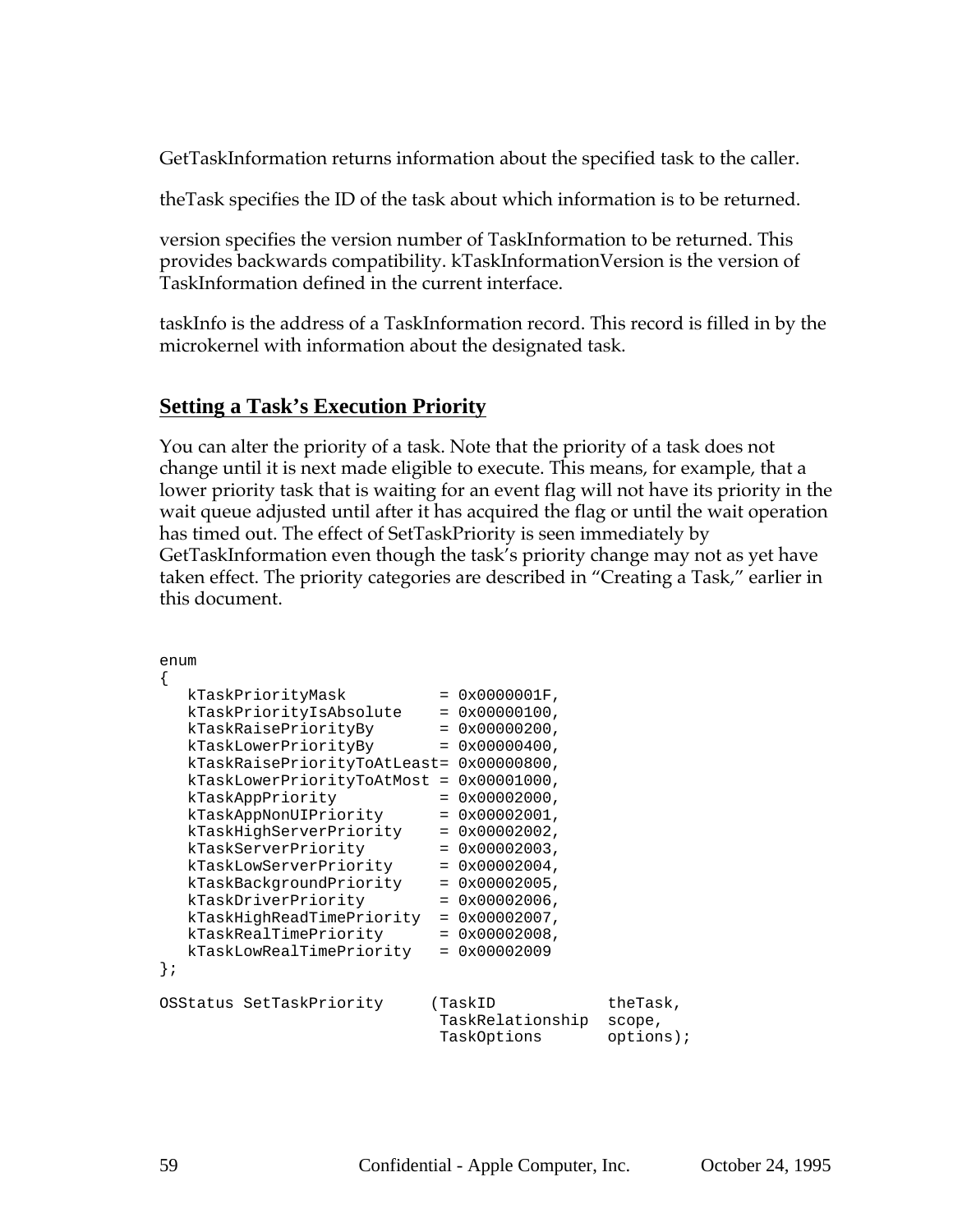GetTaskInformation returns information about the specified task to the caller.

theTask specifies the ID of the task about which information is to be returned.

version specifies the version number of TaskInformation to be returned. This provides backwards compatibility. kTaskInformationVersion is the version of TaskInformation defined in the current interface.

taskInfo is the address of a TaskInformation record. This record is filled in by the microkernel with information about the designated task.

### **Setting a Task's Execution Priority**

You can alter the priority of a task. Note that the priority of a task does not change until it is next made eligible to execute. This means, for example, that a lower priority task that is waiting for an event flag will not have its priority in the wait queue adjusted until after it has acquired the flag or until the wait operation has timed out. The effect of SetTaskPriority is seen immediately by GetTaskInformation even though the task's priority change may not as yet have taken effect. The priority categories are described in "Creating a Task," earlier in this document.

```
enum
{
  kTaskPriorityMask = 0x0000001F,
  kTaskPriorityIsAbsolute = 0x00000100,
  kTaskRaisePriorityBy = 0x00000200,
  kTaskLowerPriorityBy = 0x00000400,
  kTaskRaisePriorityToAtLeast= 0x00000800,
  kTaskLowerPriorityToAtMost = 0x00001000,
  kTaskAppPriority = 0x00002000,
  kTaskAppNonUIPriority = 0x00002001,
  kTaskHighServerPriority = 0x00002002,
  kTaskServerPriority = 0x00002003,
  kTaskLowServerPriority = 0x00002004,
  kTaskBackgroundPriority = 0x00002005,
  kTaskDriverPriority = 0x00002006,
  kTaskHighReadTimePriority = 0x00002007,
  kTaskRealTimePriority = 0x00002008,
  kTaskLowRealTimePriority = 0x00002009
};
OSStatus SetTaskPriority (TaskID theTask,
                          TaskRelationship scope,
                          TaskOptions options);
```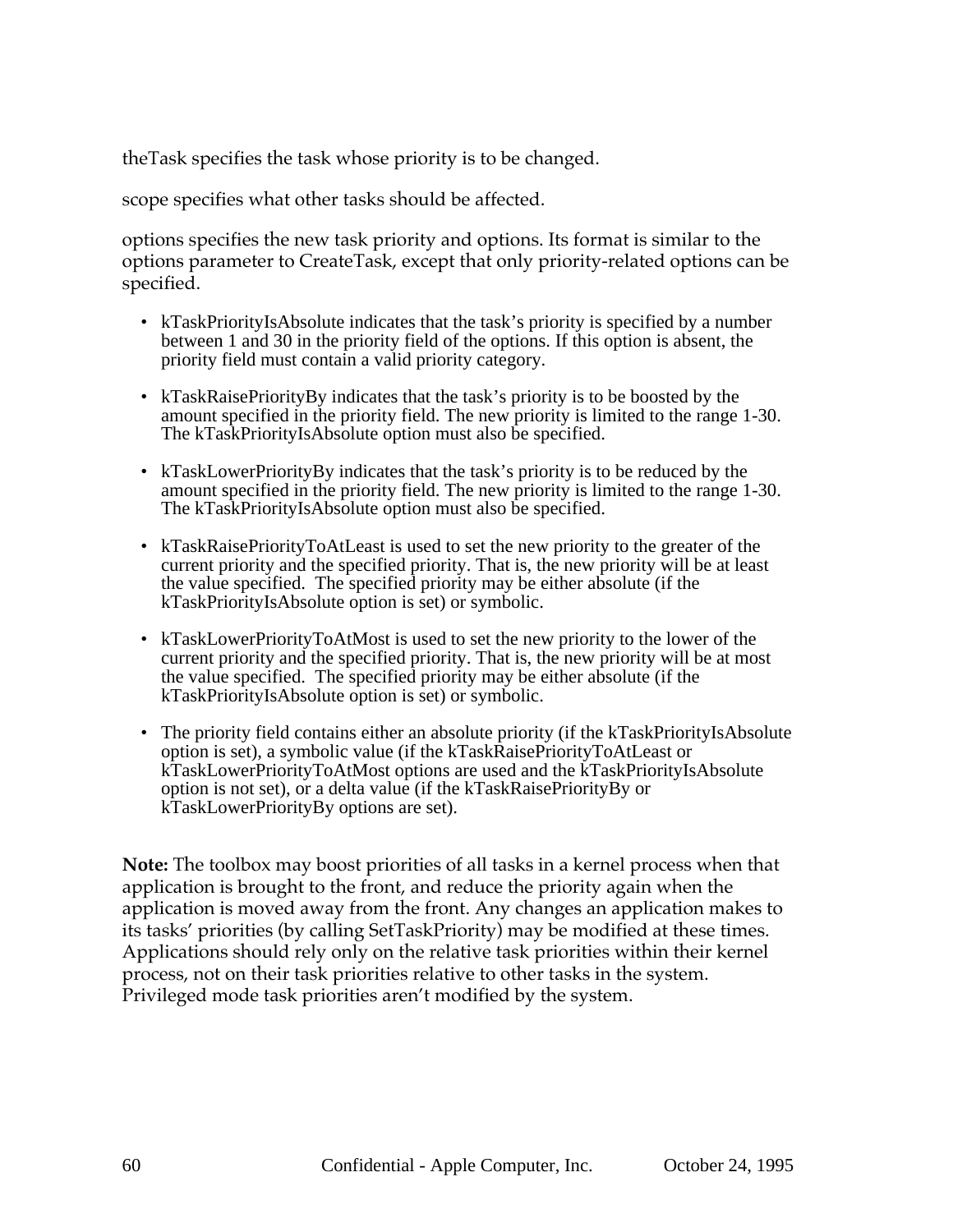theTask specifies the task whose priority is to be changed.

scope specifies what other tasks should be affected.

options specifies the new task priority and options. Its format is similar to the options parameter to CreateTask, except that only priority-related options can be specified.

- kTaskPriorityIsAbsolute indicates that the task's priority is specified by a number between 1 and 30 in the priority field of the options. If this option is absent, the priority field must contain a valid priority category.
- kTaskRaisePriorityBy indicates that the task's priority is to be boosted by the amount specified in the priority field. The new priority is limited to the range 1-30. The kTaskPriorityIsAbsolute option must also be specified.
- kTaskLowerPriorityBy indicates that the task's priority is to be reduced by the amount specified in the priority field. The new priority is limited to the range 1-30. The kTaskPriorityIsAbsolute option must also be specified.
- kTaskRaisePriorityToAtLeast is used to set the new priority to the greater of the current priority and the specified priority. That is, the new priority will be at least the value specified. The specified priority may be either absolute (if the kTaskPriorityIsAbsolute option is set) or symbolic.
- kTaskLowerPriorityToAtMost is used to set the new priority to the lower of the current priority and the specified priority. That is, the new priority will be at most the value specified. The specified priority may be either absolute (if the kTaskPriorityIsAbsolute option is set) or symbolic.
- The priority field contains either an absolute priority (if the kTaskPriorityIsAbsolute option is set), a symbolic value (if the kTaskRaisePriorityToAtLeast or kTaskLowerPriorityToAtMost options are used and the kTaskPriorityIsAbsolute option is not set), or a delta value (if the kTaskRaisePriorityBy or kTaskLowerPriorityBy options are set).

**Note:** The toolbox may boost priorities of all tasks in a kernel process when that application is brought to the front, and reduce the priority again when the application is moved away from the front. Any changes an application makes to its tasks' priorities (by calling SetTaskPriority) may be modified at these times. Applications should rely only on the relative task priorities within their kernel process, not on their task priorities relative to other tasks in the system. Privileged mode task priorities aren't modified by the system.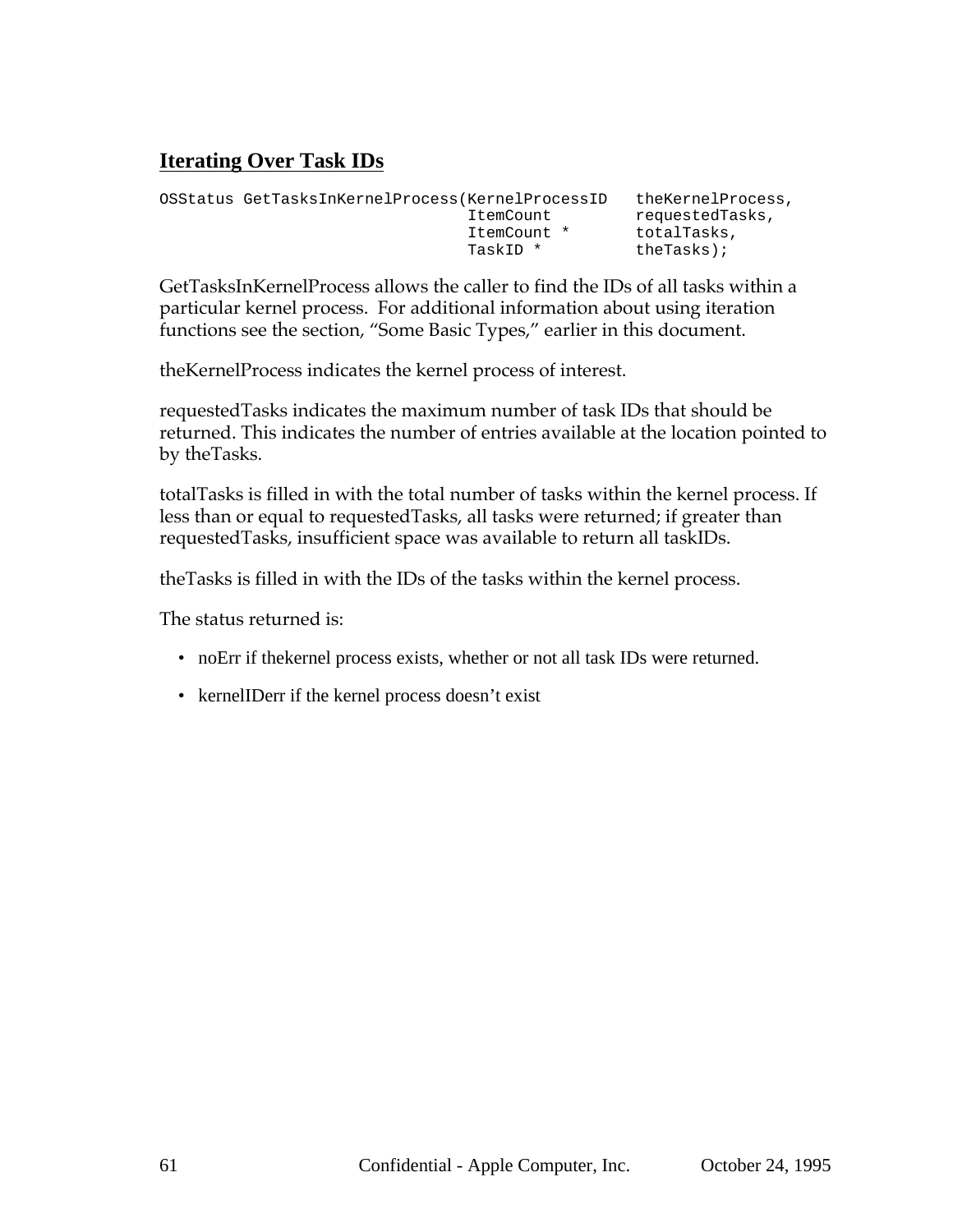## **Iterating Over Task IDs**

| theKernelProcess, |
|-------------------|
| requestedTasks,   |
| totalTasks,       |
| $thereks$ );      |
|                   |

GetTasksInKernelProcess allows the caller to find the IDs of all tasks within a particular kernel process. For additional information about using iteration functions see the section, "Some Basic Types," earlier in this document.

theKernelProcess indicates the kernel process of interest.

requestedTasks indicates the maximum number of task IDs that should be returned. This indicates the number of entries available at the location pointed to by theTasks.

totalTasks is filled in with the total number of tasks within the kernel process. If less than or equal to requestedTasks, all tasks were returned; if greater than requestedTasks, insufficient space was available to return all taskIDs.

theTasks is filled in with the IDs of the tasks within the kernel process.

The status returned is:

- noErr if thekernel process exists, whether or not all task IDs were returned.
- kernelIDerr if the kernel process doesn't exist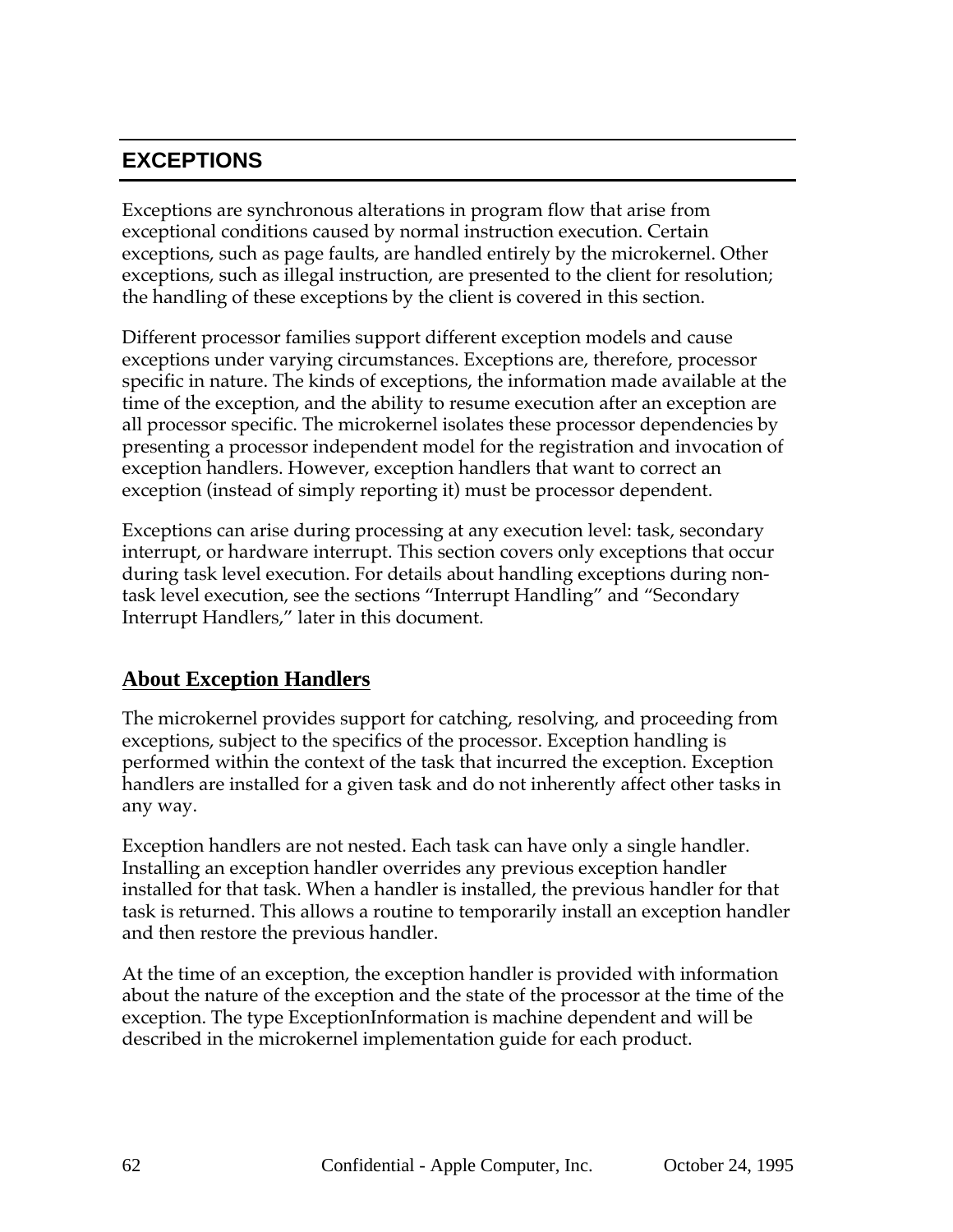## **EXCEPTIONS**

Exceptions are synchronous alterations in program flow that arise from exceptional conditions caused by normal instruction execution. Certain exceptions, such as page faults, are handled entirely by the microkernel. Other exceptions, such as illegal instruction, are presented to the client for resolution; the handling of these exceptions by the client is covered in this section.

Different processor families support different exception models and cause exceptions under varying circumstances. Exceptions are, therefore, processor specific in nature. The kinds of exceptions, the information made available at the time of the exception, and the ability to resume execution after an exception are all processor specific. The microkernel isolates these processor dependencies by presenting a processor independent model for the registration and invocation of exception handlers. However, exception handlers that want to correct an exception (instead of simply reporting it) must be processor dependent.

Exceptions can arise during processing at any execution level: task, secondary interrupt, or hardware interrupt. This section covers only exceptions that occur during task level execution. For details about handling exceptions during nontask level execution, see the sections "Interrupt Handling" and "Secondary Interrupt Handlers," later in this document.

## **About Exception Handlers**

The microkernel provides support for catching, resolving, and proceeding from exceptions, subject to the specifics of the processor. Exception handling is performed within the context of the task that incurred the exception. Exception handlers are installed for a given task and do not inherently affect other tasks in any way.

Exception handlers are not nested. Each task can have only a single handler. Installing an exception handler overrides any previous exception handler installed for that task. When a handler is installed, the previous handler for that task is returned. This allows a routine to temporarily install an exception handler and then restore the previous handler.

At the time of an exception, the exception handler is provided with information about the nature of the exception and the state of the processor at the time of the exception. The type ExceptionInformation is machine dependent and will be described in the microkernel implementation guide for each product.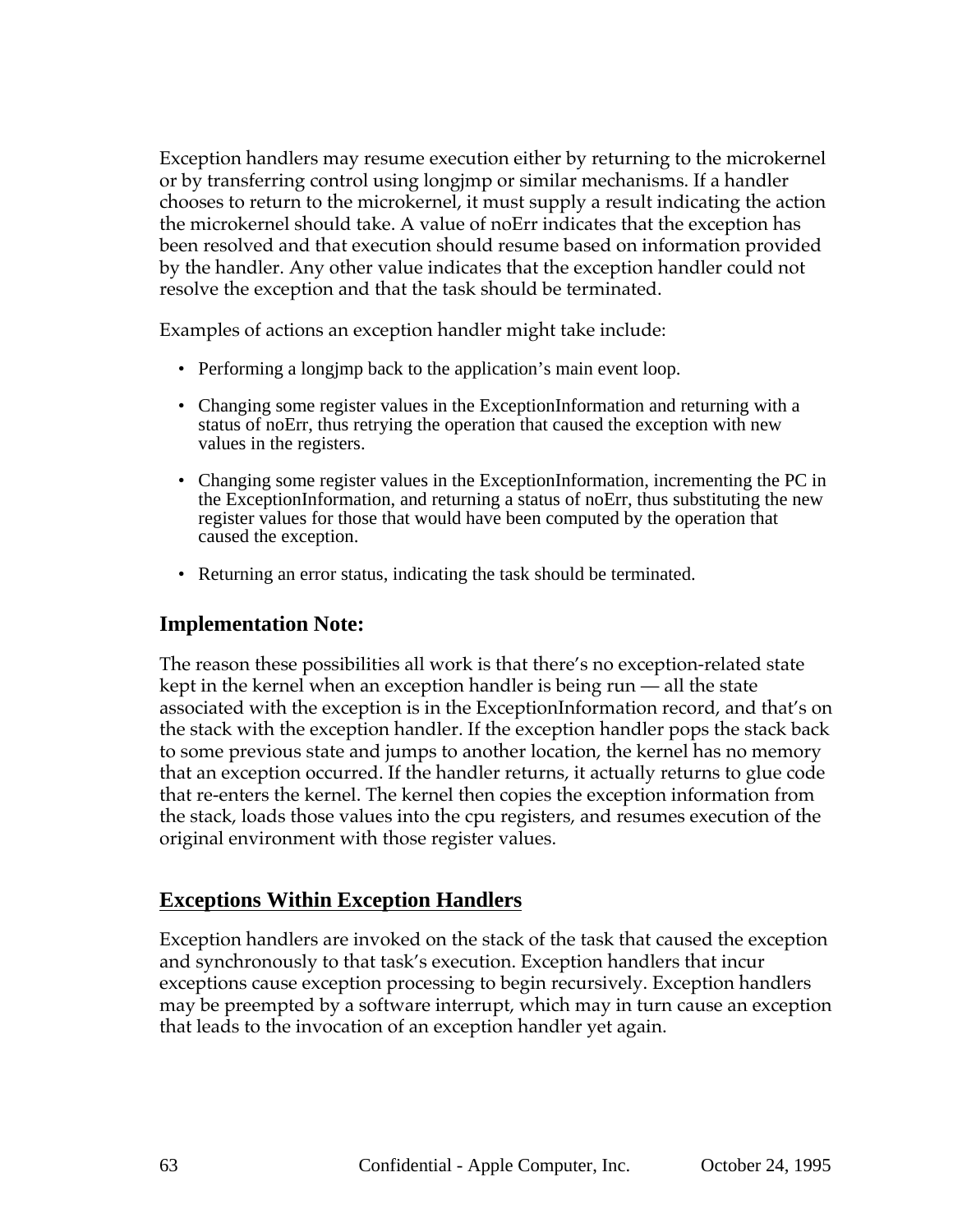Exception handlers may resume execution either by returning to the microkernel or by transferring control using longjmp or similar mechanisms. If a handler chooses to return to the microkernel, it must supply a result indicating the action the microkernel should take. A value of noErr indicates that the exception has been resolved and that execution should resume based on information provided by the handler. Any other value indicates that the exception handler could not resolve the exception and that the task should be terminated.

Examples of actions an exception handler might take include:

- Performing a longimp back to the application's main event loop.
- Changing some register values in the ExceptionInformation and returning with a status of noErr, thus retrying the operation that caused the exception with new values in the registers.
- Changing some register values in the ExceptionInformation, incrementing the PC in the ExceptionInformation, and returning a status of noErr, thus substituting the new register values for those that would have been computed by the operation that caused the exception.
- Returning an error status, indicating the task should be terminated.

### **Implementation Note:**

The reason these possibilities all work is that there's no exception-related state kept in the kernel when an exception handler is being run — all the state associated with the exception is in the ExceptionInformation record, and that's on the stack with the exception handler. If the exception handler pops the stack back to some previous state and jumps to another location, the kernel has no memory that an exception occurred. If the handler returns, it actually returns to glue code that re-enters the kernel. The kernel then copies the exception information from the stack, loads those values into the cpu registers, and resumes execution of the original environment with those register values.

### **Exceptions Within Exception Handlers**

Exception handlers are invoked on the stack of the task that caused the exception and synchronously to that task's execution. Exception handlers that incur exceptions cause exception processing to begin recursively. Exception handlers may be preempted by a software interrupt, which may in turn cause an exception that leads to the invocation of an exception handler yet again.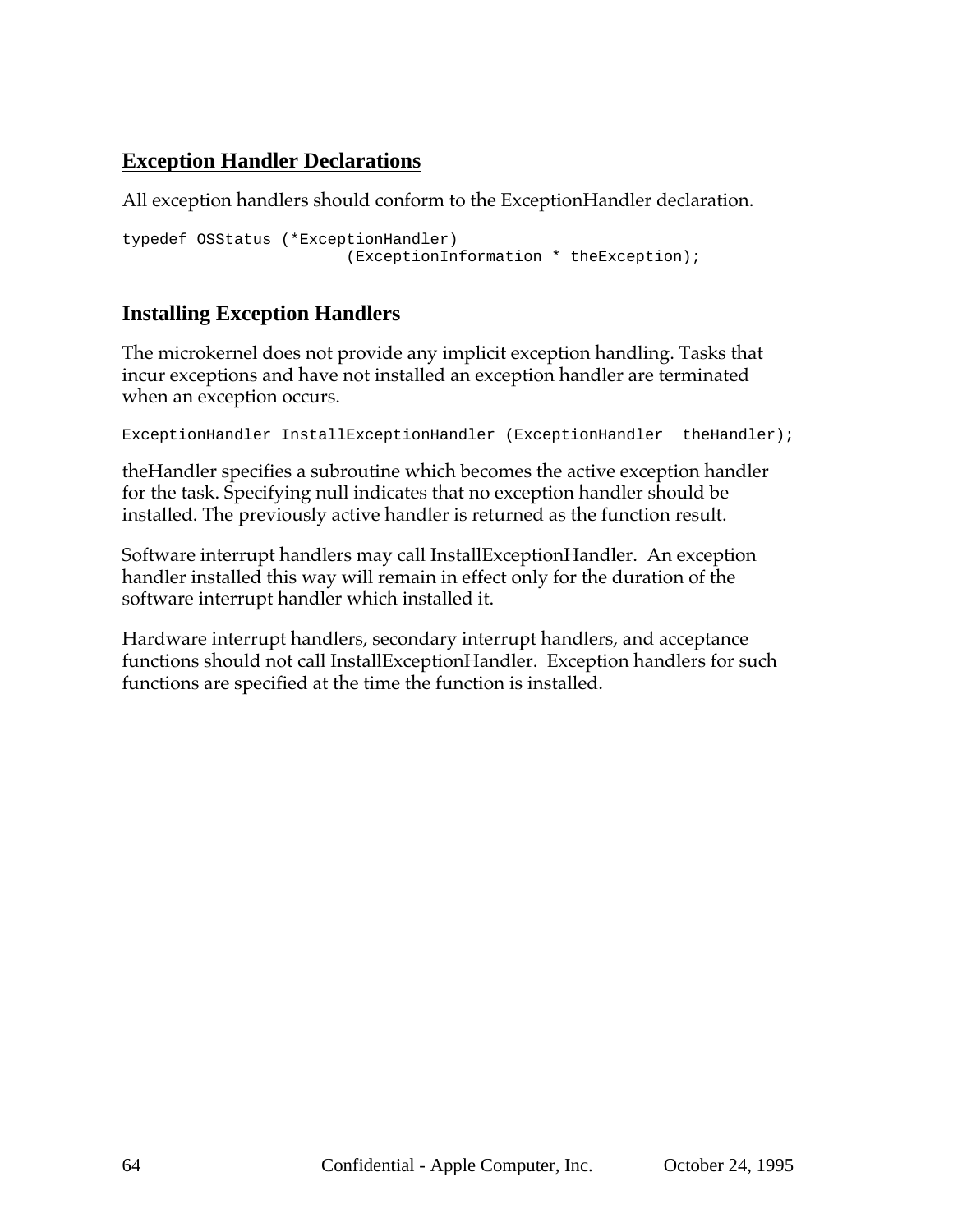## **Exception Handler Declarations**

All exception handlers should conform to the ExceptionHandler declaration.

```
typedef OSStatus (*ExceptionHandler)
                        (ExceptionInformation * theException);
```
## **Installing Exception Handlers**

The microkernel does not provide any implicit exception handling. Tasks that incur exceptions and have not installed an exception handler are terminated when an exception occurs.

```
ExceptionHandler InstallExceptionHandler (ExceptionHandler theHandler);
```
theHandler specifies a subroutine which becomes the active exception handler for the task. Specifying null indicates that no exception handler should be installed. The previously active handler is returned as the function result.

Software interrupt handlers may call InstallExceptionHandler. An exception handler installed this way will remain in effect only for the duration of the software interrupt handler which installed it.

Hardware interrupt handlers, secondary interrupt handlers, and acceptance functions should not call InstallExceptionHandler. Exception handlers for such functions are specified at the time the function is installed.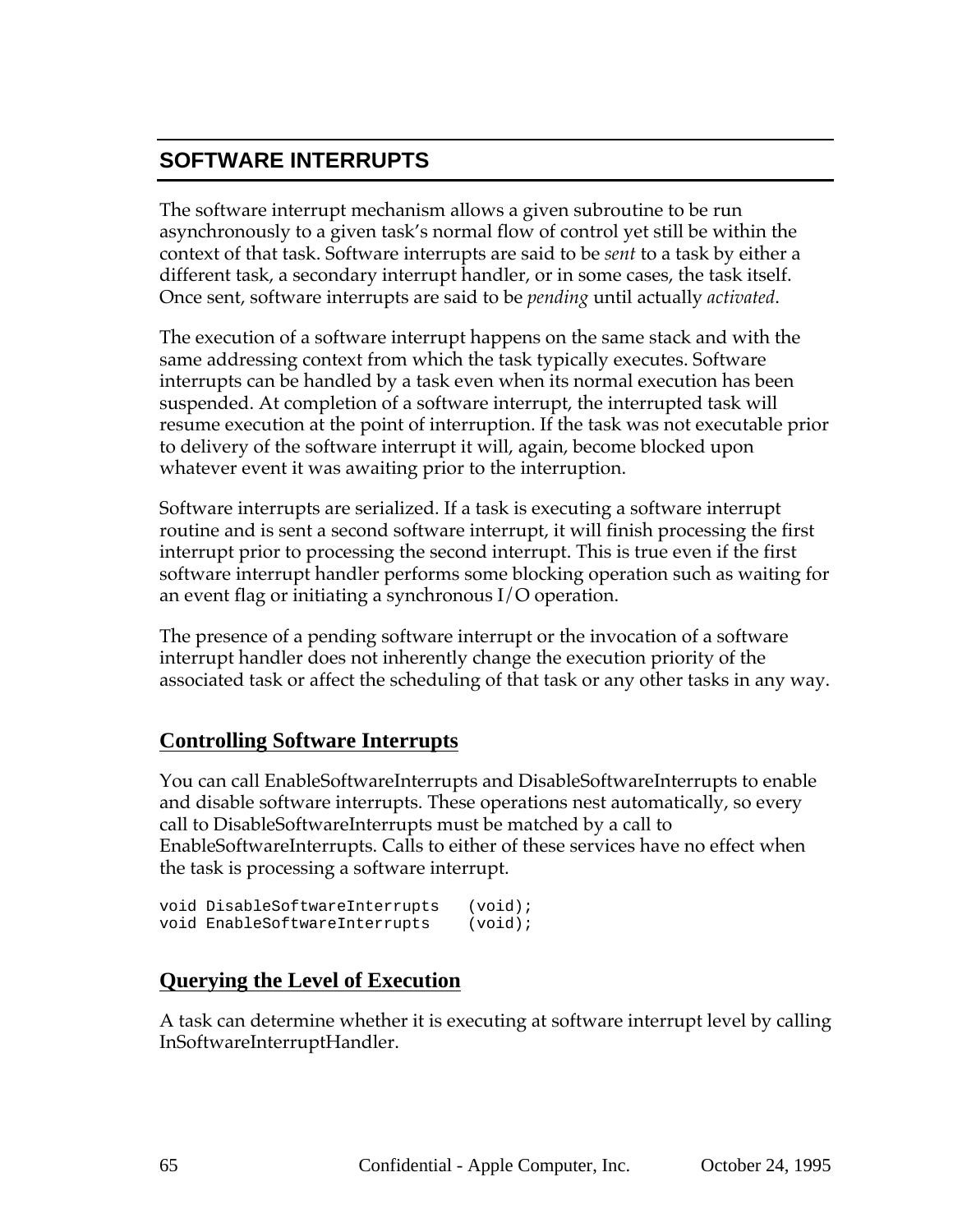## **SOFTWARE INTERRUPTS**

The software interrupt mechanism allows a given subroutine to be run asynchronously to a given task's normal flow of control yet still be within the context of that task. Software interrupts are said to be *sent* to a task by either a different task, a secondary interrupt handler, or in some cases, the task itself. Once sent, software interrupts are said to be *pending* until actually *activated*.

The execution of a software interrupt happens on the same stack and with the same addressing context from which the task typically executes. Software interrupts can be handled by a task even when its normal execution has been suspended. At completion of a software interrupt, the interrupted task will resume execution at the point of interruption. If the task was not executable prior to delivery of the software interrupt it will, again, become blocked upon whatever event it was awaiting prior to the interruption.

Software interrupts are serialized. If a task is executing a software interrupt routine and is sent a second software interrupt, it will finish processing the first interrupt prior to processing the second interrupt. This is true even if the first software interrupt handler performs some blocking operation such as waiting for an event flag or initiating a synchronous I/O operation.

The presence of a pending software interrupt or the invocation of a software interrupt handler does not inherently change the execution priority of the associated task or affect the scheduling of that task or any other tasks in any way.

### **Controlling Software Interrupts**

You can call EnableSoftwareInterrupts and DisableSoftwareInterrupts to enable and disable software interrupts. These operations nest automatically, so every call to DisableSoftwareInterrupts must be matched by a call to EnableSoftwareInterrupts. Calls to either of these services have no effect when the task is processing a software interrupt.

```
void DisableSoftwareInterrupts (void);
void EnableSoftwareInterrupts (void);
```
### **Querying the Level of Execution**

A task can determine whether it is executing at software interrupt level by calling InSoftwareInterruptHandler.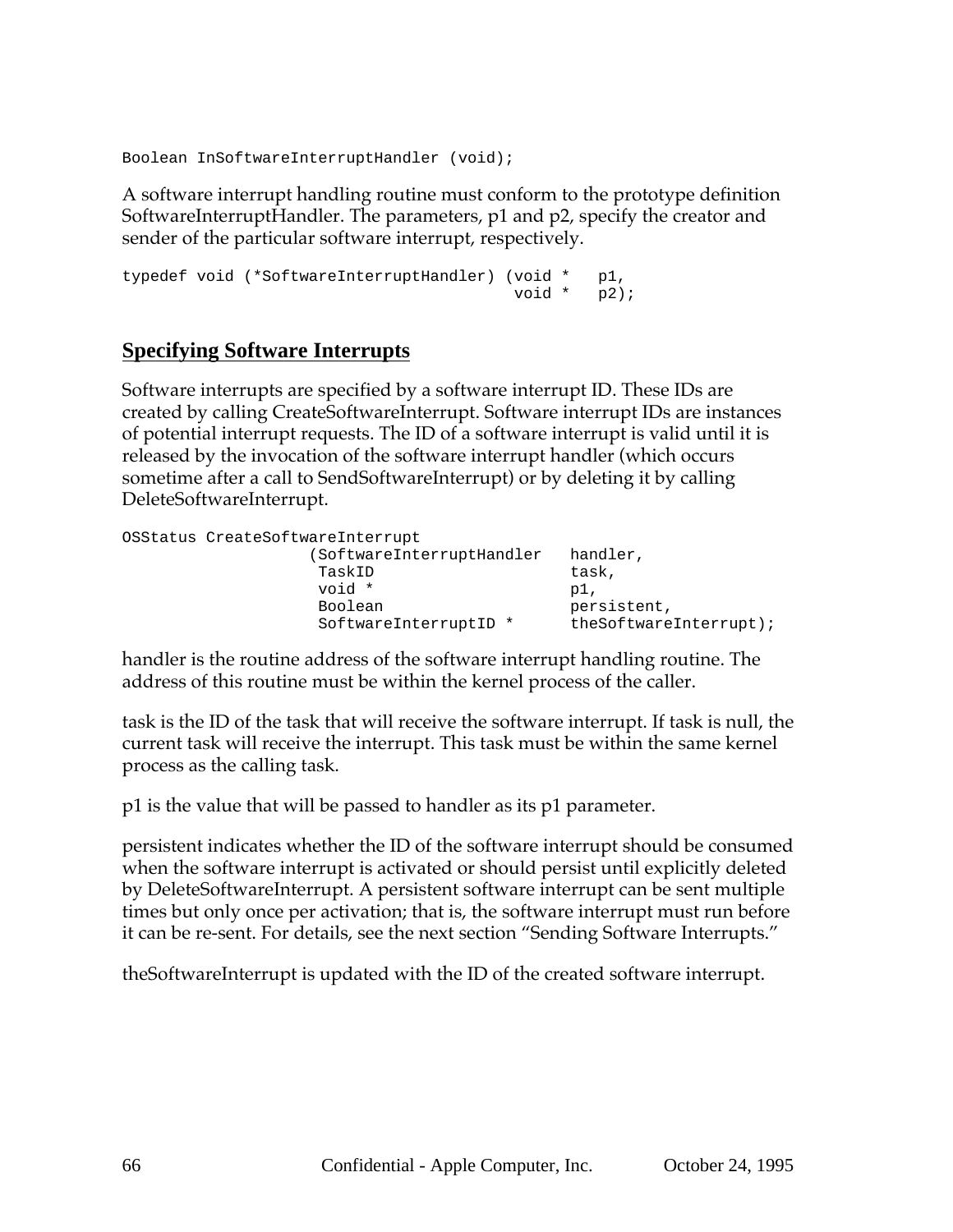Boolean InSoftwareInterruptHandler (void);

A software interrupt handling routine must conform to the prototype definition SoftwareInterruptHandler. The parameters, p1 and p2, specify the creator and sender of the particular software interrupt, respectively.

```
typedef void (*SoftwareInterruptHandler) (void * p1,
                                       void * p2);
```
### **Specifying Software Interrupts**

Software interrupts are specified by a software interrupt ID. These IDs are created by calling CreateSoftwareInterrupt. Software interrupt IDs are instances of potential interrupt requests. The ID of a software interrupt is valid until it is released by the invocation of the software interrupt handler (which occurs sometime after a call to SendSoftwareInterrupt) or by deleting it by calling DeleteSoftwareInterrupt.

| OSStatus CreateSoftwareInterrupt |                        |
|----------------------------------|------------------------|
| (SoftwareInterruptHandler        | handler,               |
| TaskID                           | task,                  |
| void *                           | pl.                    |
| Boolean                          | persistent,            |
| SoftwareInterruptID *            | theSoftwareInterrupt); |

handler is the routine address of the software interrupt handling routine. The address of this routine must be within the kernel process of the caller.

task is the ID of the task that will receive the software interrupt. If task is null, the current task will receive the interrupt. This task must be within the same kernel process as the calling task.

p1 is the value that will be passed to handler as its p1 parameter.

persistent indicates whether the ID of the software interrupt should be consumed when the software interrupt is activated or should persist until explicitly deleted by DeleteSoftwareInterrupt. A persistent software interrupt can be sent multiple times but only once per activation; that is, the software interrupt must run before it can be re-sent. For details, see the next section "Sending Software Interrupts."

theSoftwareInterrupt is updated with the ID of the created software interrupt.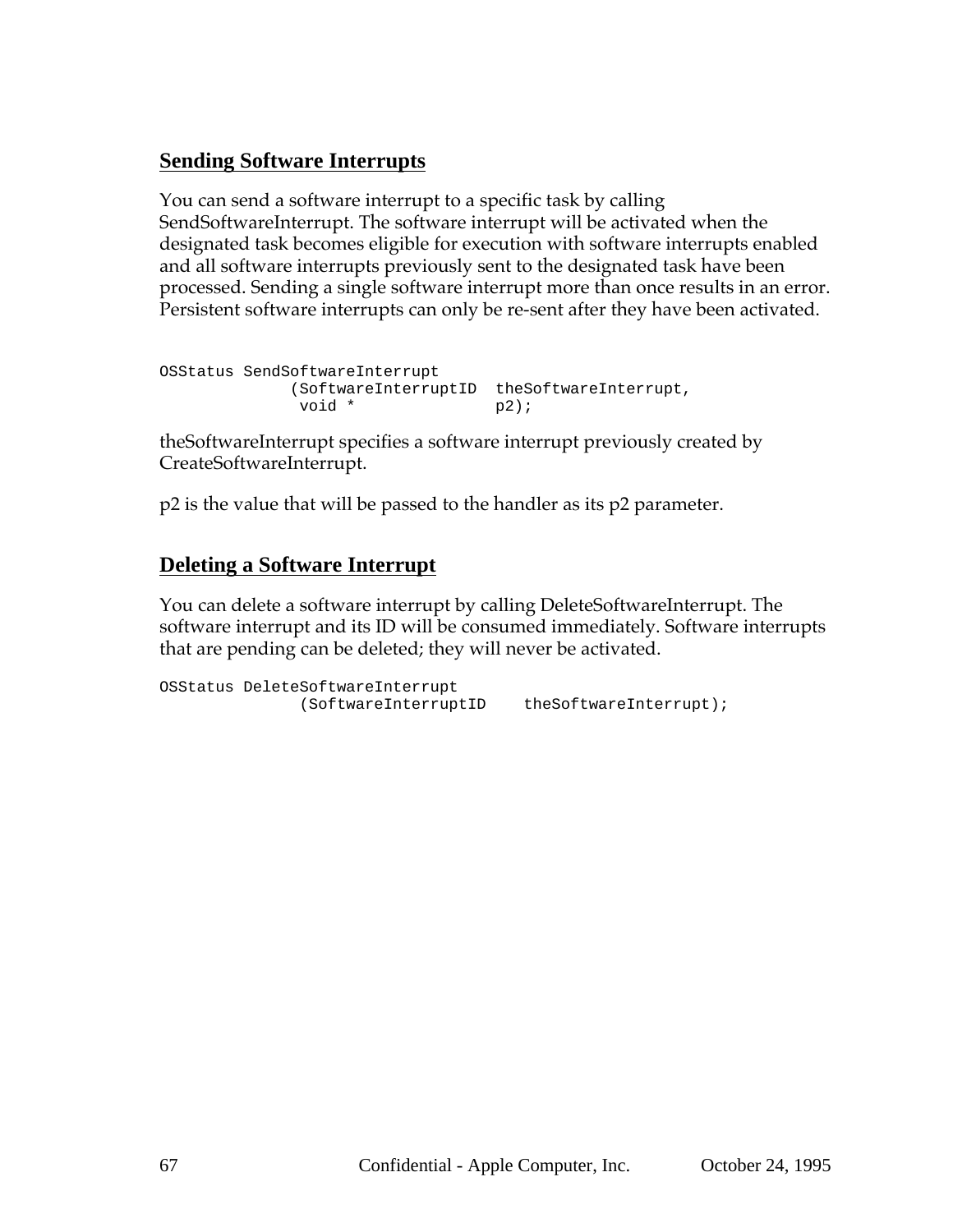## **Sending Software Interrupts**

You can send a software interrupt to a specific task by calling SendSoftwareInterrupt. The software interrupt will be activated when the designated task becomes eligible for execution with software interrupts enabled and all software interrupts previously sent to the designated task have been processed. Sending a single software interrupt more than once results in an error. Persistent software interrupts can only be re-sent after they have been activated.

```
OSStatus SendSoftwareInterrupt
            (SoftwareInterruptID theSoftwareInterrupt,
            void * p2);
```
theSoftwareInterrupt specifies a software interrupt previously created by CreateSoftwareInterrupt.

p2 is the value that will be passed to the handler as its p2 parameter.

### **Deleting a Software Interrupt**

You can delete a software interrupt by calling DeleteSoftwareInterrupt. The software interrupt and its ID will be consumed immediately. Software interrupts that are pending can be deleted; they will never be activated.

```
OSStatus DeleteSoftwareInterrupt
              (SoftwareInterruptID theSoftwareInterrupt);
```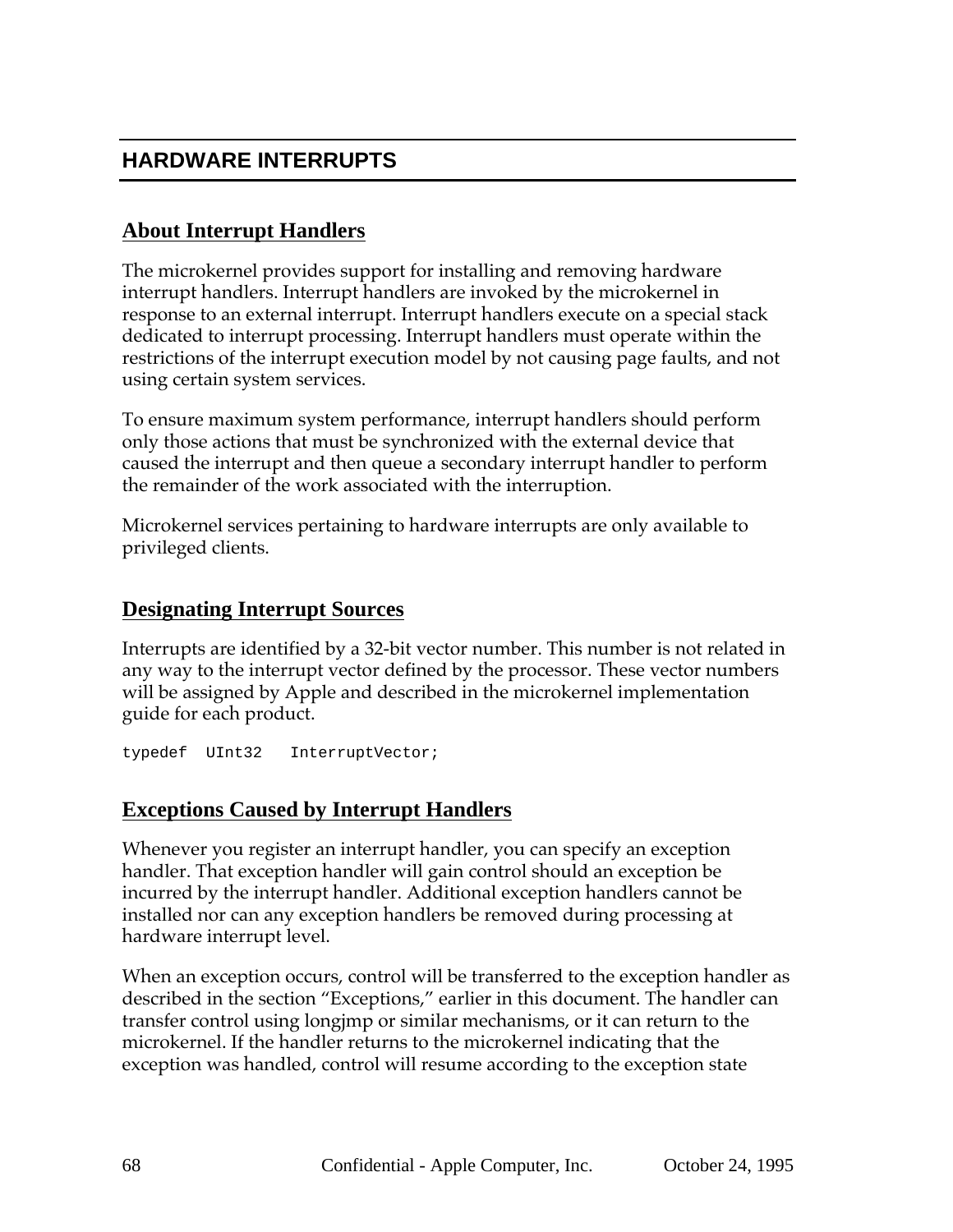## **HARDWARE INTERRUPTS**

## **About Interrupt Handlers**

The microkernel provides support for installing and removing hardware interrupt handlers. Interrupt handlers are invoked by the microkernel in response to an external interrupt. Interrupt handlers execute on a special stack dedicated to interrupt processing. Interrupt handlers must operate within the restrictions of the interrupt execution model by not causing page faults, and not using certain system services.

To ensure maximum system performance, interrupt handlers should perform only those actions that must be synchronized with the external device that caused the interrupt and then queue a secondary interrupt handler to perform the remainder of the work associated with the interruption.

Microkernel services pertaining to hardware interrupts are only available to privileged clients.

### **Designating Interrupt Sources**

Interrupts are identified by a 32-bit vector number. This number is not related in any way to the interrupt vector defined by the processor. These vector numbers will be assigned by Apple and described in the microkernel implementation guide for each product.

typedef UInt32 InterruptVector;

### **Exceptions Caused by Interrupt Handlers**

Whenever you register an interrupt handler, you can specify an exception handler. That exception handler will gain control should an exception be incurred by the interrupt handler. Additional exception handlers cannot be installed nor can any exception handlers be removed during processing at hardware interrupt level.

When an exception occurs, control will be transferred to the exception handler as described in the section "Exceptions," earlier in this document. The handler can transfer control using longjmp or similar mechanisms, or it can return to the microkernel. If the handler returns to the microkernel indicating that the exception was handled, control will resume according to the exception state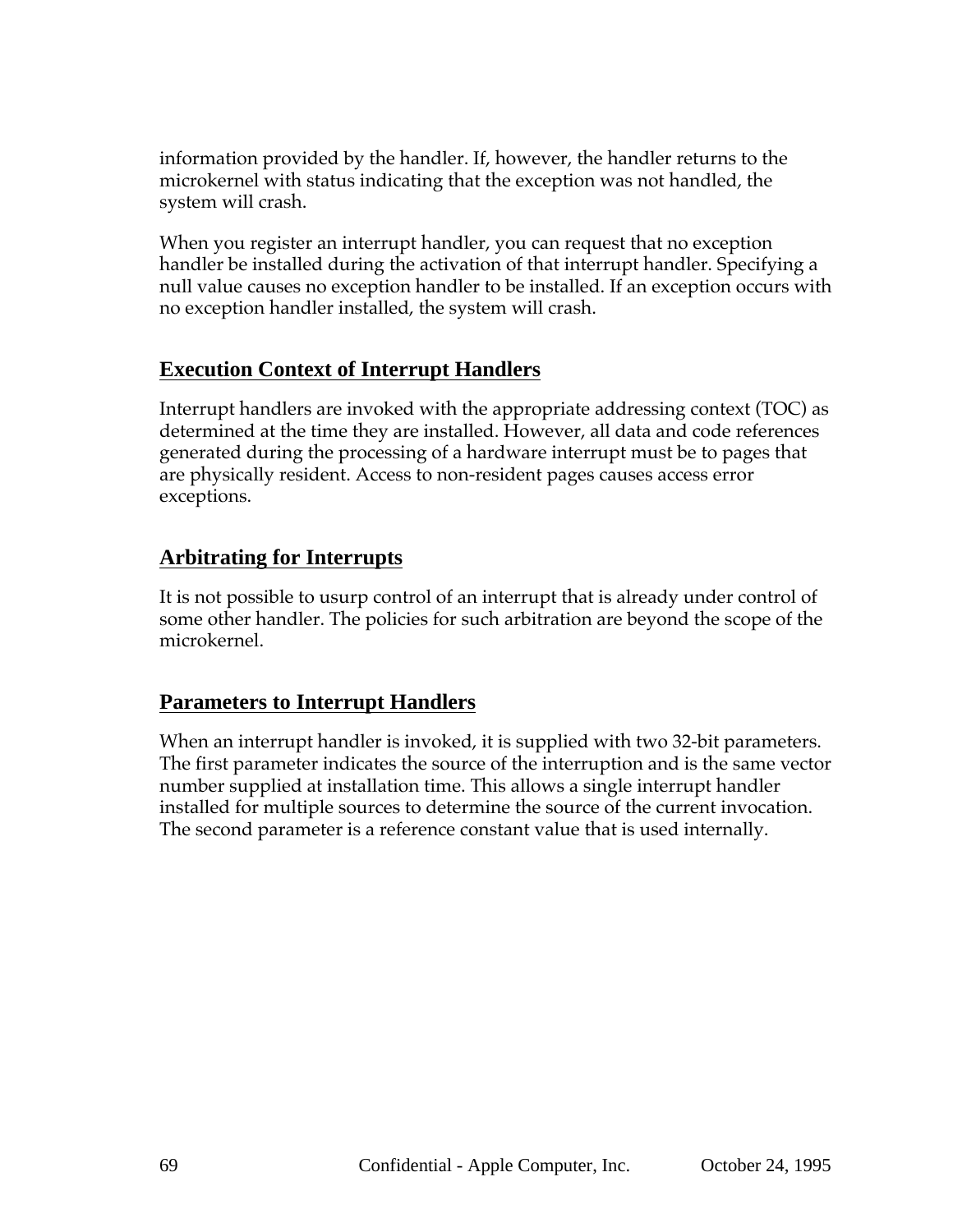information provided by the handler. If, however, the handler returns to the microkernel with status indicating that the exception was not handled, the system will crash.

When you register an interrupt handler, you can request that no exception handler be installed during the activation of that interrupt handler. Specifying a null value causes no exception handler to be installed. If an exception occurs with no exception handler installed, the system will crash.

### **Execution Context of Interrupt Handlers**

Interrupt handlers are invoked with the appropriate addressing context (TOC) as determined at the time they are installed. However, all data and code references generated during the processing of a hardware interrupt must be to pages that are physically resident. Access to non-resident pages causes access error exceptions.

## **Arbitrating for Interrupts**

It is not possible to usurp control of an interrupt that is already under control of some other handler. The policies for such arbitration are beyond the scope of the microkernel.

## **Parameters to Interrupt Handlers**

When an interrupt handler is invoked, it is supplied with two 32-bit parameters. The first parameter indicates the source of the interruption and is the same vector number supplied at installation time. This allows a single interrupt handler installed for multiple sources to determine the source of the current invocation. The second parameter is a reference constant value that is used internally.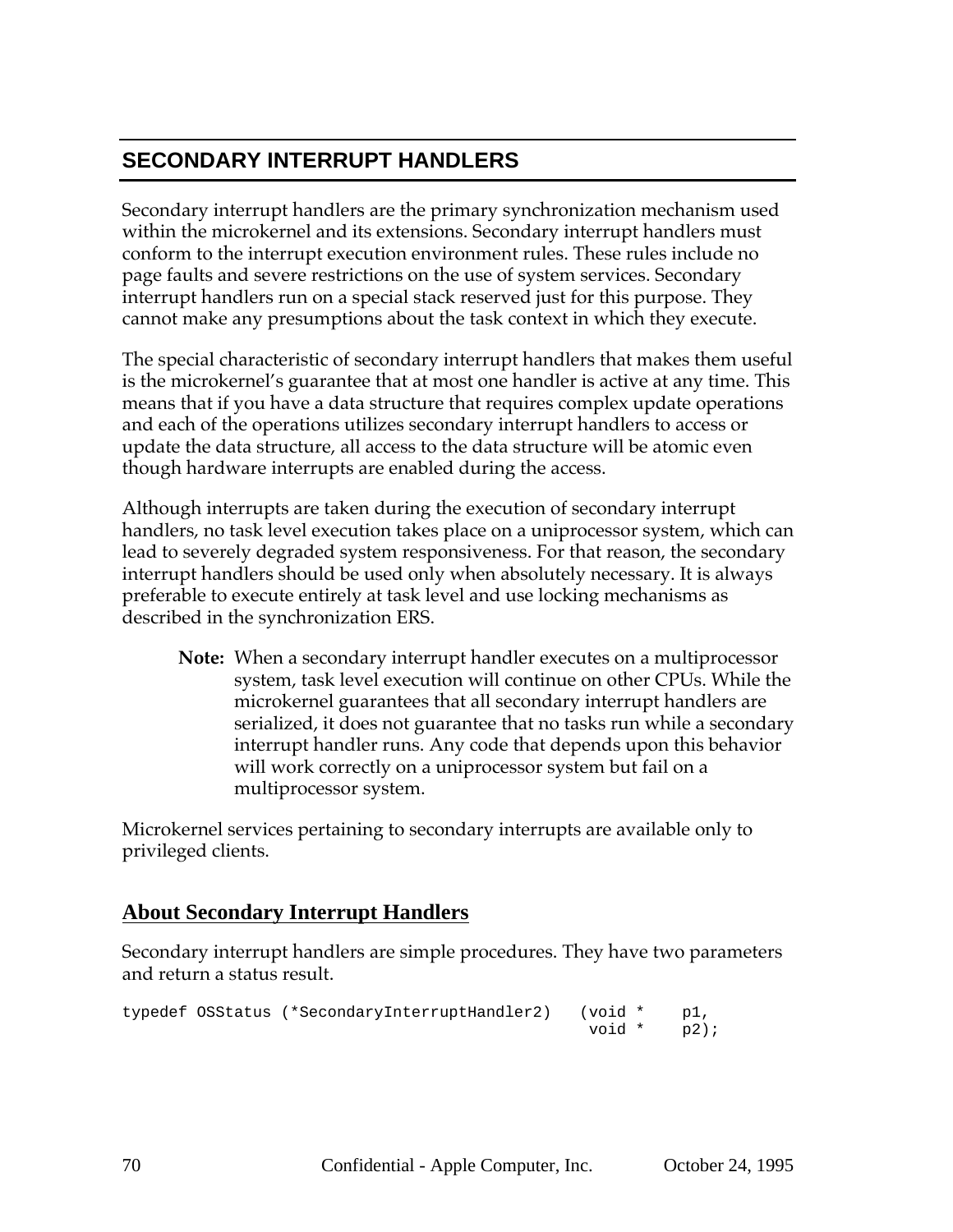## **SECONDARY INTERRUPT HANDLERS**

Secondary interrupt handlers are the primary synchronization mechanism used within the microkernel and its extensions. Secondary interrupt handlers must conform to the interrupt execution environment rules. These rules include no page faults and severe restrictions on the use of system services. Secondary interrupt handlers run on a special stack reserved just for this purpose. They cannot make any presumptions about the task context in which they execute.

The special characteristic of secondary interrupt handlers that makes them useful is the microkernel's guarantee that at most one handler is active at any time. This means that if you have a data structure that requires complex update operations and each of the operations utilizes secondary interrupt handlers to access or update the data structure, all access to the data structure will be atomic even though hardware interrupts are enabled during the access.

Although interrupts are taken during the execution of secondary interrupt handlers, no task level execution takes place on a uniprocessor system, which can lead to severely degraded system responsiveness. For that reason, the secondary interrupt handlers should be used only when absolutely necessary. It is always preferable to execute entirely at task level and use locking mechanisms as described in the synchronization ERS.

**Note:** When a secondary interrupt handler executes on a multiprocessor system, task level execution will continue on other CPUs. While the microkernel guarantees that all secondary interrupt handlers are serialized, it does not guarantee that no tasks run while a secondary interrupt handler runs. Any code that depends upon this behavior will work correctly on a uniprocessor system but fail on a multiprocessor system.

Microkernel services pertaining to secondary interrupts are available only to privileged clients.

## **About Secondary Interrupt Handlers**

Secondary interrupt handlers are simple procedures. They have two parameters and return a status result.

```
typedef OSStatus (*SecondaryInterruptHandler2) (void * p1,
                                            void * p2);
```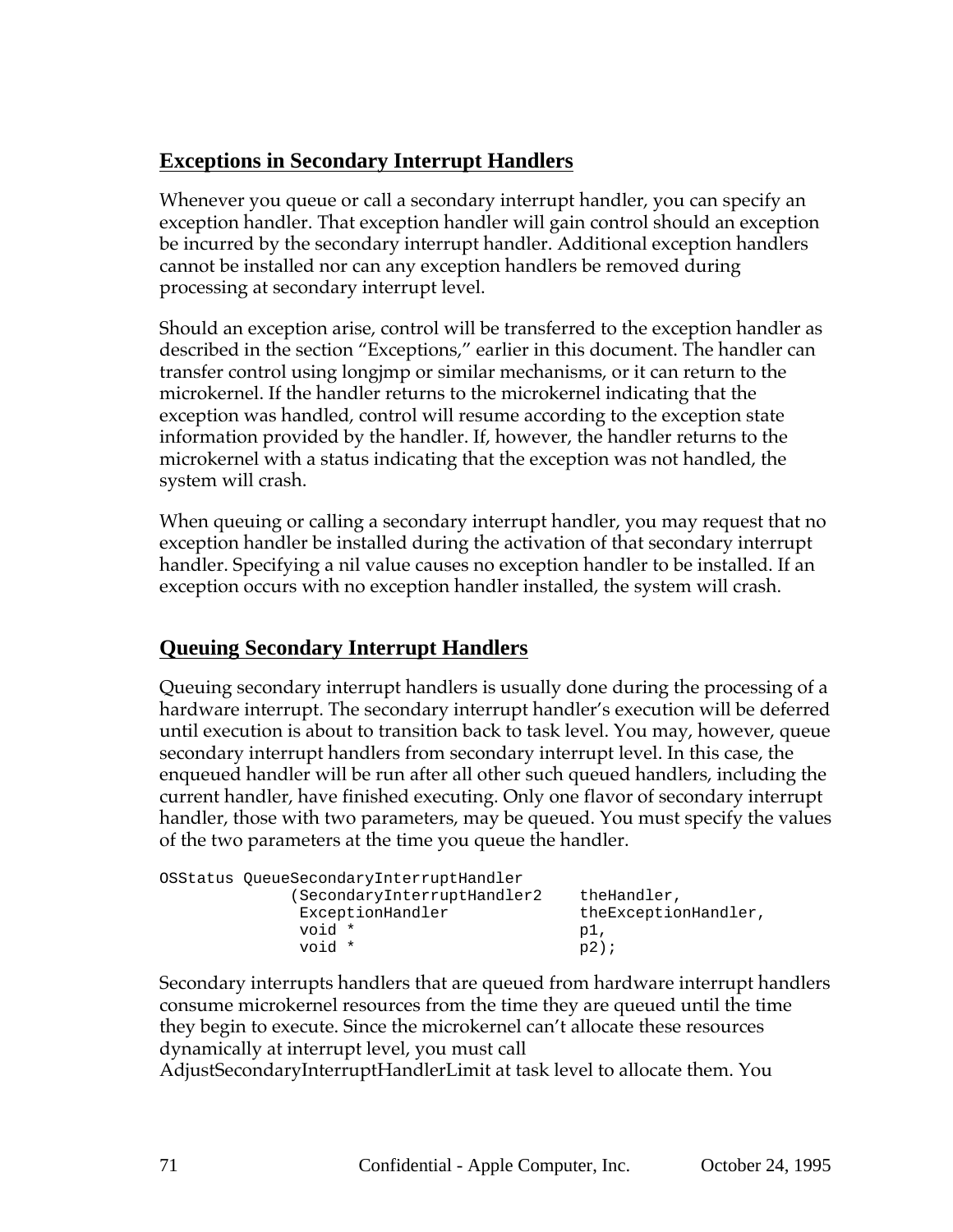## **Exceptions in Secondary Interrupt Handlers**

Whenever you queue or call a secondary interrupt handler, you can specify an exception handler. That exception handler will gain control should an exception be incurred by the secondary interrupt handler. Additional exception handlers cannot be installed nor can any exception handlers be removed during processing at secondary interrupt level.

Should an exception arise, control will be transferred to the exception handler as described in the section "Exceptions," earlier in this document. The handler can transfer control using longjmp or similar mechanisms, or it can return to the microkernel. If the handler returns to the microkernel indicating that the exception was handled, control will resume according to the exception state information provided by the handler. If, however, the handler returns to the microkernel with a status indicating that the exception was not handled, the system will crash.

When queuing or calling a secondary interrupt handler, you may request that no exception handler be installed during the activation of that secondary interrupt handler. Specifying a nil value causes no exception handler to be installed. If an exception occurs with no exception handler installed, the system will crash.

## **Queuing Secondary Interrupt Handlers**

Queuing secondary interrupt handlers is usually done during the processing of a hardware interrupt. The secondary interrupt handler's execution will be deferred until execution is about to transition back to task level. You may, however, queue secondary interrupt handlers from secondary interrupt level. In this case, the enqueued handler will be run after all other such queued handlers, including the current handler, have finished executing. Only one flavor of secondary interrupt handler, those with two parameters, may be queued. You must specify the values of the two parameters at the time you queue the handler.

| OSStatus QueueSecondaryInterruptHandler |                      |
|-----------------------------------------|----------------------|
| (SecondaryInterruptHandler2)            | theHandler,          |
| ExceptionHandler                        | theExceptionHandler, |
| void *                                  | pl,                  |
| * biov                                  | $p2$ );              |

Secondary interrupts handlers that are queued from hardware interrupt handlers consume microkernel resources from the time they are queued until the time they begin to execute. Since the microkernel can't allocate these resources dynamically at interrupt level, you must call

AdjustSecondaryInterruptHandlerLimit at task level to allocate them. You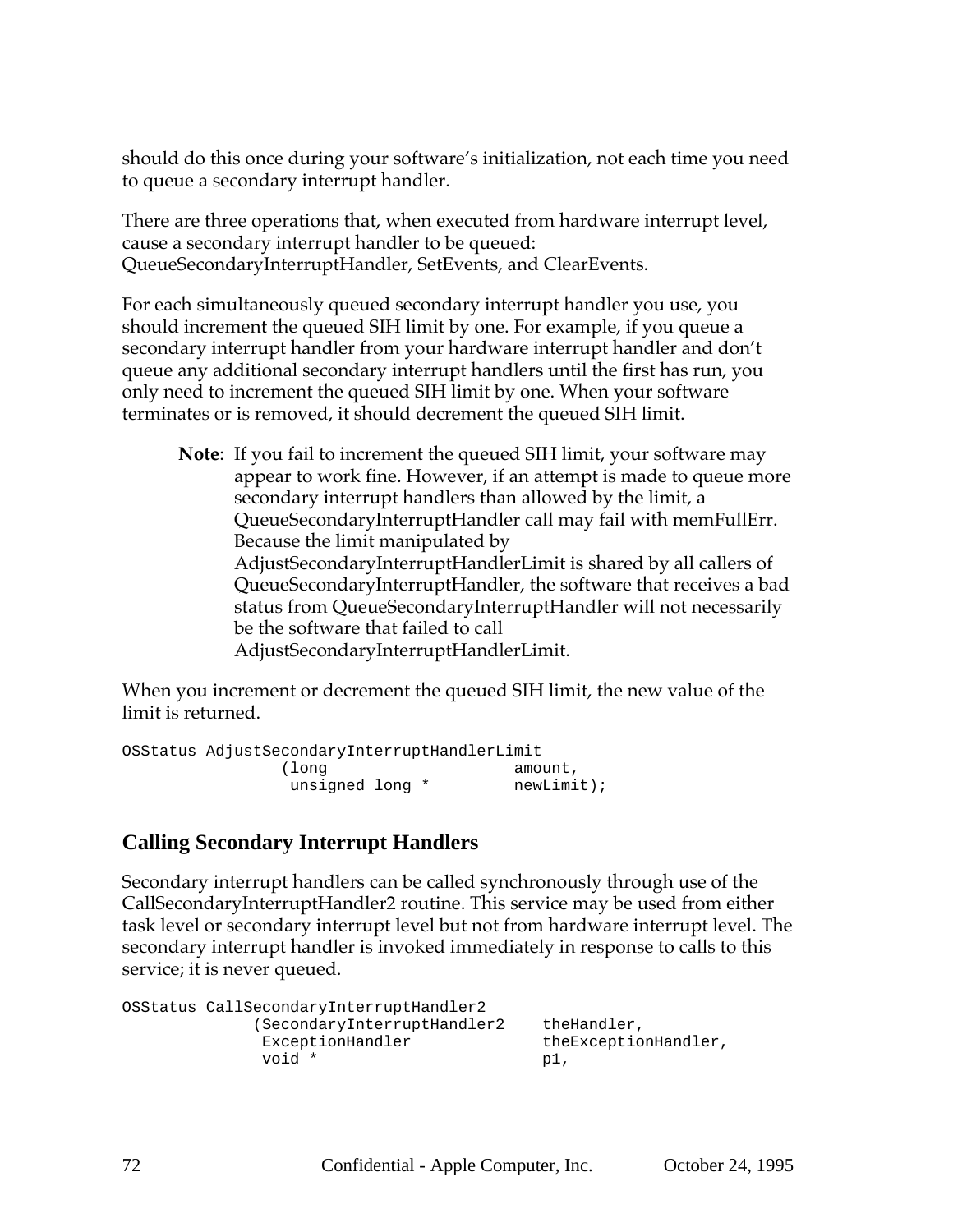should do this once during your software's initialization, not each time you need to queue a secondary interrupt handler.

There are three operations that, when executed from hardware interrupt level, cause a secondary interrupt handler to be queued: QueueSecondaryInterruptHandler, SetEvents, and ClearEvents.

For each simultaneously queued secondary interrupt handler you use, you should increment the queued SIH limit by one. For example, if you queue a secondary interrupt handler from your hardware interrupt handler and don't queue any additional secondary interrupt handlers until the first has run, you only need to increment the queued SIH limit by one. When your software terminates or is removed, it should decrement the queued SIH limit.

```
Note: If you fail to increment the queued SIH limit, your software may
      appear to work fine. However, if an attempt is made to queue more
      secondary interrupt handlers than allowed by the limit, a
      QueueSecondaryInterruptHandler call may fail with memFullErr.
      Because the limit manipulated by
      AdjustSecondaryInterruptHandlerLimit is shared by all callers of
      QueueSecondaryInterruptHandler, the software that receives a bad
      status from QueueSecondaryInterruptHandler will not necessarily
      be the software that failed to call
      AdjustSecondaryInterruptHandlerLimit.
```
When you increment or decrement the queued SIH limit, the new value of the limit is returned.

```
OSStatus AdjustSecondaryInterruptHandlerLimit
           (long amount,
             unsigned long * mewLimit);
```
## **Calling Secondary Interrupt Handlers**

Secondary interrupt handlers can be called synchronously through use of the CallSecondaryInterruptHandler2 routine. This service may be used from either task level or secondary interrupt level but not from hardware interrupt level. The secondary interrupt handler is invoked immediately in response to calls to this service; it is never queued.

```
OSStatus CallSecondaryInterruptHandler2
         (SecondaryInterruptHandler2 theHandler,
           ExceptionHandler theExceptionHandler,
           void * p1,
```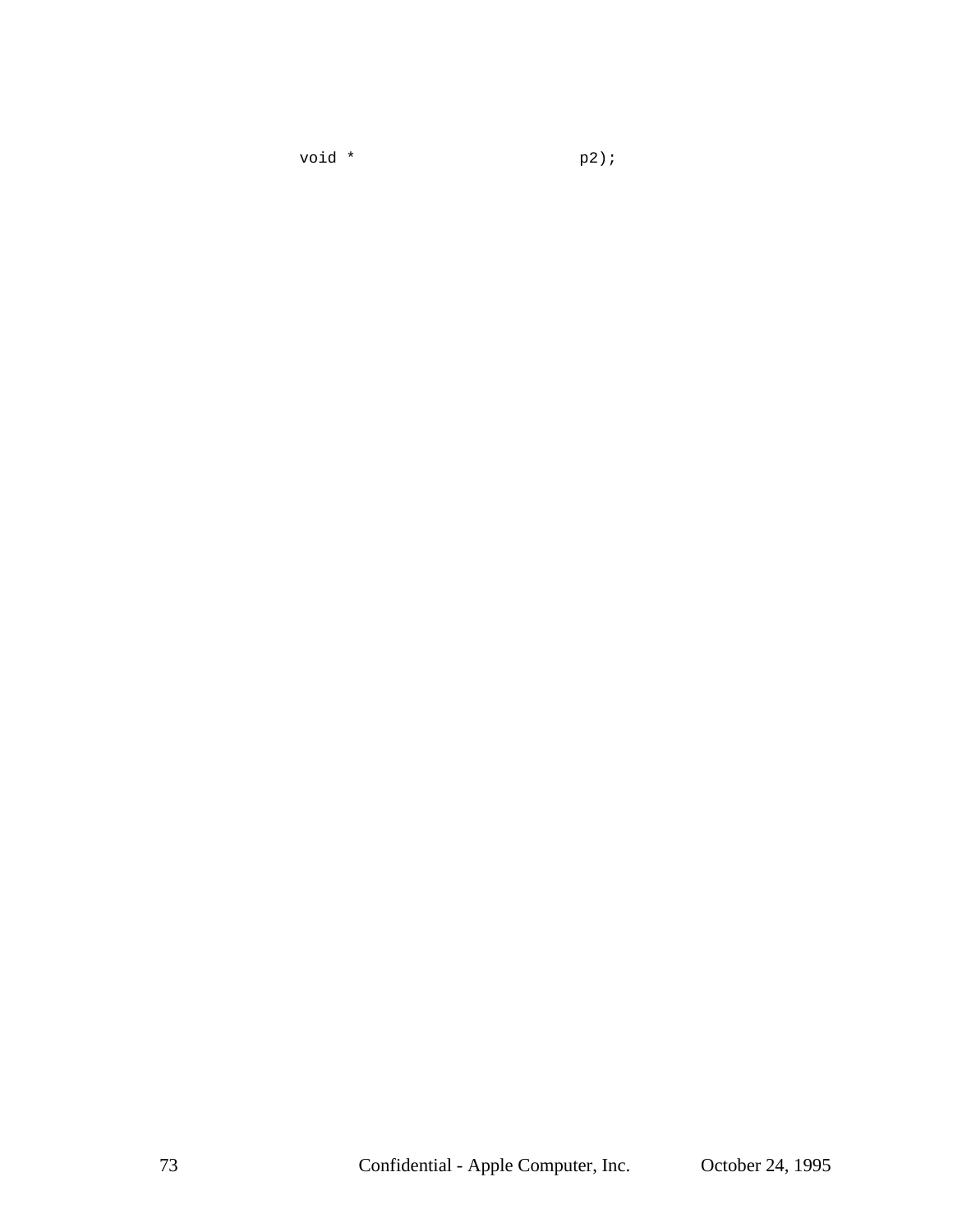void \* p2);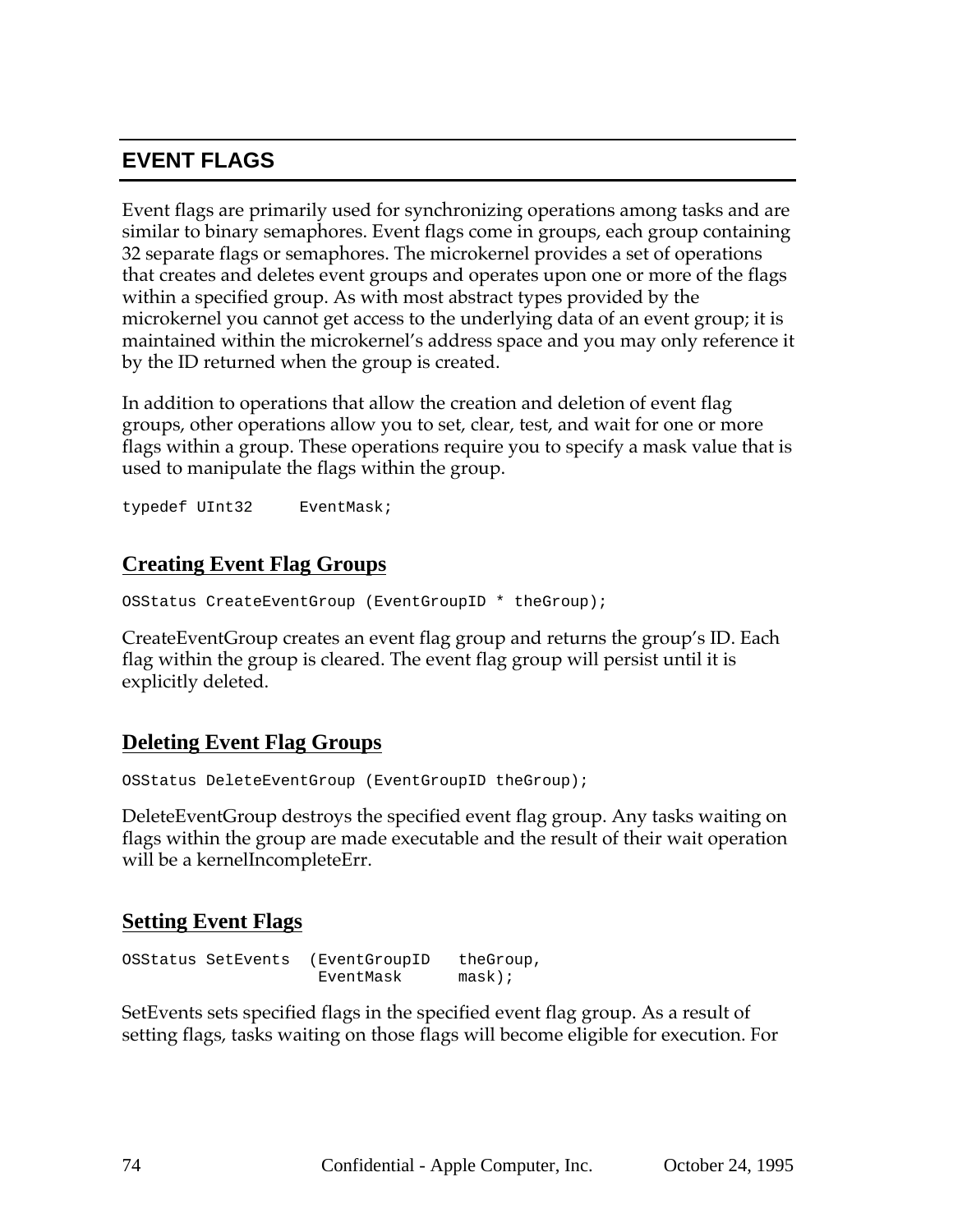# **EVENT FLAGS**

Event flags are primarily used for synchronizing operations among tasks and are similar to binary semaphores. Event flags come in groups, each group containing 32 separate flags or semaphores. The microkernel provides a set of operations that creates and deletes event groups and operates upon one or more of the flags within a specified group. As with most abstract types provided by the microkernel you cannot get access to the underlying data of an event group; it is maintained within the microkernel's address space and you may only reference it by the ID returned when the group is created.

In addition to operations that allow the creation and deletion of event flag groups, other operations allow you to set, clear, test, and wait for one or more flags within a group. These operations require you to specify a mask value that is used to manipulate the flags within the group.

typedef UInt32 EventMask;

#### **Creating Event Flag Groups**

OSStatus CreateEventGroup (EventGroupID \* theGroup);

CreateEventGroup creates an event flag group and returns the group's ID. Each flag within the group is cleared. The event flag group will persist until it is explicitly deleted.

#### **Deleting Event Flag Groups**

OSStatus DeleteEventGroup (EventGroupID theGroup);

DeleteEventGroup destroys the specified event flag group. Any tasks waiting on flags within the group are made executable and the result of their wait operation will be a kernelIncompleteErr.

#### **Setting Event Flags**

OSStatus SetEvents (EventGroupID theGroup, EventMask mask);

SetEvents sets specified flags in the specified event flag group. As a result of setting flags, tasks waiting on those flags will become eligible for execution. For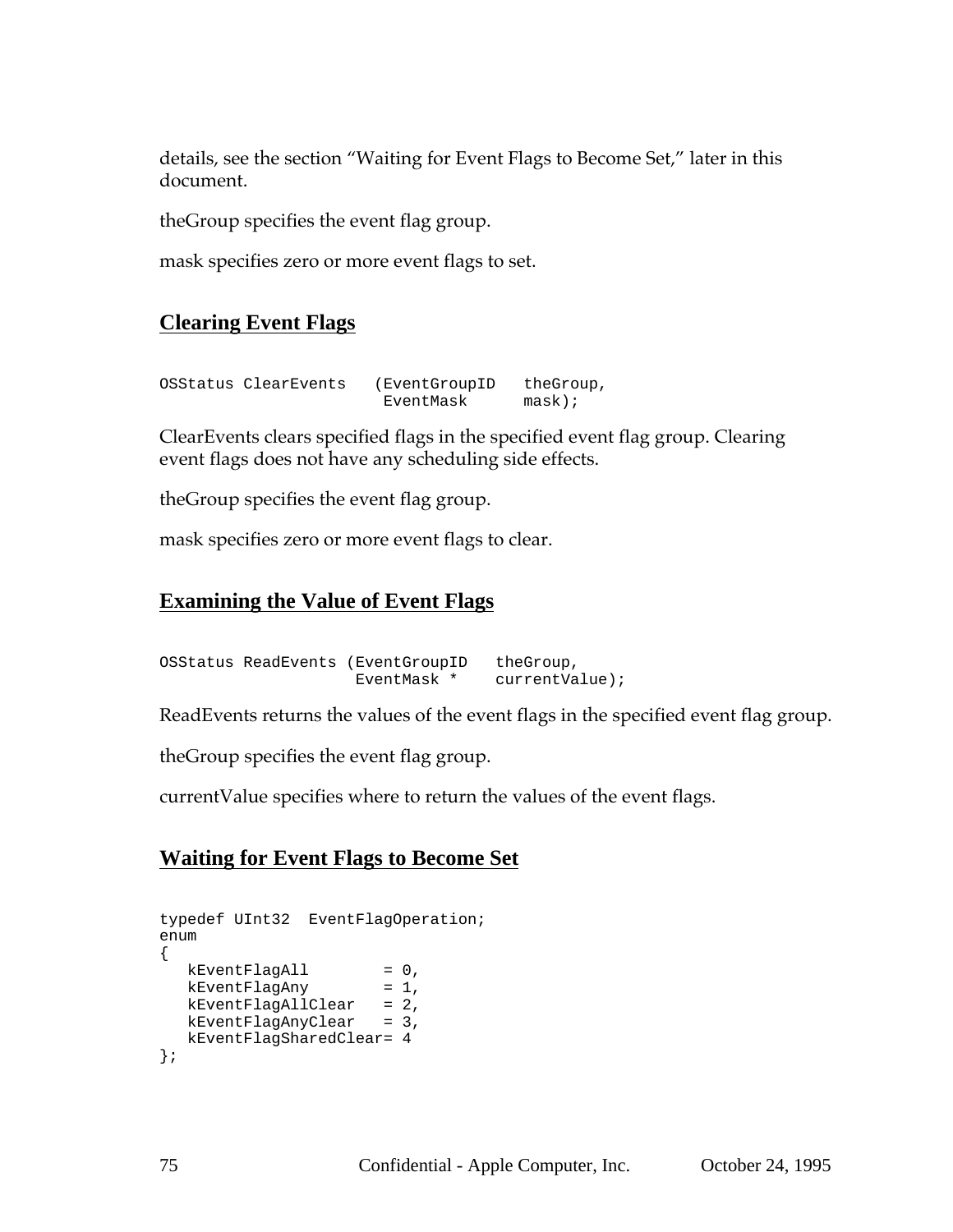details, see the section "Waiting for Event Flags to Become Set," later in this document.

theGroup specifies the event flag group.

mask specifies zero or more event flags to set.

## **Clearing Event Flags**

| OSStatus ClearEvents | (EventGroupID | theGroup, |
|----------------------|---------------|-----------|
|                      | EventMask     | $mask)$ ; |

ClearEvents clears specified flags in the specified event flag group. Clearing event flags does not have any scheduling side effects.

theGroup specifies the event flag group.

mask specifies zero or more event flags to clear.

#### **Examining the Value of Event Flags**

OSStatus ReadEvents (EventGroupID theGroup, EventMask \* currentValue);

ReadEvents returns the values of the event flags in the specified event flag group.

theGroup specifies the event flag group.

currentValue specifies where to return the values of the event flags.

#### **Waiting for Event Flags to Become Set**

```
typedef UInt32 EventFlagOperation;
enum
{
  kEventFlagAll = 0,
  kEventFlagAny = 1,
  kEventFlagAllClear = 2,
  kEventFlagAnyClear = 3,
  kEventFlagSharedClear= 4
};
```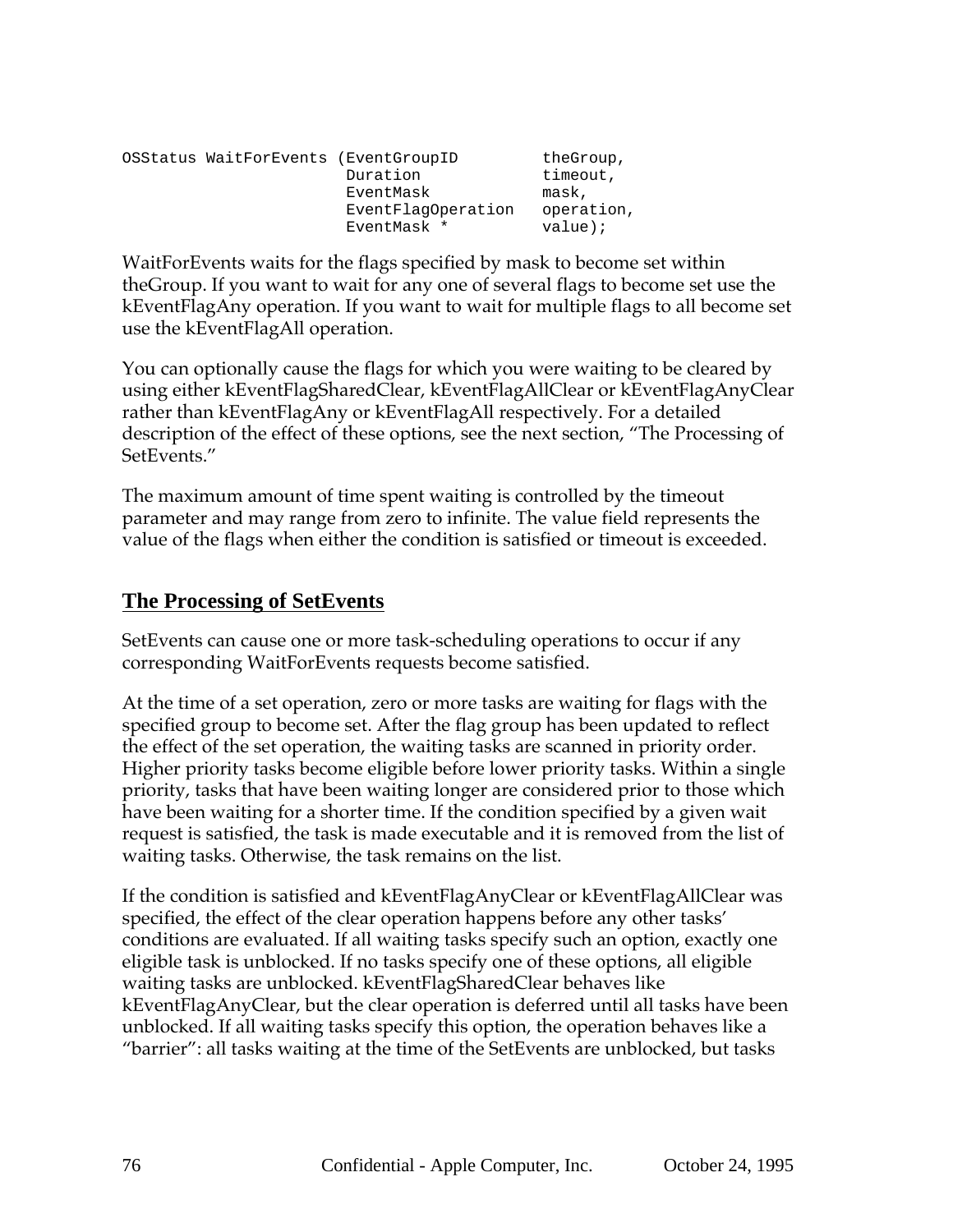| OSStatus WaitForEvents (EventGroupID |                    | theGroup,  |
|--------------------------------------|--------------------|------------|
|                                      | Duration           | timeout,   |
|                                      | EventMask          | mask,      |
|                                      | EventFlaqOperation | operation, |
|                                      | EventMask *        | $value$ ;  |

WaitForEvents waits for the flags specified by mask to become set within theGroup. If you want to wait for any one of several flags to become set use the kEventFlagAny operation. If you want to wait for multiple flags to all become set use the kEventFlagAll operation.

You can optionally cause the flags for which you were waiting to be cleared by using either kEventFlagSharedClear, kEventFlagAllClear or kEventFlagAnyClear rather than kEventFlagAny or kEventFlagAll respectively. For a detailed description of the effect of these options, see the next section, "The Processing of SetEvents."

The maximum amount of time spent waiting is controlled by the timeout parameter and may range from zero to infinite. The value field represents the value of the flags when either the condition is satisfied or timeout is exceeded.

#### **The Processing of SetEvents**

SetEvents can cause one or more task-scheduling operations to occur if any corresponding WaitForEvents requests become satisfied.

At the time of a set operation, zero or more tasks are waiting for flags with the specified group to become set. After the flag group has been updated to reflect the effect of the set operation, the waiting tasks are scanned in priority order. Higher priority tasks become eligible before lower priority tasks. Within a single priority, tasks that have been waiting longer are considered prior to those which have been waiting for a shorter time. If the condition specified by a given wait request is satisfied, the task is made executable and it is removed from the list of waiting tasks. Otherwise, the task remains on the list.

If the condition is satisfied and kEventFlagAnyClear or kEventFlagAllClear was specified, the effect of the clear operation happens before any other tasks' conditions are evaluated. If all waiting tasks specify such an option, exactly one eligible task is unblocked. If no tasks specify one of these options, all eligible waiting tasks are unblocked. kEventFlagSharedClear behaves like kEventFlagAnyClear, but the clear operation is deferred until all tasks have been unblocked. If all waiting tasks specify this option, the operation behaves like a "barrier": all tasks waiting at the time of the SetEvents are unblocked, but tasks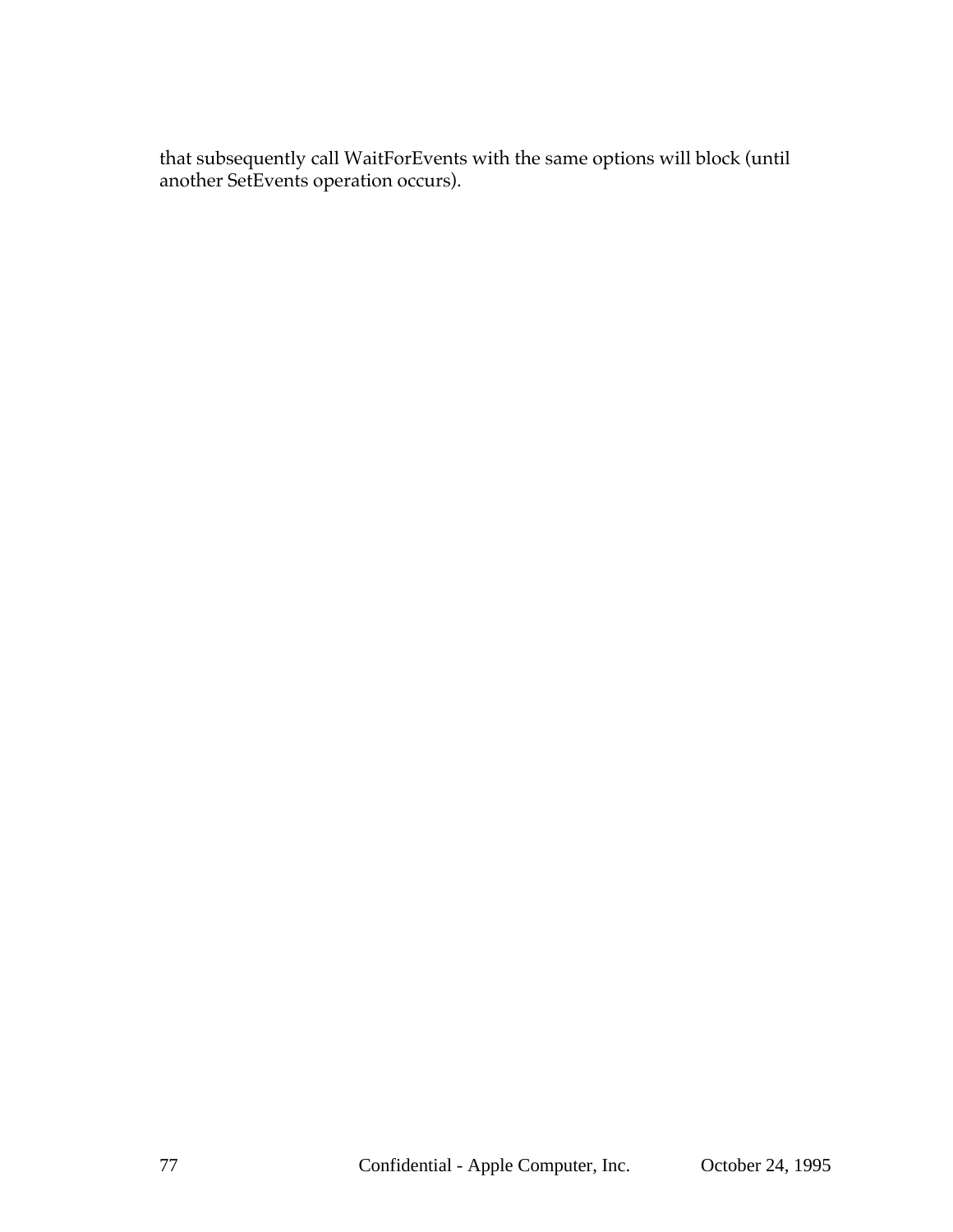that subsequently call WaitForEvents with the same options will block (until another SetEvents operation occurs).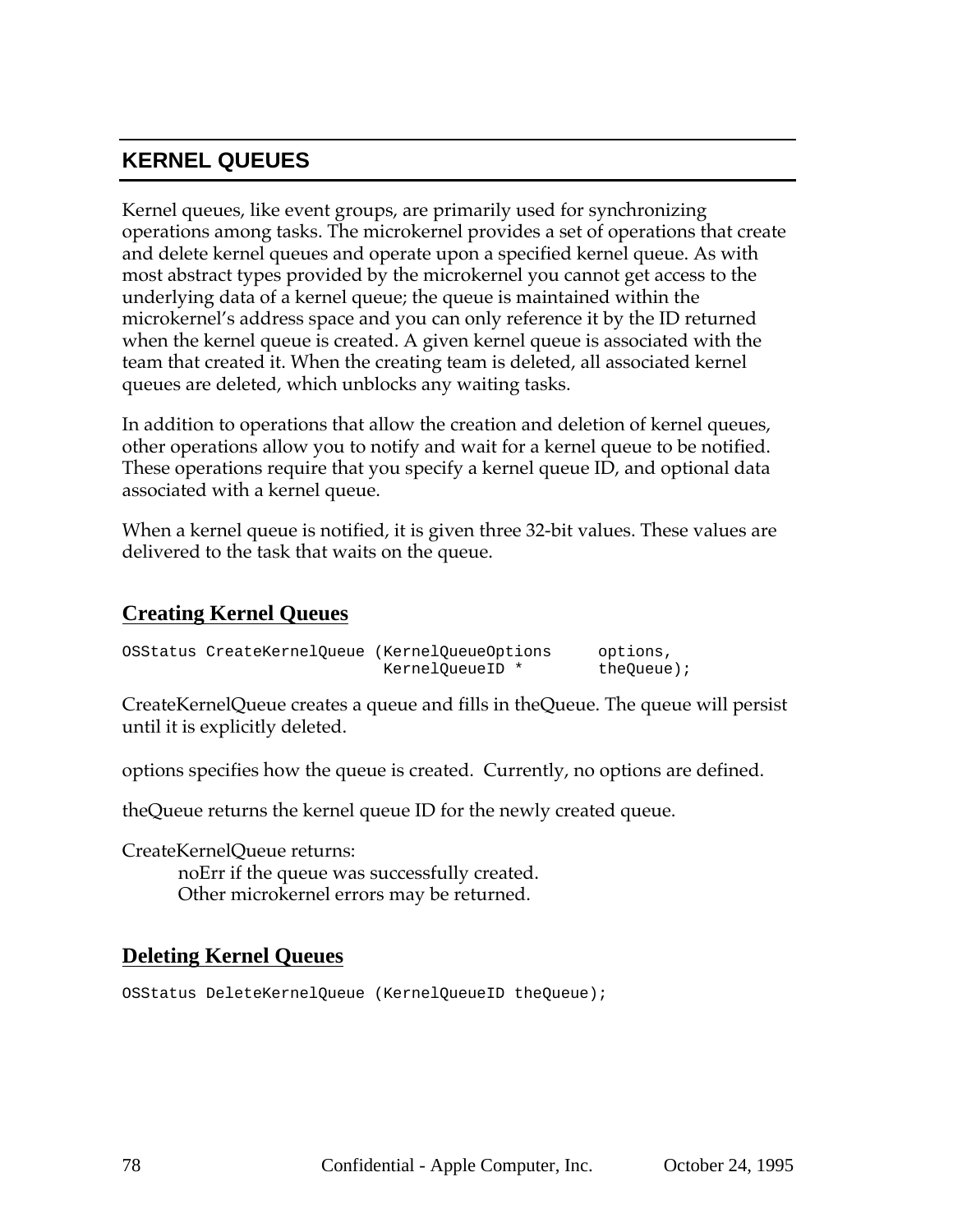# **KERNEL QUEUES**

Kernel queues, like event groups, are primarily used for synchronizing operations among tasks. The microkernel provides a set of operations that create and delete kernel queues and operate upon a specified kernel queue. As with most abstract types provided by the microkernel you cannot get access to the underlying data of a kernel queue; the queue is maintained within the microkernel's address space and you can only reference it by the ID returned when the kernel queue is created. A given kernel queue is associated with the team that created it. When the creating team is deleted, all associated kernel queues are deleted, which unblocks any waiting tasks.

In addition to operations that allow the creation and deletion of kernel queues, other operations allow you to notify and wait for a kernel queue to be notified. These operations require that you specify a kernel queue ID, and optional data associated with a kernel queue.

When a kernel queue is notified, it is given three 32-bit values. These values are delivered to the task that waits on the queue.

#### **Creating Kernel Queues**

|  | OSStatus CreateKernelOueue (KernelOueueOptions | options,   |
|--|------------------------------------------------|------------|
|  | KernelOueueID *                                | theOueue); |

CreateKernelQueue creates a queue and fills in theQueue. The queue will persist until it is explicitly deleted.

options specifies how the queue is created. Currently, no options are defined.

theQueue returns the kernel queue ID for the newly created queue.

CreateKernelQueue returns: noErr if the queue was successfully created. Other microkernel errors may be returned.

#### **Deleting Kernel Queues**

OSStatus DeleteKernelQueue (KernelQueueID theQueue);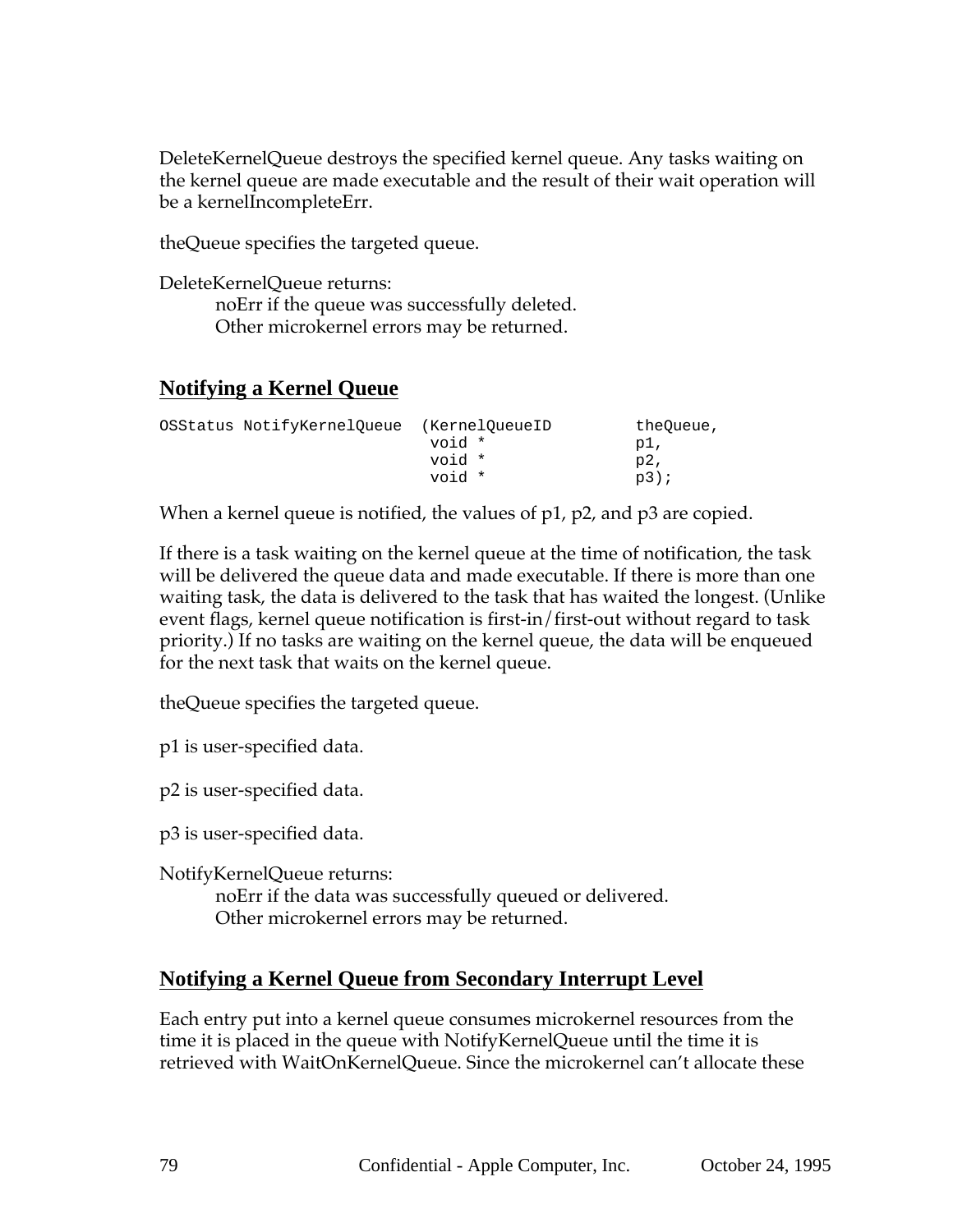DeleteKernelQueue destroys the specified kernel queue. Any tasks waiting on the kernel queue are made executable and the result of their wait operation will be a kernelIncompleteErr.

theQueue specifies the targeted queue.

DeleteKernelQueue returns: noErr if the queue was successfully deleted. Other microkernel errors may be returned.

## **Notifying a Kernel Queue**

| OSStatus NotifyKernelOueue |        | (KernelOueueID | theOueue, |
|----------------------------|--------|----------------|-----------|
|                            | void * |                | pl,       |
|                            | void * |                | p2,       |
|                            | void * |                | $p3$ );   |

When a kernel queue is notified, the values of p1, p2, and p3 are copied.

If there is a task waiting on the kernel queue at the time of notification, the task will be delivered the queue data and made executable. If there is more than one waiting task, the data is delivered to the task that has waited the longest. (Unlike event flags, kernel queue notification is first-in/first-out without regard to task priority.) If no tasks are waiting on the kernel queue, the data will be enqueued for the next task that waits on the kernel queue.

theQueue specifies the targeted queue.

p1 is user-specified data.

p2 is user-specified data.

p3 is user-specified data.

NotifyKernelQueue returns:

noErr if the data was successfully queued or delivered. Other microkernel errors may be returned.

#### **Notifying a Kernel Queue from Secondary Interrupt Level**

Each entry put into a kernel queue consumes microkernel resources from the time it is placed in the queue with NotifyKernelQueue until the time it is retrieved with WaitOnKernelQueue. Since the microkernel can't allocate these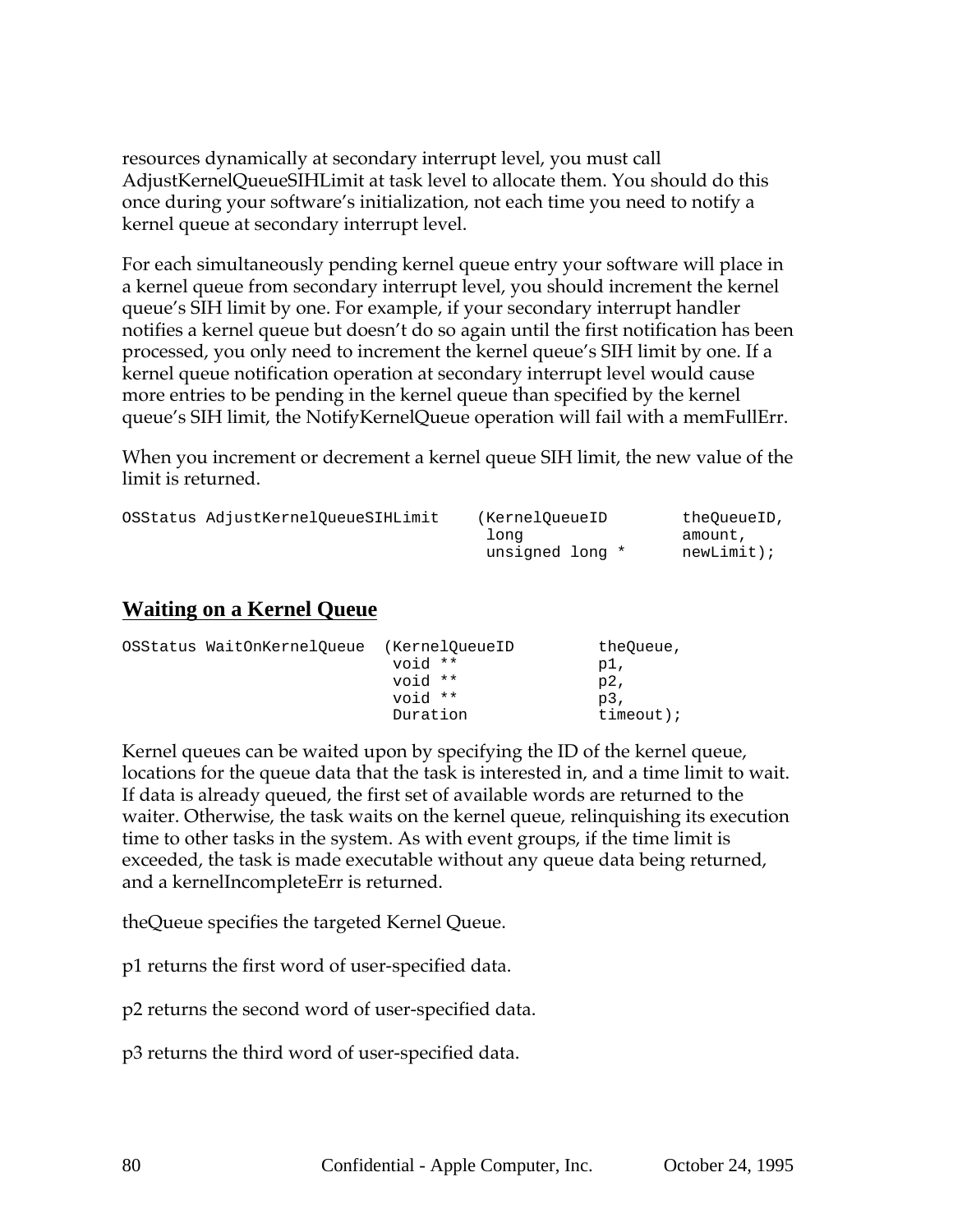resources dynamically at secondary interrupt level, you must call AdjustKernelQueueSIHLimit at task level to allocate them. You should do this once during your software's initialization, not each time you need to notify a kernel queue at secondary interrupt level.

For each simultaneously pending kernel queue entry your software will place in a kernel queue from secondary interrupt level, you should increment the kernel queue's SIH limit by one. For example, if your secondary interrupt handler notifies a kernel queue but doesn't do so again until the first notification has been processed, you only need to increment the kernel queue's SIH limit by one. If a kernel queue notification operation at secondary interrupt level would cause more entries to be pending in the kernel queue than specified by the kernel queue's SIH limit, the NotifyKernelQueue operation will fail with a memFullErr.

When you increment or decrement a kernel queue SIH limit, the new value of the limit is returned.

| OSStatus AdjustKernelOueueSIHLimit | (KernelOueueID  | theOueueID, |
|------------------------------------|-----------------|-------------|
|                                    | Tona            | amount,     |
|                                    | unsigned long * | newLimit);  |

#### **Waiting on a Kernel Queue**

| OSStatus WaitOnKernelOueue | (KernelOueueID | theOueue,    |
|----------------------------|----------------|--------------|
|                            | void **        | p1,          |
|                            | void **        | p2,          |
|                            | void **        | $p3$ .       |
|                            | Duration       | $timeout$ ); |

Kernel queues can be waited upon by specifying the ID of the kernel queue, locations for the queue data that the task is interested in, and a time limit to wait. If data is already queued, the first set of available words are returned to the waiter. Otherwise, the task waits on the kernel queue, relinquishing its execution time to other tasks in the system. As with event groups, if the time limit is exceeded, the task is made executable without any queue data being returned, and a kernelIncompleteErr is returned.

theQueue specifies the targeted Kernel Queue.

p1 returns the first word of user-specified data.

p2 returns the second word of user-specified data.

p3 returns the third word of user-specified data.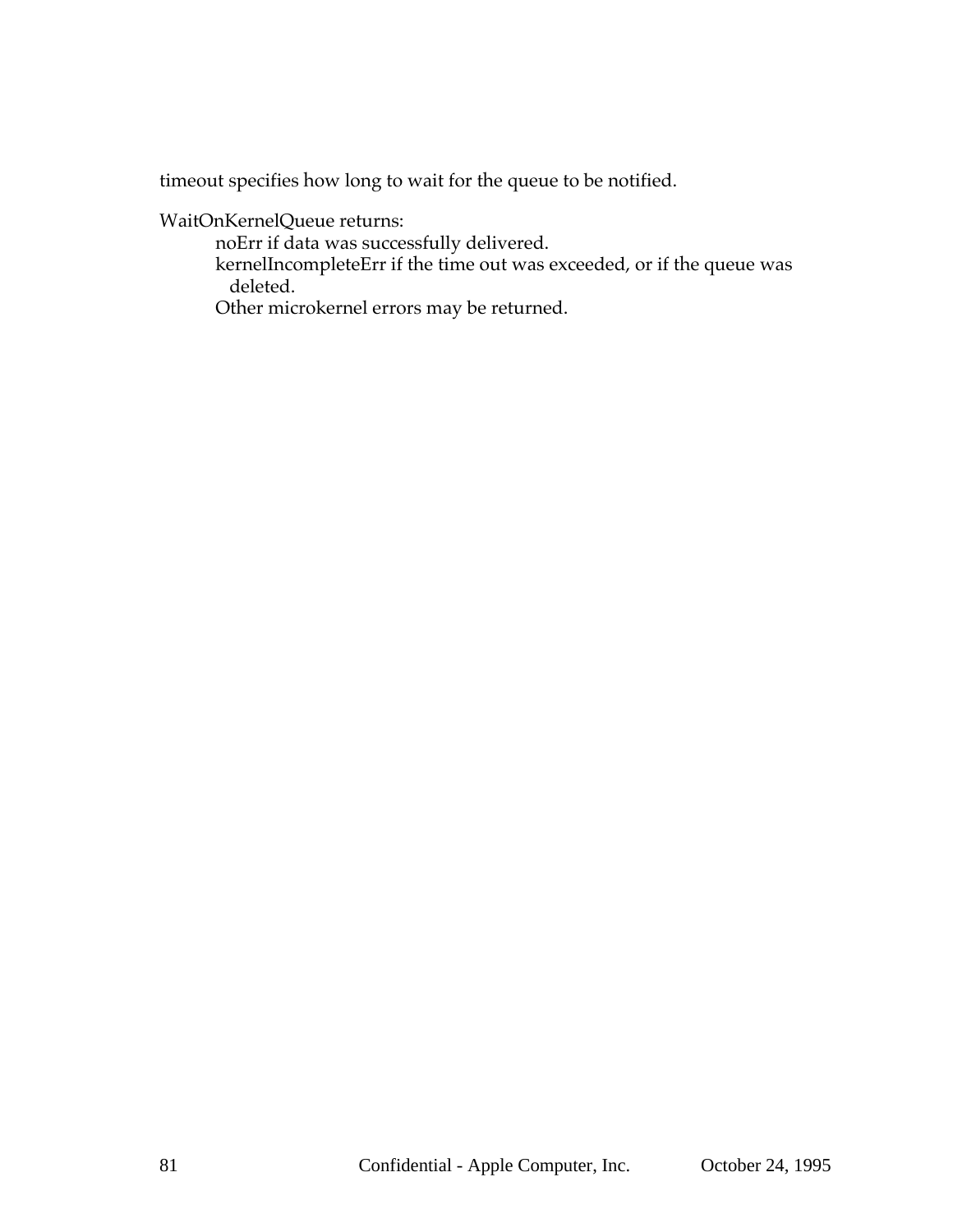timeout specifies how long to wait for the queue to be notified.

WaitOnKernelQueue returns:

noErr if data was successfully delivered.

kernelIncompleteErr if the time out was exceeded, or if the queue was deleted.

Other microkernel errors may be returned.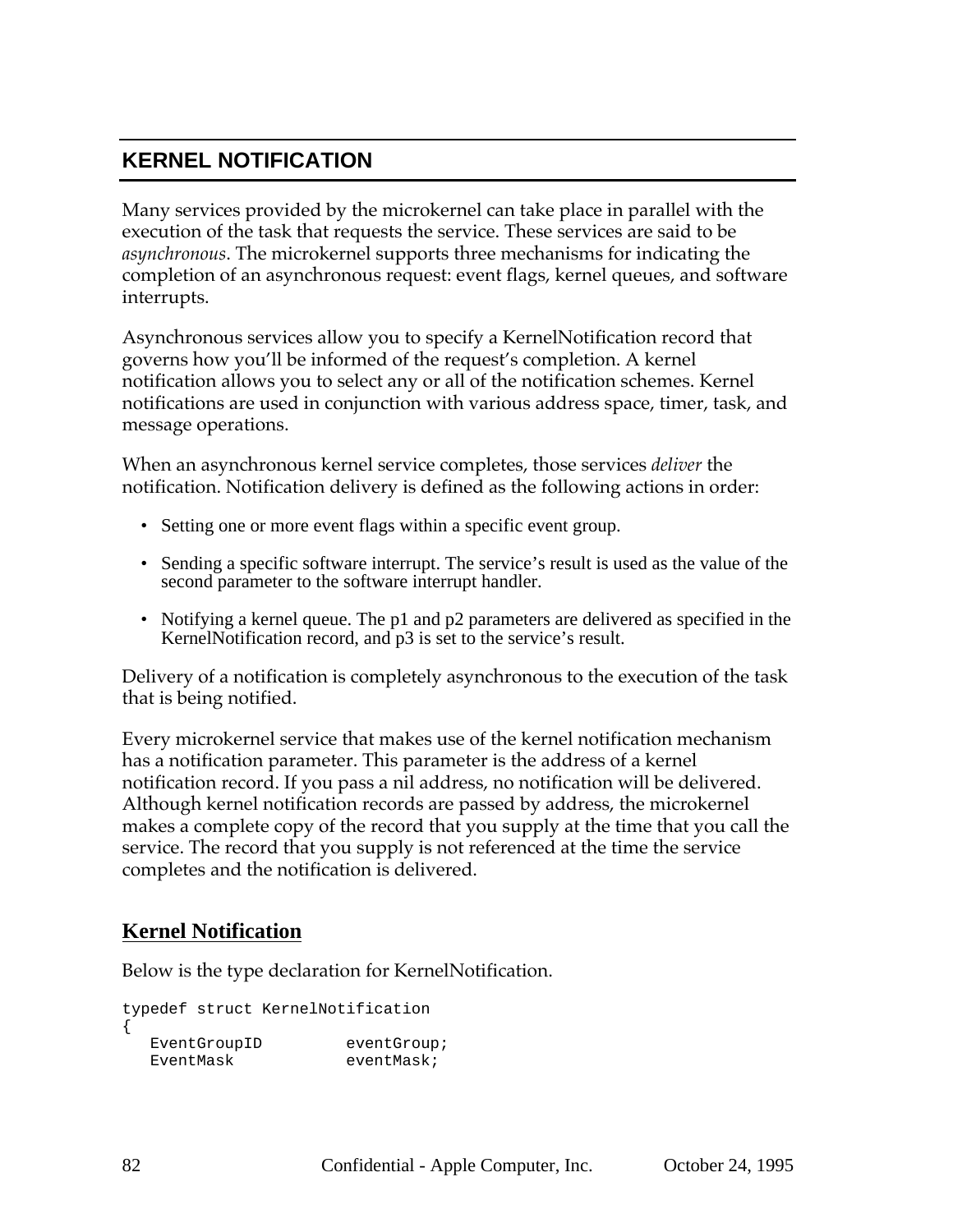# **KERNEL NOTIFICATION**

Many services provided by the microkernel can take place in parallel with the execution of the task that requests the service. These services are said to be *asynchronous*. The microkernel supports three mechanisms for indicating the completion of an asynchronous request: event flags, kernel queues, and software interrupts.

Asynchronous services allow you to specify a KernelNotification record that governs how you'll be informed of the request's completion. A kernel notification allows you to select any or all of the notification schemes. Kernel notifications are used in conjunction with various address space, timer, task, and message operations.

When an asynchronous kernel service completes, those services *deliver* the notification. Notification delivery is defined as the following actions in order:

- Setting one or more event flags within a specific event group.
- Sending a specific software interrupt. The service's result is used as the value of the second parameter to the software interrupt handler.
- Notifying a kernel queue. The p1 and p2 parameters are delivered as specified in the KernelNotification record, and p3 is set to the service's result.

Delivery of a notification is completely asynchronous to the execution of the task that is being notified.

Every microkernel service that makes use of the kernel notification mechanism has a notification parameter. This parameter is the address of a kernel notification record. If you pass a nil address, no notification will be delivered. Although kernel notification records are passed by address, the microkernel makes a complete copy of the record that you supply at the time that you call the service. The record that you supply is not referenced at the time the service completes and the notification is delivered.

# **Kernel Notification**

Below is the type declaration for KernelNotification.

```
typedef struct KernelNotification
{
  EventGroupID eventGroup;
  EventMask eventMask;
```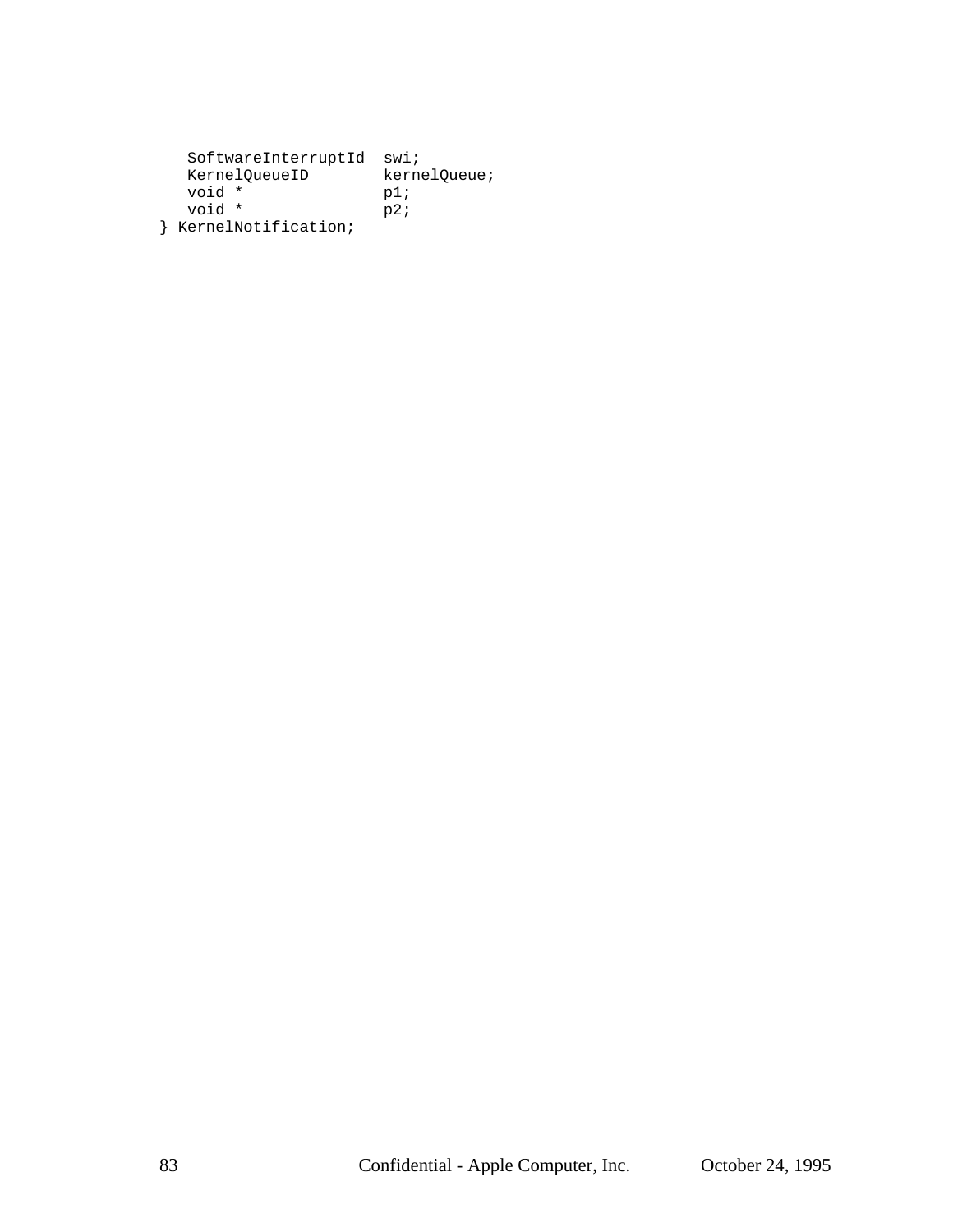| SoftwareInterruptId | swi;         |
|---------------------|--------------|
| KernelOueueID       | kernelQueue; |
| void *              | p1;          |
| void *              | p2;          |
| KernelNotification; |              |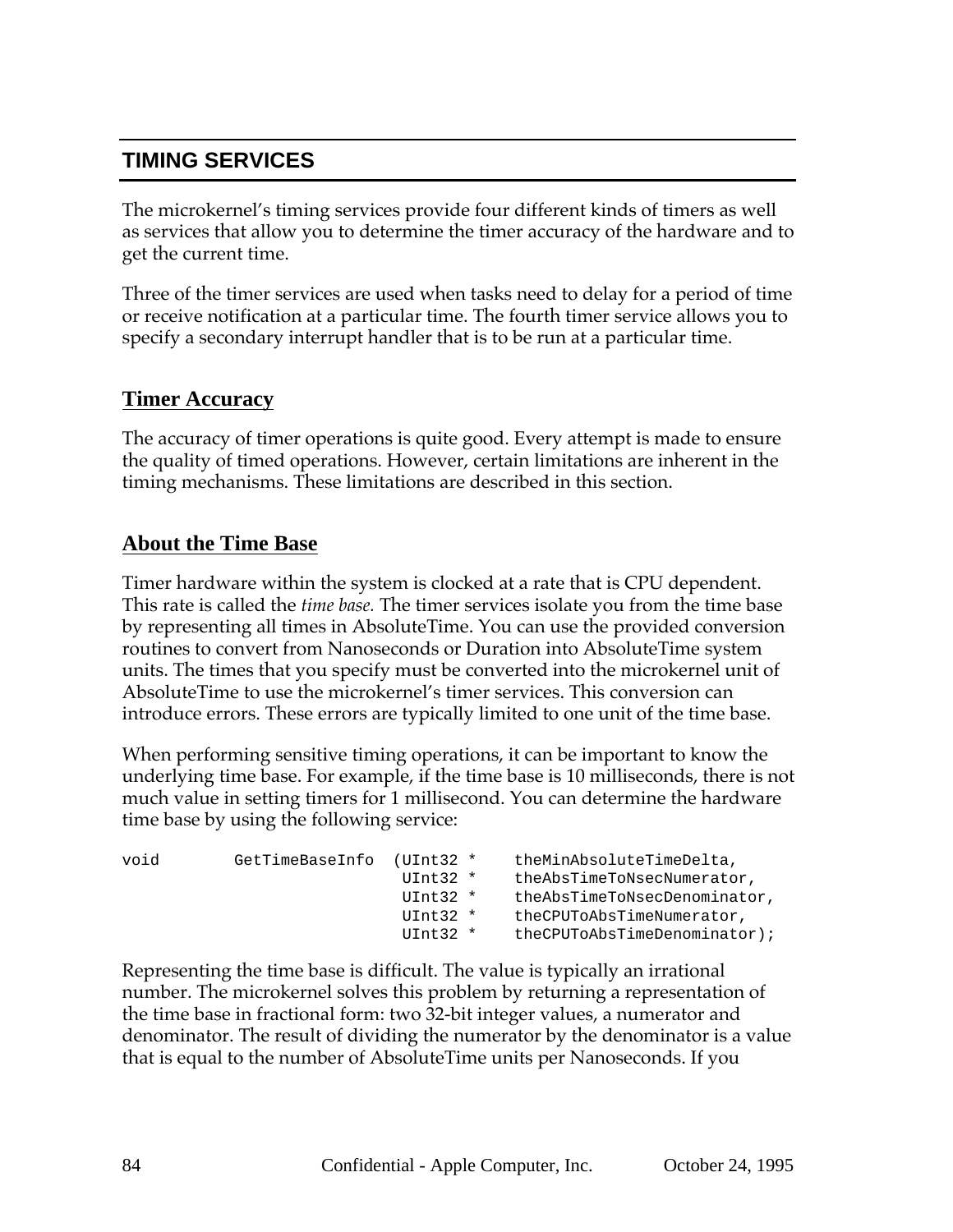# **TIMING SERVICES**

The microkernel's timing services provide four different kinds of timers as well as services that allow you to determine the timer accuracy of the hardware and to get the current time.

Three of the timer services are used when tasks need to delay for a period of time or receive notification at a particular time. The fourth timer service allows you to specify a secondary interrupt handler that is to be run at a particular time.

#### **Timer Accuracy**

The accuracy of timer operations is quite good. Every attempt is made to ensure the quality of timed operations. However, certain limitations are inherent in the timing mechanisms. These limitations are described in this section.

#### **About the Time Base**

Timer hardware within the system is clocked at a rate that is CPU dependent. This rate is called the *time base.* The timer services isolate you from the time base by representing all times in AbsoluteTime. You can use the provided conversion routines to convert from Nanoseconds or Duration into AbsoluteTime system units. The times that you specify must be converted into the microkernel unit of AbsoluteTime to use the microkernel's timer services. This conversion can introduce errors. These errors are typically limited to one unit of the time base.

When performing sensitive timing operations, it can be important to know the underlying time base. For example, if the time base is 10 milliseconds, there is not much value in setting timers for 1 millisecond. You can determine the hardware time base by using the following service:

| void | GetTimeBaseInfo | $(UInt32 *$ | theMinAbsoluteTimeDelta,                  |
|------|-----------------|-------------|-------------------------------------------|
|      |                 | $UInt32$ *  | the AbsTime To Nsec Numerator,            |
|      |                 | $UInt32$ *  | the AbsTime To Nsec Denominator.          |
|      |                 | $UInt32$ *  | theCPUToAbsTimeNumerator,                 |
|      |                 | $UInt32$ *  | $the$ CPUT $o$ Abs Time Denominator $i$ ; |
|      |                 |             |                                           |

Representing the time base is difficult. The value is typically an irrational number. The microkernel solves this problem by returning a representation of the time base in fractional form: two 32-bit integer values, a numerator and denominator. The result of dividing the numerator by the denominator is a value that is equal to the number of AbsoluteTime units per Nanoseconds. If you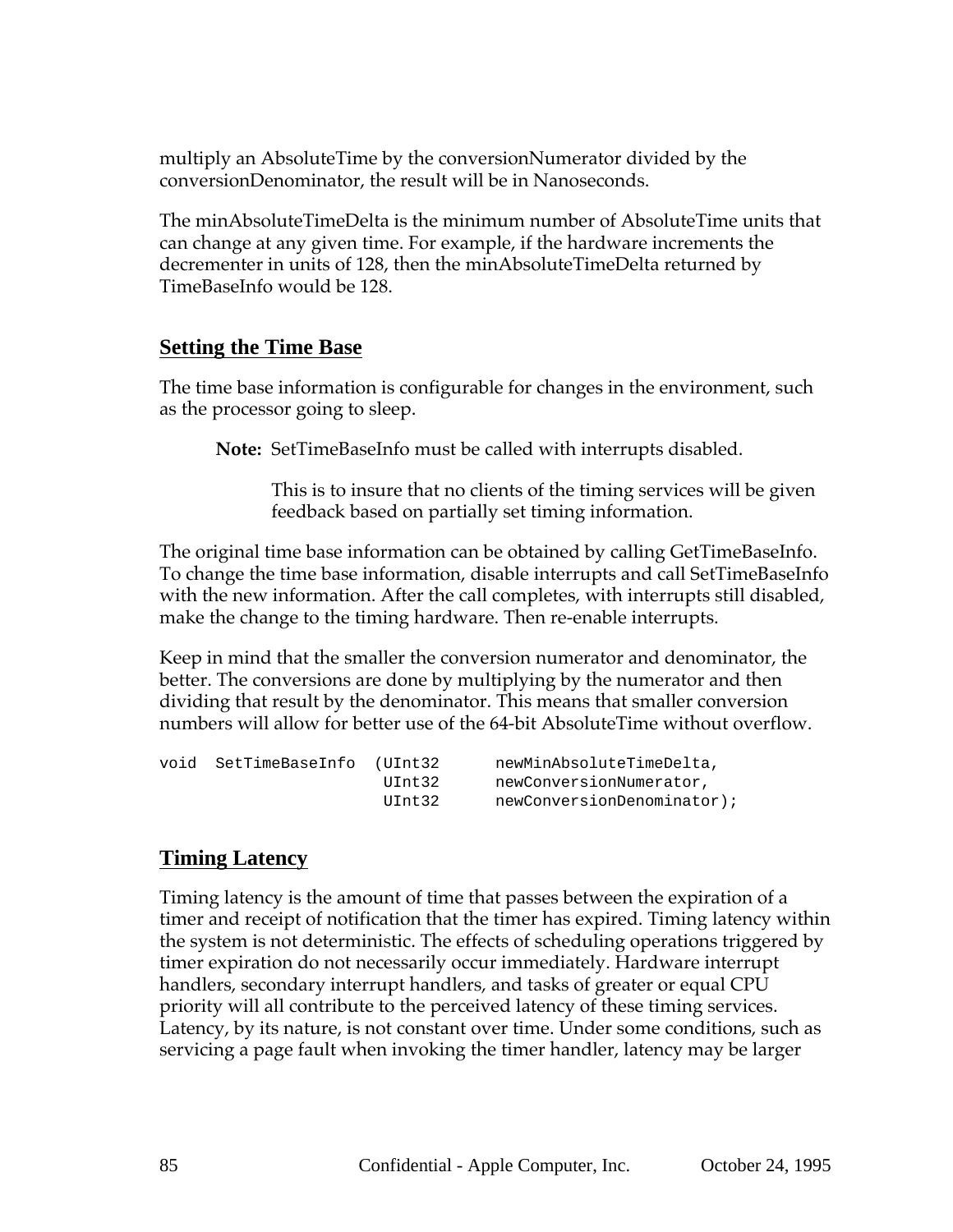multiply an AbsoluteTime by the conversionNumerator divided by the conversionDenominator, the result will be in Nanoseconds.

The minAbsoluteTimeDelta is the minimum number of AbsoluteTime units that can change at any given time. For example, if the hardware increments the decrementer in units of 128, then the minAbsoluteTimeDelta returned by TimeBaseInfo would be 128.

#### **Setting the Time Base**

The time base information is configurable for changes in the environment, such as the processor going to sleep.

**Note:** SetTimeBaseInfo must be called with interrupts disabled.

This is to insure that no clients of the timing services will be given feedback based on partially set timing information.

The original time base information can be obtained by calling GetTimeBaseInfo. To change the time base information, disable interrupts and call SetTimeBaseInfo with the new information. After the call completes, with interrupts still disabled, make the change to the timing hardware. Then re-enable interrupts.

Keep in mind that the smaller the conversion numerator and denominator, the better. The conversions are done by multiplying by the numerator and then dividing that result by the denominator. This means that smaller conversion numbers will allow for better use of the 64-bit AbsoluteTime without overflow.

| void | SetTimeBaseInfo (UInt32 |        | newMinAbsoluteTimeDelta,   |
|------|-------------------------|--------|----------------------------|
|      |                         | UInt32 | newConversionNumerator,    |
|      |                         | UInt32 | newConversionDenominator); |

# **Timing Latency**

Timing latency is the amount of time that passes between the expiration of a timer and receipt of notification that the timer has expired. Timing latency within the system is not deterministic. The effects of scheduling operations triggered by timer expiration do not necessarily occur immediately. Hardware interrupt handlers, secondary interrupt handlers, and tasks of greater or equal CPU priority will all contribute to the perceived latency of these timing services. Latency, by its nature, is not constant over time. Under some conditions, such as servicing a page fault when invoking the timer handler, latency may be larger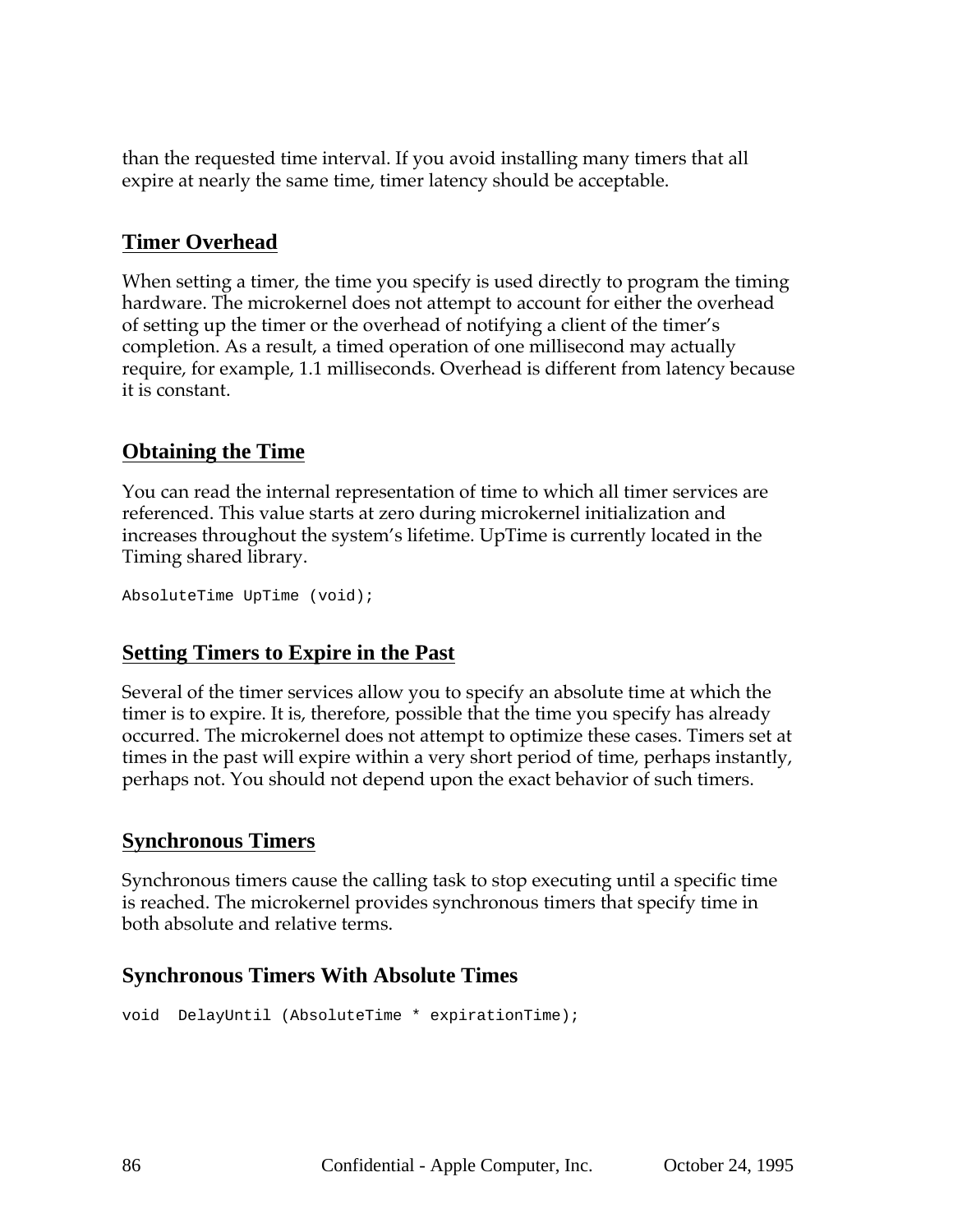than the requested time interval. If you avoid installing many timers that all expire at nearly the same time, timer latency should be acceptable.

## **Timer Overhead**

When setting a timer, the time you specify is used directly to program the timing hardware. The microkernel does not attempt to account for either the overhead of setting up the timer or the overhead of notifying a client of the timer's completion. As a result, a timed operation of one millisecond may actually require, for example, 1.1 milliseconds. Overhead is different from latency because it is constant.

## **Obtaining the Time**

You can read the internal representation of time to which all timer services are referenced. This value starts at zero during microkernel initialization and increases throughout the system's lifetime. UpTime is currently located in the Timing shared library.

```
AbsoluteTime UpTime (void);
```
#### **Setting Timers to Expire in the Past**

Several of the timer services allow you to specify an absolute time at which the timer is to expire. It is, therefore, possible that the time you specify has already occurred. The microkernel does not attempt to optimize these cases. Timers set at times in the past will expire within a very short period of time, perhaps instantly, perhaps not. You should not depend upon the exact behavior of such timers.

# **Synchronous Timers**

Synchronous timers cause the calling task to stop executing until a specific time is reached. The microkernel provides synchronous timers that specify time in both absolute and relative terms.

#### **Synchronous Timers With Absolute Times**

```
void DelayUntil (AbsoluteTime * expirationTime);
```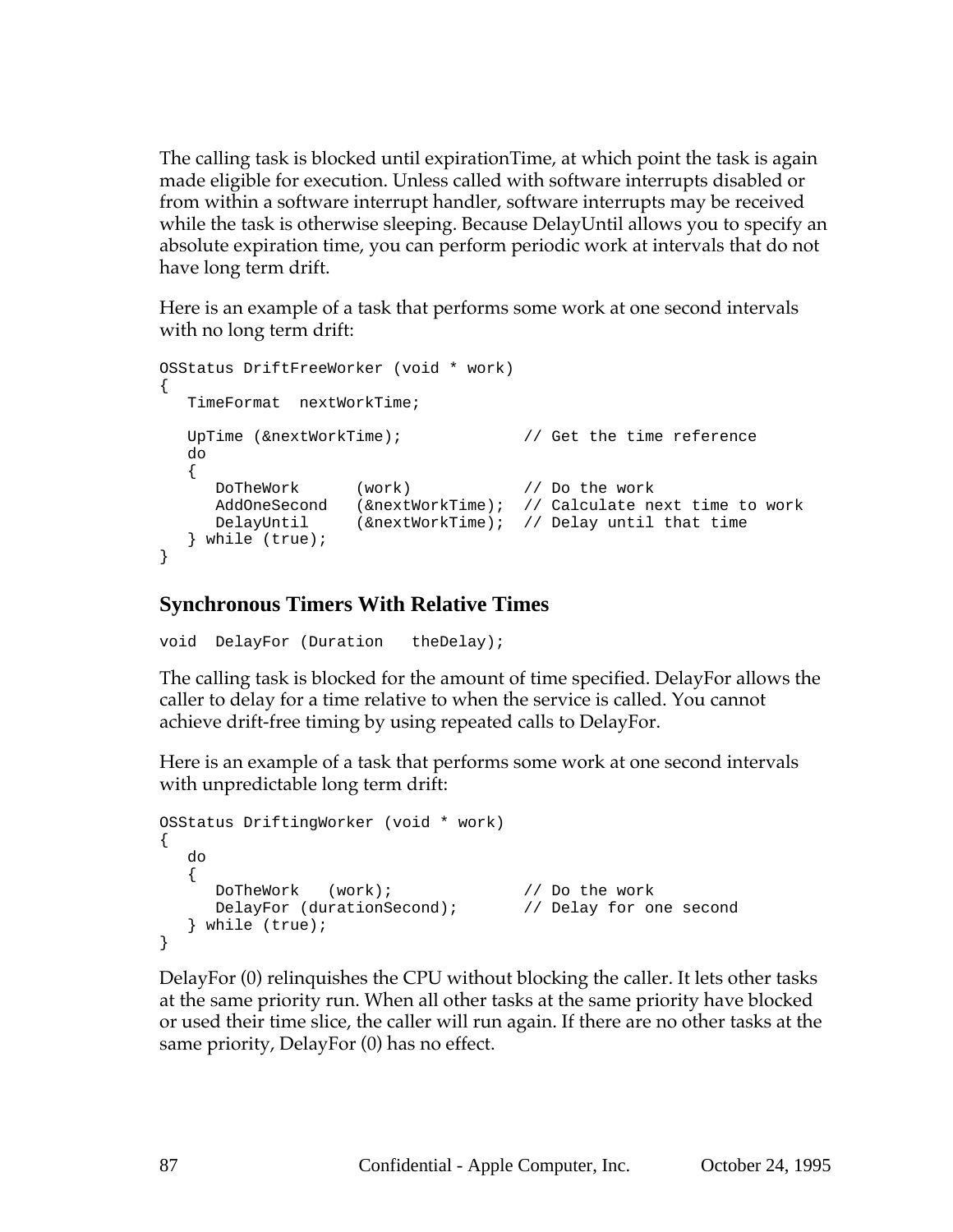The calling task is blocked until expirationTime, at which point the task is again made eligible for execution. Unless called with software interrupts disabled or from within a software interrupt handler, software interrupts may be received while the task is otherwise sleeping. Because DelayUntil allows you to specify an absolute expiration time, you can perform periodic work at intervals that do not have long term drift.

Here is an example of a task that performs some work at one second intervals with no long term drift:

```
OSStatus DriftFreeWorker (void * work)
\left\{ \right.TimeFormat nextWorkTime;
  UpTime (&nextWorkTime); \frac{1}{2} // Get the time reference
  do
   {
      DoTheWork (work) // Do the work
      AddOneSecond (&nextWorkTime); // Calculate next time to work
      DelayUntil (&nextWorkTime); // Delay until that time
   } while (true);
}
```
## **Synchronous Timers With Relative Times**

void DelayFor (Duration theDelay);

The calling task is blocked for the amount of time specified. DelayFor allows the caller to delay for a time relative to when the service is called. You cannot achieve drift-free timing by using repeated calls to DelayFor.

Here is an example of a task that performs some work at one second intervals with unpredictable long term drift:

```
OSStatus DriftingWorker (void * work)
\left\{ \right.do
   {
      DoTheWork (work); \sqrt{2} // Do the work
      DelayFor (durationSecond); \sqrt{2} Delay for one second
   } while (true);
}
```
DelayFor (0) relinquishes the CPU without blocking the caller. It lets other tasks at the same priority run. When all other tasks at the same priority have blocked or used their time slice, the caller will run again. If there are no other tasks at the same priority, DelayFor (0) has no effect.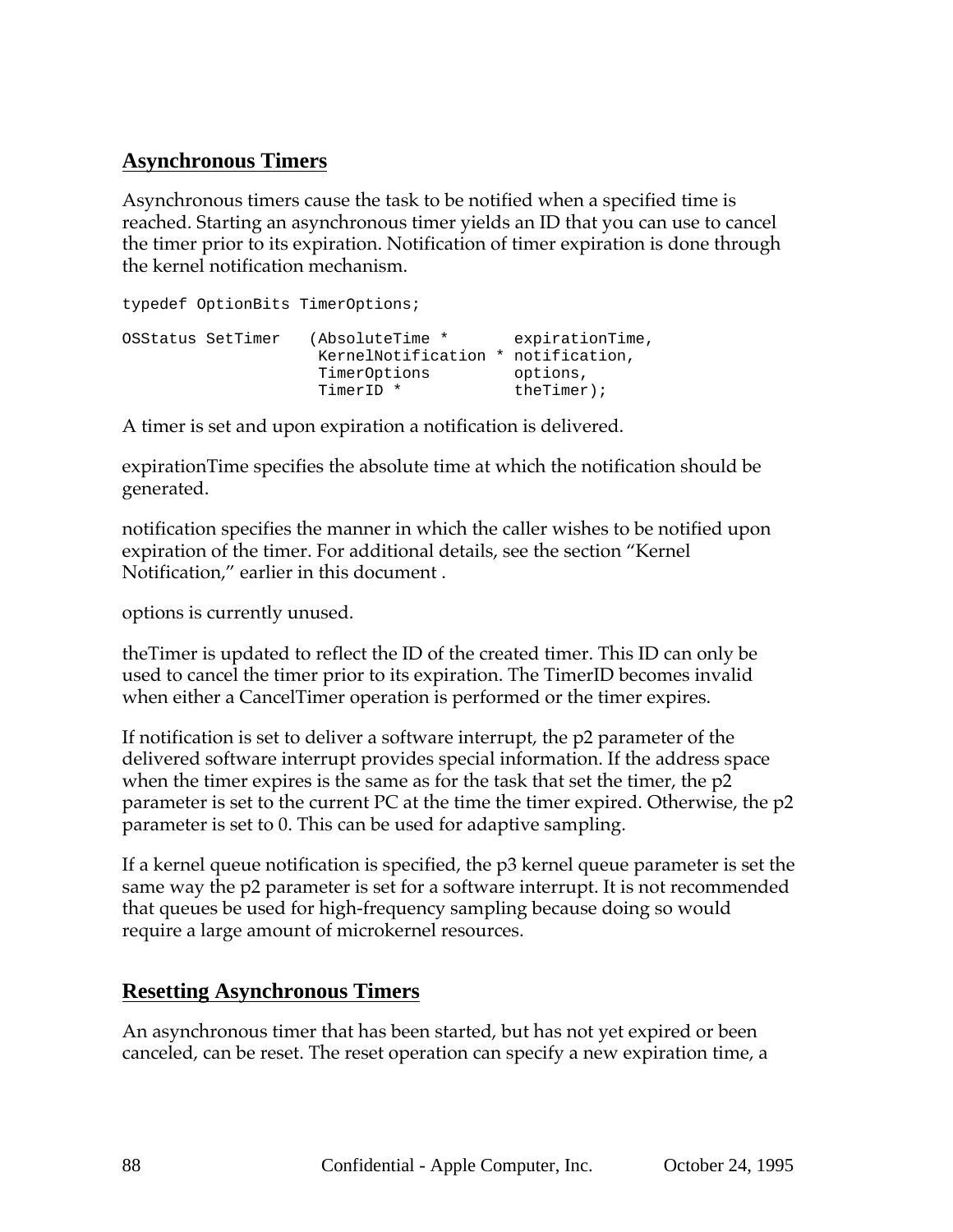# **Asynchronous Timers**

Asynchronous timers cause the task to be notified when a specified time is reached. Starting an asynchronous timer yields an ID that you can use to cancel the timer prior to its expiration. Notification of timer expiration is done through the kernel notification mechanism.

|                   | typedef OptionBits TimerOptions;                                     |                                                            |
|-------------------|----------------------------------------------------------------------|------------------------------------------------------------|
| OSStatus SetTimer | (AbsoluteTime *<br>KernelNotification *<br>TimerOptions<br>TimerID * | expirationTime,<br>notification,<br>options,<br>$therr$ ); |

A timer is set and upon expiration a notification is delivered.

expirationTime specifies the absolute time at which the notification should be generated.

notification specifies the manner in which the caller wishes to be notified upon expiration of the timer. For additional details, see the section "Kernel Notification," earlier in this document .

options is currently unused.

theTimer is updated to reflect the ID of the created timer. This ID can only be used to cancel the timer prior to its expiration. The TimerID becomes invalid when either a CancelTimer operation is performed or the timer expires.

If notification is set to deliver a software interrupt, the p2 parameter of the delivered software interrupt provides special information. If the address space when the timer expires is the same as for the task that set the timer, the p2 parameter is set to the current PC at the time the timer expired. Otherwise, the p2 parameter is set to 0. This can be used for adaptive sampling.

If a kernel queue notification is specified, the p3 kernel queue parameter is set the same way the p2 parameter is set for a software interrupt. It is not recommended that queues be used for high-frequency sampling because doing so would require a large amount of microkernel resources.

#### **Resetting Asynchronous Timers**

An asynchronous timer that has been started, but has not yet expired or been canceled, can be reset. The reset operation can specify a new expiration time, a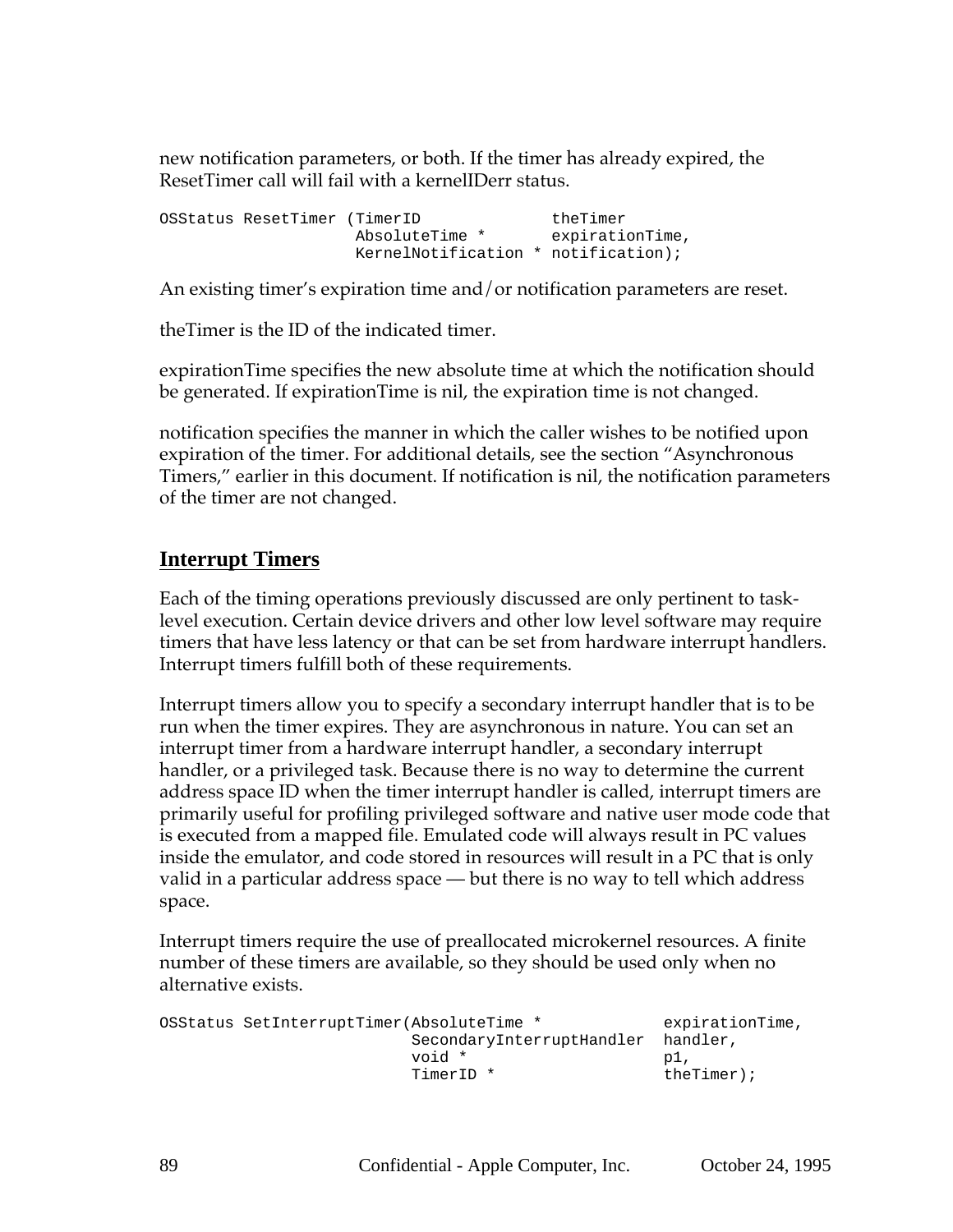new notification parameters, or both. If the timer has already expired, the ResetTimer call will fail with a kernelIDerr status.

OSStatus ResetTimer (TimerID theTimer AbsoluteTime \* expirationTime, KernelNotification \* notification);

An existing timer's expiration time and/or notification parameters are reset.

theTimer is the ID of the indicated timer.

expirationTime specifies the new absolute time at which the notification should be generated. If expirationTime is nil, the expiration time is not changed.

notification specifies the manner in which the caller wishes to be notified upon expiration of the timer. For additional details, see the section "Asynchronous Timers," earlier in this document. If notification is nil, the notification parameters of the timer are not changed.

#### **Interrupt Timers**

Each of the timing operations previously discussed are only pertinent to tasklevel execution. Certain device drivers and other low level software may require timers that have less latency or that can be set from hardware interrupt handlers. Interrupt timers fulfill both of these requirements.

Interrupt timers allow you to specify a secondary interrupt handler that is to be run when the timer expires. They are asynchronous in nature. You can set an interrupt timer from a hardware interrupt handler, a secondary interrupt handler, or a privileged task. Because there is no way to determine the current address space ID when the timer interrupt handler is called, interrupt timers are primarily useful for profiling privileged software and native user mode code that is executed from a mapped file. Emulated code will always result in PC values inside the emulator, and code stored in resources will result in a PC that is only valid in a particular address space — but there is no way to tell which address space.

Interrupt timers require the use of preallocated microkernel resources. A finite number of these timers are available, so they should be used only when no alternative exists.

```
OSStatus SetInterruptTimer(AbsoluteTime * expirationTime,
                   SecondaryInterruptHandler handler,
                   void * p1,
                   TimerID * theTimer);
```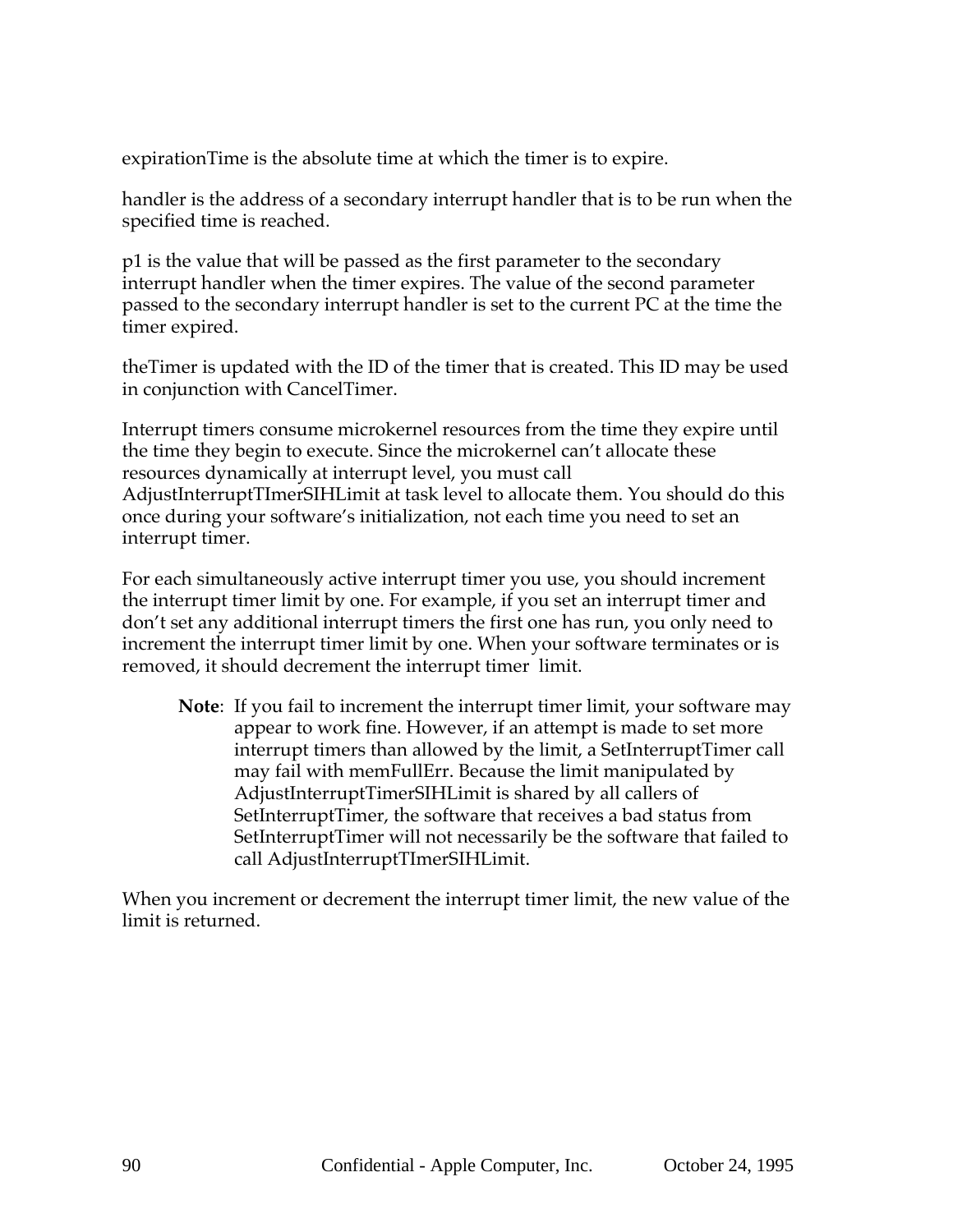expirationTime is the absolute time at which the timer is to expire.

handler is the address of a secondary interrupt handler that is to be run when the specified time is reached.

p1 is the value that will be passed as the first parameter to the secondary interrupt handler when the timer expires. The value of the second parameter passed to the secondary interrupt handler is set to the current PC at the time the timer expired.

theTimer is updated with the ID of the timer that is created. This ID may be used in conjunction with CancelTimer.

Interrupt timers consume microkernel resources from the time they expire until the time they begin to execute. Since the microkernel can't allocate these resources dynamically at interrupt level, you must call AdjustInterruptTImerSIHLimit at task level to allocate them. You should do this once during your software's initialization, not each time you need to set an interrupt timer.

For each simultaneously active interrupt timer you use, you should increment the interrupt timer limit by one. For example, if you set an interrupt timer and don't set any additional interrupt timers the first one has run, you only need to increment the interrupt timer limit by one. When your software terminates or is removed, it should decrement the interrupt timer limit.

**Note**: If you fail to increment the interrupt timer limit, your software may appear to work fine. However, if an attempt is made to set more interrupt timers than allowed by the limit, a SetInterruptTimer call may fail with memFullErr. Because the limit manipulated by AdjustInterruptTimerSIHLimit is shared by all callers of SetInterruptTimer, the software that receives a bad status from SetInterruptTimer will not necessarily be the software that failed to call AdjustInterruptTImerSIHLimit.

When you increment or decrement the interrupt timer limit, the new value of the limit is returned.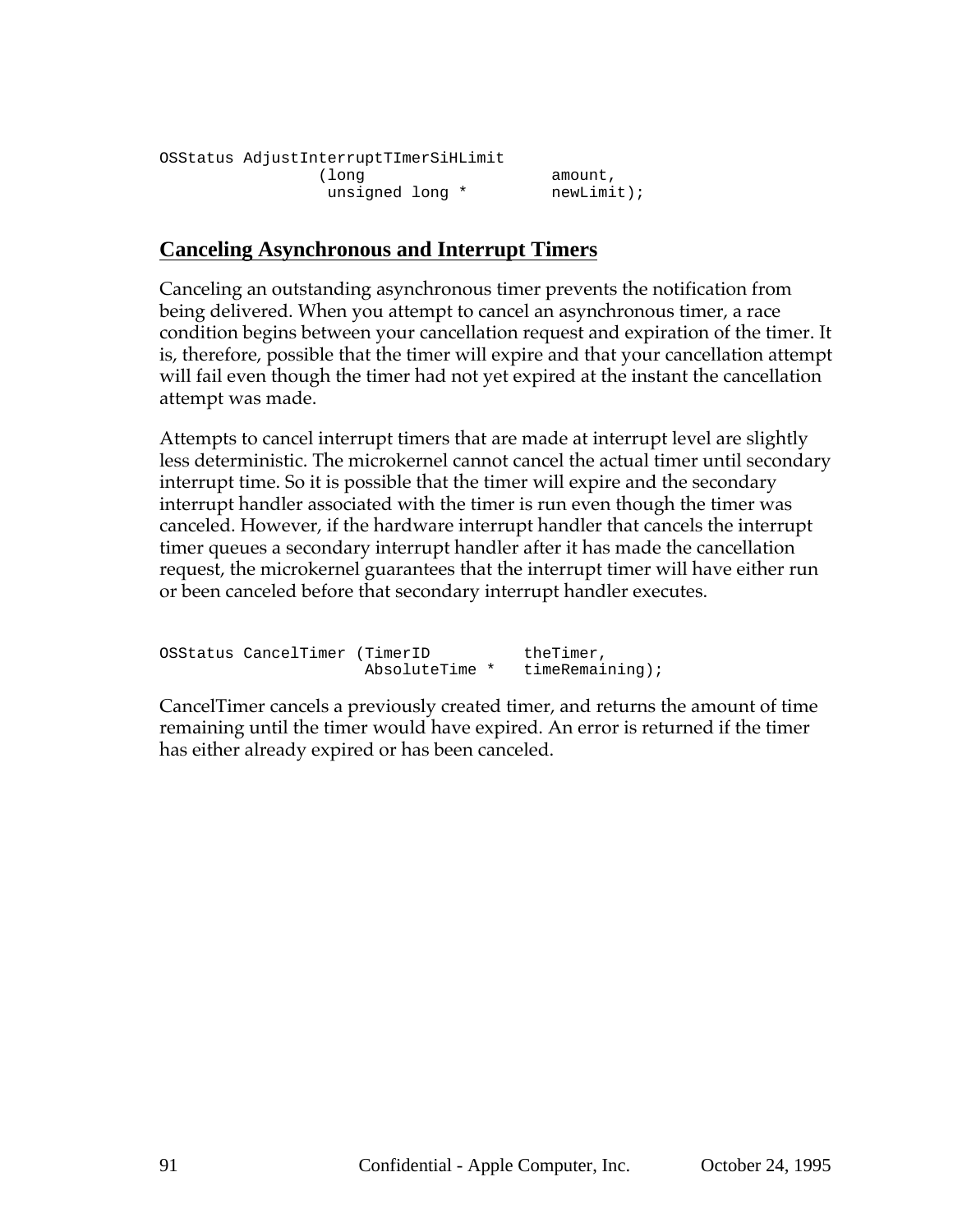```
OSStatus AdjustInterruptTImerSiHLimit
           (long amount,
             unsigned long * mewLimit);
```
#### **Canceling Asynchronous and Interrupt Timers**

Canceling an outstanding asynchronous timer prevents the notification from being delivered. When you attempt to cancel an asynchronous timer, a race condition begins between your cancellation request and expiration of the timer. It is, therefore, possible that the timer will expire and that your cancellation attempt will fail even though the timer had not yet expired at the instant the cancellation attempt was made.

Attempts to cancel interrupt timers that are made at interrupt level are slightly less deterministic. The microkernel cannot cancel the actual timer until secondary interrupt time. So it is possible that the timer will expire and the secondary interrupt handler associated with the timer is run even though the timer was canceled. However, if the hardware interrupt handler that cancels the interrupt timer queues a secondary interrupt handler after it has made the cancellation request, the microkernel guarantees that the interrupt timer will have either run or been canceled before that secondary interrupt handler executes.

OSStatus CancelTimer (TimerID theTimer, AbsoluteTime \* timeRemaining);

CancelTimer cancels a previously created timer, and returns the amount of time remaining until the timer would have expired. An error is returned if the timer has either already expired or has been canceled.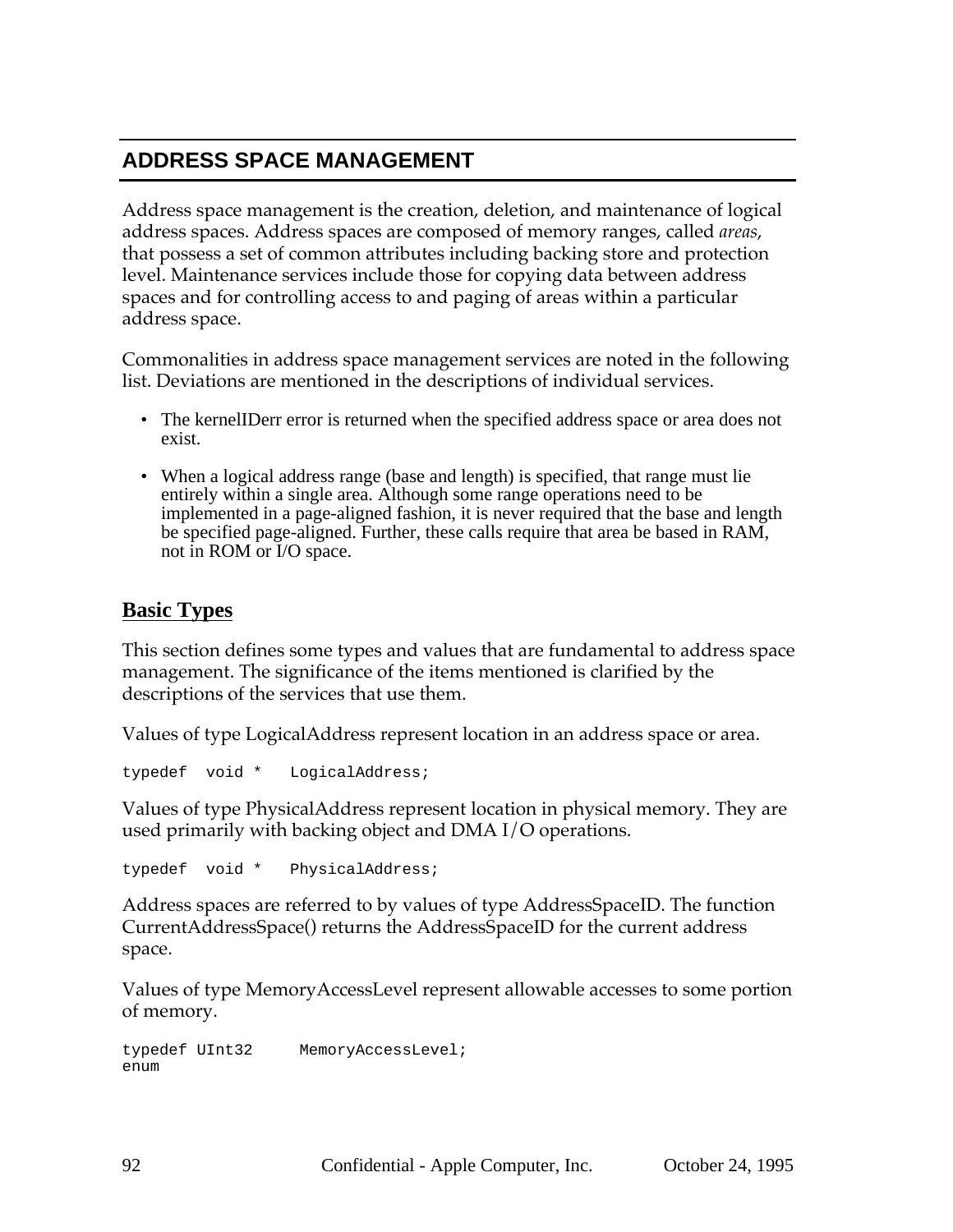# **ADDRESS SPACE MANAGEMENT**

Address space management is the creation, deletion, and maintenance of logical address spaces. Address spaces are composed of memory ranges, called *areas*, that possess a set of common attributes including backing store and protection level. Maintenance services include those for copying data between address spaces and for controlling access to and paging of areas within a particular address space.

Commonalities in address space management services are noted in the following list. Deviations are mentioned in the descriptions of individual services.

- The kernelIDerr error is returned when the specified address space or area does not exist.
- When a logical address range (base and length) is specified, that range must lie entirely within a single area. Although some range operations need to be implemented in a page-aligned fashion, it is never required that the base and length be specified page-aligned. Further, these calls require that area be based in RAM, not in ROM or I/O space.

# **Basic Types**

This section defines some types and values that are fundamental to address space management. The significance of the items mentioned is clarified by the descriptions of the services that use them.

Values of type LogicalAddress represent location in an address space or area.

typedef void \* LogicalAddress;

Values of type PhysicalAddress represent location in physical memory. They are used primarily with backing object and DMA I/O operations.

typedef void \* PhysicalAddress;

Address spaces are referred to by values of type AddressSpaceID. The function CurrentAddressSpace() returns the AddressSpaceID for the current address space.

Values of type MemoryAccessLevel represent allowable accesses to some portion of memory.

typedef UInt32 MemoryAccessLevel; enum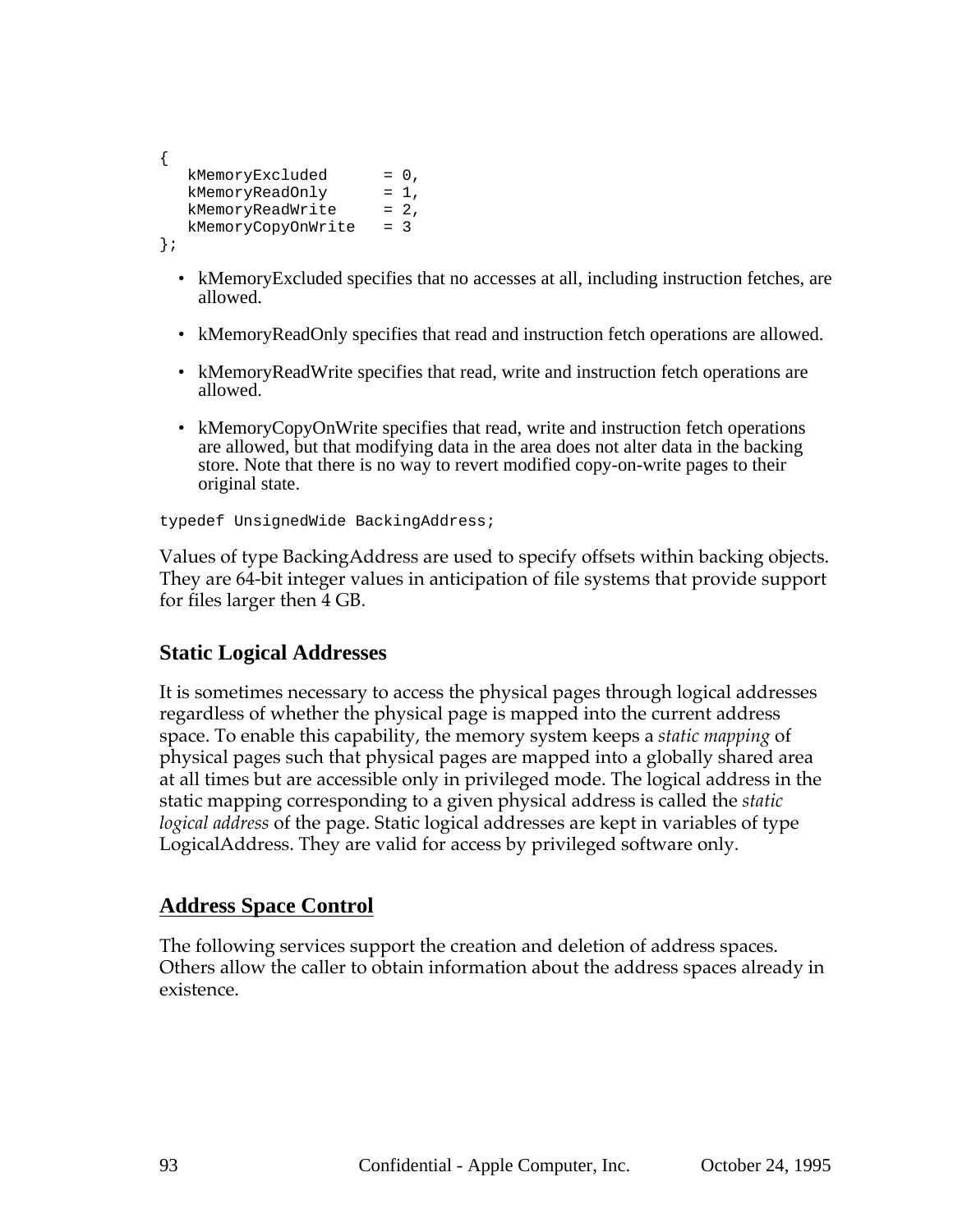```
{
  kMemoryExcluded = 0,
  kMemoryReadOnly = 1,
  kMemoryReadWrite = 2,
  kMemoryCopyOnWrite = 3
};
```
- kMemoryExcluded specifies that no accesses at all, including instruction fetches, are allowed.
- kMemoryReadOnly specifies that read and instruction fetch operations are allowed.
- kMemoryReadWrite specifies that read, write and instruction fetch operations are allowed.
- kMemoryCopyOnWrite specifies that read, write and instruction fetch operations are allowed, but that modifying data in the area does not alter data in the backing store. Note that there is no way to revert modified copy-on-write pages to their original state.

typedef UnsignedWide BackingAddress;

Values of type BackingAddress are used to specify offsets within backing objects. They are 64-bit integer values in anticipation of file systems that provide support for files larger then 4 GB.

#### **Static Logical Addresses**

It is sometimes necessary to access the physical pages through logical addresses regardless of whether the physical page is mapped into the current address space. To enable this capability, the memory system keeps a *static mapping* of physical pages such that physical pages are mapped into a globally shared area at all times but are accessible only in privileged mode. The logical address in the static mapping corresponding to a given physical address is called the *static logical address* of the page. Static logical addresses are kept in variables of type LogicalAddress. They are valid for access by privileged software only.

#### **Address Space Control**

The following services support the creation and deletion of address spaces. Others allow the caller to obtain information about the address spaces already in existence.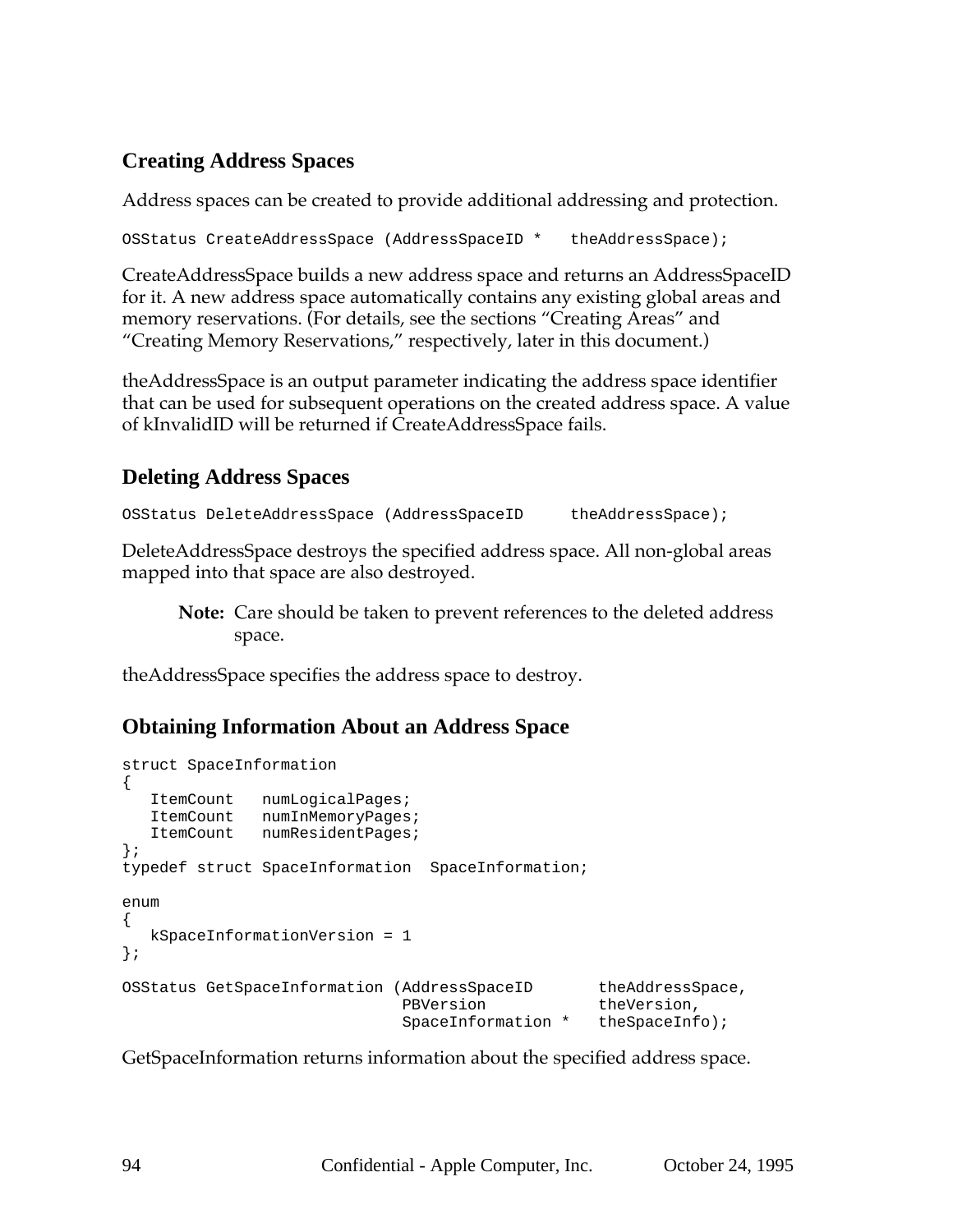# **Creating Address Spaces**

Address spaces can be created to provide additional addressing and protection.

OSStatus CreateAddressSpace (AddressSpaceID \* theAddressSpace);

CreateAddressSpace builds a new address space and returns an AddressSpaceID for it. A new address space automatically contains any existing global areas and memory reservations. (For details, see the sections "Creating Areas" and "Creating Memory Reservations," respectively, later in this document.)

theAddressSpace is an output parameter indicating the address space identifier that can be used for subsequent operations on the created address space. A value of kInvalidID will be returned if CreateAddressSpace fails.

# **Deleting Address Spaces**

```
OSStatus DeleteAddressSpace (AddressSpaceID theAddressSpace);
```
DeleteAddressSpace destroys the specified address space. All non-global areas mapped into that space are also destroyed.

**Note:** Care should be taken to prevent references to the deleted address space.

theAddressSpace specifies the address space to destroy.

#### **Obtaining Information About an Address Space**

```
struct SpaceInformation
{
  ItemCount numLogicalPages;
  ItemCount numInMemoryPages;
  ItemCount numResidentPages;
};
typedef struct SpaceInformation SpaceInformation;
enum
{
  kSpaceInformationVersion = 1
};
OSStatus GetSpaceInformation (AddressSpaceID theAddressSpace,
                            PBVersion theVersion,
                            SpaceInformation * theSpaceInfo);
```
GetSpaceInformation returns information about the specified address space.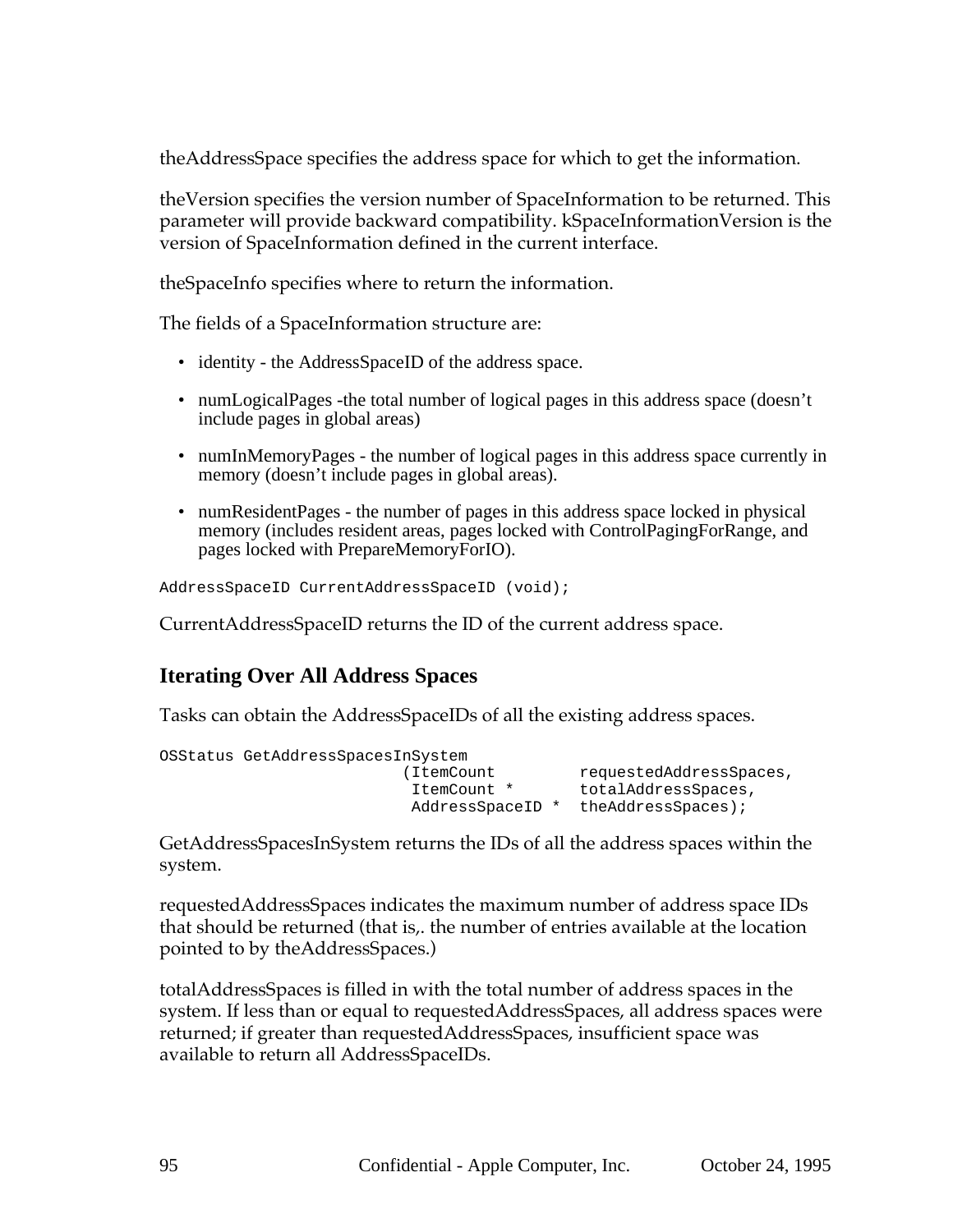theAddressSpace specifies the address space for which to get the information.

theVersion specifies the version number of SpaceInformation to be returned. This parameter will provide backward compatibility. kSpaceInformationVersion is the version of SpaceInformation defined in the current interface.

theSpaceInfo specifies where to return the information.

The fields of a SpaceInformation structure are:

- identity the AddressSpaceID of the address space.
- numLogicalPages -the total number of logical pages in this address space (doesn't include pages in global areas)
- numInMemoryPages the number of logical pages in this address space currently in memory (doesn't include pages in global areas).
- numResident Pages the number of pages in this address space locked in physical memory (includes resident areas, pages locked with ControlPagingForRange, and pages locked with PrepareMemoryForIO).

AddressSpaceID CurrentAddressSpaceID (void);

CurrentAddressSpaceID returns the ID of the current address space.

#### **Iterating Over All Address Spaces**

Tasks can obtain the AddressSpaceIDs of all the existing address spaces.

```
OSStatus GetAddressSpacesInSystem
                       (ItemCount requestedAddressSpaces,
                        ItemCount * totalAddressSpaces,
                        AddressSpaceID * theAddressSpaces);
```
GetAddressSpacesInSystem returns the IDs of all the address spaces within the system.

requestedAddressSpaces indicates the maximum number of address space IDs that should be returned (that is,. the number of entries available at the location pointed to by theAddressSpaces.)

totalAddressSpaces is filled in with the total number of address spaces in the system. If less than or equal to requestedAddressSpaces, all address spaces were returned; if greater than requestedAddressSpaces, insufficient space was available to return all AddressSpaceIDs.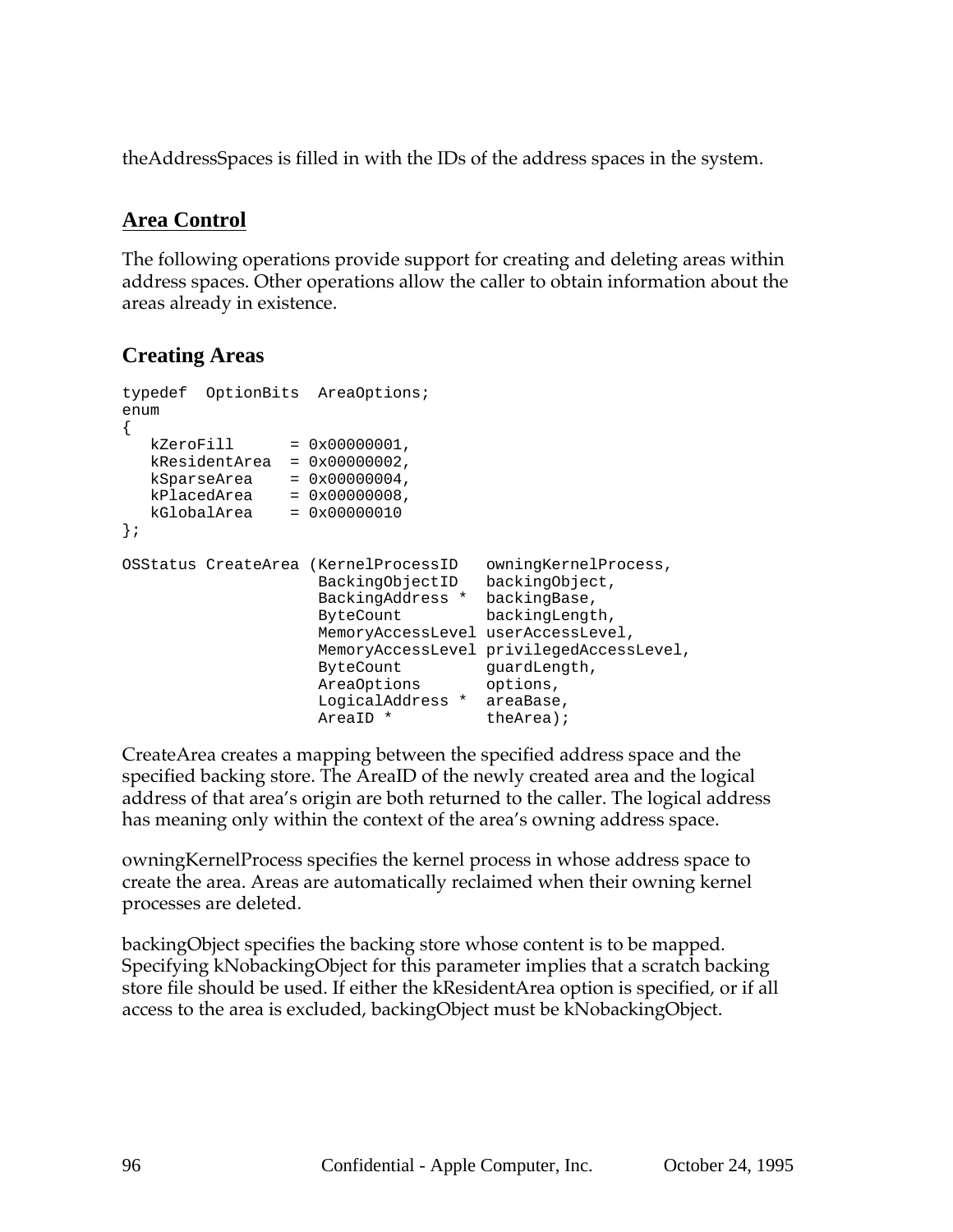theAddressSpaces is filled in with the IDs of the address spaces in the system.

## **Area Control**

The following operations provide support for creating and deleting areas within address spaces. Other operations allow the caller to obtain information about the areas already in existence.

# **Creating Areas**

```
typedef OptionBits AreaOptions;
enum
\{kZeroFill = 0x00000001,kResidentArea = 0x00000002,
  kSparseArea = 0x00000004,kPlacedArea = 0x0000008,kGlobalArea = 0x00000010
};
OSStatus CreateArea (KernelProcessID owningKernelProcess,
                   BackingObjectID backingObject,
                   BackingAddress * backingBase,
                   ByteCount backingLength,
                  MemoryAccessLevel userAccessLevel,
                  MemoryAccessLevel privilegedAccessLevel,
                   ByteCount guardLength,
                   AreaOptions options,
                   LogicalAddress * areaBase,
                   AreaID * theArea);
```
CreateArea creates a mapping between the specified address space and the specified backing store. The AreaID of the newly created area and the logical address of that area's origin are both returned to the caller. The logical address has meaning only within the context of the area's owning address space.

owningKernelProcess specifies the kernel process in whose address space to create the area. Areas are automatically reclaimed when their owning kernel processes are deleted.

backingObject specifies the backing store whose content is to be mapped. Specifying kNobackingObject for this parameter implies that a scratch backing store file should be used. If either the kResidentArea option is specified, or if all access to the area is excluded, backingObject must be kNobackingObject.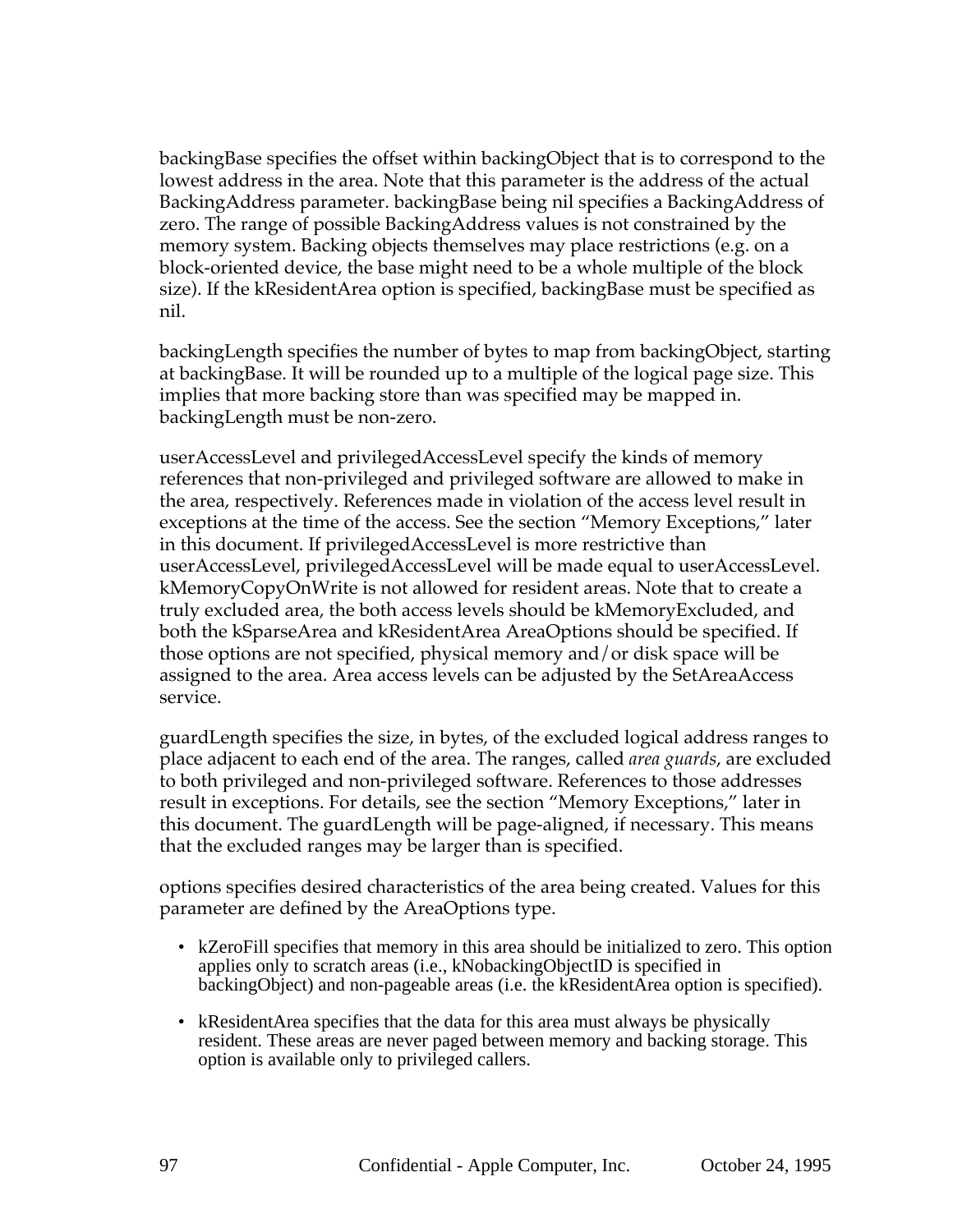backingBase specifies the offset within backingObject that is to correspond to the lowest address in the area. Note that this parameter is the address of the actual BackingAddress parameter. backingBase being nil specifies a BackingAddress of zero. The range of possible BackingAddress values is not constrained by the memory system. Backing objects themselves may place restrictions (e.g. on a block-oriented device, the base might need to be a whole multiple of the block size). If the kResidentArea option is specified, backingBase must be specified as nil.

backingLength specifies the number of bytes to map from backingObject, starting at backingBase. It will be rounded up to a multiple of the logical page size. This implies that more backing store than was specified may be mapped in. backingLength must be non-zero.

userAccessLevel and privilegedAccessLevel specify the kinds of memory references that non-privileged and privileged software are allowed to make in the area, respectively. References made in violation of the access level result in exceptions at the time of the access. See the section "Memory Exceptions," later in this document. If privilegedAccessLevel is more restrictive than userAccessLevel, privilegedAccessLevel will be made equal to userAccessLevel. kMemoryCopyOnWrite is not allowed for resident areas. Note that to create a truly excluded area, the both access levels should be kMemoryExcluded, and both the kSparseArea and kResidentArea AreaOptions should be specified. If those options are not specified, physical memory and/or disk space will be assigned to the area. Area access levels can be adjusted by the SetAreaAccess service.

guardLength specifies the size, in bytes, of the excluded logical address ranges to place adjacent to each end of the area. The ranges, called *area guards*, are excluded to both privileged and non-privileged software. References to those addresses result in exceptions. For details, see the section "Memory Exceptions," later in this document. The guardLength will be page-aligned, if necessary. This means that the excluded ranges may be larger than is specified.

options specifies desired characteristics of the area being created. Values for this parameter are defined by the AreaOptions type.

- kZeroFill specifies that memory in this area should be initialized to zero. This option applies only to scratch areas (i.e., kNobackingObjectID is specified in backingObject) and non-pageable areas (i.e. the kResidentArea option is specified).
- kResidentArea specifies that the data for this area must always be physically resident. These areas are never paged between memory and backing storage. This option is available only to privileged callers.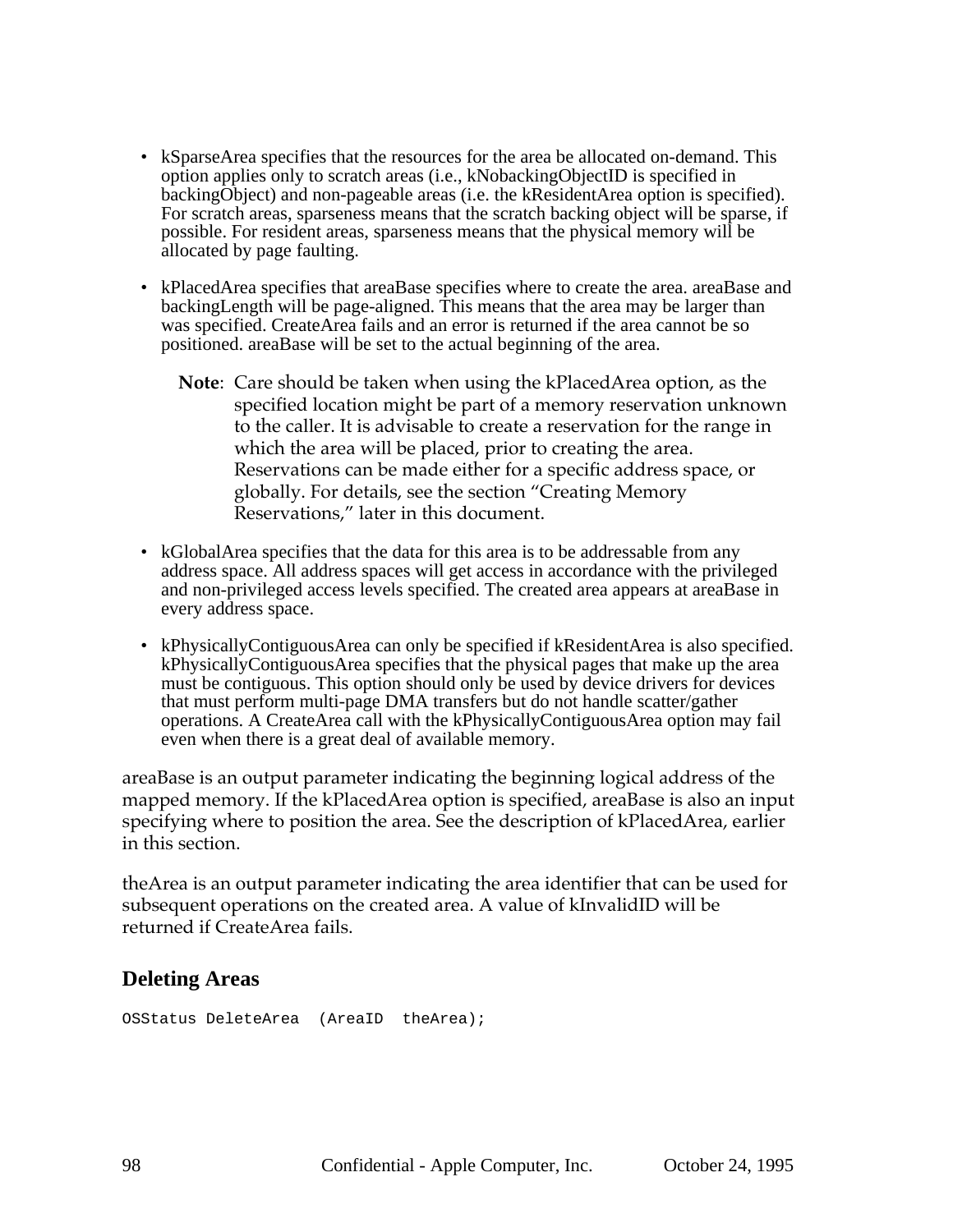- kSparseArea specifies that the resources for the area be allocated on-demand. This option applies only to scratch areas (i.e., kNobackingObjectID is specified in backingObject) and non-pageable areas (i.e. the kResidentArea option is specified). For scratch areas, sparseness means that the scratch backing object will be sparse, if possible. For resident areas, sparseness means that the physical memory will be allocated by page faulting.
- kPlacedArea specifies that areaBase specifies where to create the area. areaBase and backingLength will be page-aligned. This means that the area may be larger than was specified. CreateArea fails and an error is returned if the area cannot be so positioned. areaBase will be set to the actual beginning of the area.
	- **Note**: Care should be taken when using the kPlacedArea option, as the specified location might be part of a memory reservation unknown to the caller. It is advisable to create a reservation for the range in which the area will be placed, prior to creating the area. Reservations can be made either for a specific address space, or globally. For details, see the section "Creating Memory Reservations," later in this document.
- kGlobalArea specifies that the data for this area is to be addressable from any address space. All address spaces will get access in accordance with the privileged and non-privileged access levels specified. The created area appears at areaBase in every address space.
- kPhysicallyContiguousArea can only be specified if kResidentArea is also specified. kPhysicallyContiguousArea specifies that the physical pages that make up the area must be contiguous. This option should only be used by device drivers for devices that must perform multi-page DMA transfers but do not handle scatter/gather operations. A CreateArea call with the kPhysicallyContiguousArea option may fail even when there is a great deal of available memory.

areaBase is an output parameter indicating the beginning logical address of the mapped memory. If the kPlacedArea option is specified, areaBase is also an input specifying where to position the area. See the description of kPlacedArea, earlier in this section.

theArea is an output parameter indicating the area identifier that can be used for subsequent operations on the created area. A value of kInvalidID will be returned if CreateArea fails.

#### **Deleting Areas**

OSStatus DeleteArea (AreaID theArea);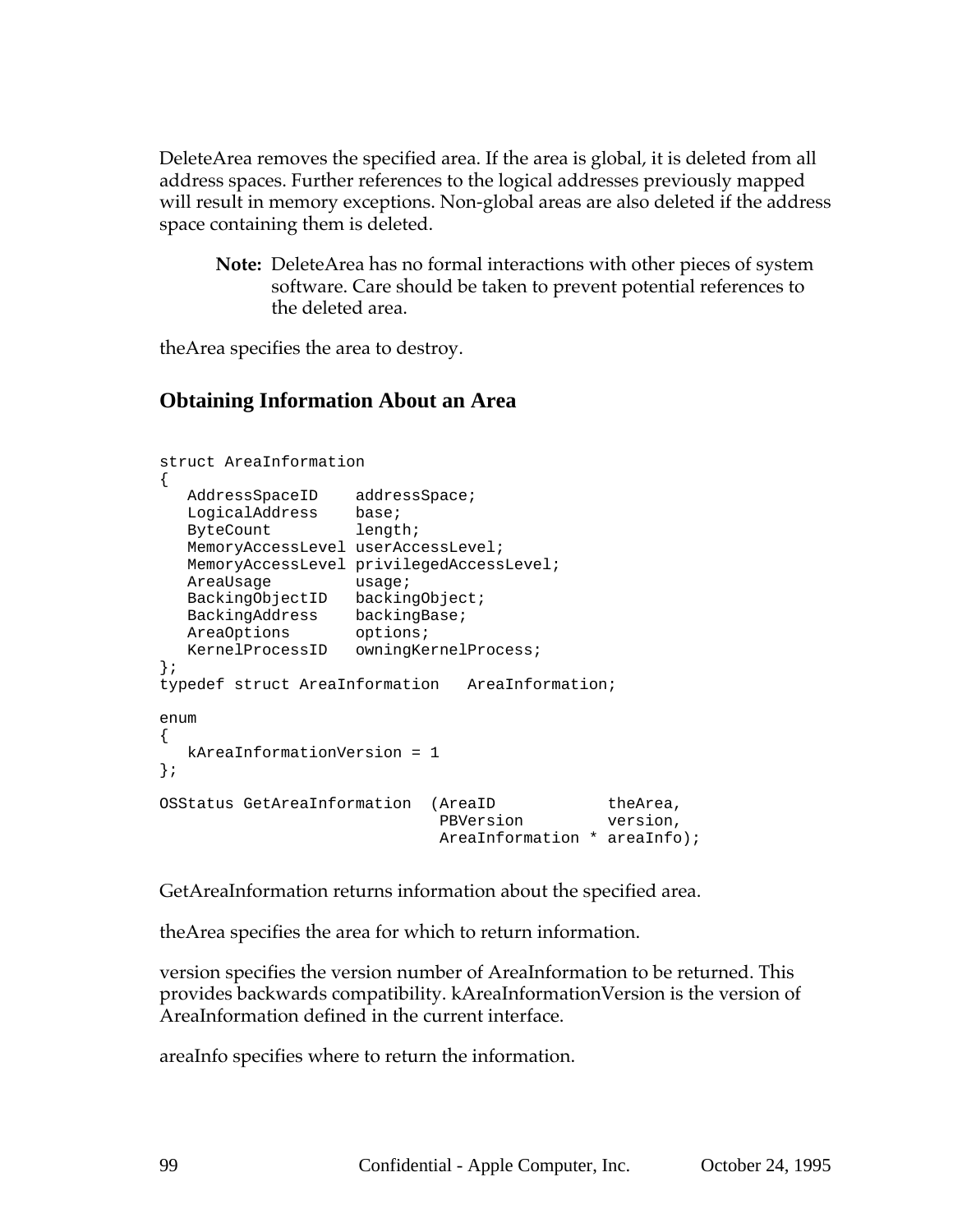DeleteArea removes the specified area. If the area is global, it is deleted from all address spaces. Further references to the logical addresses previously mapped will result in memory exceptions. Non-global areas are also deleted if the address space containing them is deleted.

**Note:** DeleteArea has no formal interactions with other pieces of system software. Care should be taken to prevent potential references to the deleted area.

theArea specifies the area to destroy.

## **Obtaining Information About an Area**

```
struct AreaInformation
{
  AddressSpaceID addressSpace;
  LogicalAddress base;
  ByteCount length;
  MemoryAccessLevel userAccessLevel;
  MemoryAccessLevel privilegedAccessLevel;
  AreaUsage usage;
  BackingObjectID backingObject;
  BackingAddress backingBase;
  AreaOptions options;
  KernelProcessID owningKernelProcess;
};
typedef struct AreaInformation AreaInformation;
enum
{
  kAreaInformationVersion = 1
};
OSStatus GetAreaInformation (AreaID theArea,
                           PBVersion version,
                          AreaInformation * areaInfo);
```
GetAreaInformation returns information about the specified area.

theArea specifies the area for which to return information.

version specifies the version number of AreaInformation to be returned. This provides backwards compatibility. kAreaInformationVersion is the version of AreaInformation defined in the current interface.

areaInfo specifies where to return the information.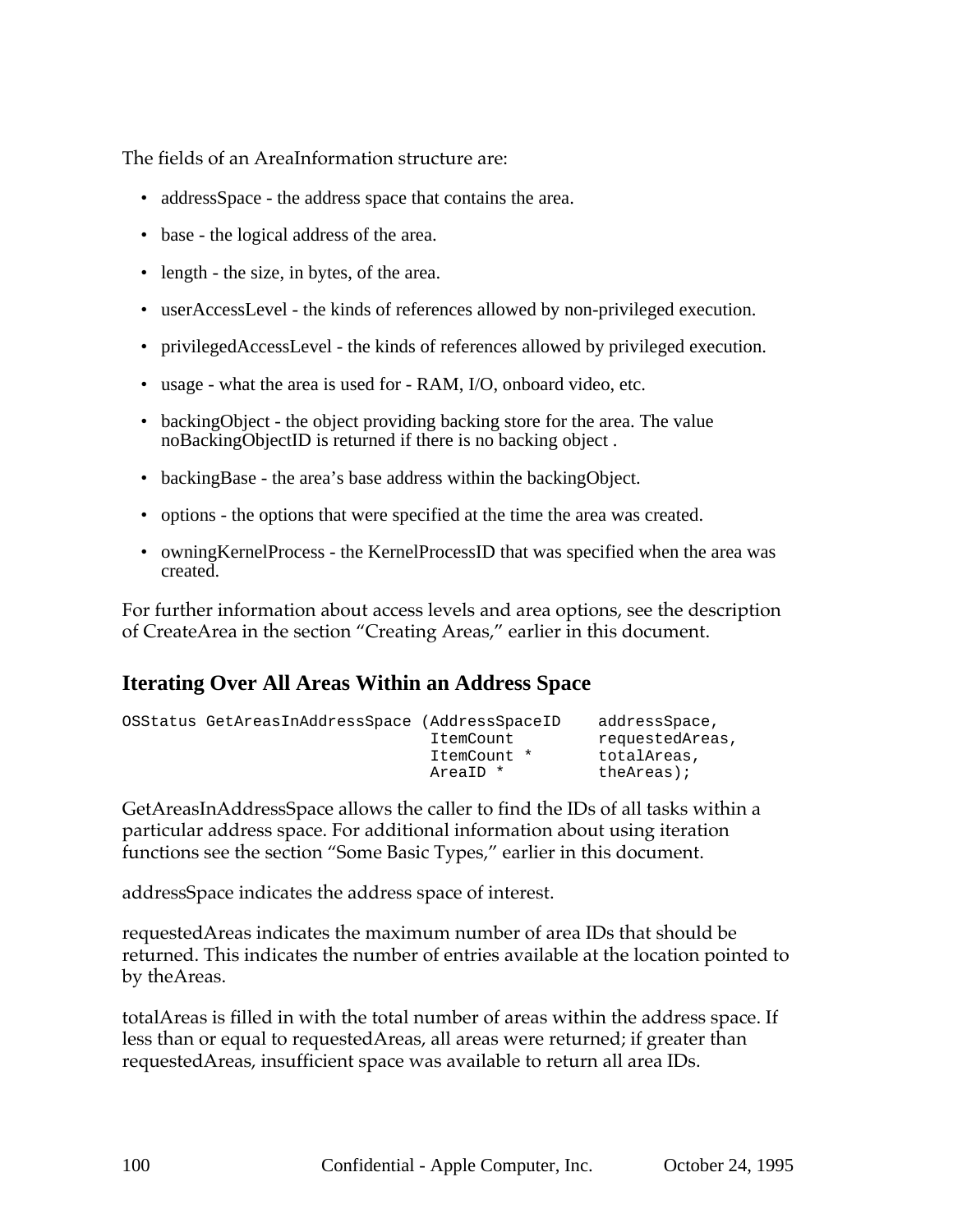The fields of an AreaInformation structure are:

- addressSpace the address space that contains the area.
- base the logical address of the area.
- length the size, in bytes, of the area.
- userAccessLevel the kinds of references allowed by non-privileged execution.
- privilegedAccessLevel the kinds of references allowed by privileged execution.
- usage what the area is used for RAM, I/O, onboard video, etc.
- backing Object the object providing backing store for the area. The value noBackingObjectID is returned if there is no backing object .
- backingBase the area's base address within the backingObject.
- options the options that were specified at the time the area was created.
- owningKernelProcess the KernelProcessID that was specified when the area was created.

For further information about access levels and area options, see the description of CreateArea in the section "Creating Areas," earlier in this document.

#### **Iterating Over All Areas Within an Address Space**

| OSStatus GetAreasInAddressSpace (AddressSpaceID |             | addressSpace,   |
|-------------------------------------------------|-------------|-----------------|
|                                                 | ItemCount   | requestedAreas, |
|                                                 | ItemCount * | totalAreas,     |
|                                                 | AreaID *    | theAreas);      |

GetAreasInAddressSpace allows the caller to find the IDs of all tasks within a particular address space. For additional information about using iteration functions see the section "Some Basic Types," earlier in this document.

addressSpace indicates the address space of interest.

requestedAreas indicates the maximum number of area IDs that should be returned. This indicates the number of entries available at the location pointed to by theAreas.

totalAreas is filled in with the total number of areas within the address space. If less than or equal to requestedAreas, all areas were returned; if greater than requestedAreas, insufficient space was available to return all area IDs.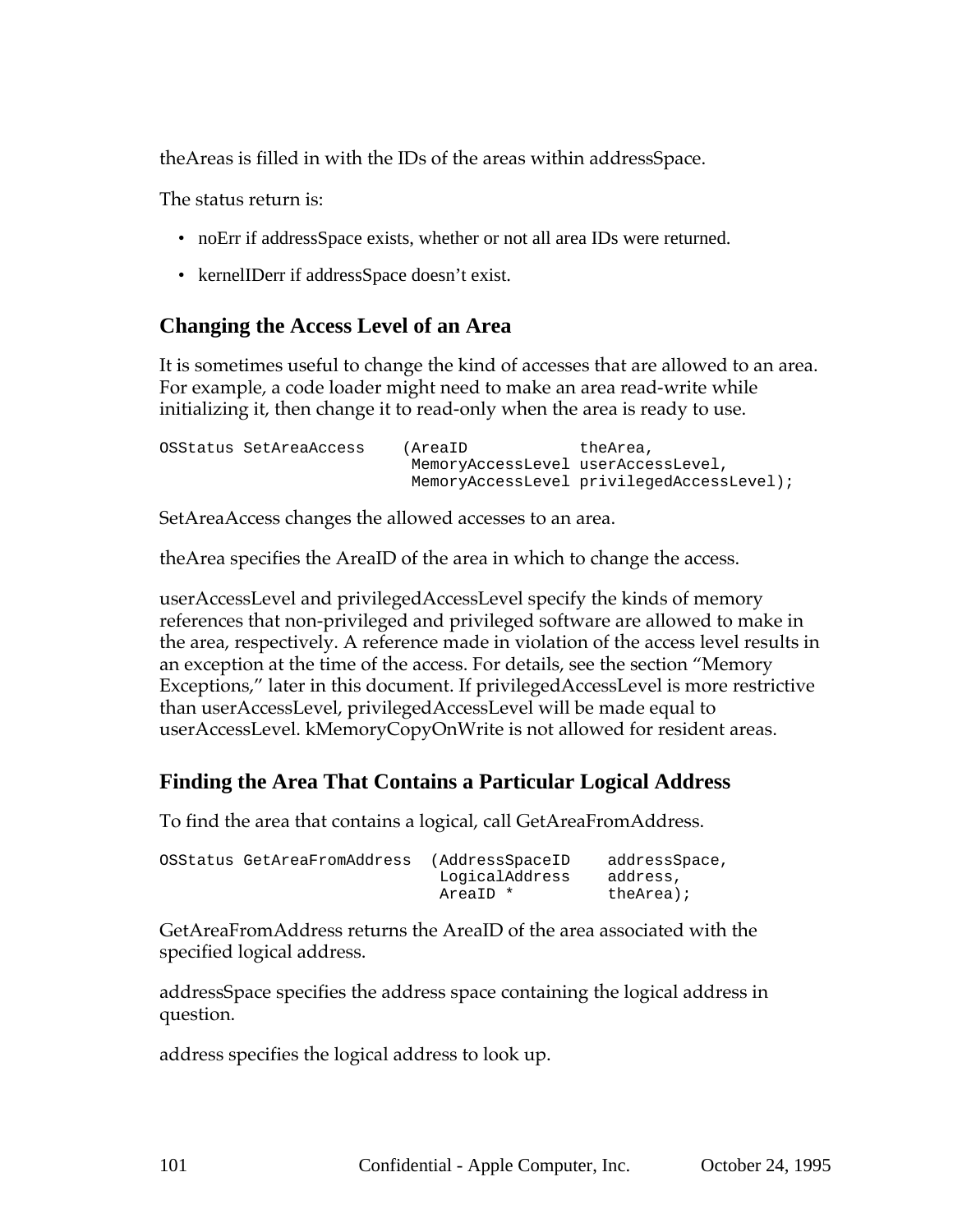theAreas is filled in with the IDs of the areas within addressSpace.

The status return is:

- noErr if addressSpace exists, whether or not all area IDs were returned.
- kernelIDerr if addressSpace doesn't exist.

#### **Changing the Access Level of an Area**

It is sometimes useful to change the kind of accesses that are allowed to an area. For example, a code loader might need to make an area read-write while initializing it, then change it to read-only when the area is ready to use.

```
OSStatus SetAreaAccess (AreaID theArea,
                        MemoryAccessLevel userAccessLevel,
                        MemoryAccessLevel privilegedAccessLevel);
```
SetAreaAccess changes the allowed accesses to an area.

theArea specifies the AreaID of the area in which to change the access.

userAccessLevel and privilegedAccessLevel specify the kinds of memory references that non-privileged and privileged software are allowed to make in the area, respectively. A reference made in violation of the access level results in an exception at the time of the access. For details, see the section "Memory Exceptions," later in this document. If privilegedAccessLevel is more restrictive than userAccessLevel, privilegedAccessLevel will be made equal to userAccessLevel. kMemoryCopyOnWrite is not allowed for resident areas.

# **Finding the Area That Contains a Particular Logical Address**

To find the area that contains a logical, call GetAreaFromAddress.

| OSStatus GetAreaFromAddress | (AddressSpaceID | addressSpace, |
|-----------------------------|-----------------|---------------|
|                             | LogicalAddress  | address,      |
|                             | AreaID *        | theArea);     |

GetAreaFromAddress returns the AreaID of the area associated with the specified logical address.

addressSpace specifies the address space containing the logical address in question.

address specifies the logical address to look up.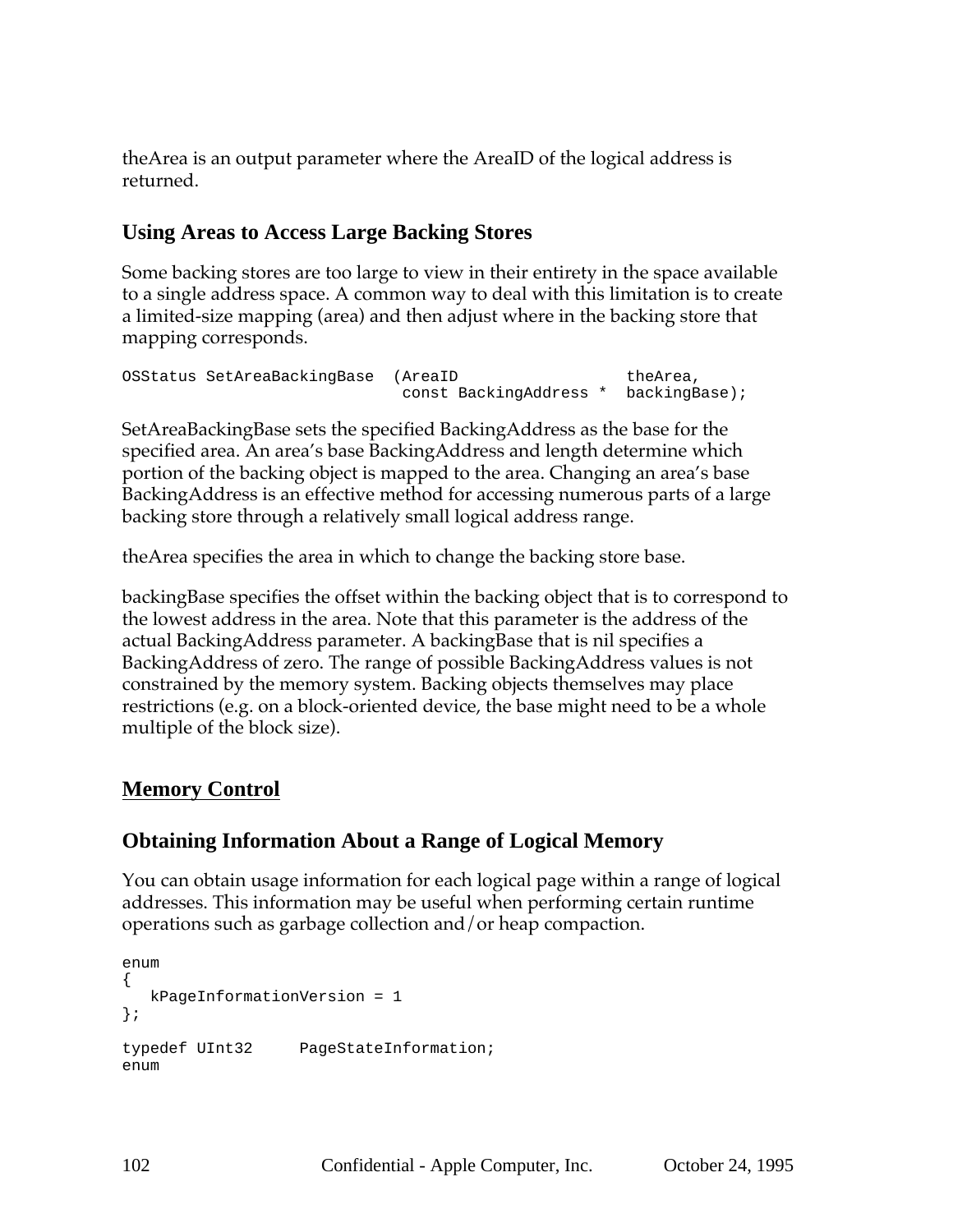theArea is an output parameter where the AreaID of the logical address is returned.

# **Using Areas to Access Large Backing Stores**

Some backing stores are too large to view in their entirety in the space available to a single address space. A common way to deal with this limitation is to create a limited-size mapping (area) and then adjust where in the backing store that mapping corresponds.

```
OSStatus SetAreaBackingBase (AreaID theArea,
                        const BackingAddress * backingBase);
```
SetAreaBackingBase sets the specified BackingAddress as the base for the specified area. An area's base BackingAddress and length determine which portion of the backing object is mapped to the area. Changing an area's base BackingAddress is an effective method for accessing numerous parts of a large backing store through a relatively small logical address range.

theArea specifies the area in which to change the backing store base.

backingBase specifies the offset within the backing object that is to correspond to the lowest address in the area. Note that this parameter is the address of the actual BackingAddress parameter. A backingBase that is nil specifies a BackingAddress of zero. The range of possible BackingAddress values is not constrained by the memory system. Backing objects themselves may place restrictions (e.g. on a block-oriented device, the base might need to be a whole multiple of the block size).

# **Memory Control**

# **Obtaining Information About a Range of Logical Memory**

You can obtain usage information for each logical page within a range of logical addresses. This information may be useful when performing certain runtime operations such as garbage collection and/or heap compaction.

```
enum
{
  kPageInformationVersion = 1
};
typedef UInt32 PageStateInformation;
enum
```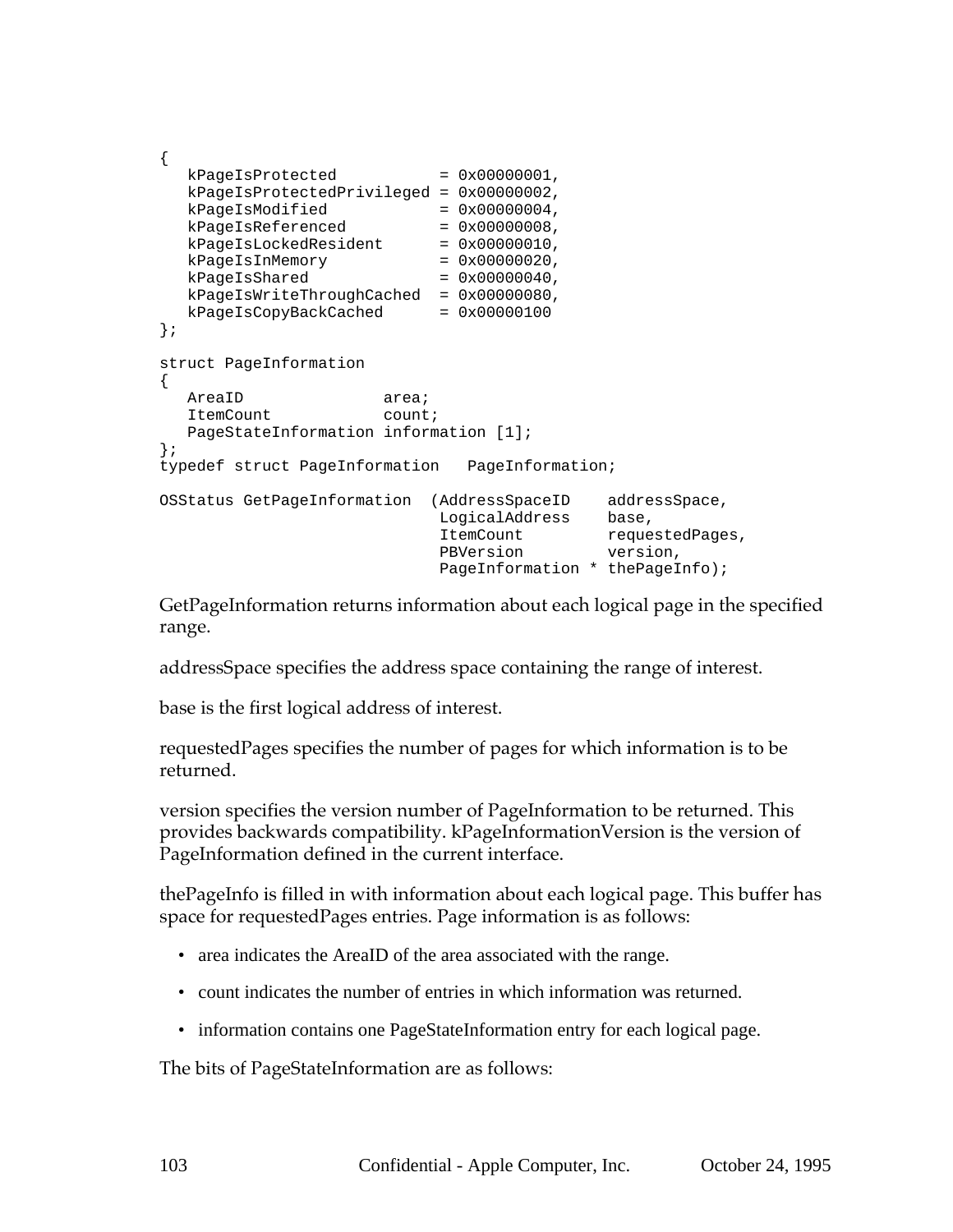```
{
  kPageIsProtocol = 0x0000001,kPageIsProtectedPrivileged = 0x00000002,
  kPageIsModified = 0x00000004,
  kPageIsReferenced = <math>0x00000008</math>,kPageIsLockedResident = 0x00000010,
  kPageIsInMemory = 0x0000020,kPageIsShared = 0x00000040,
  kPageIsWriteThroughCached = 0x00000080,
  kPageIsCopyBackCached = 0x00000100
};
struct PageInformation
{
  AreaID area;
  ItemCount count;
  PageStateInformation information [1];
};
typedef struct PageInformation PageInformation;
OSStatus GetPageInformation (AddressSpaceID addressSpace,
                          LogicalAddress base,
                          ItemCount requestedPages,
                          PBVersion version,
                         PageInformation * thePageInfo);
```
GetPageInformation returns information about each logical page in the specified range.

addressSpace specifies the address space containing the range of interest.

base is the first logical address of interest.

requestedPages specifies the number of pages for which information is to be returned.

version specifies the version number of PageInformation to be returned. This provides backwards compatibility. kPageInformationVersion is the version of PageInformation defined in the current interface.

thePageInfo is filled in with information about each logical page. This buffer has space for requestedPages entries. Page information is as follows:

- area indicates the AreaID of the area associated with the range.
- count indicates the number of entries in which information was returned.
- information contains one PageStateInformation entry for each logical page.

The bits of PageStateInformation are as follows: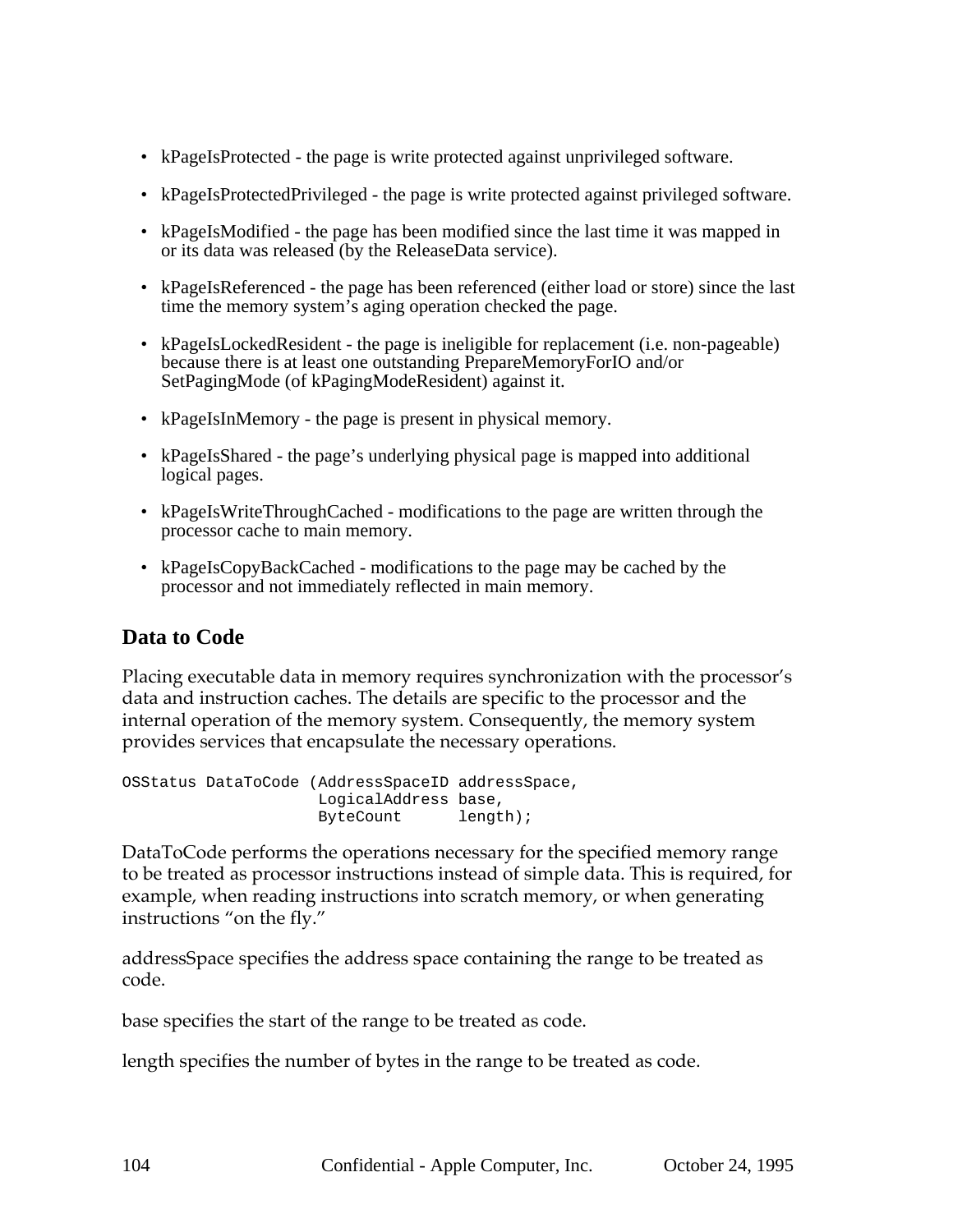- kPageIsProtected the page is write protected against unprivileged software.
- kPageIsProtectedPrivileged the page is write protected against privileged software.
- kPageIsModified the page has been modified since the last time it was mapped in or its data was released (by the ReleaseData service).
- kPageIsReferenced the page has been referenced (either load or store) since the last time the memory system's aging operation checked the page.
- kPageIsLockedResident the page is ineligible for replacement (i.e. non-pageable) because there is at least one outstanding PrepareMemoryForIO and/or SetPagingMode (of kPagingModeResident) against it.
- kPageIsInMemory the page is present in physical memory.
- kPageIsShared the page's underlying physical page is mapped into additional logical pages.
- kPageIsWriteThroughCached modifications to the page are written through the processor cache to main memory.
- kPageIsCopyBackCached modifications to the page may be cached by the processor and not immediately reflected in main memory.

#### **Data to Code**

Placing executable data in memory requires synchronization with the processor's data and instruction caches. The details are specific to the processor and the internal operation of the memory system. Consequently, the memory system provides services that encapsulate the necessary operations.

```
OSStatus DataToCode (AddressSpaceID addressSpace,
                    LogicalAddress base,
                    ByteCount length);
```
DataToCode performs the operations necessary for the specified memory range to be treated as processor instructions instead of simple data. This is required, for example, when reading instructions into scratch memory, or when generating instructions "on the fly."

addressSpace specifies the address space containing the range to be treated as code.

base specifies the start of the range to be treated as code.

length specifies the number of bytes in the range to be treated as code.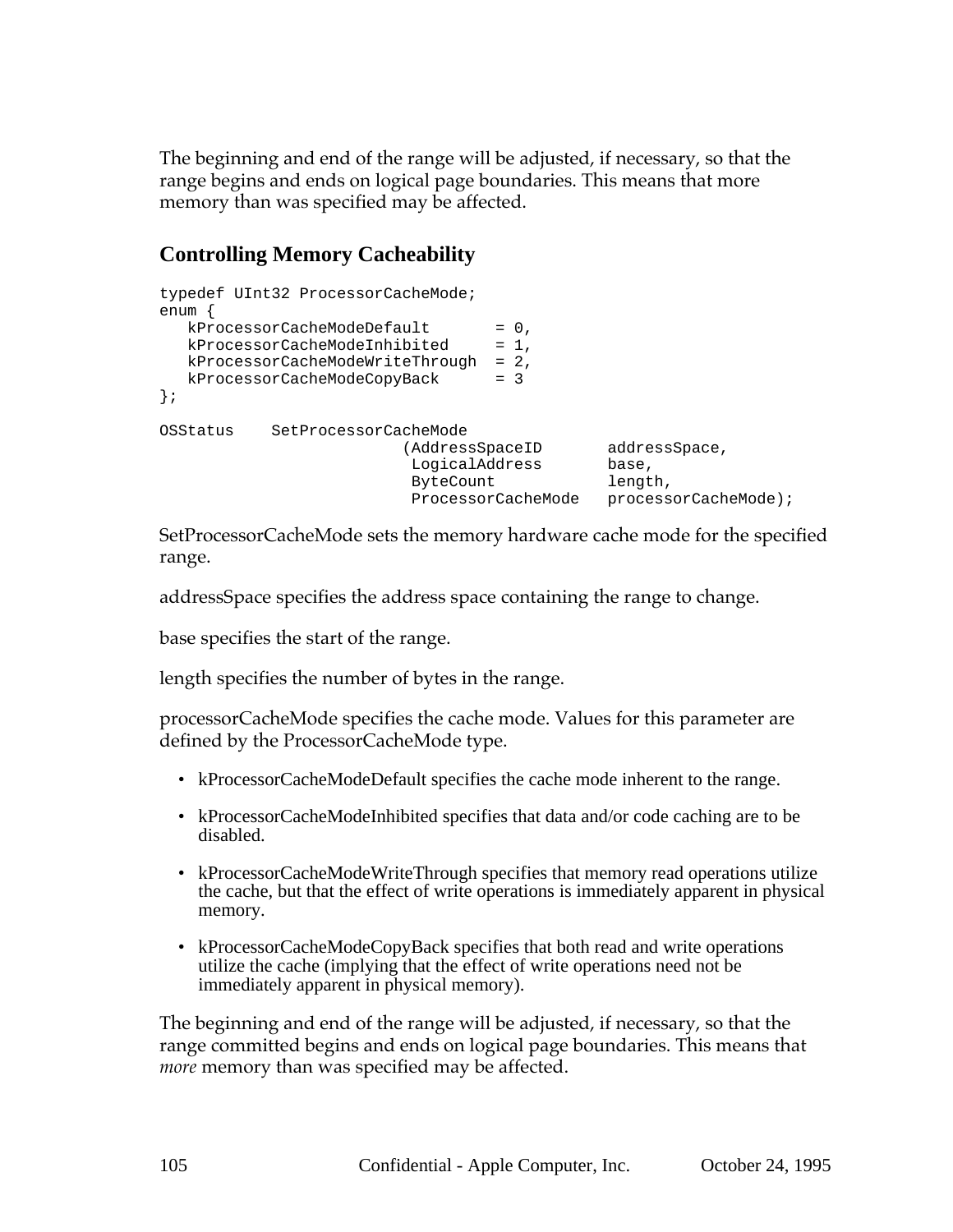The beginning and end of the range will be adjusted, if necessary, so that the range begins and ends on logical page boundaries. This means that more memory than was specified may be affected.

# **Controlling Memory Cacheability**

```
typedef UInt32 ProcessorCacheMode;
enum {
  kProcess or CacheModeDefault = 0,kProcessorCacheModelInhibited = 1,kProcessorCacheModeWriteThrough = 2,
  kProcessorCacheModeCopyBack = 3
};
OSStatus SetProcessorCacheMode
                      (AddressSpaceID addressSpace,
                        LogicalAddress base,
                        ByteCount length,
                        ProcessorCacheMode processorCacheMode);
```
SetProcessorCacheMode sets the memory hardware cache mode for the specified range.

addressSpace specifies the address space containing the range to change.

base specifies the start of the range.

length specifies the number of bytes in the range.

processorCacheMode specifies the cache mode. Values for this parameter are defined by the ProcessorCacheMode type.

- kProcessorCacheModeDefault specifies the cache mode inherent to the range.
- kProcessorCacheModeInhibited specifies that data and/or code caching are to be disabled.
- kProcessorCacheModeWriteThrough specifies that memory read operations utilize the cache, but that the effect of write operations is immediately apparent in physical memory.
- kProcessorCacheModeCopyBack specifies that both read and write operations utilize the cache (implying that the effect of write operations need not be immediately apparent in physical memory).

The beginning and end of the range will be adjusted, if necessary, so that the range committed begins and ends on logical page boundaries. This means that *more* memory than was specified may be affected.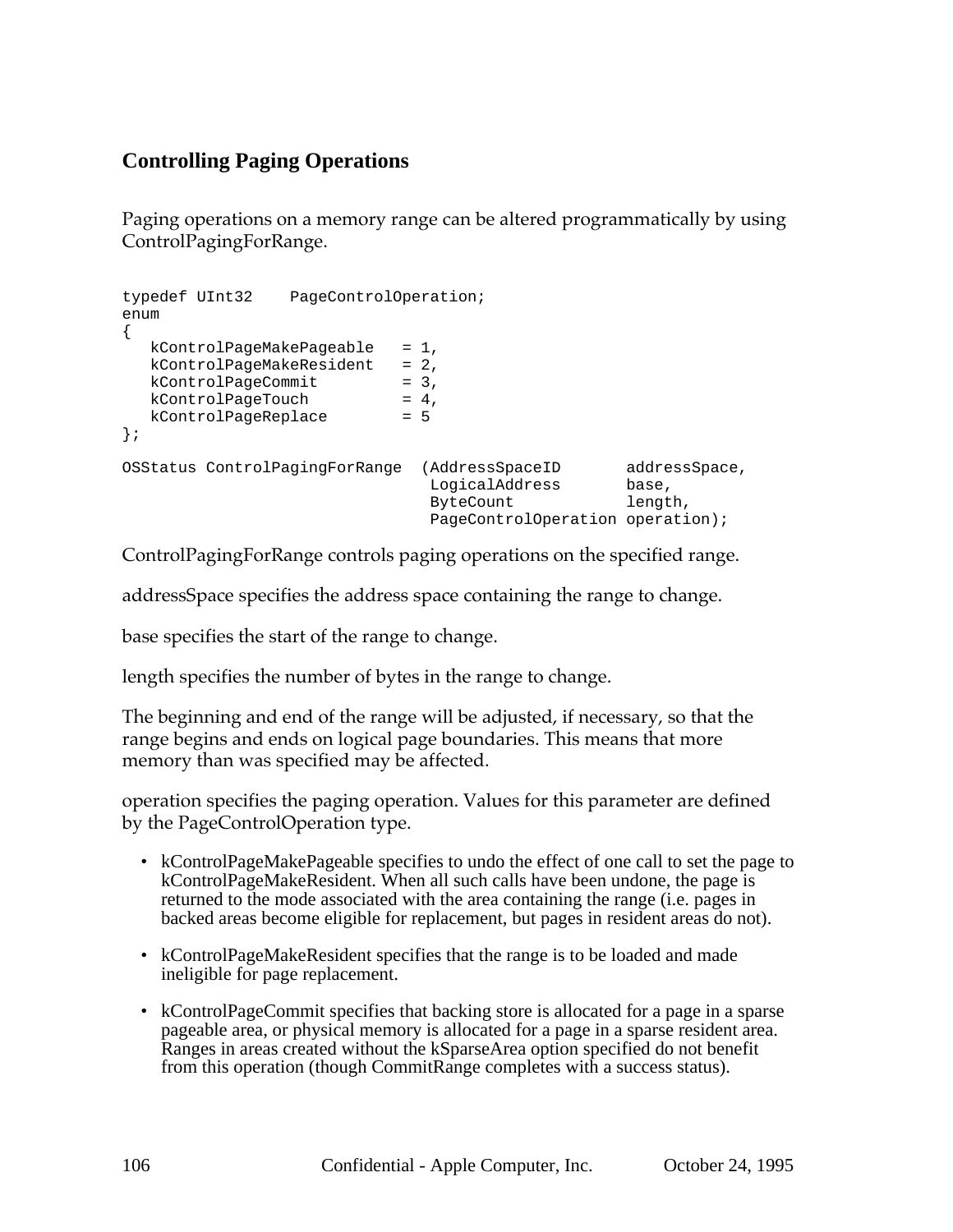# **Controlling Paging Operations**

Paging operations on a memory range can be altered programmatically by using ControlPagingForRange.

```
typedef UInt32 PageControlOperation;
enum
{
  kControlPageMakePageable = 1,
  kControlPageMakeSevident = 2,kControlPageCommit = 3,<br>kControlPageTouch = 4,
   kControlPageTouch = 4,
   kControlPageReplace = 5
};
OSStatus ControlPagingForRange (AddressSpaceID addressSpace,
                               LogicalAddress base,
                               ByteCount length,
                              PageControlOperation operation);
```
ControlPagingForRange controls paging operations on the specified range.

addressSpace specifies the address space containing the range to change.

base specifies the start of the range to change.

length specifies the number of bytes in the range to change.

The beginning and end of the range will be adjusted, if necessary, so that the range begins and ends on logical page boundaries. This means that more memory than was specified may be affected.

operation specifies the paging operation. Values for this parameter are defined by the PageControlOperation type.

- kControlPageMakePageable specifies to undo the effect of one call to set the page to kControlPageMakeResident. When all such calls have been undone, the page is returned to the mode associated with the area containing the range (i.e. pages in backed areas become eligible for replacement, but pages in resident areas do not).
- kControlPageMakeResident specifies that the range is to be loaded and made ineligible for page replacement.
- kControlPageCommit specifies that backing store is allocated for a page in a sparse pageable area, or physical memory is allocated for a page in a sparse resident area. Ranges in areas created without the kSparseArea option specified do not benefit from this operation (though CommitRange completes with a success status).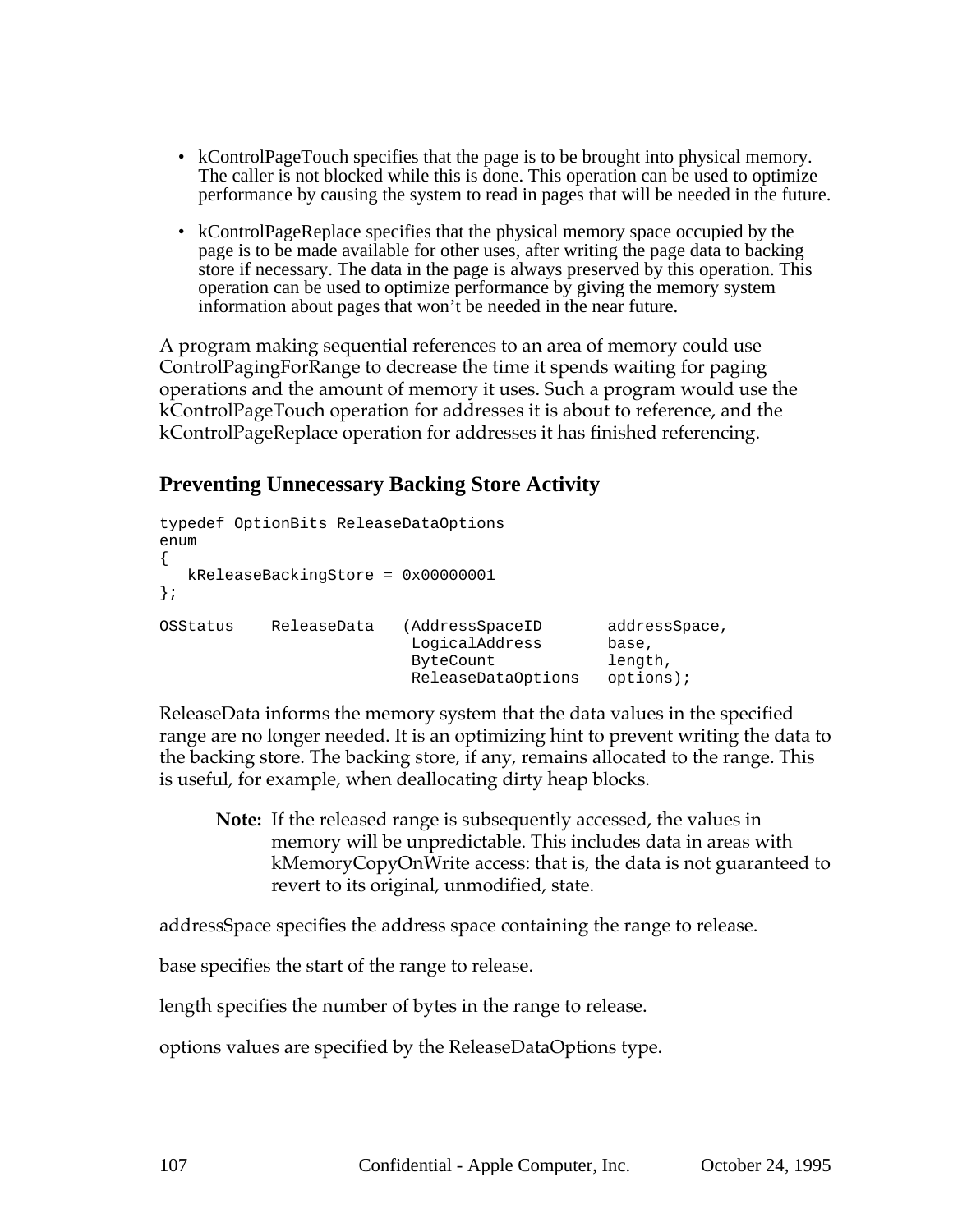- kControlPageTouch specifies that the page is to be brought into physical memory. The caller is not blocked while this is done. This operation can be used to optimize performance by causing the system to read in pages that will be needed in the future.
- kControlPageReplace specifies that the physical memory space occupied by the page is to be made available for other uses, after writing the page data to backing store if necessary. The data in the page is always preserved by this operation. This operation can be used to optimize performance by giving the memory system information about pages that won't be needed in the near future.

A program making sequential references to an area of memory could use ControlPagingForRange to decrease the time it spends waiting for paging operations and the amount of memory it uses. Such a program would use the kControlPageTouch operation for addresses it is about to reference, and the kControlPageReplace operation for addresses it has finished referencing.

## **Preventing Unnecessary Backing Store Activity**

```
typedef OptionBits ReleaseDataOptions
enum
{
  kReleaseBackingStore = 0x00000001
};
OSStatus ReleaseData (AddressSpaceID addressSpace,
                        LogicalAddress base,
                        ByteCount length,
                       ReleaseDataOptions options);
```
ReleaseData informs the memory system that the data values in the specified range are no longer needed. It is an optimizing hint to prevent writing the data to the backing store. The backing store, if any, remains allocated to the range. This is useful, for example, when deallocating dirty heap blocks.

**Note:** If the released range is subsequently accessed, the values in memory will be unpredictable. This includes data in areas with kMemoryCopyOnWrite access: that is, the data is not guaranteed to revert to its original, unmodified, state.

addressSpace specifies the address space containing the range to release.

base specifies the start of the range to release.

length specifies the number of bytes in the range to release.

options values are specified by the ReleaseDataOptions type.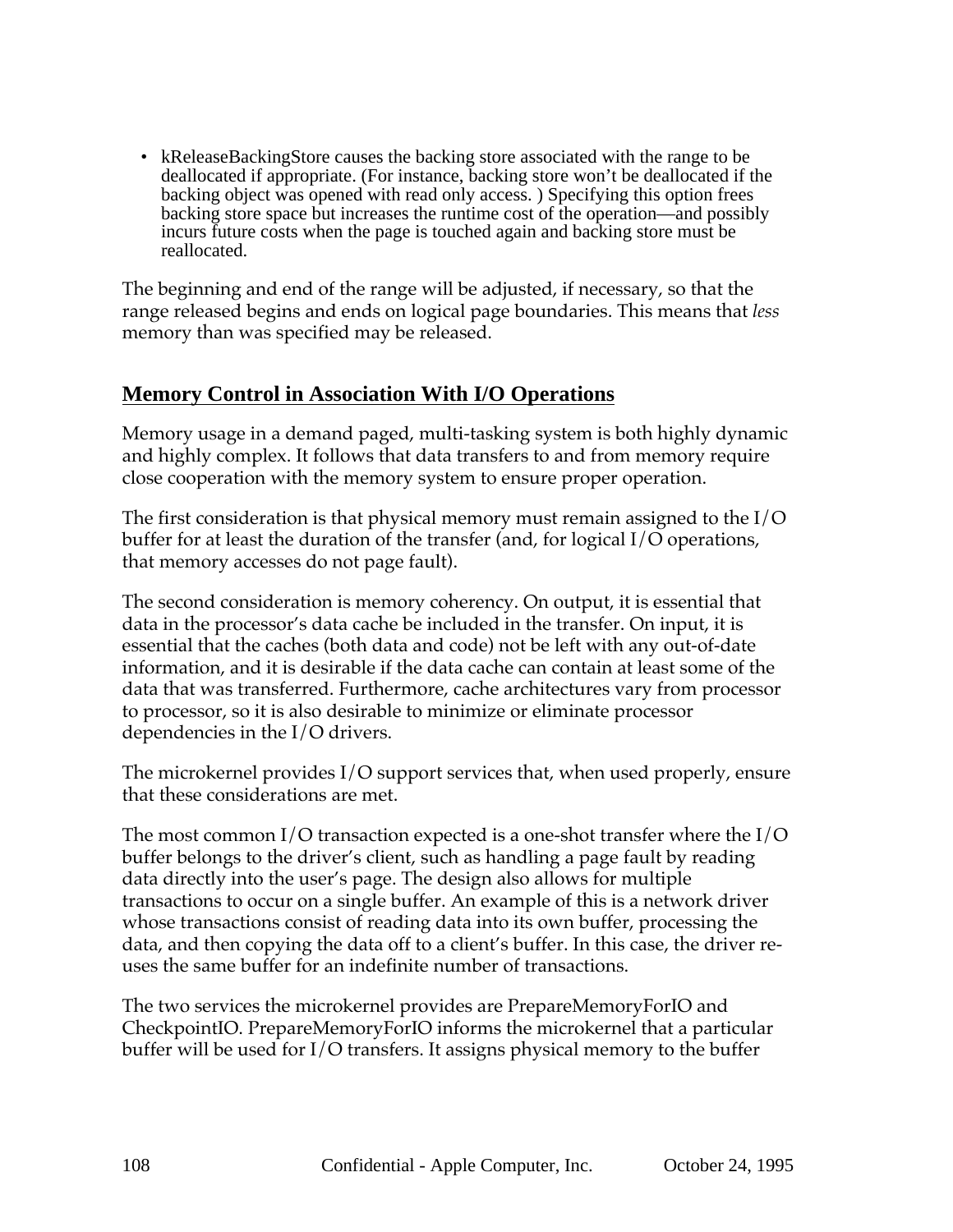• kReleaseBackingStore causes the backing store associated with the range to be deallocated if appropriate. (For instance, backing store won't be deallocated if the backing object was opened with read only access. ) Specifying this option frees backing store space but increases the runtime cost of the operation—and possibly incurs future costs when the page is touched again and backing store must be reallocated.

The beginning and end of the range will be adjusted, if necessary, so that the range released begins and ends on logical page boundaries. This means that *less* memory than was specified may be released.

#### **Memory Control in Association With I/O Operations**

Memory usage in a demand paged, multi-tasking system is both highly dynamic and highly complex. It follows that data transfers to and from memory require close cooperation with the memory system to ensure proper operation.

The first consideration is that physical memory must remain assigned to the I/O buffer for at least the duration of the transfer (and, for logical I/O operations, that memory accesses do not page fault).

The second consideration is memory coherency. On output, it is essential that data in the processor's data cache be included in the transfer. On input, it is essential that the caches (both data and code) not be left with any out-of-date information, and it is desirable if the data cache can contain at least some of the data that was transferred. Furthermore, cache architectures vary from processor to processor, so it is also desirable to minimize or eliminate processor dependencies in the I/O drivers.

The microkernel provides I/O support services that, when used properly, ensure that these considerations are met.

The most common I/O transaction expected is a one-shot transfer where the I/O buffer belongs to the driver's client, such as handling a page fault by reading data directly into the user's page. The design also allows for multiple transactions to occur on a single buffer. An example of this is a network driver whose transactions consist of reading data into its own buffer, processing the data, and then copying the data off to a client's buffer. In this case, the driver reuses the same buffer for an indefinite number of transactions.

The two services the microkernel provides are PrepareMemoryForIO and CheckpointIO. PrepareMemoryForIO informs the microkernel that a particular buffer will be used for I/O transfers. It assigns physical memory to the buffer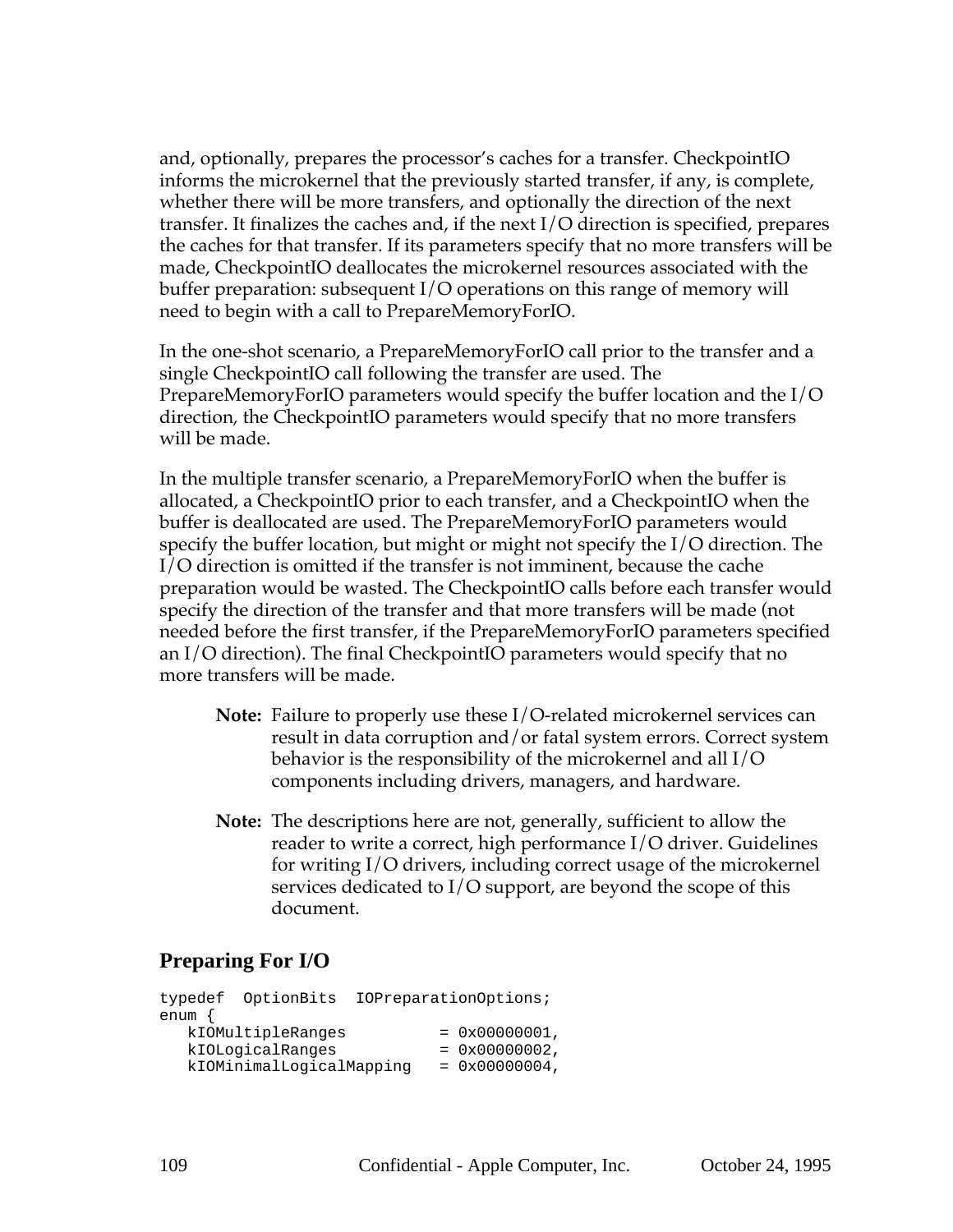and, optionally, prepares the processor's caches for a transfer. CheckpointIO informs the microkernel that the previously started transfer, if any, is complete, whether there will be more transfers, and optionally the direction of the next transfer. It finalizes the caches and, if the next I/O direction is specified, prepares the caches for that transfer. If its parameters specify that no more transfers will be made, CheckpointIO deallocates the microkernel resources associated with the buffer preparation: subsequent I/O operations on this range of memory will need to begin with a call to PrepareMemoryForIO.

In the one-shot scenario, a PrepareMemoryForIO call prior to the transfer and a single CheckpointIO call following the transfer are used. The PrepareMemoryForIO parameters would specify the buffer location and the I/O direction, the CheckpointIO parameters would specify that no more transfers will be made.

In the multiple transfer scenario, a PrepareMemoryForIO when the buffer is allocated, a CheckpointIO prior to each transfer, and a CheckpointIO when the buffer is deallocated are used. The PrepareMemoryForIO parameters would specify the buffer location, but might or might not specify the I/O direction. The I/O direction is omitted if the transfer is not imminent, because the cache preparation would be wasted. The CheckpointIO calls before each transfer would specify the direction of the transfer and that more transfers will be made (not needed before the first transfer, if the PrepareMemoryForIO parameters specified an I/O direction). The final CheckpointIO parameters would specify that no more transfers will be made.

- **Note:** Failure to properly use these I/O-related microkernel services can result in data corruption and/or fatal system errors. Correct system behavior is the responsibility of the microkernel and all I/O components including drivers, managers, and hardware.
- **Note:** The descriptions here are not, generally, sufficient to allow the reader to write a correct, high performance I/O driver. Guidelines for writing I/O drivers, including correct usage of the microkernel services dedicated to I/O support, are beyond the scope of this document.

## **Preparing For I/O**

```
typedef OptionBits IOPreparationOptions;
enum {
  kIOMultipleRanges = 0x00000001,
  kIOLogicalRanges = 0x00000002,kIOMinimalLogicalMapping = 0x00000004,
```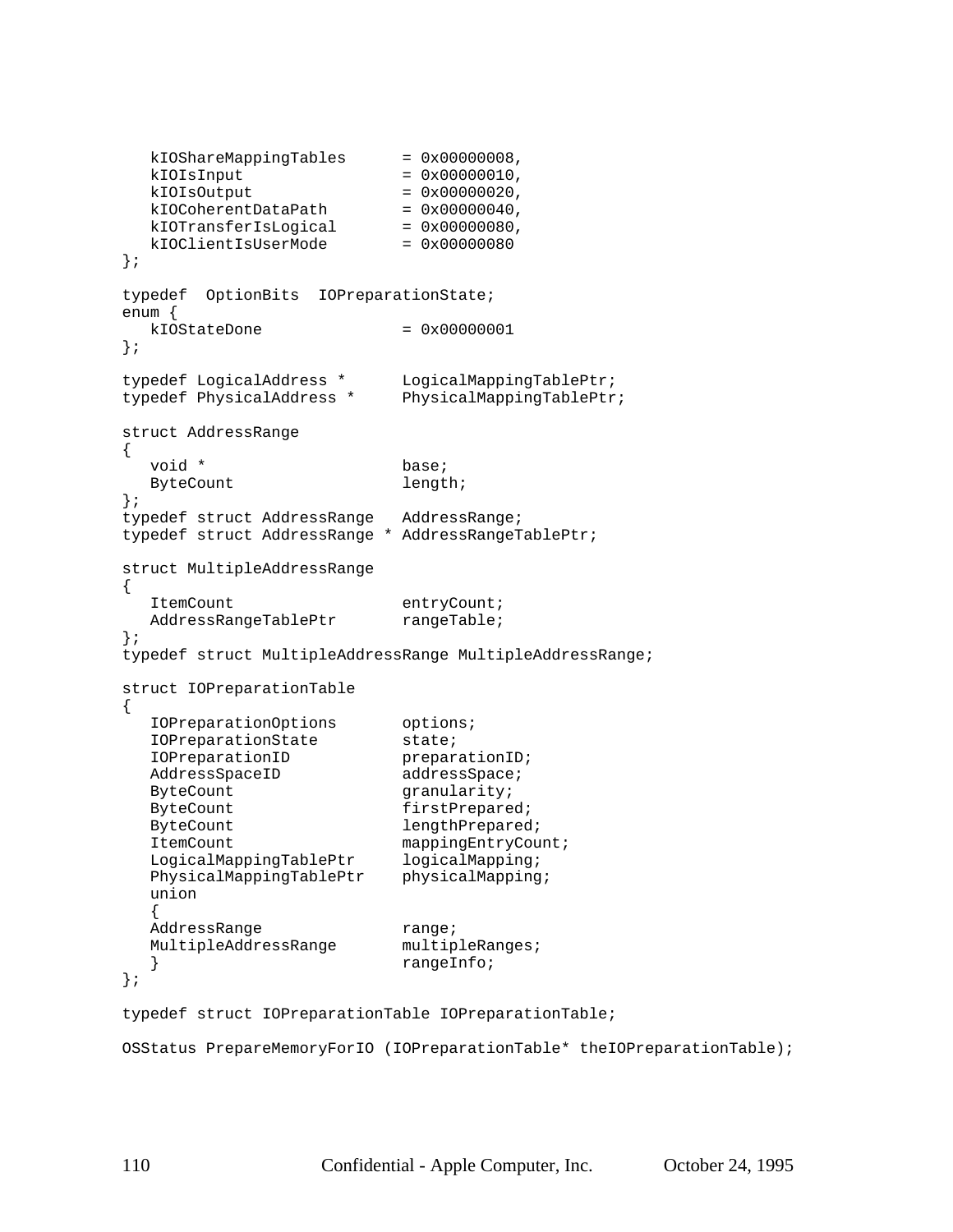```
kIOShareMappingTables = 0x00000008,
  kIOISInput = 0x00000010,
  kIOISOutput = 0x00000020,kIOCoherentDataPath = 0x00000040,
  kIOTransferIsLogical = <math>0x00000080</math>,kIOClientISUserMode = 0x00000080};
typedef OptionBits IOPreparationState;
enum {
  kIOStateDone = 0x00000001};
typedef LogicalAddress * LogicalMappingTablePtr;
typedef PhysicalAddress * PhysicalMappingTablePtr;
struct AddressRange
{
  void * base;
  ByteCount length;
};
typedef struct AddressRange AddressRange;
typedef struct AddressRange * AddressRangeTablePtr;
struct MultipleAddressRange
{
  ItemCount entryCount;
  AddressRangeTablePtr rangeTable;
};
typedef struct MultipleAddressRange MultipleAddressRange;
struct IOPreparationTable
{
  IOPreparationOptions options;
  IOPreparationState state;
  IOPreparationID preparationID;
  AddressSpaceID addressSpace;
  ByteCount granularity;
  ByteCount firstPrepared;
  ByteCount lengthPrepared;
  ItemCount mappingEntryCount;
  LogicalMappingTablePtr logicalMapping;
  PhysicalMappingTablePtr physicalMapping;
  union
  {
  AddressRange range;<br>MultipleAddressRange multipleRanges;
  MultipleAddressRange
  } rangeInfo;
};
```

```
typedef struct IOPreparationTable IOPreparationTable;
```

```
OSStatus PrepareMemoryForIO (IOPreparationTable* theIOPreparationTable);
```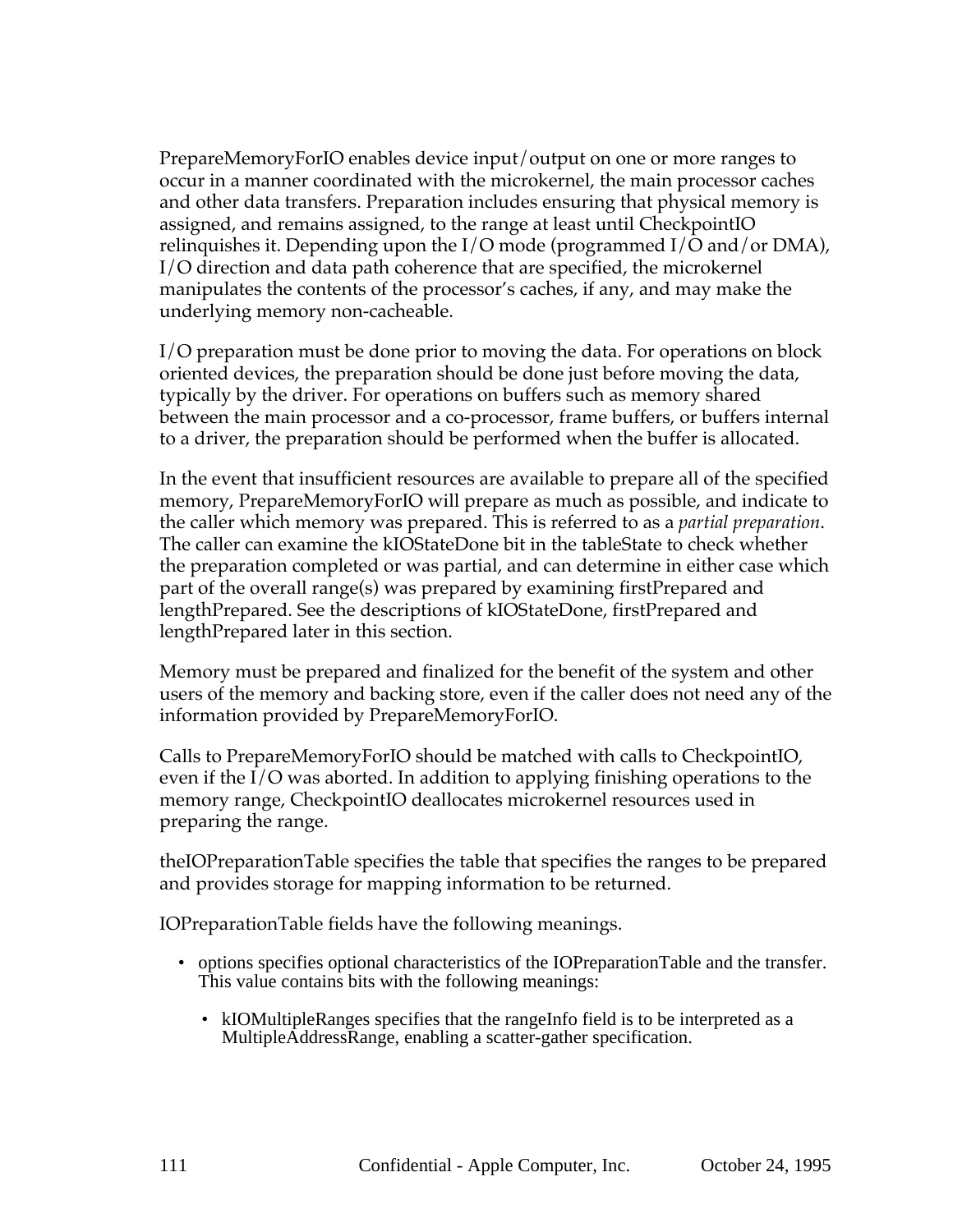PrepareMemoryForIO enables device input/output on one or more ranges to occur in a manner coordinated with the microkernel, the main processor caches and other data transfers. Preparation includes ensuring that physical memory is assigned, and remains assigned, to the range at least until CheckpointIO relinquishes it. Depending upon the I/O mode (programmed I/O and/or DMA), I/O direction and data path coherence that are specified, the microkernel manipulates the contents of the processor's caches, if any, and may make the underlying memory non-cacheable.

I/O preparation must be done prior to moving the data. For operations on block oriented devices, the preparation should be done just before moving the data, typically by the driver. For operations on buffers such as memory shared between the main processor and a co-processor, frame buffers, or buffers internal to a driver, the preparation should be performed when the buffer is allocated.

In the event that insufficient resources are available to prepare all of the specified memory, PrepareMemoryForIO will prepare as much as possible, and indicate to the caller which memory was prepared. This is referred to as a *partial preparation*. The caller can examine the kIOStateDone bit in the tableState to check whether the preparation completed or was partial, and can determine in either case which part of the overall range(s) was prepared by examining firstPrepared and lengthPrepared. See the descriptions of kIOStateDone, firstPrepared and lengthPrepared later in this section.

Memory must be prepared and finalized for the benefit of the system and other users of the memory and backing store, even if the caller does not need any of the information provided by PrepareMemoryForIO.

Calls to PrepareMemoryForIO should be matched with calls to CheckpointIO, even if the I/O was aborted. In addition to applying finishing operations to the memory range, CheckpointIO deallocates microkernel resources used in preparing the range.

theIOPreparationTable specifies the table that specifies the ranges to be prepared and provides storage for mapping information to be returned.

IOPreparationTable fields have the following meanings.

- options specifies optional characteristics of the IOPreparationTable and the transfer. This value contains bits with the following meanings:
	- kIOMultipleRanges specifies that the rangeInfo field is to be interpreted as a MultipleAddressRange, enabling a scatter-gather specification.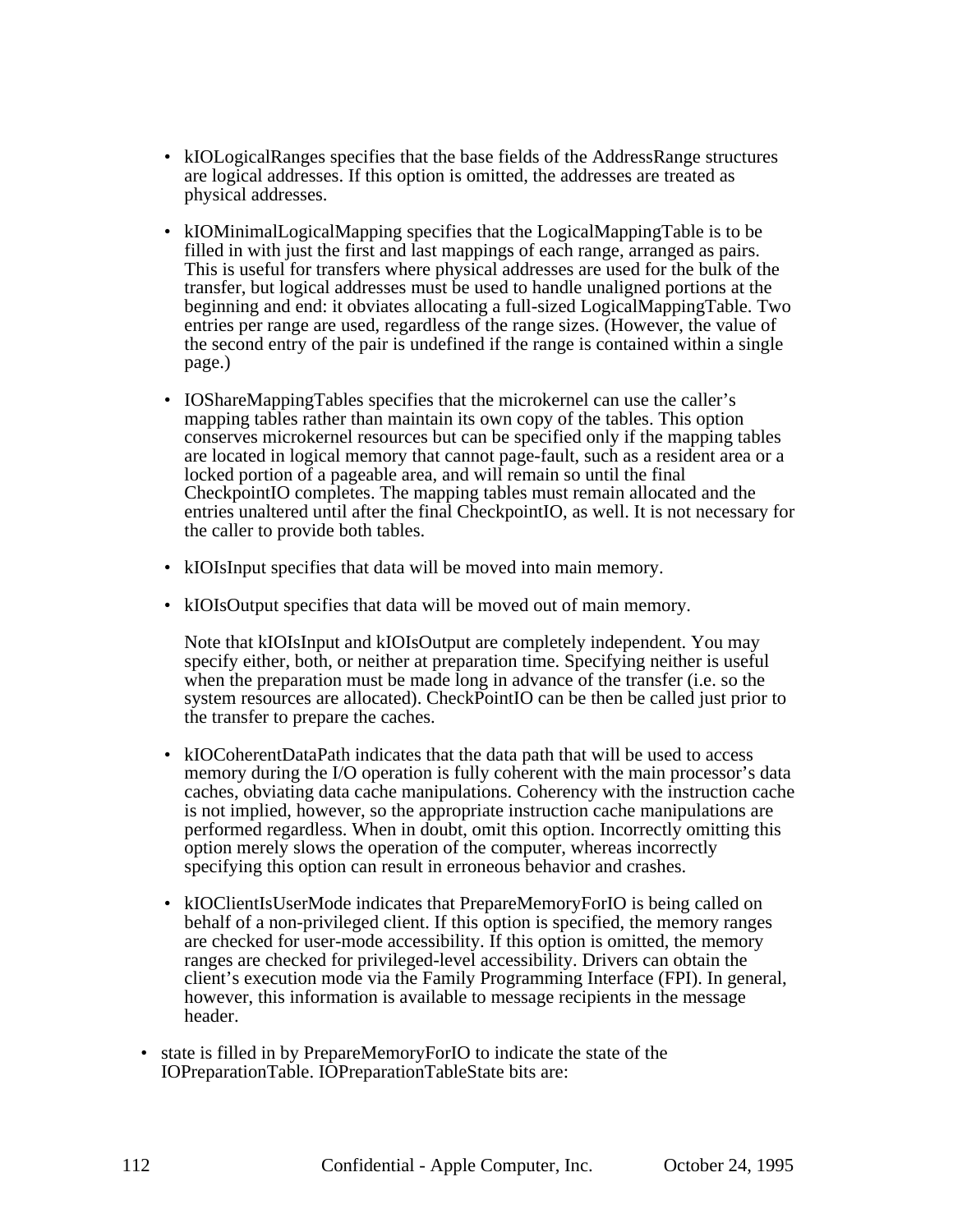- kIOLogicalRanges specifies that the base fields of the AddressRange structures are logical addresses. If this option is omitted, the addresses are treated as physical addresses.
- kIOMinimalLogicalMapping specifies that the LogicalMappingTable is to be filled in with just the first and last mappings of each range, arranged as pairs. This is useful for transfers where physical addresses are used for the bulk of the transfer, but logical addresses must be used to handle unaligned portions at the beginning and end: it obviates allocating a full-sized LogicalMappingTable. Two entries per range are used, regardless of the range sizes. (However, the value of the second entry of the pair is undefined if the range is contained within a single page.)
- IOShareMappingTables specifies that the microkernel can use the caller's mapping tables rather than maintain its own copy of the tables. This option conserves microkernel resources but can be specified only if the mapping tables are located in logical memory that cannot page-fault, such as a resident area or a locked portion of a pageable area, and will remain so until the final CheckpointIO completes. The mapping tables must remain allocated and the entries unaltered until after the final CheckpointIO, as well. It is not necessary for the caller to provide both tables.
- kIOIsInput specifies that data will be moved into main memory.
- kIOIsOutput specifies that data will be moved out of main memory.

Note that kIOIsInput and kIOIsOutput are completely independent. You may specify either, both, or neither at preparation time. Specifying neither is useful when the preparation must be made long in advance of the transfer (*i.e.* so the system resources are allocated). CheckPointIO can be then be called just prior to the transfer to prepare the caches.

- kIOCoherentDataPath indicates that the data path that will be used to access memory during the I/O operation is fully coherent with the main processor's data caches, obviating data cache manipulations. Coherency with the instruction cache is not implied, however, so the appropriate instruction cache manipulations are performed regardless. When in doubt, omit this option. Incorrectly omitting this option merely slows the operation of the computer, whereas incorrectly specifying this option can result in erroneous behavior and crashes.
- kIOClientIsUserMode indicates that PrepareMemoryForIO is being called on behalf of a non-privileged client. If this option is specified, the memory ranges are checked for user-mode accessibility. If this option is omitted, the memory ranges are checked for privileged-level accessibility. Drivers can obtain the client's execution mode via the Family Programming Interface (FPI). In general, however, this information is available to message recipients in the message header.
- state is filled in by PrepareMemoryForIO to indicate the state of the IOPreparationTable. IOPreparationTableState bits are: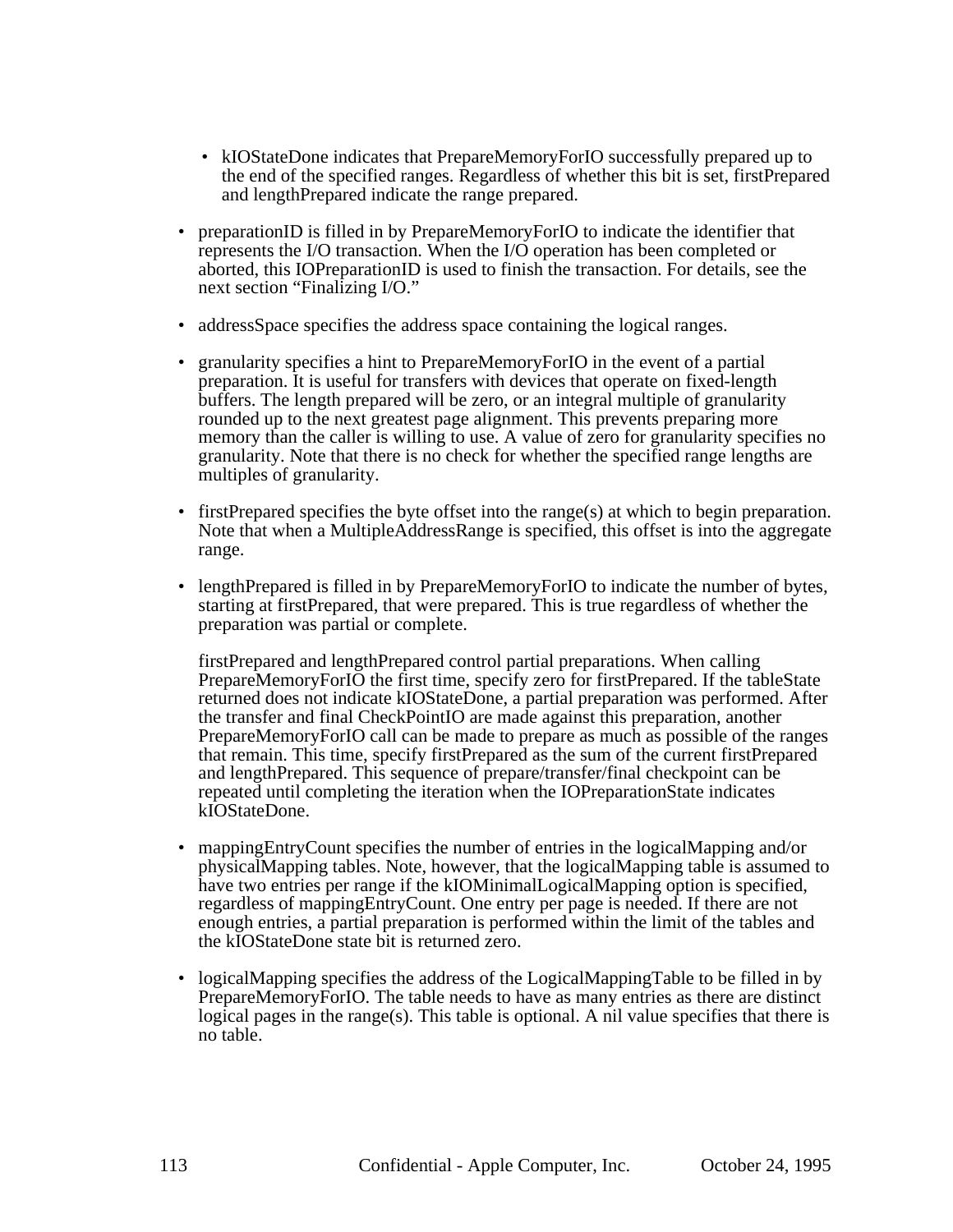- kIOStateDone indicates that PrepareMemoryForIO successfully prepared up to the end of the specified ranges. Regardless of whether this bit is set, firstPrepared and lengthPrepared indicate the range prepared.
- preparationID is filled in by PrepareMemoryForIO to indicate the identifier that represents the I/O transaction. When the I/O operation has been completed or aborted, this IOPreparationID is used to finish the transaction. For details, see the next section "Finalizing I/O."
- addressSpace specifies the address space containing the logical ranges.
- granularity specifies a hint to PrepareMemoryForIO in the event of a partial preparation. It is useful for transfers with devices that operate on fixed-length buffers. The length prepared will be zero, or an integral multiple of granularity rounded up to the next greatest page alignment. This prevents preparing more memory than the caller is willing to use. A value of zero for granularity specifies no granularity. Note that there is no check for whether the specified range lengths are multiples of granularity.
- firstPrepared specifies the byte offset into the range(s) at which to begin preparation. Note that when a MultipleAddressRange is specified, this offset is into the aggregate range.
- lengthPrepared is filled in by PrepareMemoryForIO to indicate the number of bytes, starting at firstPrepared, that were prepared. This is true regardless of whether the preparation was partial or complete.

firstPrepared and lengthPrepared control partial preparations. When calling PrepareMemoryForIO the first time, specify zero for firstPrepared. If the tableState returned does not indicate kIOStateDone, a partial preparation was performed. After the transfer and final CheckPointIO are made against this preparation, another PrepareMemoryForIO call can be made to prepare as much as possible of the ranges that remain. This time, specify firstPrepared as the sum of the current firstPrepared and lengthPrepared. This sequence of prepare/transfer/final checkpoint can be repeated until completing the iteration when the IOPreparationState indicates kIOStateDone.

- mappingEntryCount specifies the number of entries in the logicalMapping and/or physicalMapping tables. Note, however, that the logicalMapping table is assumed to have two entries per range if the kIOMinimalLogicalMapping option is specified, regardless of mappingEntryCount. One entry per page is needed. If there are not enough entries, a partial preparation is performed within the limit of the tables and the kIOStateDone state bit is returned zero.
- logicalMapping specifies the address of the LogicalMappingTable to be filled in by PrepareMemoryForIO. The table needs to have as many entries as there are distinct logical pages in the range(s). This table is optional. A nil value specifies that there is no table.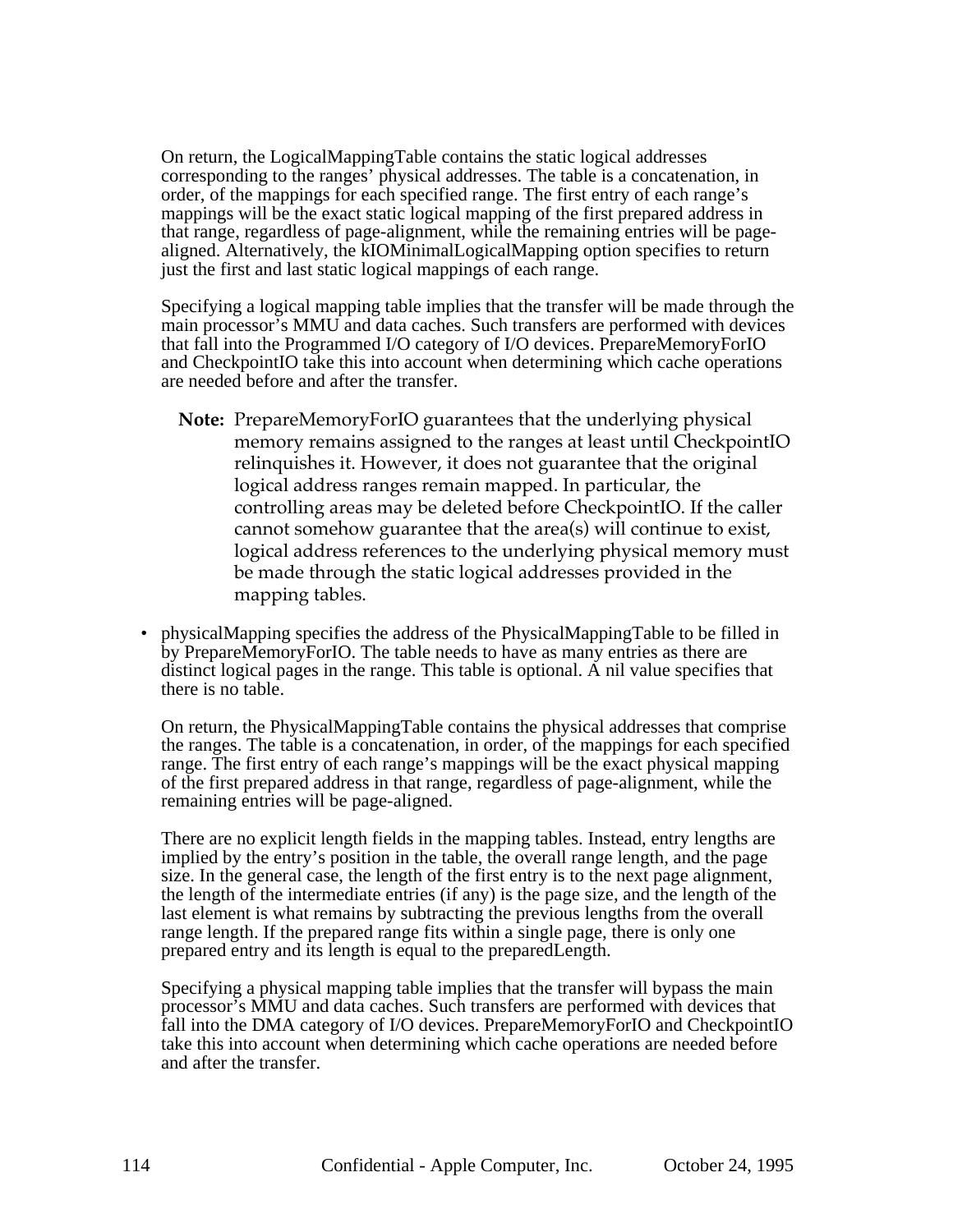On return, the LogicalMappingTable contains the static logical addresses corresponding to the ranges' physical addresses. The table is a concatenation, in order, of the mappings for each specified range. The first entry of each range's mappings will be the exact static logical mapping of the first prepared address in that range, regardless of page-alignment, while the remaining entries will be pagealigned. Alternatively, the kIOMinimalLogicalMapping option specifies to return just the first and last static logical mappings of each range.

Specifying a logical mapping table implies that the transfer will be made through the main processor's MMU and data caches. Such transfers are performed with devices that fall into the Programmed I/O category of I/O devices. PrepareMemoryForIO and CheckpointIO take this into account when determining which cache operations are needed before and after the transfer.

- **Note:** PrepareMemoryForIO guarantees that the underlying physical memory remains assigned to the ranges at least until CheckpointIO relinquishes it. However, it does not guarantee that the original logical address ranges remain mapped. In particular, the controlling areas may be deleted before CheckpointIO. If the caller cannot somehow guarantee that the area(s) will continue to exist, logical address references to the underlying physical memory must be made through the static logical addresses provided in the mapping tables.
- physicalMapping specifies the address of the PhysicalMappingTable to be filled in by PrepareMemoryForIO. The table needs to have as many entries as there are distinct logical pages in the range. This table is optional. A nil value specifies that there is no table.

On return, the PhysicalMappingTable contains the physical addresses that comprise the ranges. The table is a concatenation, in order, of the mappings for each specified range. The first entry of each range's mappings will be the exact physical mapping of the first prepared address in that range, regardless of page-alignment, while the remaining entries will be page-aligned.

There are no explicit length fields in the mapping tables. Instead, entry lengths are implied by the entry's position in the table, the overall range length, and the page size. In the general case, the length of the first entry is to the next page alignment, the length of the intermediate entries (if any) is the page size, and the length of the last element is what remains by subtracting the previous lengths from the overall range length. If the prepared range fits within a single page, there is only one prepared entry and its length is equal to the preparedLength.

Specifying a physical mapping table implies that the transfer will bypass the main processor's MMU and data caches. Such transfers are performed with devices that fall into the DMA category of I/O devices. PrepareMemoryForIO and CheckpointIO take this into account when determining which cache operations are needed before and after the transfer.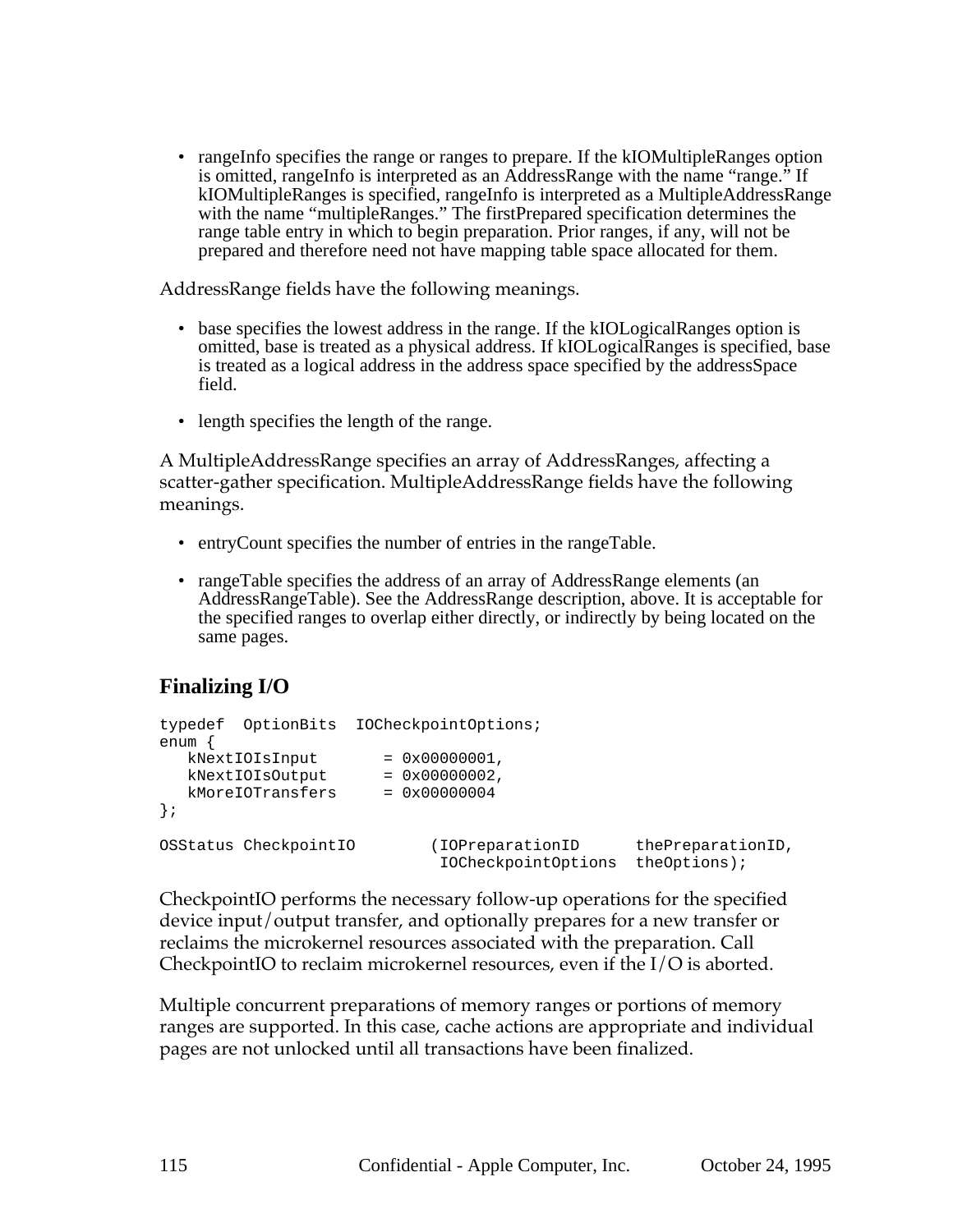• rangeInfo specifies the range or ranges to prepare. If the kIOMultipleRanges option is omitted, rangeInfo is interpreted as an AddressRange with the name "range." If kIOMultipleRanges is specified, rangeInfo is interpreted as a MultipleAddressRange with the name "multipleRanges." The firstPrepared specification determines the range table entry in which to begin preparation. Prior ranges, if any, will not be prepared and therefore need not have mapping table space allocated for them.

AddressRange fields have the following meanings.

- base specifies the lowest address in the range. If the kIOLogicalRanges option is omitted, base is treated as a physical address. If kIOLogicalRanges is specified, base is treated as a logical address in the address space specified by the addressSpace field.
- length specifies the length of the range.

A MultipleAddressRange specifies an array of AddressRanges, affecting a scatter-gather specification. MultipleAddressRange fields have the following meanings.

- entryCount specifies the number of entries in the rangeTable.
- rangeTable specifies the address of an array of AddressRange elements (an AddressRangeTable). See the AddressRange description, above. It is acceptable for the specified ranges to overlap either directly, or indirectly by being located on the same pages.

# **Finalizing I/O**

```
typedef OptionBits IOCheckpointOptions;
enum {
  kNextIOIsInput = 0x00000001,kNextIOIsOutput = 0x0000002,kMoreIOTransfers = 0x00000004
};
OSStatus CheckpointIO (IOPreparationID thePreparationID,
                           IOCheckpointOptions theOptions);
```
CheckpointIO performs the necessary follow-up operations for the specified device input/output transfer, and optionally prepares for a new transfer or reclaims the microkernel resources associated with the preparation. Call CheckpointIO to reclaim microkernel resources, even if the I/O is aborted.

Multiple concurrent preparations of memory ranges or portions of memory ranges are supported. In this case, cache actions are appropriate and individual pages are not unlocked until all transactions have been finalized.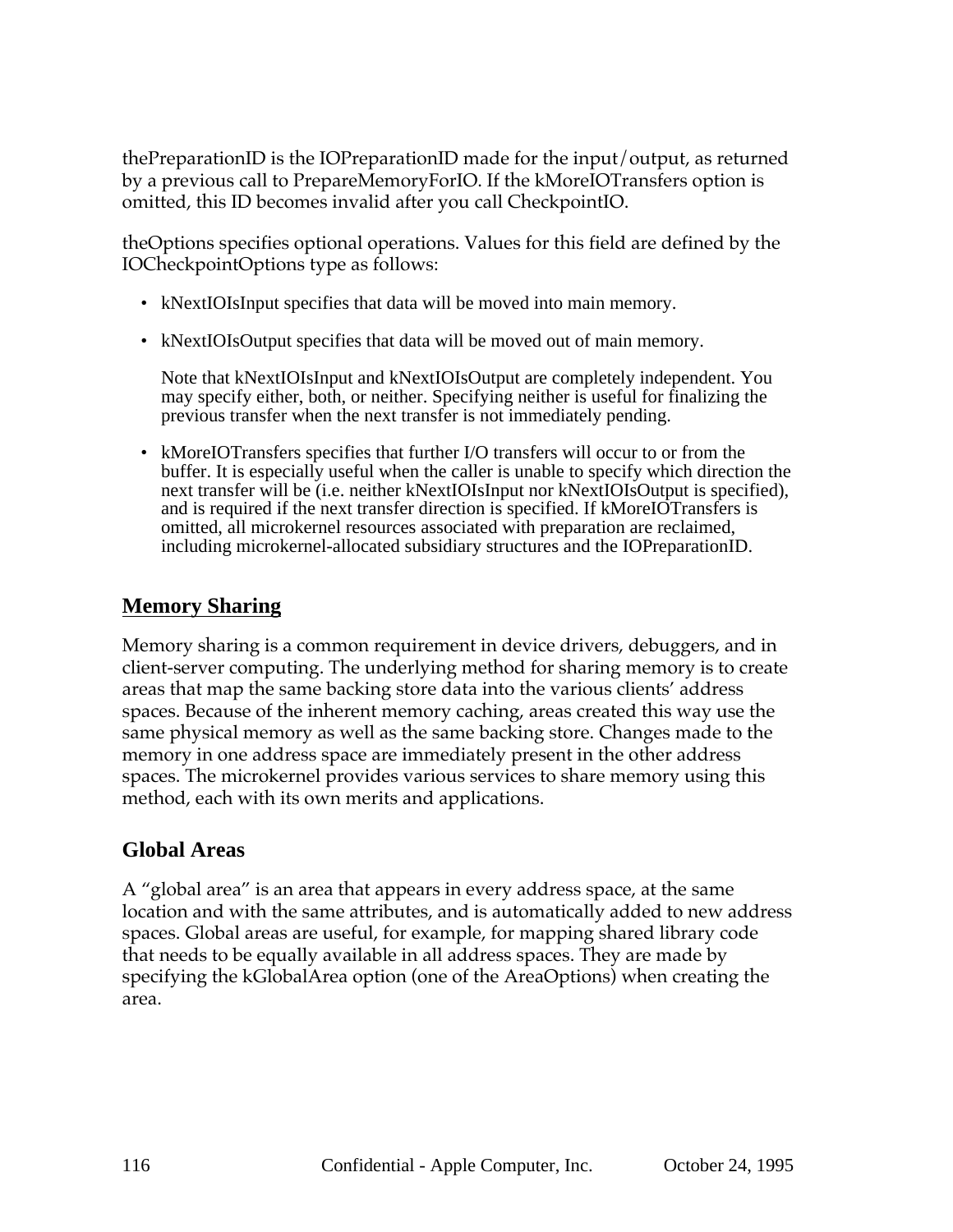thePreparationID is the IOPreparationID made for the input/output, as returned by a previous call to PrepareMemoryForIO. If the kMoreIOTransfers option is omitted, this ID becomes invalid after you call CheckpointIO.

theOptions specifies optional operations. Values for this field are defined by the IOCheckpointOptions type as follows:

- kNextIOIsInput specifies that data will be moved into main memory.
- kNextIOIsOutput specifies that data will be moved out of main memory.

Note that kNextIOIsInput and kNextIOIsOutput are completely independent. You may specify either, both, or neither. Specifying neither is useful for finalizing the previous transfer when the next transfer is not immediately pending.

• kMoreIOTransfers specifies that further I/O transfers will occur to or from the buffer. It is especially useful when the caller is unable to specify which direction the next transfer will be (i.e. neither kNextIOIsInput nor kNextIOIsOutput is specified), and is required if the next transfer direction is specified. If kMoreIOTransfers is omitted, all microkernel resources associated with preparation are reclaimed, including microkernel-allocated subsidiary structures and the IOPreparationID.

## **Memory Sharing**

Memory sharing is a common requirement in device drivers, debuggers, and in client-server computing. The underlying method for sharing memory is to create areas that map the same backing store data into the various clients' address spaces. Because of the inherent memory caching, areas created this way use the same physical memory as well as the same backing store. Changes made to the memory in one address space are immediately present in the other address spaces. The microkernel provides various services to share memory using this method, each with its own merits and applications.

## **Global Areas**

A "global area" is an area that appears in every address space, at the same location and with the same attributes, and is automatically added to new address spaces. Global areas are useful, for example, for mapping shared library code that needs to be equally available in all address spaces. They are made by specifying the kGlobalArea option (one of the AreaOptions) when creating the area.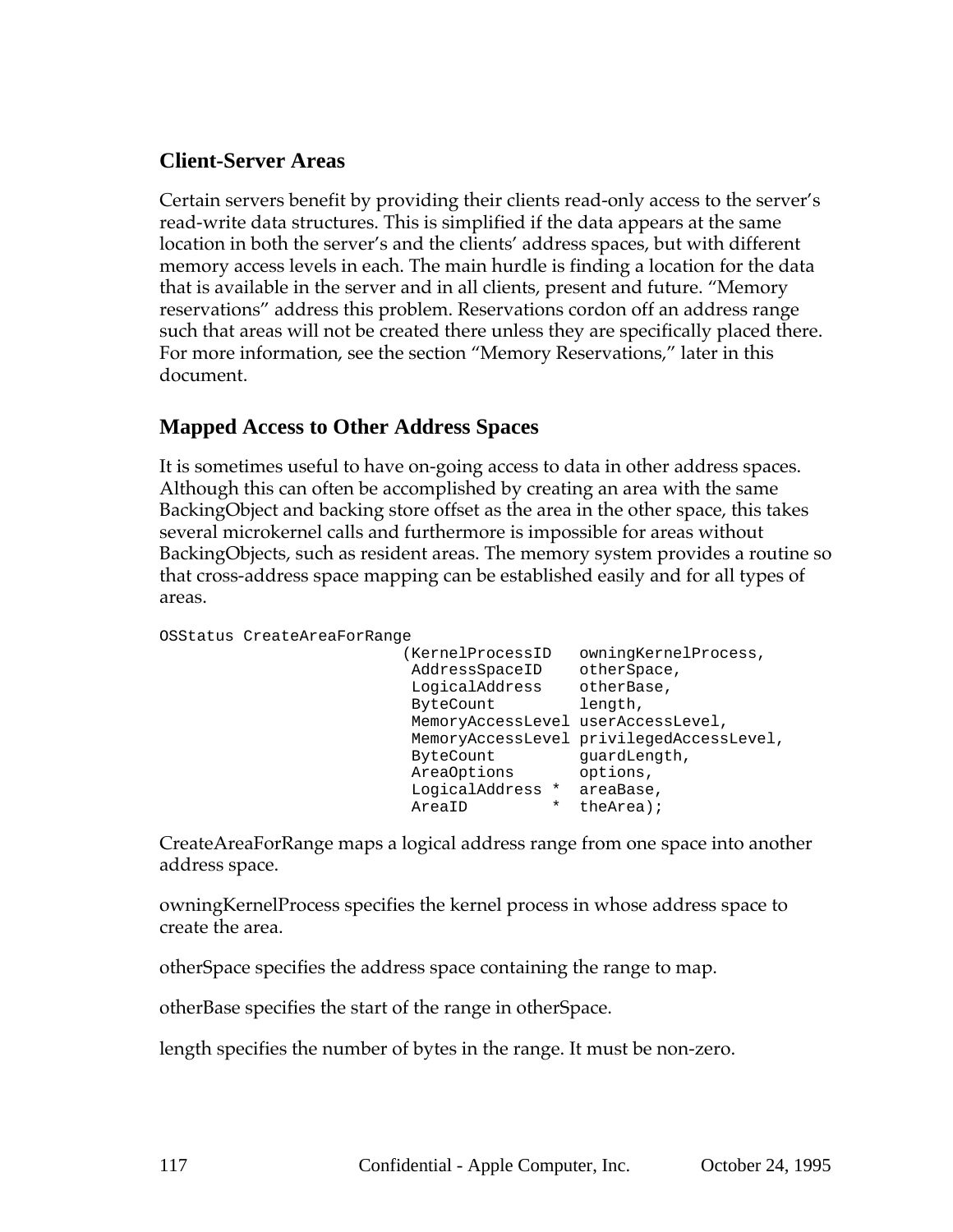## **Client-Server Areas**

Certain servers benefit by providing their clients read-only access to the server's read-write data structures. This is simplified if the data appears at the same location in both the server's and the clients' address spaces, but with different memory access levels in each. The main hurdle is finding a location for the data that is available in the server and in all clients, present and future. "Memory reservations" address this problem. Reservations cordon off an address range such that areas will not be created there unless they are specifically placed there. For more information, see the section "Memory Reservations," later in this document.

## **Mapped Access to Other Address Spaces**

It is sometimes useful to have on-going access to data in other address spaces. Although this can often be accomplished by creating an area with the same BackingObject and backing store offset as the area in the other space, this takes several microkernel calls and furthermore is impossible for areas without BackingObjects, such as resident areas. The memory system provides a routine so that cross-address space mapping can be established easily and for all types of areas.

```
OSStatus CreateAreaForRange
```

```
 (KernelProcessID owningKernelProcess,
 AddressSpaceID otherSpace,
 LogicalAddress otherBase,
 ByteCount length,
 MemoryAccessLevel userAccessLevel,
 MemoryAccessLevel privilegedAccessLevel,
 ByteCount guardLength,
 AreaOptions options,
 LogicalAddress * areaBase,
 AreaID * theArea);
```
CreateAreaForRange maps a logical address range from one space into another address space.

owningKernelProcess specifies the kernel process in whose address space to create the area.

otherSpace specifies the address space containing the range to map.

otherBase specifies the start of the range in otherSpace.

length specifies the number of bytes in the range. It must be non-zero.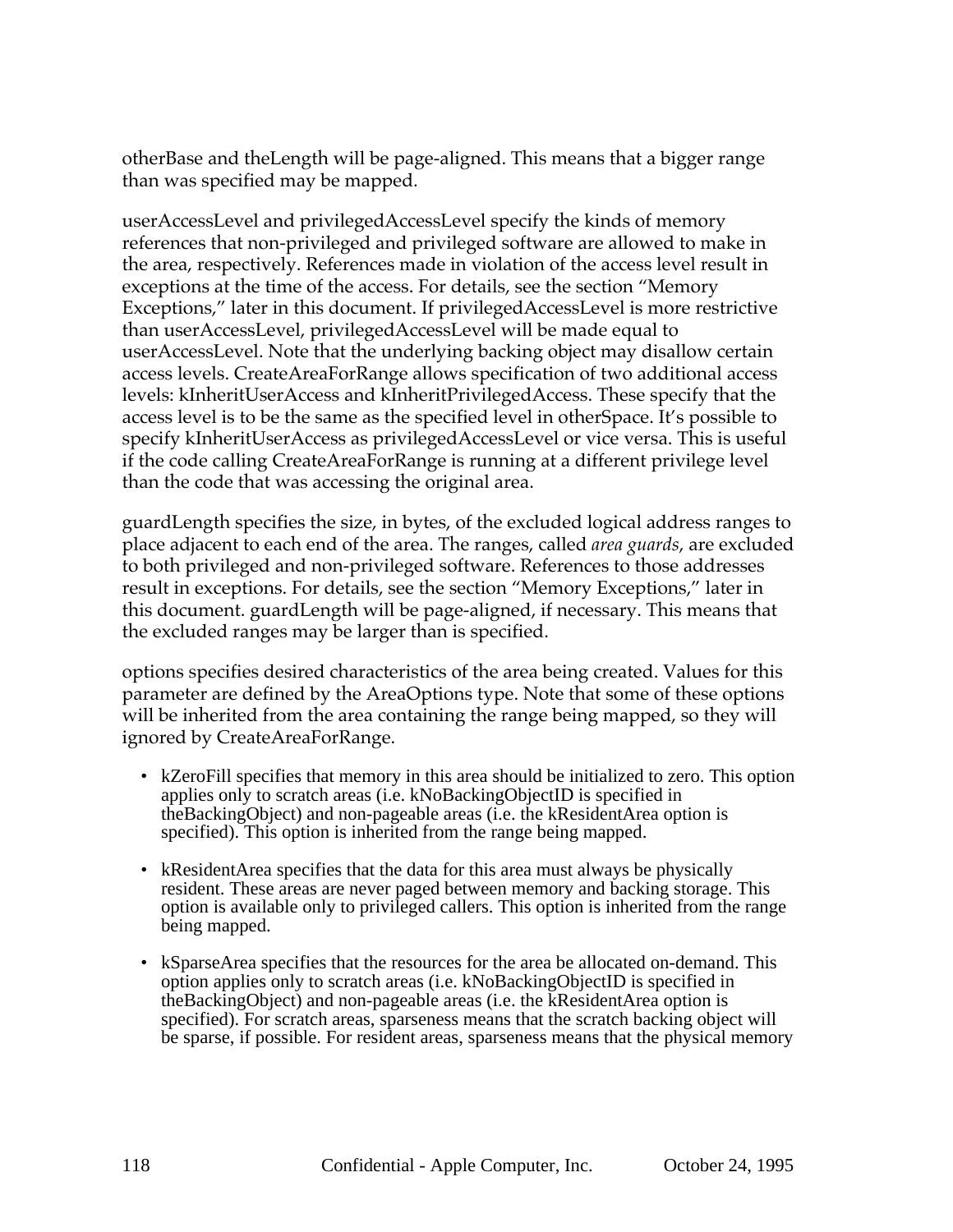otherBase and theLength will be page-aligned. This means that a bigger range than was specified may be mapped.

userAccessLevel and privilegedAccessLevel specify the kinds of memory references that non-privileged and privileged software are allowed to make in the area, respectively. References made in violation of the access level result in exceptions at the time of the access. For details, see the section "Memory Exceptions," later in this document. If privilegedAccessLevel is more restrictive than userAccessLevel, privilegedAccessLevel will be made equal to userAccessLevel. Note that the underlying backing object may disallow certain access levels. CreateAreaForRange allows specification of two additional access levels: kInheritUserAccess and kInheritPrivilegedAccess. These specify that the access level is to be the same as the specified level in otherSpace. It's possible to specify kInheritUserAccess as privilegedAccessLevel or vice versa. This is useful if the code calling CreateAreaForRange is running at a different privilege level than the code that was accessing the original area.

guardLength specifies the size, in bytes, of the excluded logical address ranges to place adjacent to each end of the area. The ranges, called *area guards*, are excluded to both privileged and non-privileged software. References to those addresses result in exceptions. For details, see the section "Memory Exceptions," later in this document. guardLength will be page-aligned, if necessary. This means that the excluded ranges may be larger than is specified.

options specifies desired characteristics of the area being created. Values for this parameter are defined by the AreaOptions type. Note that some of these options will be inherited from the area containing the range being mapped, so they will ignored by CreateAreaForRange.

- kZeroFill specifies that memory in this area should be initialized to zero. This option applies only to scratch areas (i.e. kNoBackingObjectID is specified in theBackingObject) and non-pageable areas (i.e. the kResidentArea option is specified). This option is inherited from the range being mapped.
- kResidentArea specifies that the data for this area must always be physically resident. These areas are never paged between memory and backing storage. This option is available only to privileged callers. This option is inherited from the range being mapped.
- kSparseArea specifies that the resources for the area be allocated on-demand. This option applies only to scratch areas (i.e. kNoBackingObjectID is specified in theBackingObject) and non-pageable areas (i.e. the kResidentArea option is specified). For scratch areas, sparseness means that the scratch backing object will be sparse, if possible. For resident areas, sparseness means that the physical memory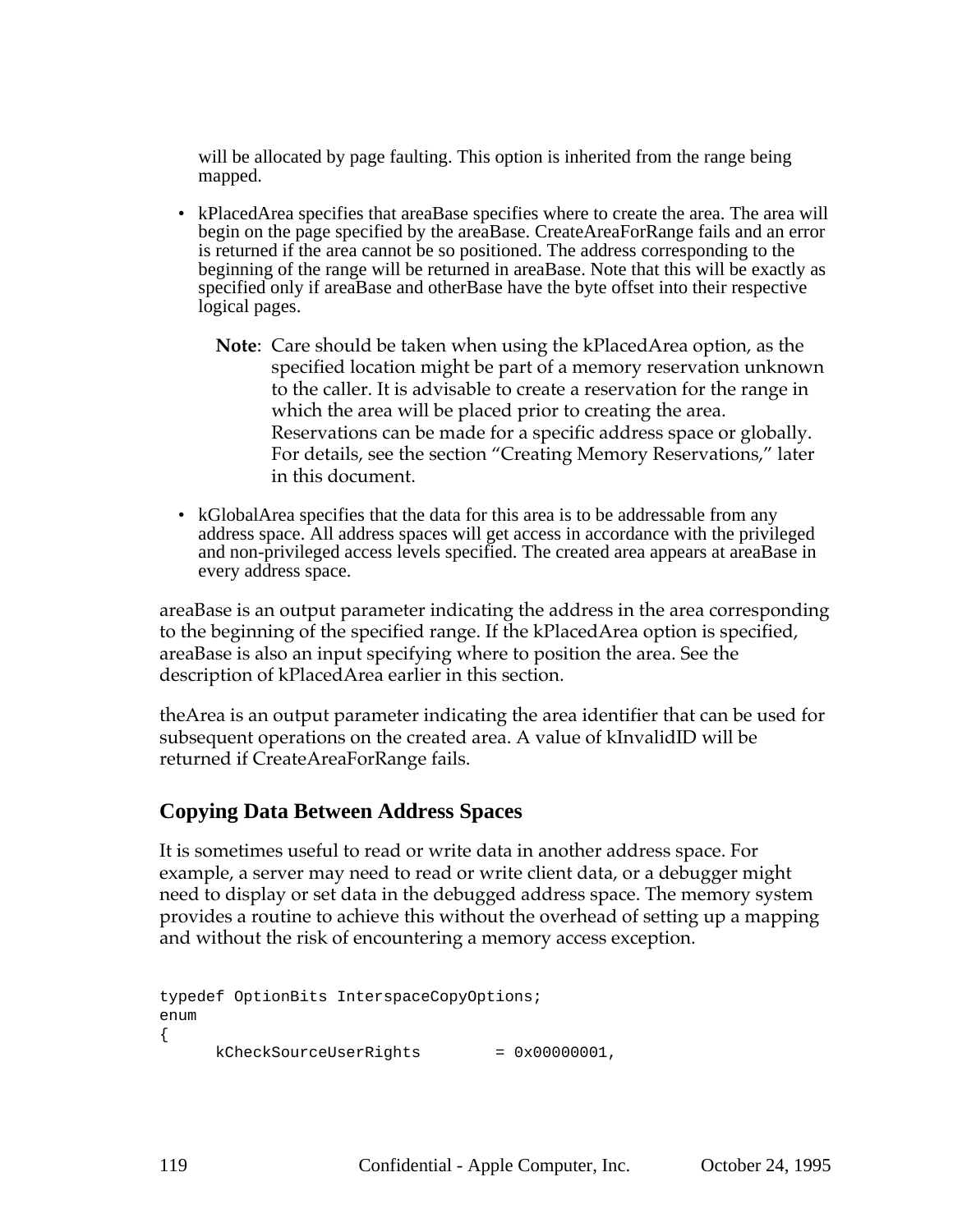will be allocated by page faulting. This option is inherited from the range being mapped.

- kPlacedArea specifies that areaBase specifies where to create the area. The area will begin on the page specified by the areaBase. CreateAreaForRange fails and an error is returned if the area cannot be so positioned. The address corresponding to the beginning of the range will be returned in areaBase. Note that this will be exactly as specified only if areaBase and otherBase have the byte offset into their respective logical pages.
	- **Note**: Care should be taken when using the kPlacedArea option, as the specified location might be part of a memory reservation unknown to the caller. It is advisable to create a reservation for the range in which the area will be placed prior to creating the area. Reservations can be made for a specific address space or globally. For details, see the section "Creating Memory Reservations," later in this document.
- kGlobalArea specifies that the data for this area is to be addressable from any address space. All address spaces will get access in accordance with the privileged and non-privileged access levels specified. The created area appears at areaBase in every address space.

areaBase is an output parameter indicating the address in the area corresponding to the beginning of the specified range. If the kPlacedArea option is specified, areaBase is also an input specifying where to position the area. See the description of kPlacedArea earlier in this section.

theArea is an output parameter indicating the area identifier that can be used for subsequent operations on the created area. A value of kInvalidID will be returned if CreateAreaForRange fails.

## **Copying Data Between Address Spaces**

It is sometimes useful to read or write data in another address space. For example, a server may need to read or write client data, or a debugger might need to display or set data in the debugged address space. The memory system provides a routine to achieve this without the overhead of setting up a mapping and without the risk of encountering a memory access exception.

```
typedef OptionBits InterspaceCopyOptions;
enum
{
     kCheckSourceUseRights = 0x0000001,
```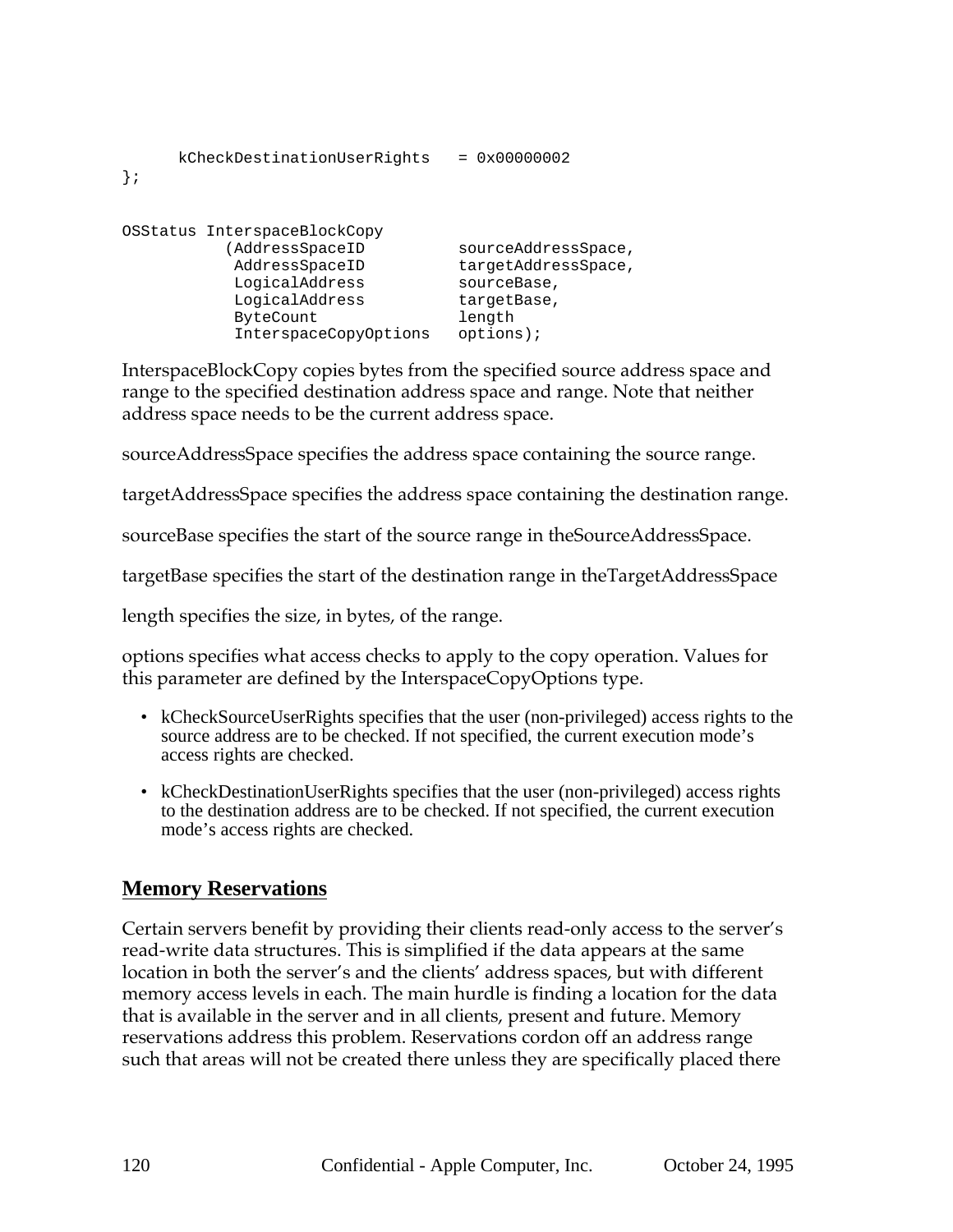| kCheckDestinationUserRights<br>$\}$ ;                                                                                                       | $= 0x00000002$                                                                                  |
|---------------------------------------------------------------------------------------------------------------------------------------------|-------------------------------------------------------------------------------------------------|
| OSStatus InterspaceBlockCopy<br>(AddressSpaceID<br>AddressSpaceID<br>LogicalAddress<br>LogicalAddress<br>ByteCount<br>InterspaceCopyOptions | sourceAddressSpace,<br>targetAddressSpace,<br>sourceBase,<br>targetBase,<br>length<br>options); |

InterspaceBlockCopy copies bytes from the specified source address space and range to the specified destination address space and range. Note that neither address space needs to be the current address space.

sourceAddressSpace specifies the address space containing the source range.

targetAddressSpace specifies the address space containing the destination range.

sourceBase specifies the start of the source range in theSourceAddressSpace.

targetBase specifies the start of the destination range in theTargetAddressSpace

length specifies the size, in bytes, of the range.

options specifies what access checks to apply to the copy operation. Values for this parameter are defined by the InterspaceCopyOptions type.

- kCheckSourceUserRights specifies that the user (non-privileged) access rights to the source address are to be checked. If not specified, the current execution mode's access rights are checked.
- kCheckDestinationUserRights specifies that the user (non-privileged) access rights to the destination address are to be checked. If not specified, the current execution mode's access rights are checked.

# **Memory Reservations**

Certain servers benefit by providing their clients read-only access to the server's read-write data structures. This is simplified if the data appears at the same location in both the server's and the clients' address spaces, but with different memory access levels in each. The main hurdle is finding a location for the data that is available in the server and in all clients, present and future. Memory reservations address this problem. Reservations cordon off an address range such that areas will not be created there unless they are specifically placed there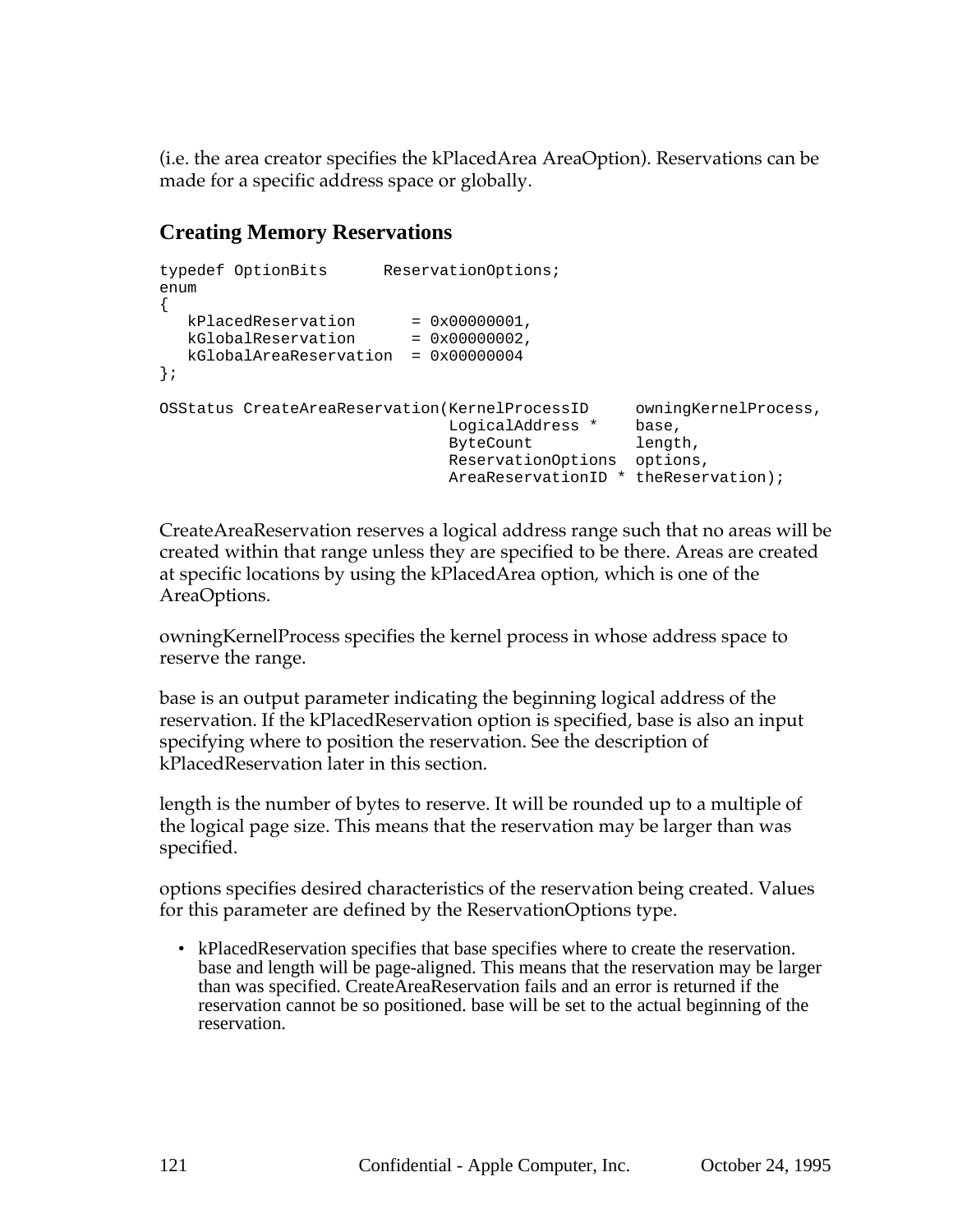(i.e. the area creator specifies the kPlacedArea AreaOption). Reservations can be made for a specific address space or globally.

# **Creating Memory Reservations**

```
typedef OptionBits ReservationOptions;
enum
{
  kPlacedReservation = 0x0000001,kGlobalReservation = 0x0000002,kGlobalAreaReservation = 0x00000004
};
OSStatus CreateAreaReservation(KernelProcessID owningKernelProcess,
                            LogicalAddress * base,
                           ByteCount length,
                            ReservationOptions options,
                             AreaReservationID * theReservation);
```
CreateAreaReservation reserves a logical address range such that no areas will be created within that range unless they are specified to be there. Areas are created at specific locations by using the kPlacedArea option, which is one of the AreaOptions.

owningKernelProcess specifies the kernel process in whose address space to reserve the range.

base is an output parameter indicating the beginning logical address of the reservation. If the kPlacedReservation option is specified, base is also an input specifying where to position the reservation. See the description of kPlacedReservation later in this section.

length is the number of bytes to reserve. It will be rounded up to a multiple of the logical page size. This means that the reservation may be larger than was specified.

options specifies desired characteristics of the reservation being created. Values for this parameter are defined by the ReservationOptions type.

• kPlacedReservation specifies that base specifies where to create the reservation. base and length will be page-aligned. This means that the reservation may be larger than was specified. CreateAreaReservation fails and an error is returned if the reservation cannot be so positioned. base will be set to the actual beginning of the reservation.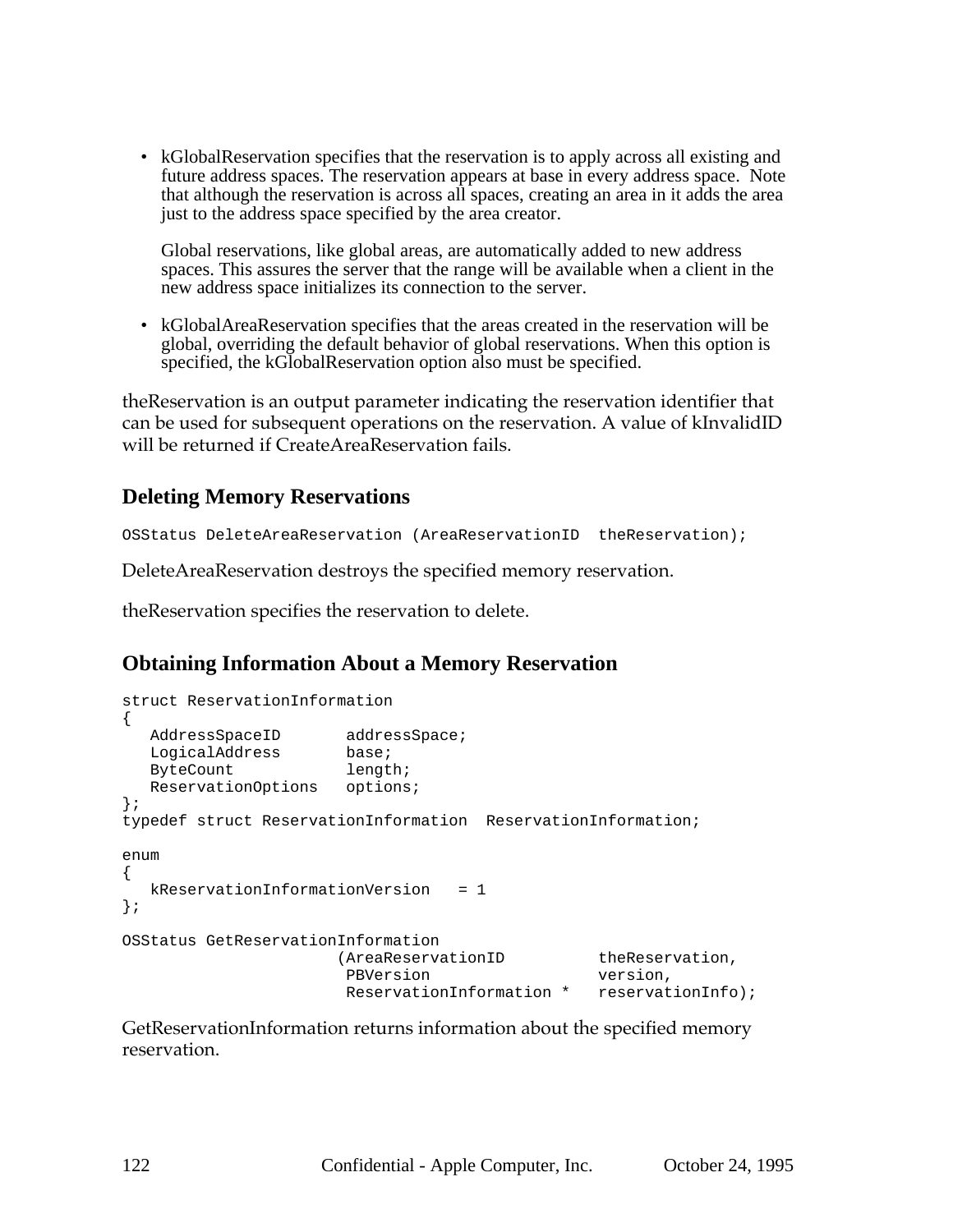• kGlobalReservation specifies that the reservation is to apply across all existing and future address spaces. The reservation appears at base in every address space. Note that although the reservation is across all spaces, creating an area in it adds the area just to the address space specified by the area creator.

Global reservations, like global areas, are automatically added to new address spaces. This assures the server that the range will be available when a client in the new address space initializes its connection to the server.

• kGlobalAreaReservation specifies that the areas created in the reservation will be global, overriding the default behavior of global reservations. When this option is specified, the kGlobalReservation option also must be specified.

theReservation is an output parameter indicating the reservation identifier that can be used for subsequent operations on the reservation. A value of kInvalidID will be returned if CreateAreaReservation fails.

### **Deleting Memory Reservations**

OSStatus DeleteAreaReservation (AreaReservationID theReservation);

DeleteAreaReservation destroys the specified memory reservation.

theReservation specifies the reservation to delete.

## **Obtaining Information About a Memory Reservation**

```
struct ReservationInformation
{
  AddressSpaceID addressSpace;
  LogicalAddress base;
  ByteCount length;
  ReservationOptions options;
};
typedef struct ReservationInformation ReservationInformation;
enum
{
  kReservationInformationVersion = 1
};
OSStatus GetReservationInformation
                    (AreaReservationID theReservation,
                     PBVersion version,
                     ReservationInformation * reservationInfo);
```
GetReservationInformation returns information about the specified memory reservation.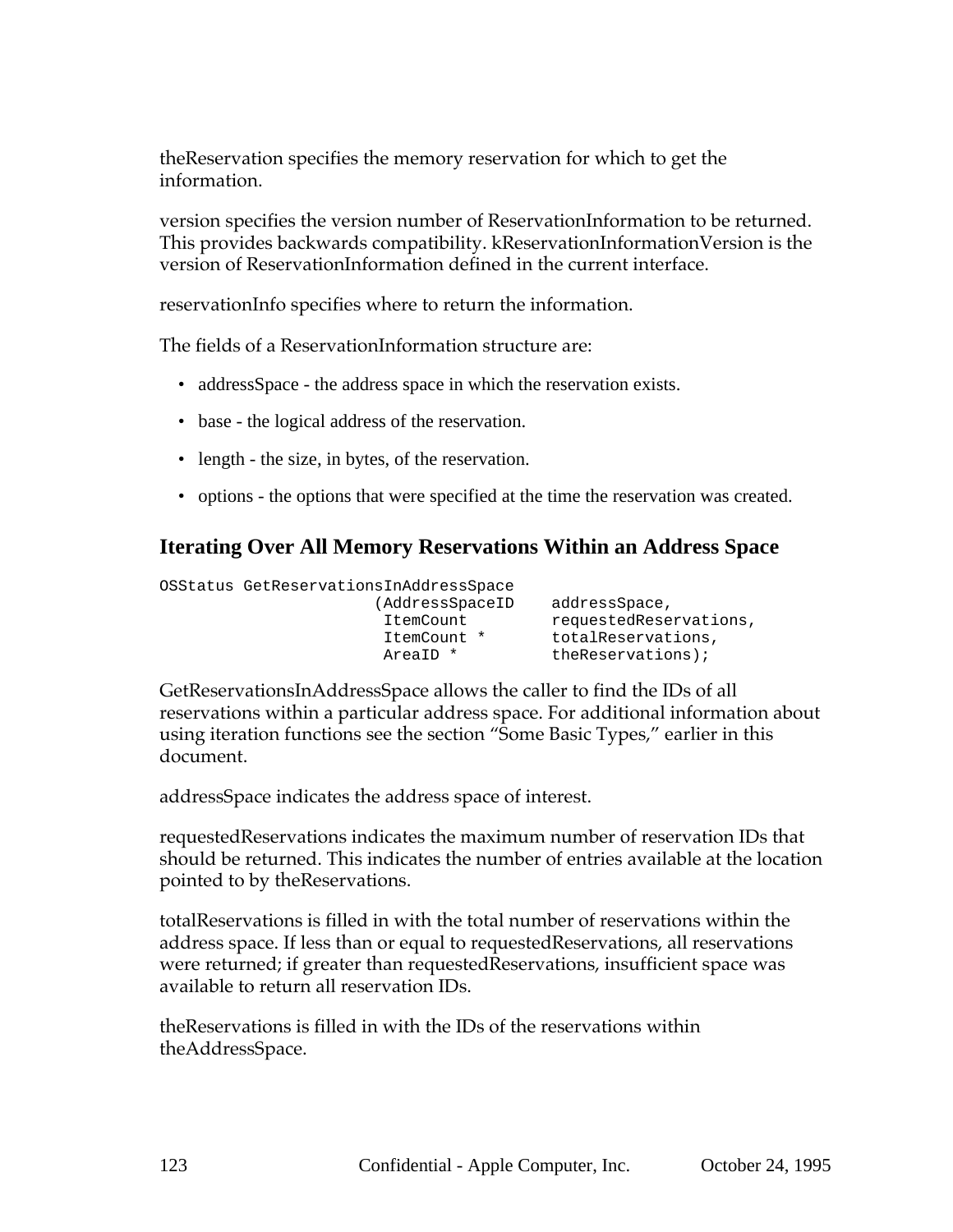theReservation specifies the memory reservation for which to get the information.

version specifies the version number of ReservationInformation to be returned. This provides backwards compatibility. kReservationInformationVersion is the version of ReservationInformation defined in the current interface.

reservationInfo specifies where to return the information.

The fields of a ReservationInformation structure are:

- addressSpace the address space in which the reservation exists.
- base the logical address of the reservation.
- length the size, in bytes, of the reservation.
- options the options that were specified at the time the reservation was created.

## **Iterating Over All Memory Reservations Within an Address Space**

```
OSStatus GetReservationsInAddressSpace
                     (AddressSpaceID addressSpace,
                     ItemCount requestedReservations,
                     ItemCount * totalReservations,
                     AreaID * theReservations);
```
GetReservationsInAddressSpace allows the caller to find the IDs of all reservations within a particular address space. For additional information about using iteration functions see the section "Some Basic Types," earlier in this document.

addressSpace indicates the address space of interest.

requestedReservations indicates the maximum number of reservation IDs that should be returned. This indicates the number of entries available at the location pointed to by theReservations.

totalReservations is filled in with the total number of reservations within the address space. If less than or equal to requestedReservations, all reservations were returned; if greater than requestedReservations, insufficient space was available to return all reservation IDs.

theReservations is filled in with the IDs of the reservations within theAddressSpace.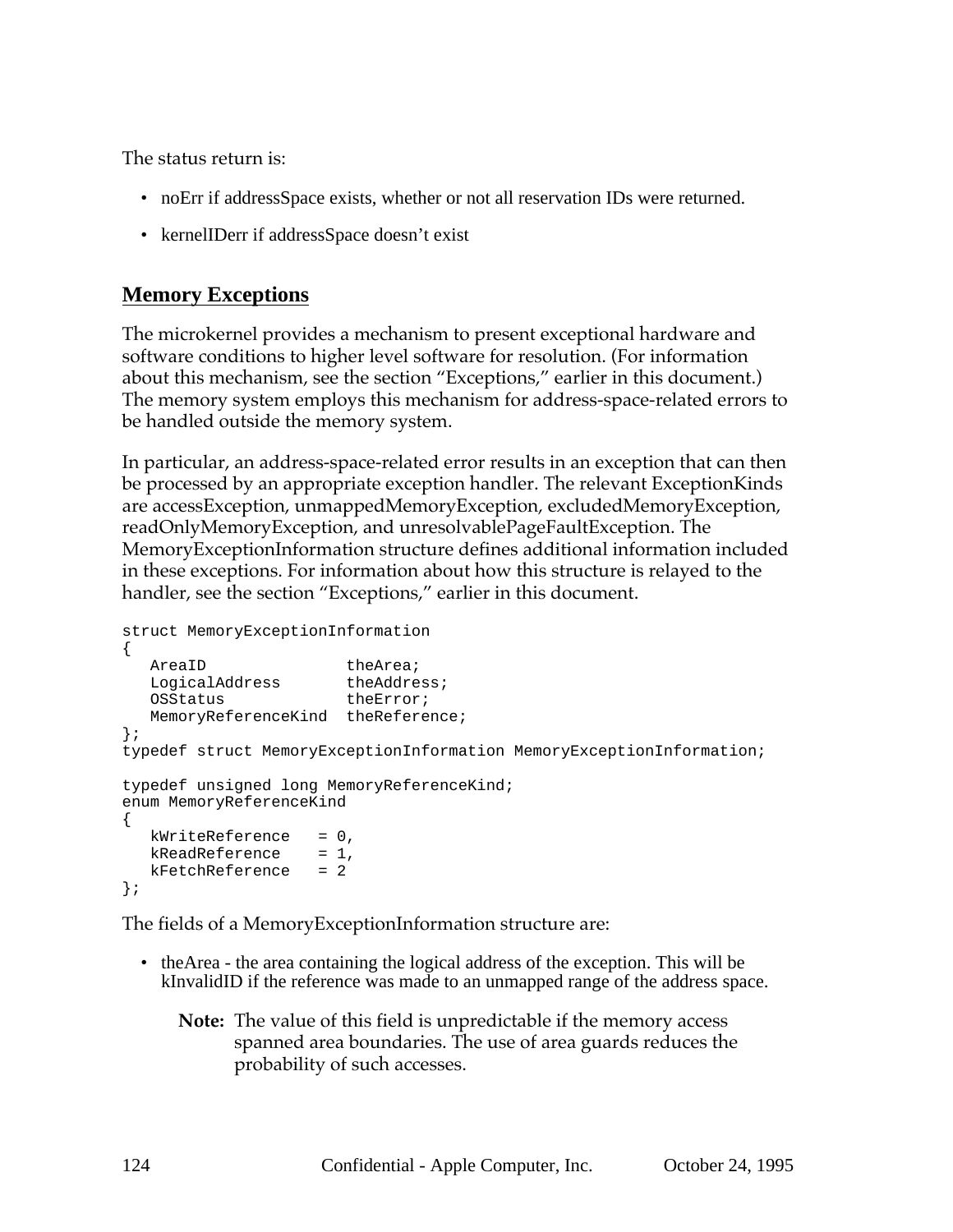The status return is:

- noErr if addressSpace exists, whether or not all reservation IDs were returned.
- kernelIDerr if addressSpace doesn't exist

## **Memory Exceptions**

The microkernel provides a mechanism to present exceptional hardware and software conditions to higher level software for resolution. (For information about this mechanism, see the section "Exceptions," earlier in this document.) The memory system employs this mechanism for address-space-related errors to be handled outside the memory system.

In particular, an address-space-related error results in an exception that can then be processed by an appropriate exception handler. The relevant ExceptionKinds are accessException, unmappedMemoryException, excludedMemoryException, readOnlyMemoryException, and unresolvablePageFaultException. The MemoryExceptionInformation structure defines additional information included in these exceptions. For information about how this structure is relayed to the handler, see the section "Exceptions," earlier in this document.

```
struct MemoryExceptionInformation
{
  AreaID theArea;
  LogicalAddress theAddress;
  OSStatus theError;
  MemoryReferenceKind theReference;
};
typedef struct MemoryExceptionInformation MemoryExceptionInformation;
typedef unsigned long MemoryReferenceKind;
enum MemoryReferenceKind
{
  kWriteReference = 0,kReadReference = 1,
  kFetchReference = 2
};
```
The fields of a MemoryExceptionInformation structure are:

- theArea the area containing the logical address of the exception. This will be kInvalidID if the reference was made to an unmapped range of the address space.
	- **Note:** The value of this field is unpredictable if the memory access spanned area boundaries. The use of area guards reduces the probability of such accesses.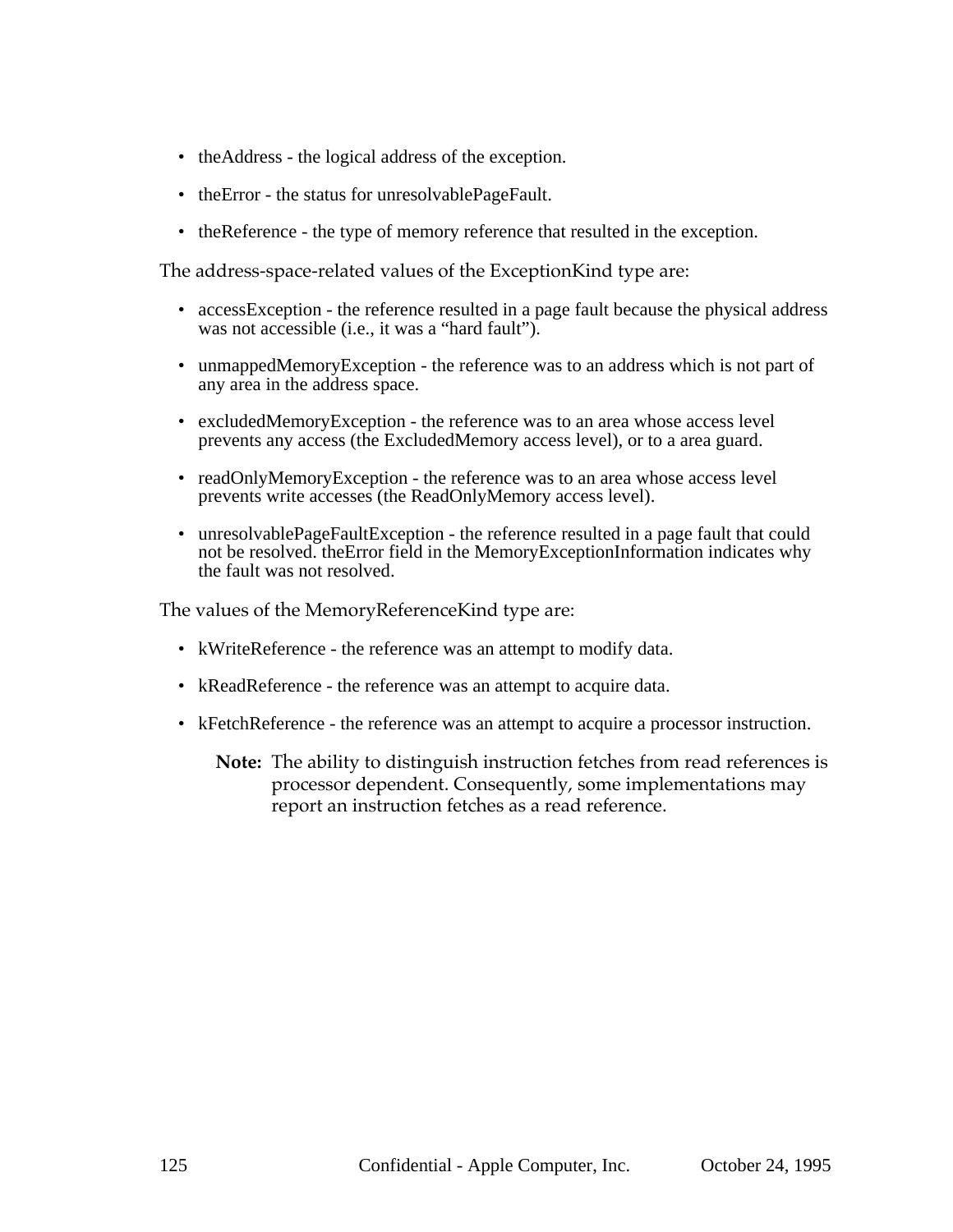- theAddress the logical address of the exception.
- the Error the status for unresolvable Page Fault.
- theReference the type of memory reference that resulted in the exception.

The address-space-related values of the ExceptionKind type are:

- accessException the reference resulted in a page fault because the physical address was not accessible (i.e., it was a "hard fault").
- unmappedMemoryException the reference was to an address which is not part of any area in the address space.
- excludedMemoryException the reference was to an area whose access level prevents any access (the ExcludedMemory access level), or to a area guard.
- readOnlyMemoryException the reference was to an area whose access level prevents write accesses (the ReadOnlyMemory access level).
- unresolvable Page Fault Exception the reference resulted in a page fault that could not be resolved. theError field in the MemoryExceptionInformation indicates why the fault was not resolved.

The values of the MemoryReferenceKind type are:

- kWriteReference the reference was an attempt to modify data.
- kReadReference the reference was an attempt to acquire data.
- kFetchReference the reference was an attempt to acquire a processor instruction.
	- **Note:** The ability to distinguish instruction fetches from read references is processor dependent. Consequently, some implementations may report an instruction fetches as a read reference.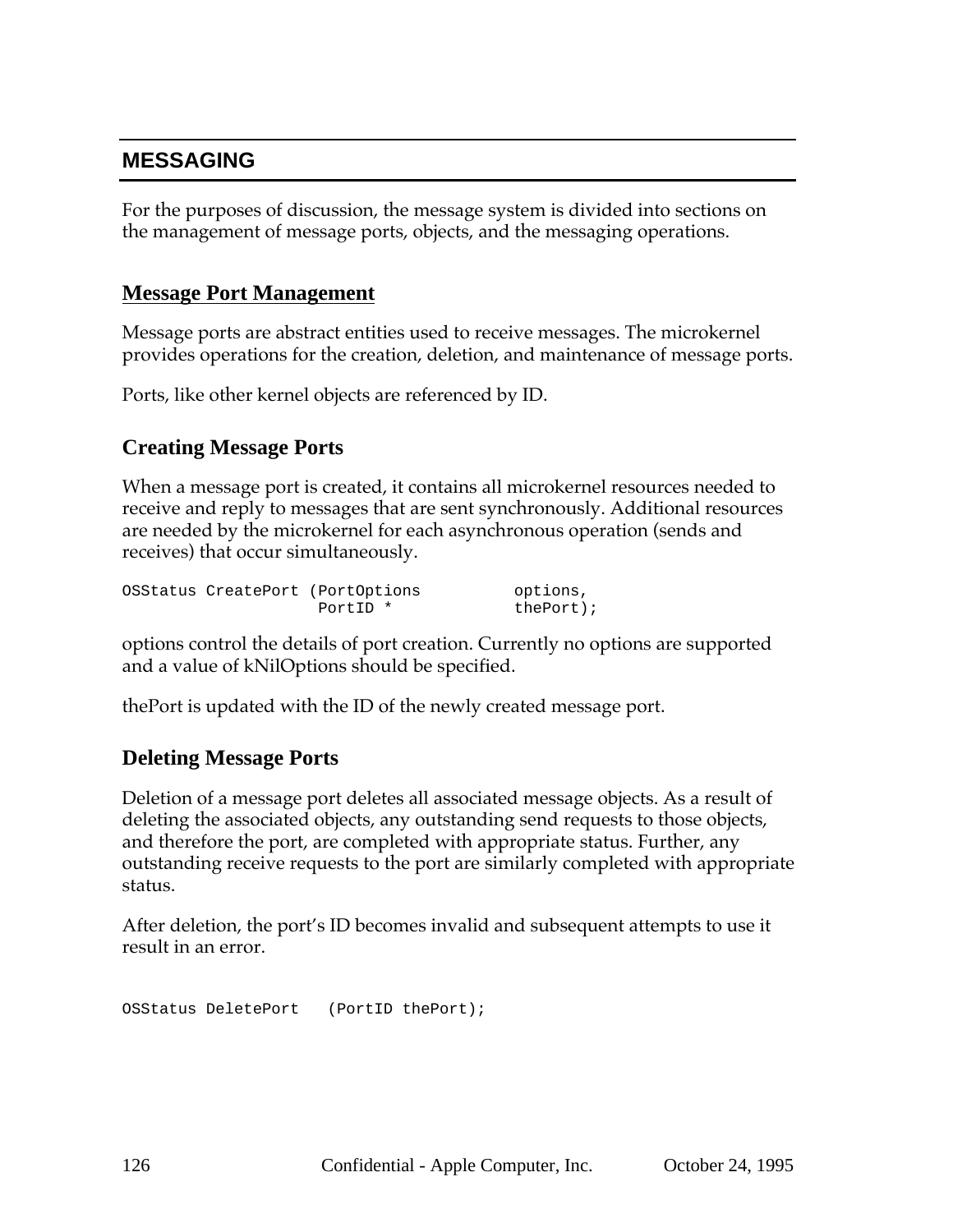## **MESSAGING**

For the purposes of discussion, the message system is divided into sections on the management of message ports, objects, and the messaging operations.

### **Message Port Management**

Message ports are abstract entities used to receive messages. The microkernel provides operations for the creation, deletion, and maintenance of message ports.

Ports, like other kernel objects are referenced by ID.

### **Creating Message Ports**

When a message port is created, it contains all microkernel resources needed to receive and reply to messages that are sent synchronously. Additional resources are needed by the microkernel for each asynchronous operation (sends and receives) that occur simultaneously.

|  | OSStatus CreatePort (PortOptions | options,     |
|--|----------------------------------|--------------|
|  | PortID *                         | $thePort$ ); |

options control the details of port creation. Currently no options are supported and a value of kNilOptions should be specified.

thePort is updated with the ID of the newly created message port.

#### **Deleting Message Ports**

Deletion of a message port deletes all associated message objects. As a result of deleting the associated objects, any outstanding send requests to those objects, and therefore the port, are completed with appropriate status. Further, any outstanding receive requests to the port are similarly completed with appropriate status.

After deletion, the port's ID becomes invalid and subsequent attempts to use it result in an error.

OSStatus DeletePort (PortID thePort);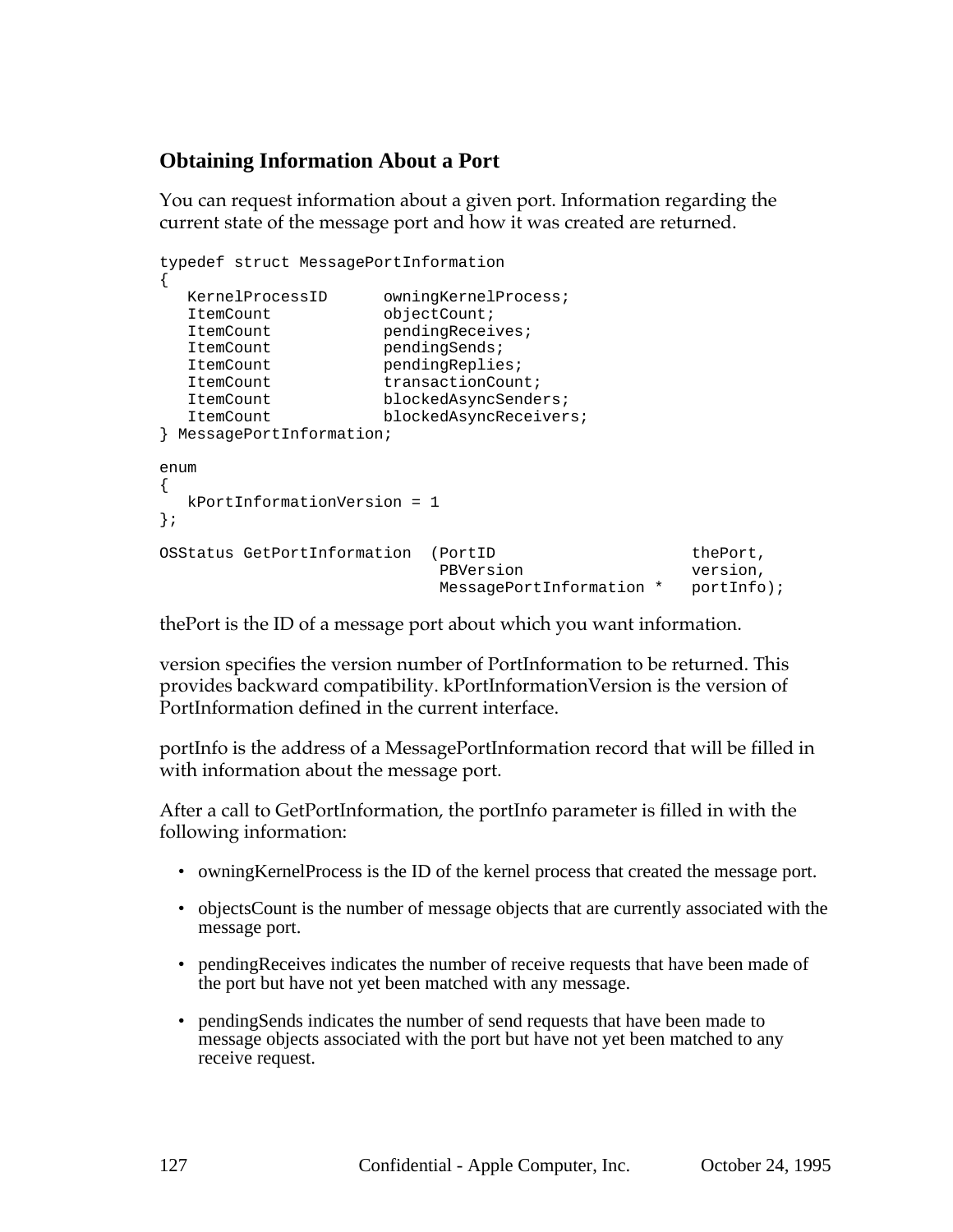# **Obtaining Information About a Port**

You can request information about a given port. Information regarding the current state of the message port and how it was created are returned.

```
typedef struct MessagePortInformation
{
  KernelProcessID owningKernelProcess;
  ItemCount objectCount;
  ItemCount pendingReceives;
  ItemCount pendingSends;
  ItemCount pendingReplies;
  ItemCount transactionCount;
  ItemCount blockedAsyncSenders;
  ItemCount blockedAsyncReceivers;
} MessagePortInformation;
enum
{
  kPortInformationVersion = 1
};
OSStatus GetPortInformation (PortID thePort,
                        ruitude the port,<br>Particle port of the port, pression,
                         MessagePortInformation * portInfo);
```
thePort is the ID of a message port about which you want information.

version specifies the version number of PortInformation to be returned. This provides backward compatibility. kPortInformationVersion is the version of PortInformation defined in the current interface.

portInfo is the address of a MessagePortInformation record that will be filled in with information about the message port.

After a call to GetPortInformation, the portInfo parameter is filled in with the following information:

- owningKernelProcess is the ID of the kernel process that created the message port.
- objectsCount is the number of message objects that are currently associated with the message port.
- pendingReceives indicates the number of receive requests that have been made of the port but have not yet been matched with any message.
- pendingSends indicates the number of send requests that have been made to message objects associated with the port but have not yet been matched to any receive request.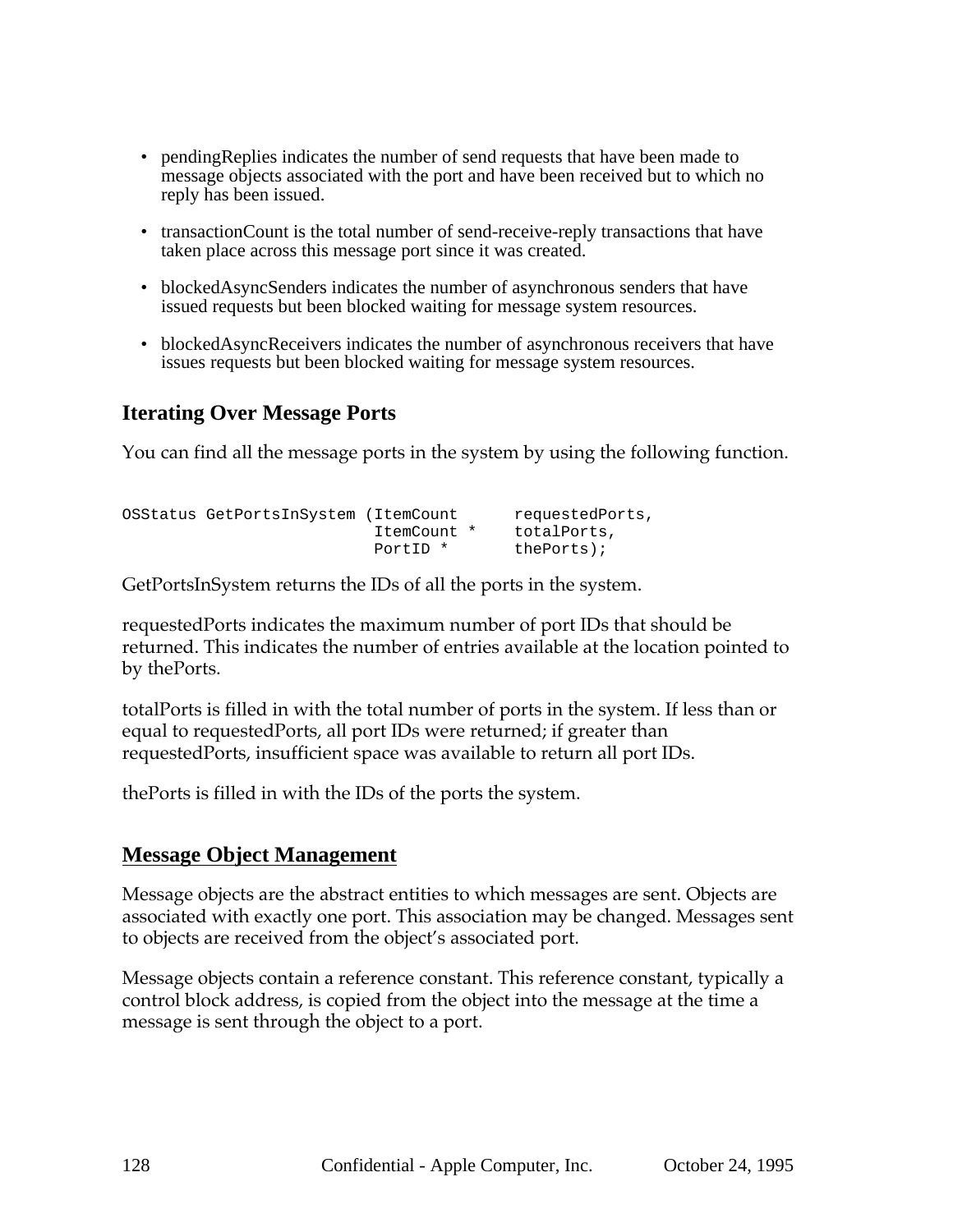- pendingReplies indicates the number of send requests that have been made to message objects associated with the port and have been received but to which no reply has been issued.
- transactionCount is the total number of send-receive-reply transactions that have taken place across this message port since it was created.
- blockedAsyncSenders indicates the number of asynchronous senders that have issued requests but been blocked waiting for message system resources.
- blockedAsyncReceivers indicates the number of asynchronous receivers that have issues requests but been blocked waiting for message system resources.

## **Iterating Over Message Ports**

You can find all the message ports in the system by using the following function.

```
OSStatus GetPortsInSystem (ItemCount requestedPorts,
                        ItemCount * totalPorts,
                        PortID * thePorts);
```
GetPortsInSystem returns the IDs of all the ports in the system.

requestedPorts indicates the maximum number of port IDs that should be returned. This indicates the number of entries available at the location pointed to by thePorts.

totalPorts is filled in with the total number of ports in the system. If less than or equal to requestedPorts, all port IDs were returned; if greater than requestedPorts, insufficient space was available to return all port IDs.

thePorts is filled in with the IDs of the ports the system.

## **Message Object Management**

Message objects are the abstract entities to which messages are sent. Objects are associated with exactly one port. This association may be changed. Messages sent to objects are received from the object's associated port.

Message objects contain a reference constant. This reference constant, typically a control block address, is copied from the object into the message at the time a message is sent through the object to a port.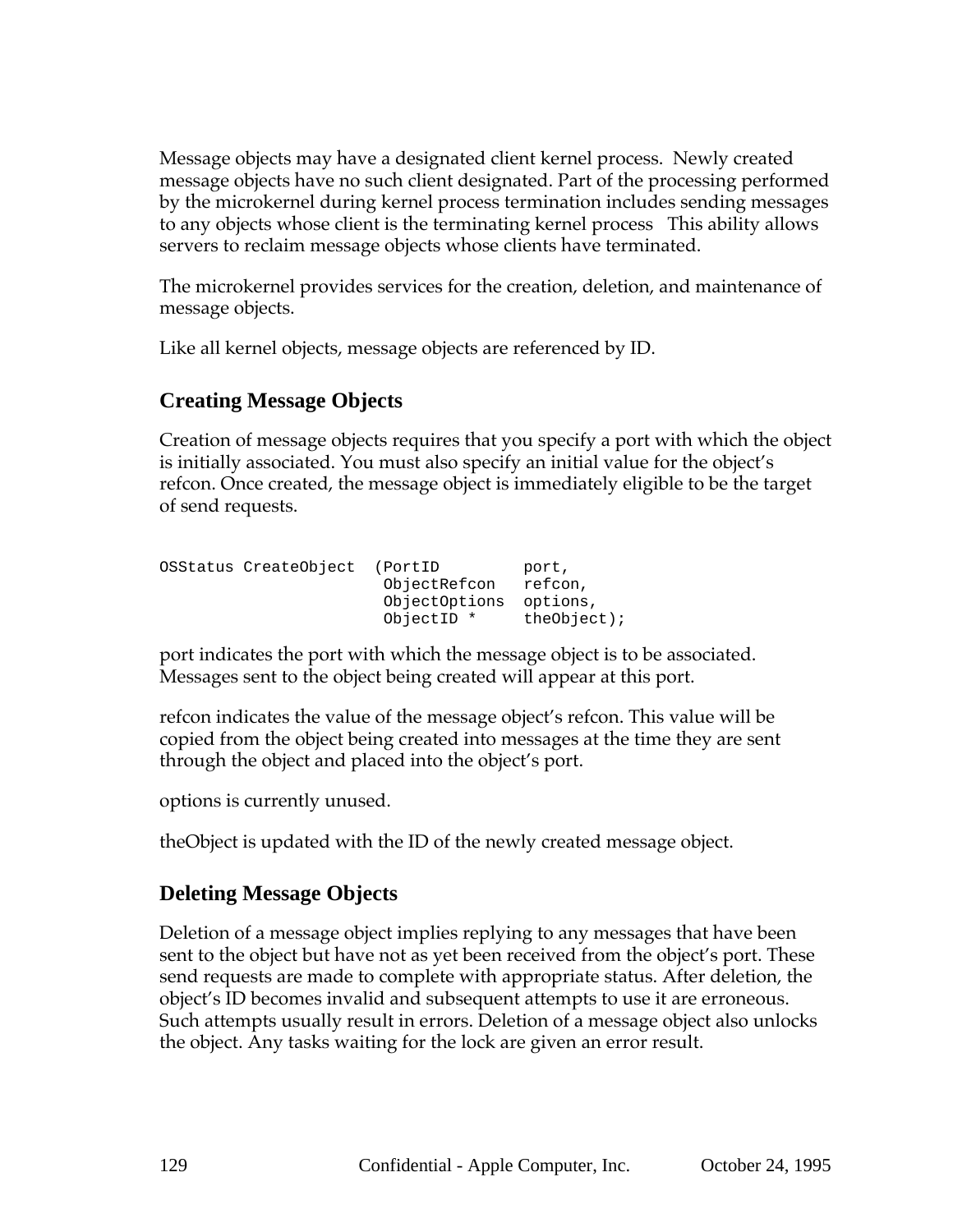Message objects may have a designated client kernel process. Newly created message objects have no such client designated. Part of the processing performed by the microkernel during kernel process termination includes sending messages to any objects whose client is the terminating kernel process This ability allows servers to reclaim message objects whose clients have terminated.

The microkernel provides services for the creation, deletion, and maintenance of message objects.

Like all kernel objects, message objects are referenced by ID.

## **Creating Message Objects**

Creation of message objects requires that you specify a port with which the object is initially associated. You must also specify an initial value for the object's refcon. Once created, the message object is immediately eligible to be the target of send requests.

| OSStatus CreateObject | (PortID)<br>ObjectRefcon<br>ObjectOptions<br>ObjectID * | port,<br>refcon,<br>options,<br>$theObject$ ); |
|-----------------------|---------------------------------------------------------|------------------------------------------------|
|                       |                                                         |                                                |

port indicates the port with which the message object is to be associated. Messages sent to the object being created will appear at this port.

refcon indicates the value of the message object's refcon. This value will be copied from the object being created into messages at the time they are sent through the object and placed into the object's port.

options is currently unused.

theObject is updated with the ID of the newly created message object.

## **Deleting Message Objects**

Deletion of a message object implies replying to any messages that have been sent to the object but have not as yet been received from the object's port. These send requests are made to complete with appropriate status. After deletion, the object's ID becomes invalid and subsequent attempts to use it are erroneous. Such attempts usually result in errors. Deletion of a message object also unlocks the object. Any tasks waiting for the lock are given an error result.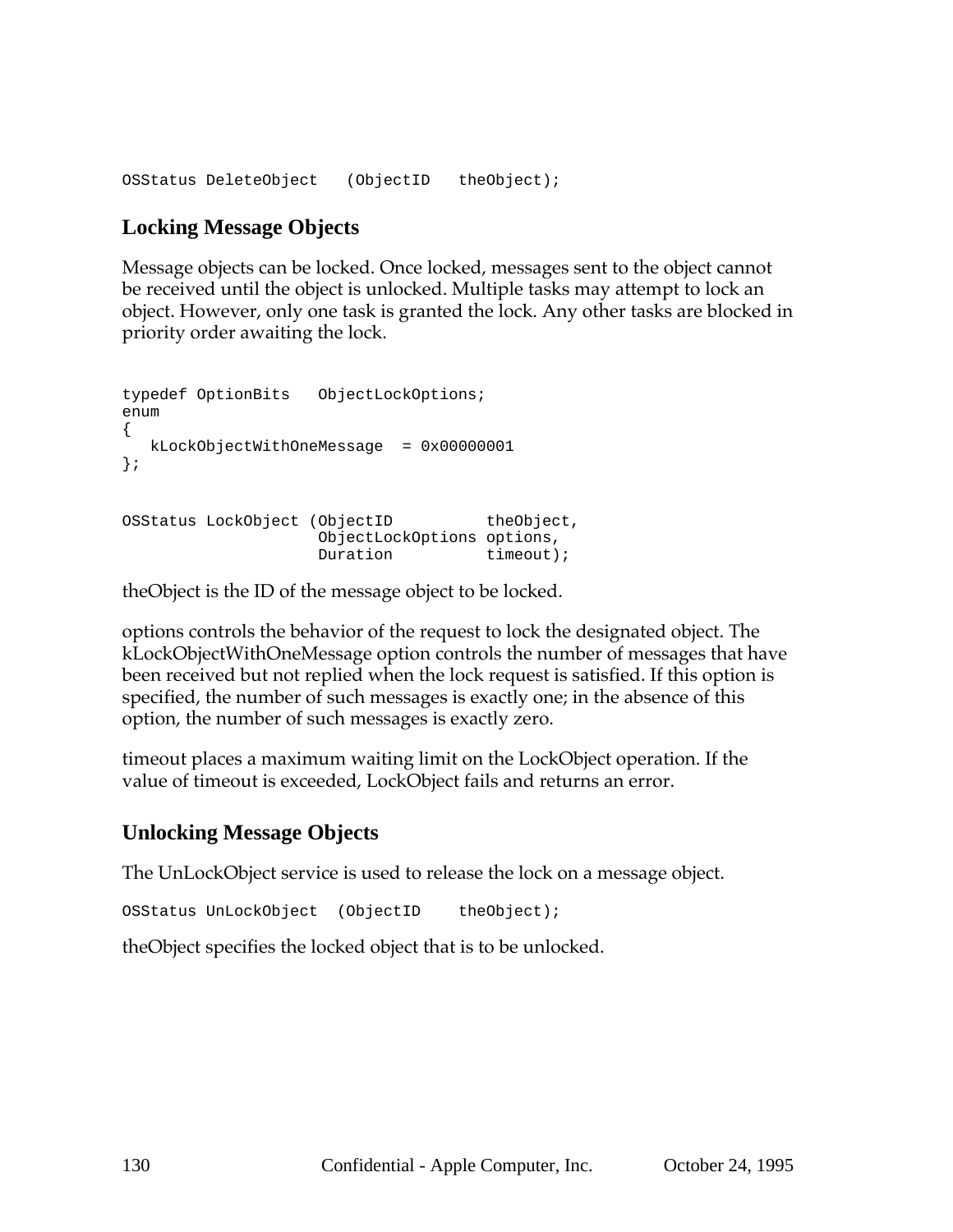OSStatus DeleteObject (ObjectID theObject);

#### **Locking Message Objects**

Message objects can be locked. Once locked, messages sent to the object cannot be received until the object is unlocked. Multiple tasks may attempt to lock an object. However, only one task is granted the lock. Any other tasks are blocked in priority order awaiting the lock.

```
typedef OptionBits ObjectLockOptions;
enum
{
  kLockObjectWithOneMessage = 0x00000001
};
OSStatus LockObject (ObjectID theObject,
                  ObjectLockOptions options,
                  Duration timeout);
```
theObject is the ID of the message object to be locked.

options controls the behavior of the request to lock the designated object. The kLockObjectWithOneMessage option controls the number of messages that have been received but not replied when the lock request is satisfied. If this option is specified, the number of such messages is exactly one; in the absence of this option, the number of such messages is exactly zero.

timeout places a maximum waiting limit on the LockObject operation. If the value of timeout is exceeded, LockObject fails and returns an error.

#### **Unlocking Message Objects**

The UnLockObject service is used to release the lock on a message object.

```
OSStatus UnLockObject (ObjectID theObject);
```
theObject specifies the locked object that is to be unlocked.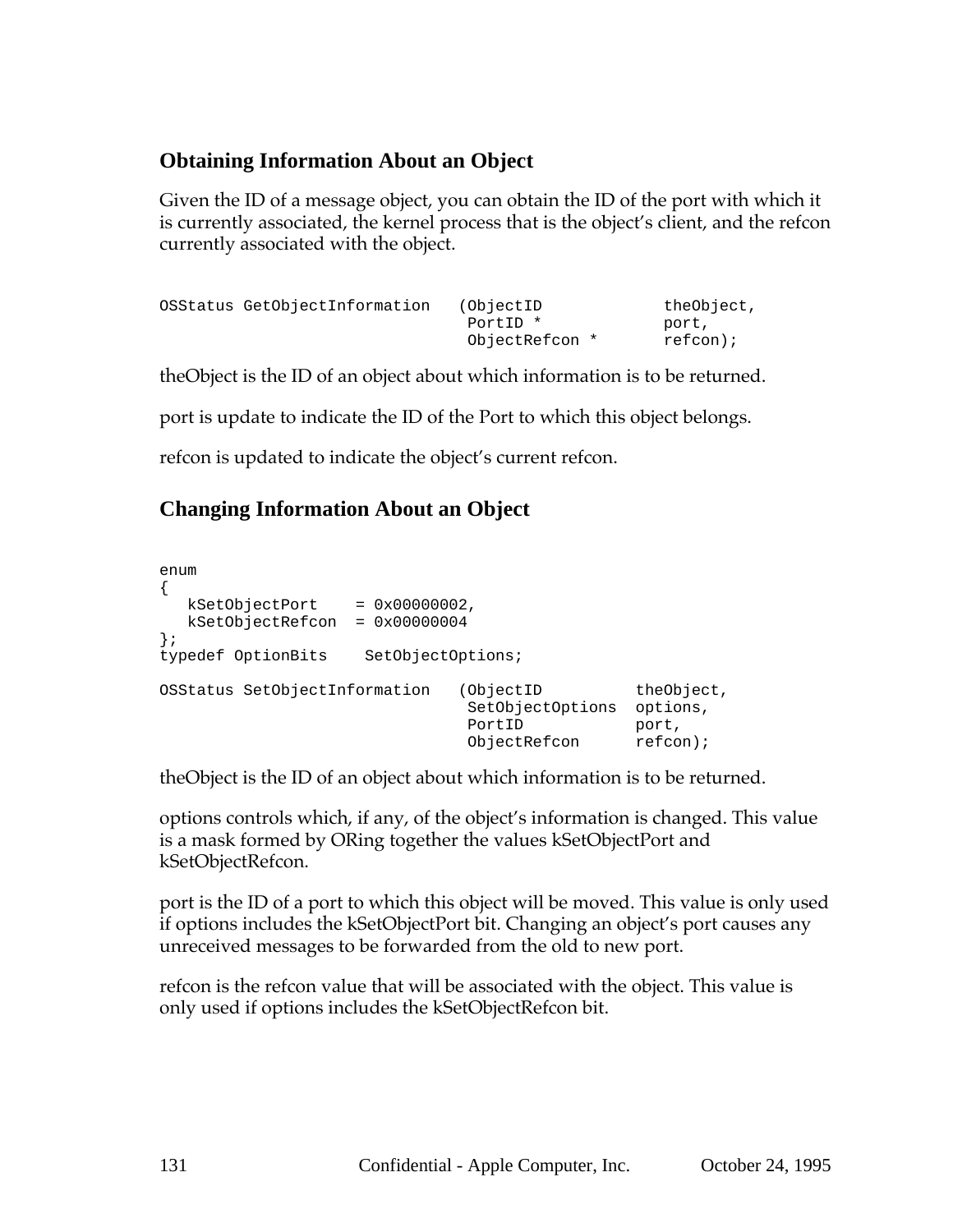## **Obtaining Information About an Object**

Given the ID of a message object, you can obtain the ID of the port with which it is currently associated, the kernel process that is the object's client, and the refcon currently associated with the object.

```
OSStatus GetObjectInformation (ObjectID theObject,
                        PortID * port,
                        ObjectRefcon * refcon);
```
theObject is the ID of an object about which information is to be returned.

port is update to indicate the ID of the Port to which this object belongs.

refcon is updated to indicate the object's current refcon.

## **Changing Information About an Object**

| enum                                      |                                                         |                                                |
|-------------------------------------------|---------------------------------------------------------|------------------------------------------------|
| kSetObjectPort<br>$= 0 \times 00000002$ , |                                                         |                                                |
| kSetObjectRefcon<br>$= 0x00000004$        |                                                         |                                                |
| $\cdot$                                   |                                                         |                                                |
| typedef OptionBits<br>SetObjectOptions;   |                                                         |                                                |
| OSStatus SetObjectInformation             | (ObjectID<br>SetObjectOptions<br>PortID<br>ObjectRefcon | theObject,<br>options,<br>port,<br>$refcon)$ ; |

theObject is the ID of an object about which information is to be returned.

options controls which, if any, of the object's information is changed. This value is a mask formed by ORing together the values kSetObjectPort and kSetObjectRefcon.

port is the ID of a port to which this object will be moved. This value is only used if options includes the kSetObjectPort bit. Changing an object's port causes any unreceived messages to be forwarded from the old to new port.

refcon is the refcon value that will be associated with the object. This value is only used if options includes the kSetObjectRefcon bit.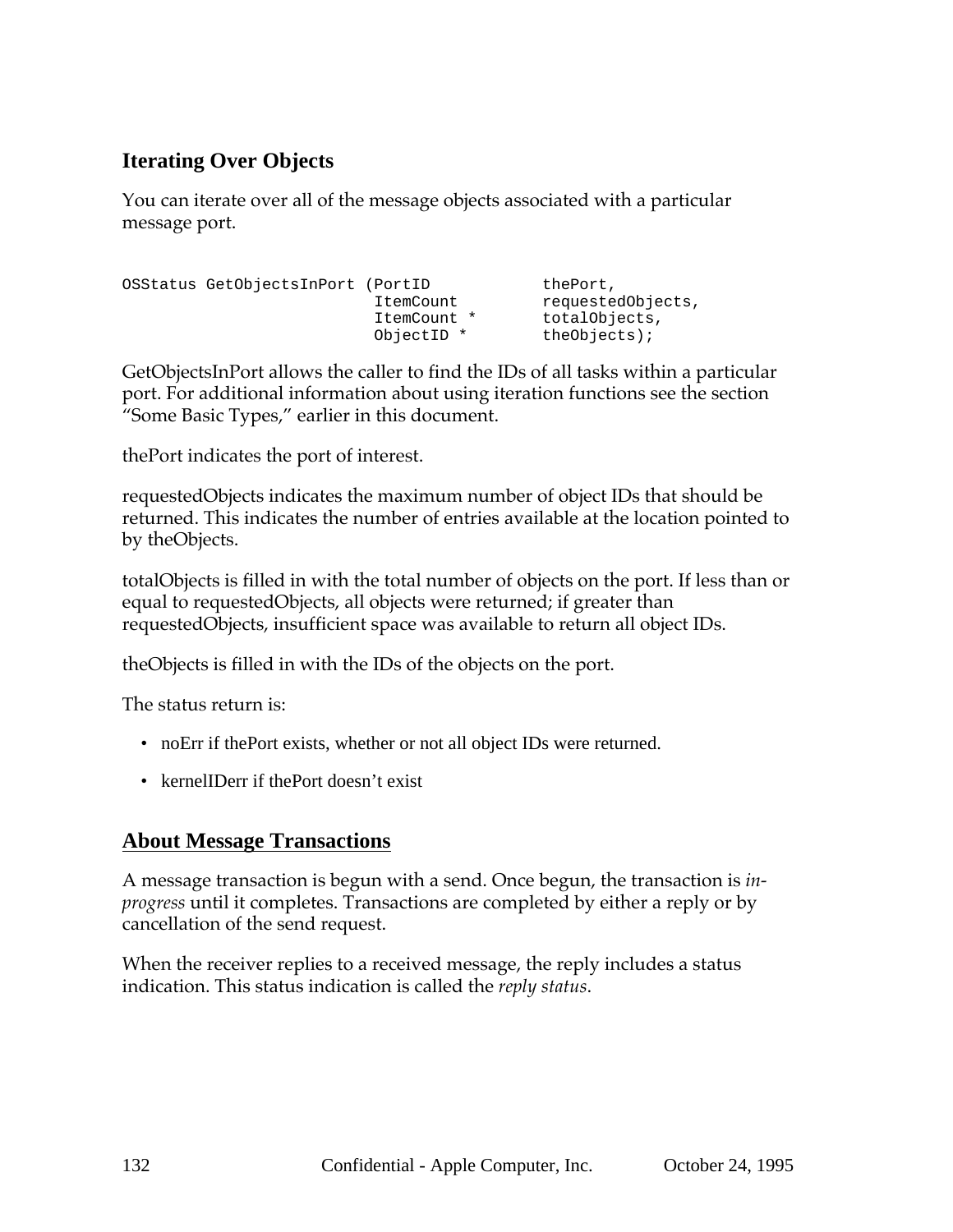# **Iterating Over Objects**

You can iterate over all of the message objects associated with a particular message port.

OSStatus GetObjectsInPort (PortID ItemCount requestedObjects, ItemCount \* totalObjects, ObjectID \* theObjects);

GetObjectsInPort allows the caller to find the IDs of all tasks within a particular port. For additional information about using iteration functions see the section "Some Basic Types," earlier in this document.

thePort indicates the port of interest.

requestedObjects indicates the maximum number of object IDs that should be returned. This indicates the number of entries available at the location pointed to by theObjects.

totalObjects is filled in with the total number of objects on the port. If less than or equal to requestedObjects, all objects were returned; if greater than requestedObjects, insufficient space was available to return all object IDs.

theObjects is filled in with the IDs of the objects on the port.

The status return is:

- noErr if thePort exists, whether or not all object IDs were returned.
- kernelIDerr if thePort doesn't exist

## **About Message Transactions**

A message transaction is begun with a send. Once begun, the transaction is *inprogress* until it completes. Transactions are completed by either a reply or by cancellation of the send request.

When the receiver replies to a received message, the reply includes a status indication. This status indication is called the *reply status*.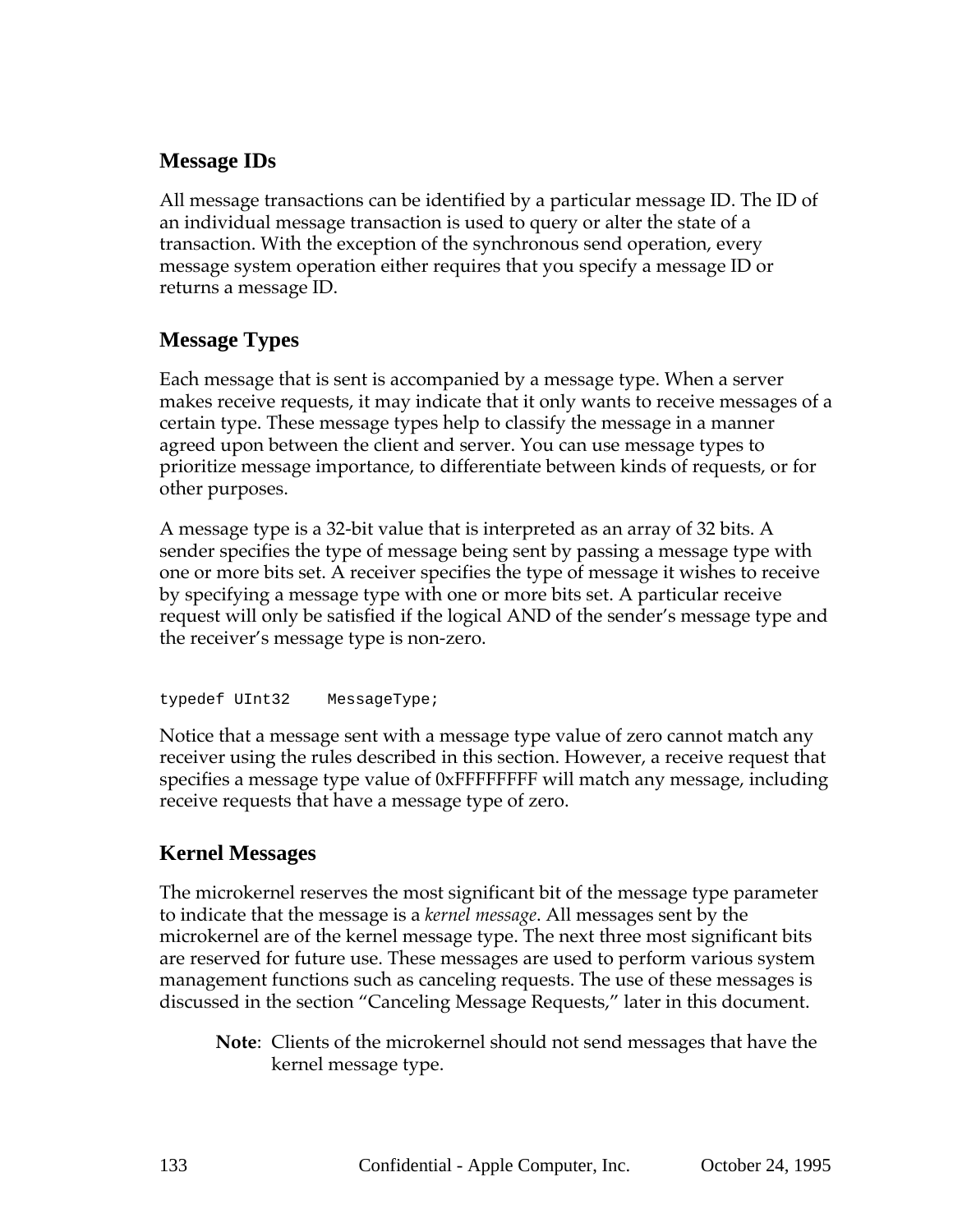## **Message IDs**

All message transactions can be identified by a particular message ID. The ID of an individual message transaction is used to query or alter the state of a transaction. With the exception of the synchronous send operation, every message system operation either requires that you specify a message ID or returns a message ID.

## **Message Types**

Each message that is sent is accompanied by a message type. When a server makes receive requests, it may indicate that it only wants to receive messages of a certain type. These message types help to classify the message in a manner agreed upon between the client and server. You can use message types to prioritize message importance, to differentiate between kinds of requests, or for other purposes.

A message type is a 32-bit value that is interpreted as an array of 32 bits. A sender specifies the type of message being sent by passing a message type with one or more bits set. A receiver specifies the type of message it wishes to receive by specifying a message type with one or more bits set. A particular receive request will only be satisfied if the logical AND of the sender's message type and the receiver's message type is non-zero.

typedef UInt32 MessageType;

Notice that a message sent with a message type value of zero cannot match any receiver using the rules described in this section. However, a receive request that specifies a message type value of 0xFFFFFFFF will match any message, including receive requests that have a message type of zero.

## **Kernel Messages**

The microkernel reserves the most significant bit of the message type parameter to indicate that the message is a *kernel message*. All messages sent by the microkernel are of the kernel message type. The next three most significant bits are reserved for future use. These messages are used to perform various system management functions such as canceling requests. The use of these messages is discussed in the section "Canceling Message Requests," later in this document.

**Note**: Clients of the microkernel should not send messages that have the kernel message type.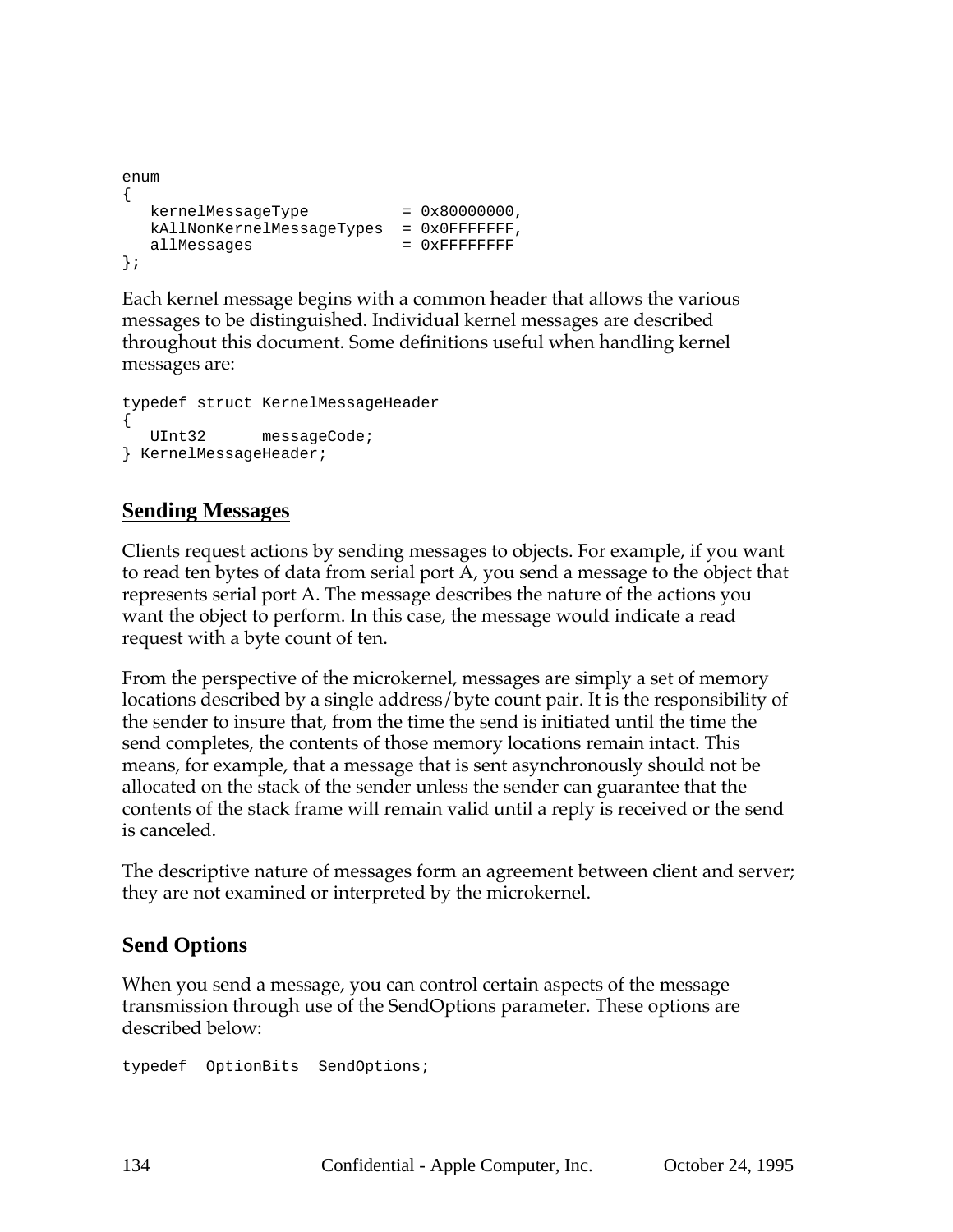```
enum
{
  kernelMessageType = 0x80000000,
  kAllNonKernelMessageTypes = 0x0FFFFFFF,
  allMessages = 0xFFFFFFFFF
};
```
Each kernel message begins with a common header that allows the various messages to be distinguished. Individual kernel messages are described throughout this document. Some definitions useful when handling kernel messages are:

```
typedef struct KernelMessageHeader
{
  UInt32 messageCode;
} KernelMessageHeader;
```
## **Sending Messages**

Clients request actions by sending messages to objects. For example, if you want to read ten bytes of data from serial port A, you send a message to the object that represents serial port A. The message describes the nature of the actions you want the object to perform. In this case, the message would indicate a read request with a byte count of ten.

From the perspective of the microkernel, messages are simply a set of memory locations described by a single address/byte count pair. It is the responsibility of the sender to insure that, from the time the send is initiated until the time the send completes, the contents of those memory locations remain intact. This means, for example, that a message that is sent asynchronously should not be allocated on the stack of the sender unless the sender can guarantee that the contents of the stack frame will remain valid until a reply is received or the send is canceled.

The descriptive nature of messages form an agreement between client and server; they are not examined or interpreted by the microkernel.

## **Send Options**

When you send a message, you can control certain aspects of the message transmission through use of the SendOptions parameter. These options are described below:

typedef OptionBits SendOptions;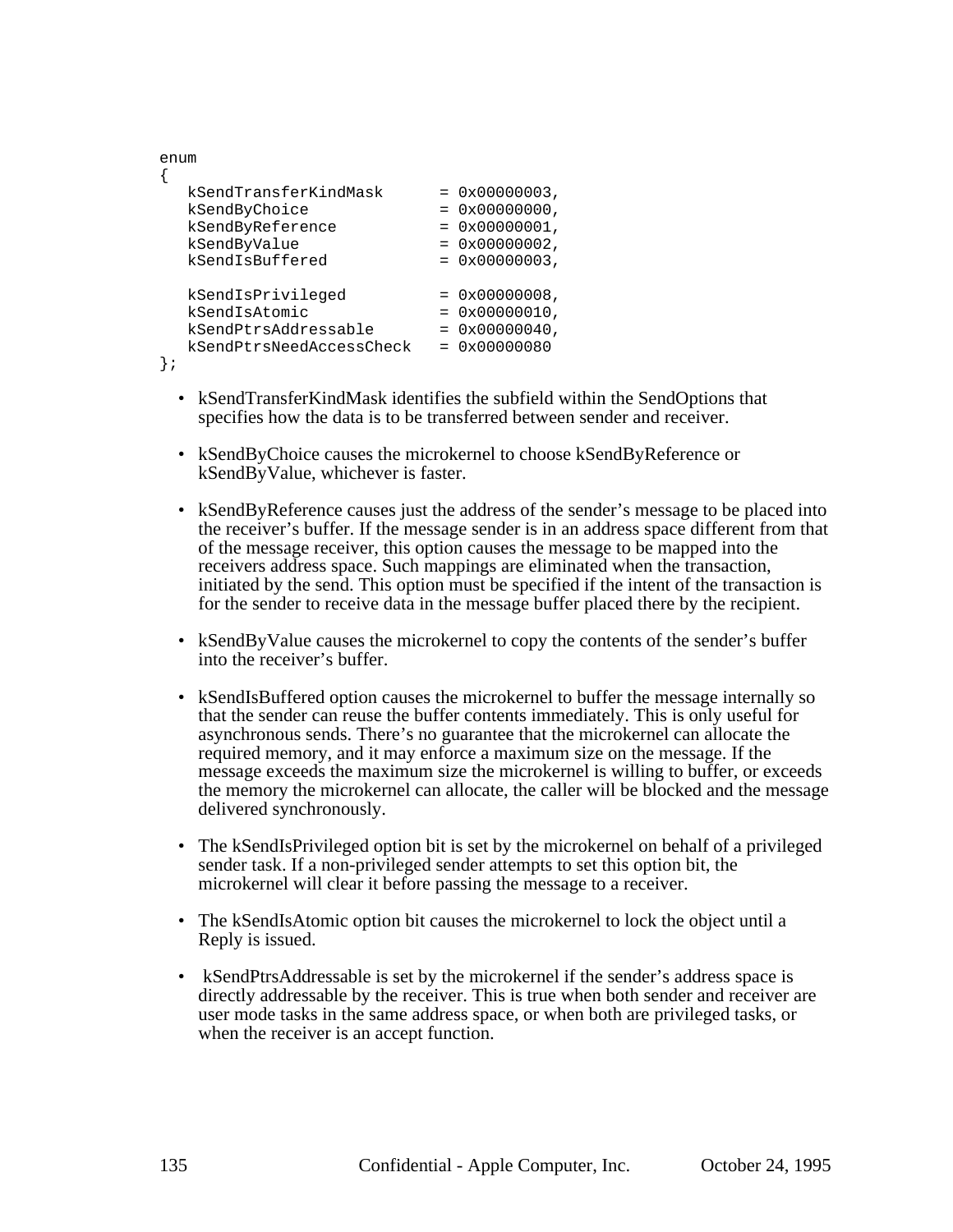| enum                     |                         |
|--------------------------|-------------------------|
| kSendTransferKindMask    | $= 0x00000003$ ,        |
| kSendByChoice            | $= 0 \times 00000000$ , |
| kSendByReference         | $= 0 \times 00000001$ , |
| kSendByValue             | $= 0x00000002$ ,        |
| kSendIsBuffered          | $= 0x00000003$ ,        |
| kSendIsPrivileged        | $= 0x00000008$ ,        |
| kSendIsAtomic            | $= 0 \times 00000010$ , |
| kSendPtrsAddressable     | $= 0 \times 00000040$ , |
| kSendPtrsNeedAccessCheck | $= 0x00000080$          |

};

- kSendTransferKindMask identifies the subfield within the SendOptions that specifies how the data is to be transferred between sender and receiver.
- kSendByChoice causes the microkernel to choose kSendByReference or kSendByValue, whichever is faster.
- kSendByReference causes just the address of the sender's message to be placed into the receiver's buffer. If the message sender is in an address space different from that of the message receiver, this option causes the message to be mapped into the receivers address space. Such mappings are eliminated when the transaction, initiated by the send. This option must be specified if the intent of the transaction is for the sender to receive data in the message buffer placed there by the recipient.
- kSendByValue causes the microkernel to copy the contents of the sender's buffer into the receiver's buffer.
- kSendIsBuffered option causes the microkernel to buffer the message internally so that the sender can reuse the buffer contents immediately. This is only useful for asynchronous sends. There's no guarantee that the microkernel can allocate the required memory, and it may enforce a maximum size on the message. If the message exceeds the maximum size the microkernel is willing to buffer, or exceeds the memory the microkernel can allocate, the caller will be blocked and the message delivered synchronously.
- The kSendIsPrivileged option bit is set by the microkernel on behalf of a privileged sender task. If a non-privileged sender attempts to set this option bit, the microkernel will clear it before passing the message to a receiver.
- The kSendIsAtomic option bit causes the microkernel to lock the object until a Reply is issued.
- kSendPtrsAddressable is set by the microkernel if the sender's address space is directly addressable by the receiver. This is true when both sender and receiver are user mode tasks in the same address space, or when both are privileged tasks, or when the receiver is an accept function.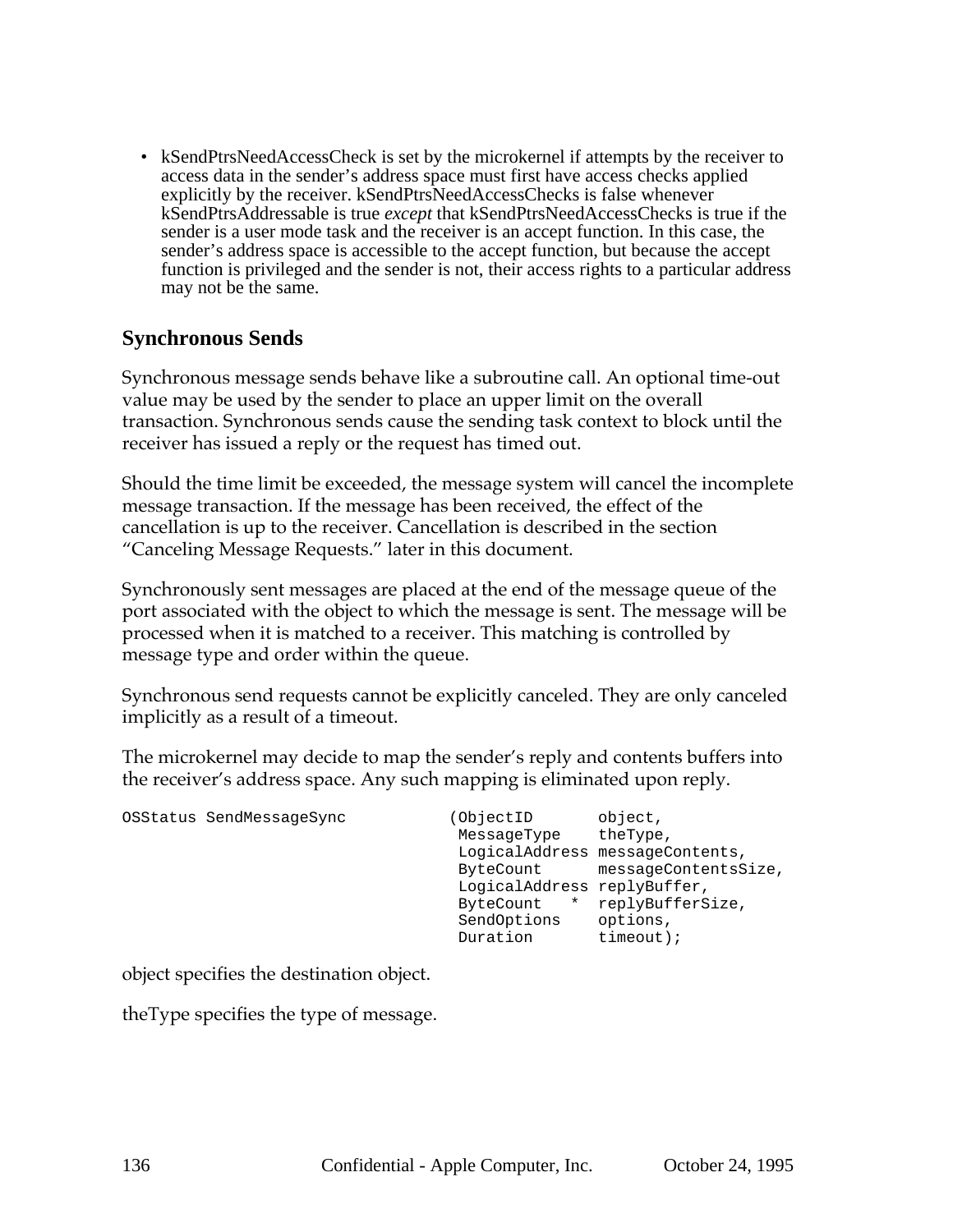• kSendPtrsNeedAccessCheck is set by the microkernel if attempts by the receiver to access data in the sender's address space must first have access checks applied explicitly by the receiver. kSendPtrsNeedAccessChecks is false whenever kSendPtrsAddressable is true *except* that kSendPtrsNeedAccessChecks is true if the sender is a user mode task and the receiver is an accept function. In this case, the sender's address space is accessible to the accept function, but because the accept function is privileged and the sender is not, their access rights to a particular address may not be the same.

### **Synchronous Sends**

Synchronous message sends behave like a subroutine call. An optional time-out value may be used by the sender to place an upper limit on the overall transaction. Synchronous sends cause the sending task context to block until the receiver has issued a reply or the request has timed out.

Should the time limit be exceeded, the message system will cancel the incomplete message transaction. If the message has been received, the effect of the cancellation is up to the receiver. Cancellation is described in the section "Canceling Message Requests." later in this document.

Synchronously sent messages are placed at the end of the message queue of the port associated with the object to which the message is sent. The message will be processed when it is matched to a receiver. This matching is controlled by message type and order within the queue.

Synchronous send requests cannot be explicitly canceled. They are only canceled implicitly as a result of a timeout.

The microkernel may decide to map the sender's reply and contents buffers into the receiver's address space. Any such mapping is eliminated upon reply.

| OSStatus SendMessageSync | (ObjectID<br>MessageType<br>ByteCount<br>LogicalAddress replyBuffer,<br>ByteCount<br>$\star$<br>SendOptions | object,<br>theType,<br>LogicalAddress messageContents,<br>messageContentsSize,<br>replyBufferSize,<br>options, |
|--------------------------|-------------------------------------------------------------------------------------------------------------|----------------------------------------------------------------------------------------------------------------|
|                          | Duration                                                                                                    | $timeout$ );                                                                                                   |

object specifies the destination object.

theType specifies the type of message.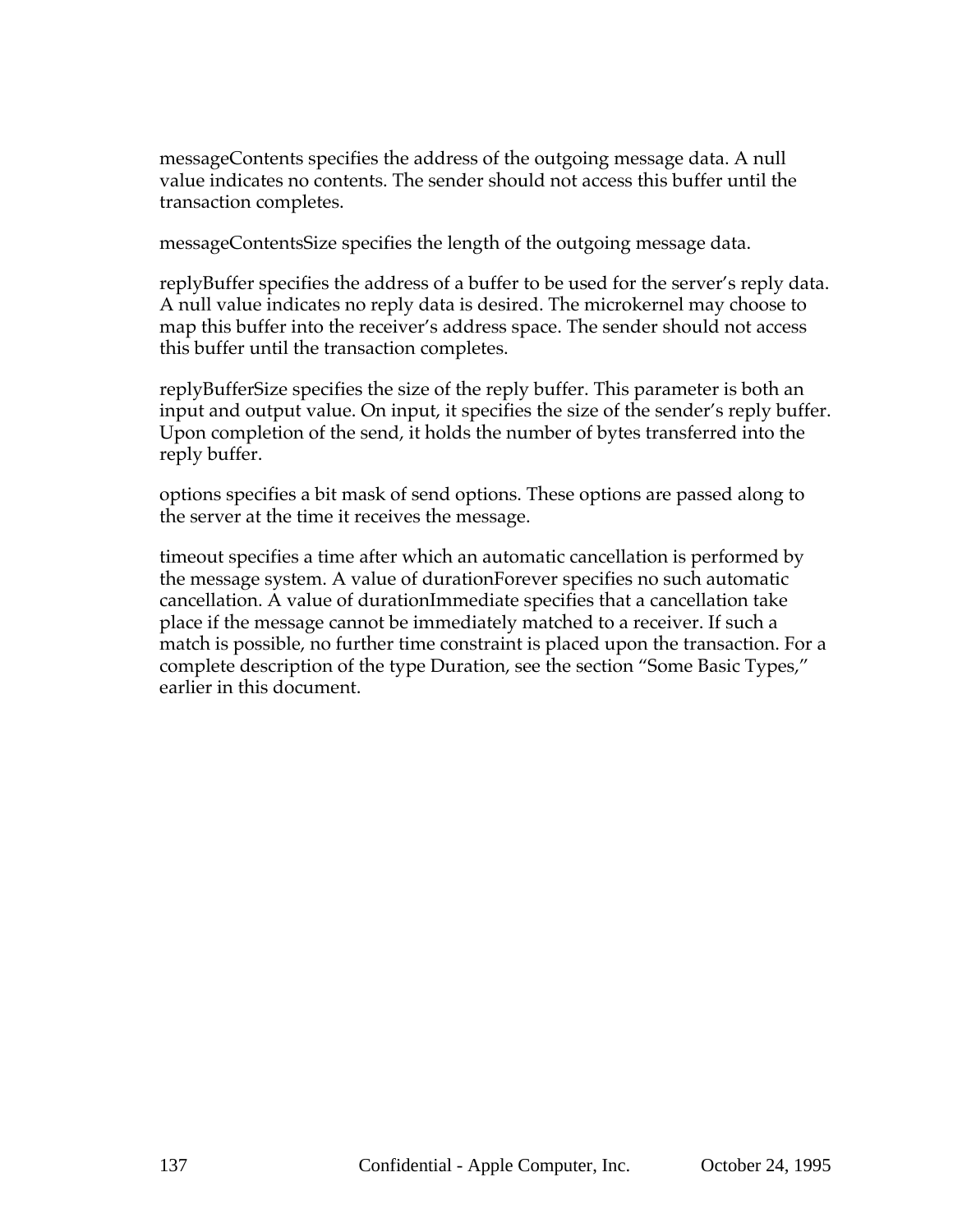messageContents specifies the address of the outgoing message data. A null value indicates no contents. The sender should not access this buffer until the transaction completes.

messageContentsSize specifies the length of the outgoing message data.

replyBuffer specifies the address of a buffer to be used for the server's reply data. A null value indicates no reply data is desired. The microkernel may choose to map this buffer into the receiver's address space. The sender should not access this buffer until the transaction completes.

replyBufferSize specifies the size of the reply buffer. This parameter is both an input and output value. On input, it specifies the size of the sender's reply buffer. Upon completion of the send, it holds the number of bytes transferred into the reply buffer.

options specifies a bit mask of send options. These options are passed along to the server at the time it receives the message.

timeout specifies a time after which an automatic cancellation is performed by the message system. A value of durationForever specifies no such automatic cancellation. A value of durationImmediate specifies that a cancellation take place if the message cannot be immediately matched to a receiver. If such a match is possible, no further time constraint is placed upon the transaction. For a complete description of the type Duration, see the section "Some Basic Types," earlier in this document.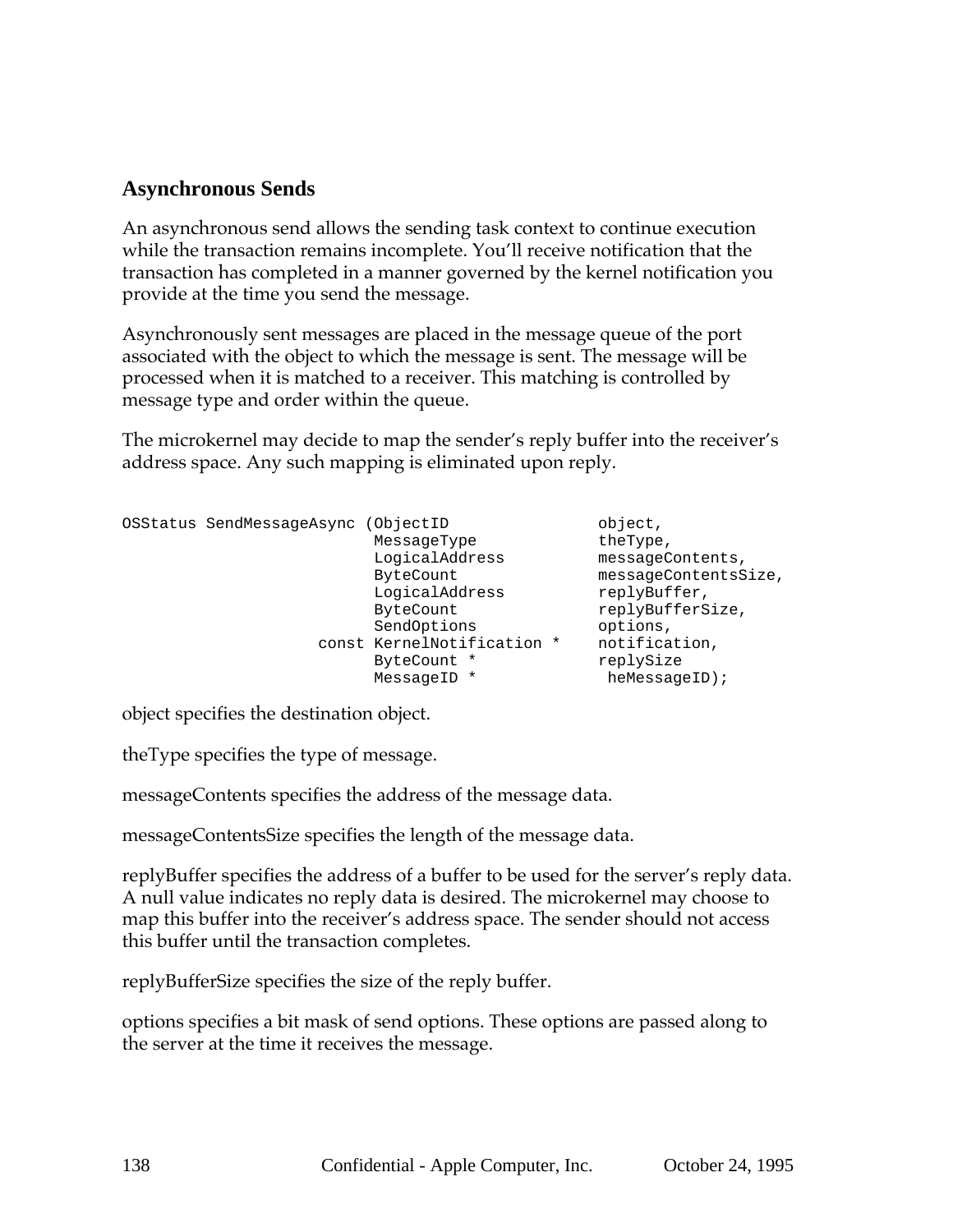## **Asynchronous Sends**

An asynchronous send allows the sending task context to continue execution while the transaction remains incomplete. You'll receive notification that the transaction has completed in a manner governed by the kernel notification you provide at the time you send the message.

Asynchronously sent messages are placed in the message queue of the port associated with the object to which the message is sent. The message will be processed when it is matched to a receiver. This matching is controlled by message type and order within the queue.

The microkernel may decide to map the sender's reply buffer into the receiver's address space. Any such mapping is eliminated upon reply.

```
OSStatus SendMessageAsync (ObjectID object,
                   MessageType theType,
                   LogicalAddress messageContents,
                   ByteCount messageContentsSize,
                   LogicalAddress replyBuffer,
                   ByteCount replyBufferSize,
                   SendOptions options,
               const KernelNotification * notification,
                   ByteCount * TeplySize
                   MessageID * heMessageID);
```
object specifies the destination object.

theType specifies the type of message.

messageContents specifies the address of the message data.

messageContentsSize specifies the length of the message data.

replyBuffer specifies the address of a buffer to be used for the server's reply data. A null value indicates no reply data is desired. The microkernel may choose to map this buffer into the receiver's address space. The sender should not access this buffer until the transaction completes.

replyBufferSize specifies the size of the reply buffer.

options specifies a bit mask of send options. These options are passed along to the server at the time it receives the message.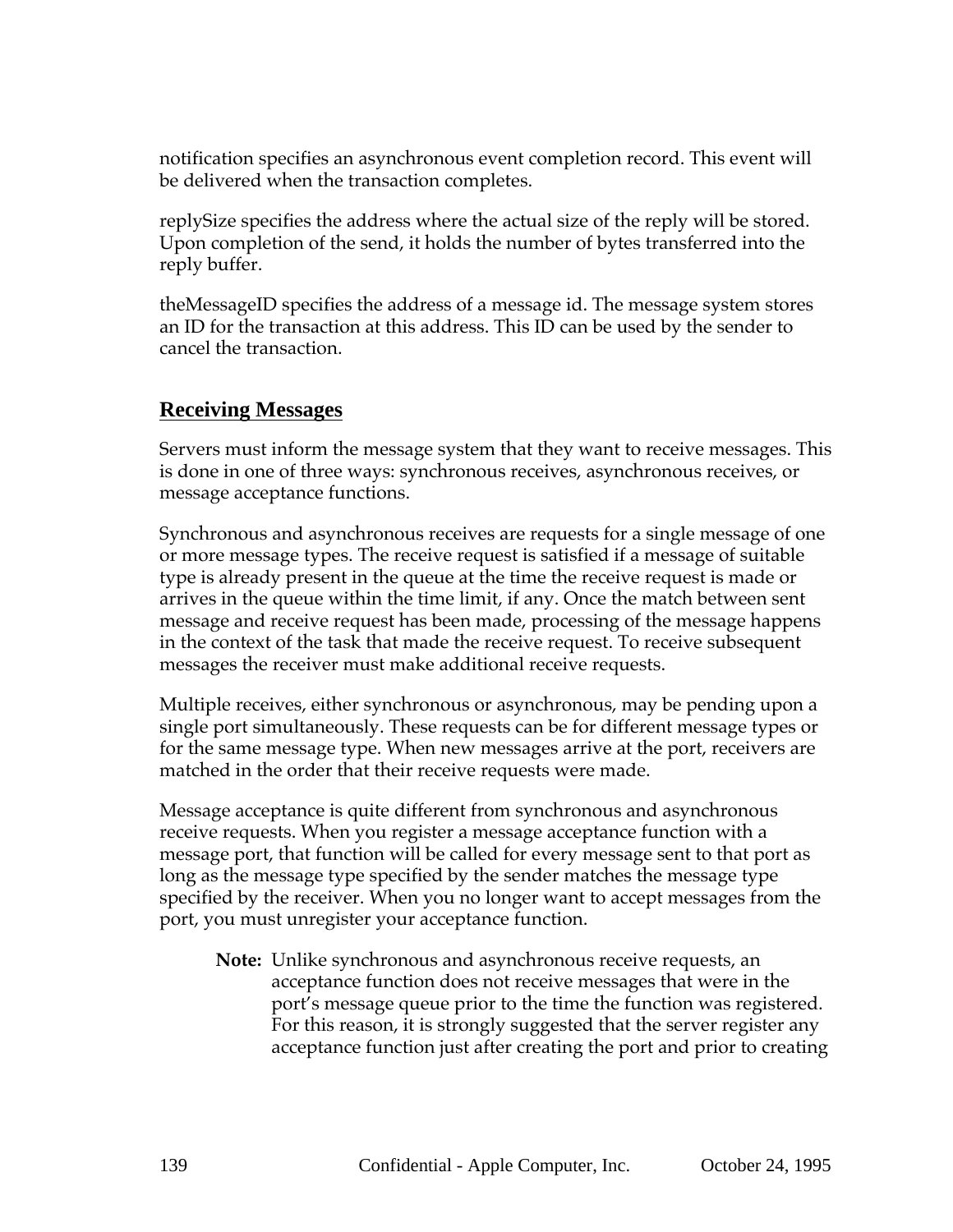notification specifies an asynchronous event completion record. This event will be delivered when the transaction completes.

replySize specifies the address where the actual size of the reply will be stored. Upon completion of the send, it holds the number of bytes transferred into the reply buffer.

theMessageID specifies the address of a message id. The message system stores an ID for the transaction at this address. This ID can be used by the sender to cancel the transaction.

## **Receiving Messages**

Servers must inform the message system that they want to receive messages. This is done in one of three ways: synchronous receives, asynchronous receives, or message acceptance functions.

Synchronous and asynchronous receives are requests for a single message of one or more message types. The receive request is satisfied if a message of suitable type is already present in the queue at the time the receive request is made or arrives in the queue within the time limit, if any. Once the match between sent message and receive request has been made, processing of the message happens in the context of the task that made the receive request. To receive subsequent messages the receiver must make additional receive requests.

Multiple receives, either synchronous or asynchronous, may be pending upon a single port simultaneously. These requests can be for different message types or for the same message type. When new messages arrive at the port, receivers are matched in the order that their receive requests were made.

Message acceptance is quite different from synchronous and asynchronous receive requests. When you register a message acceptance function with a message port, that function will be called for every message sent to that port as long as the message type specified by the sender matches the message type specified by the receiver. When you no longer want to accept messages from the port, you must unregister your acceptance function.

**Note:** Unlike synchronous and asynchronous receive requests, an acceptance function does not receive messages that were in the port's message queue prior to the time the function was registered. For this reason, it is strongly suggested that the server register any acceptance function just after creating the port and prior to creating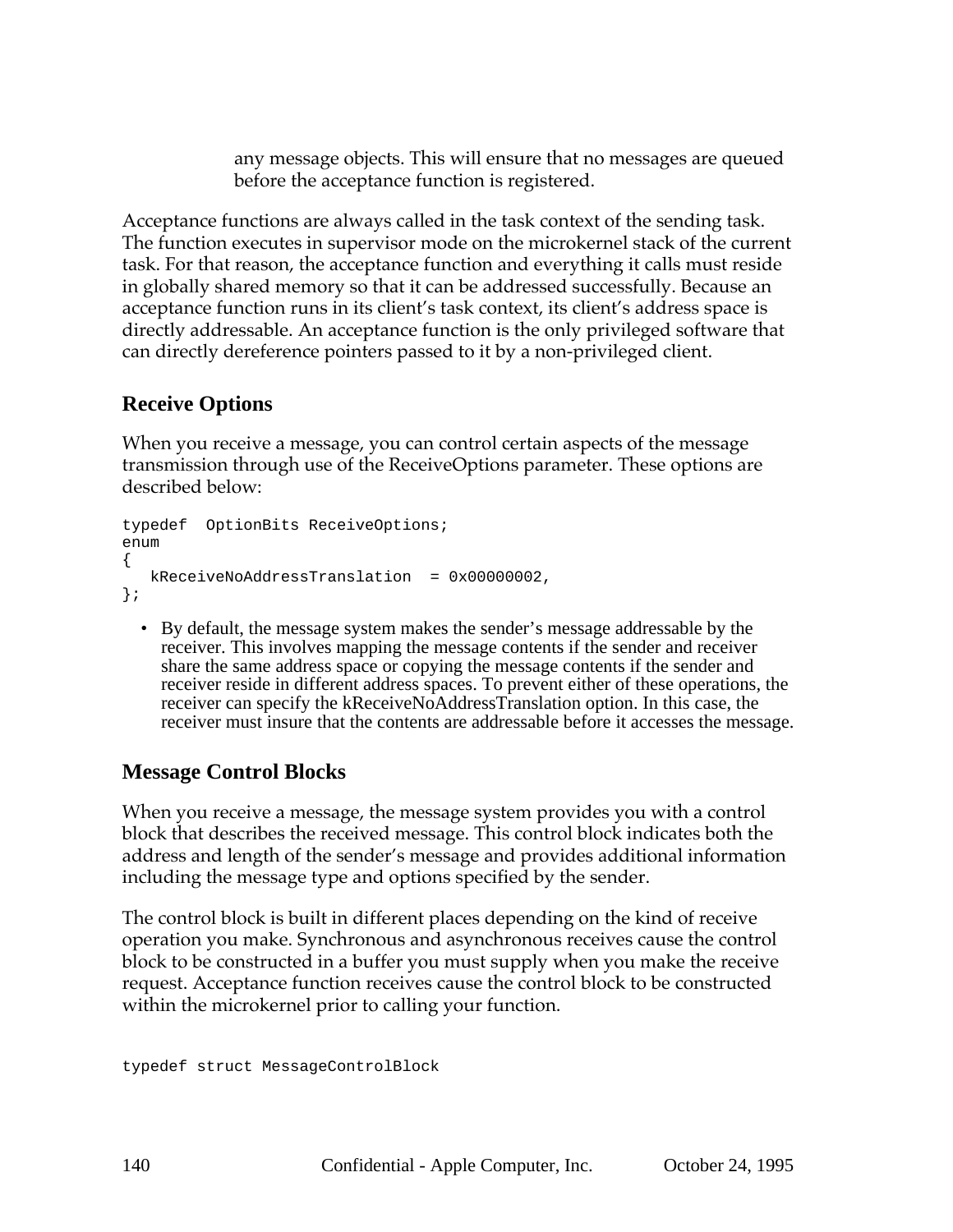any message objects. This will ensure that no messages are queued before the acceptance function is registered.

Acceptance functions are always called in the task context of the sending task. The function executes in supervisor mode on the microkernel stack of the current task. For that reason, the acceptance function and everything it calls must reside in globally shared memory so that it can be addressed successfully. Because an acceptance function runs in its client's task context, its client's address space is directly addressable. An acceptance function is the only privileged software that can directly dereference pointers passed to it by a non-privileged client.

## **Receive Options**

When you receive a message, you can control certain aspects of the message transmission through use of the ReceiveOptions parameter. These options are described below:

```
typedef OptionBits ReceiveOptions;
enum
{
  kReceiveNoAddressTranslation = 0x00000002,
};
```
• By default, the message system makes the sender's message addressable by the receiver. This involves mapping the message contents if the sender and receiver share the same address space or copying the message contents if the sender and receiver reside in different address spaces. To prevent either of these operations, the receiver can specify the kReceiveNoAddressTranslation option. In this case, the receiver must insure that the contents are addressable before it accesses the message.

## **Message Control Blocks**

When you receive a message, the message system provides you with a control block that describes the received message. This control block indicates both the address and length of the sender's message and provides additional information including the message type and options specified by the sender.

The control block is built in different places depending on the kind of receive operation you make. Synchronous and asynchronous receives cause the control block to be constructed in a buffer you must supply when you make the receive request. Acceptance function receives cause the control block to be constructed within the microkernel prior to calling your function.

```
typedef struct MessageControlBlock
```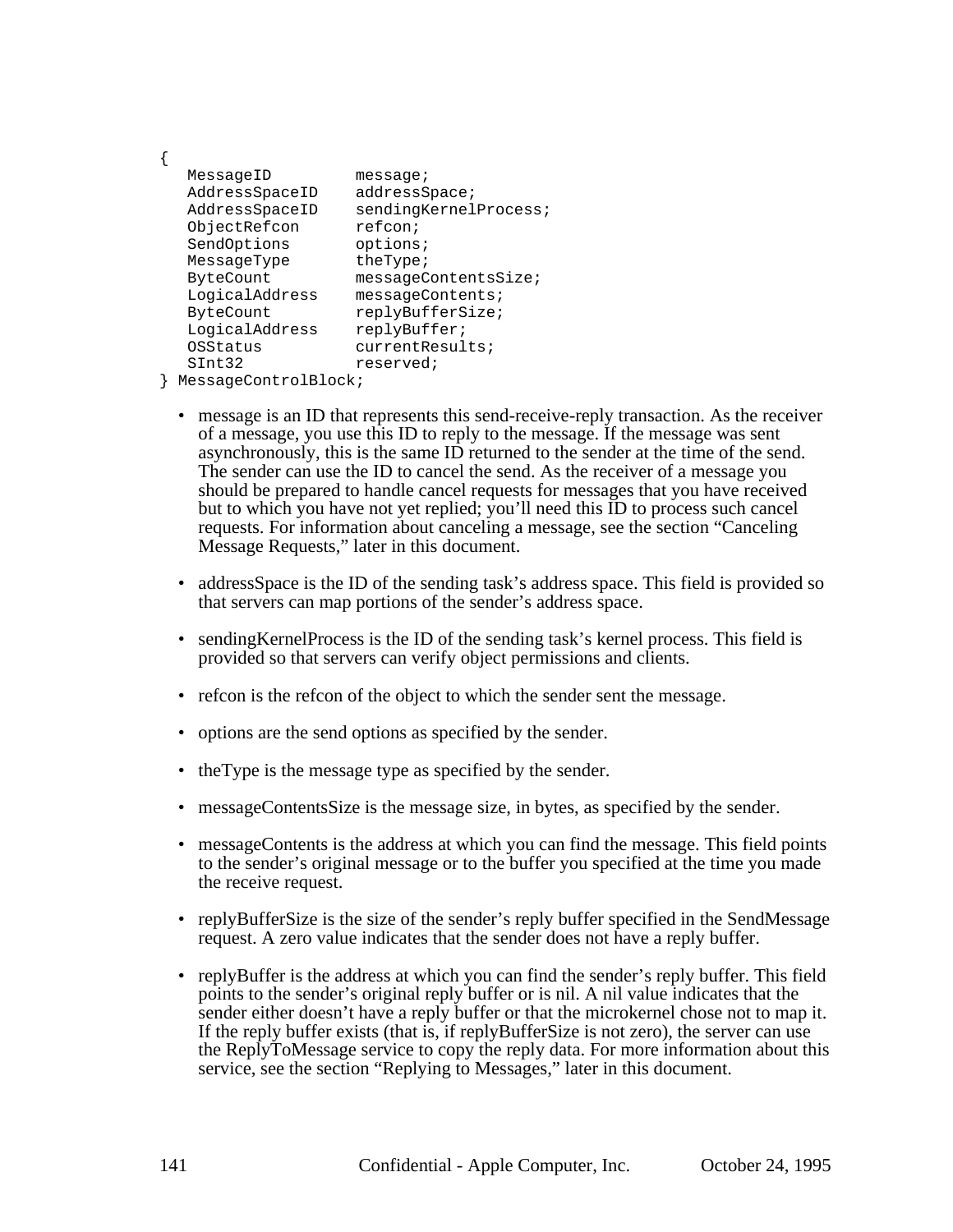{ MessageID message; AddressSpaceID addressSpace; AddressSpaceID sendingKernelProcess; ObjectRefcon refcon; SendOptions options; MessageType theType; ByteCount messageContentsSize; LogicalAddress messageContents; ByteCount replyBufferSize; LogicalAddress replyBuffer; OSStatus currentResults; SInt32 reserved;

- } MessageControlBlock;
	- message is an ID that represents this send-receive-reply transaction. As the receiver of a message, you use this ID to reply to the message. If the message was sent asynchronously, this is the same ID returned to the sender at the time of the send. The sender can use the ID to cancel the send. As the receiver of a message you should be prepared to handle cancel requests for messages that you have received but to which you have not yet replied; you'll need this ID to process such cancel requests. For information about canceling a message, see the section "Canceling Message Requests," later in this document.
	- address Space is the ID of the sending task's address space. This field is provided so that servers can map portions of the sender's address space.
	- sending Kernel Process is the ID of the sending task's kernel process. This field is provided so that servers can verify object permissions and clients.
	- refcon is the refcon of the object to which the sender sent the message.
	- options are the send options as specified by the sender.
	- the Type is the message type as specified by the sender.
	- messageContentsSize is the message size, in bytes, as specified by the sender.
	- messageContents is the address at which you can find the message. This field points to the sender's original message or to the buffer you specified at the time you made the receive request.
	- replyBufferSize is the size of the sender's reply buffer specified in the SendMessage request. A zero value indicates that the sender does not have a reply buffer.
	- replyBuffer is the address at which you can find the sender's reply buffer. This field points to the sender's original reply buffer or is nil. A nil value indicates that the sender either doesn't have a reply buffer or that the microkernel chose not to map it. If the reply buffer exists (that is, if replyBufferSize is not zero), the server can use the ReplyToMessage service to copy the reply data. For more information about this service, see the section "Replying to Messages," later in this document.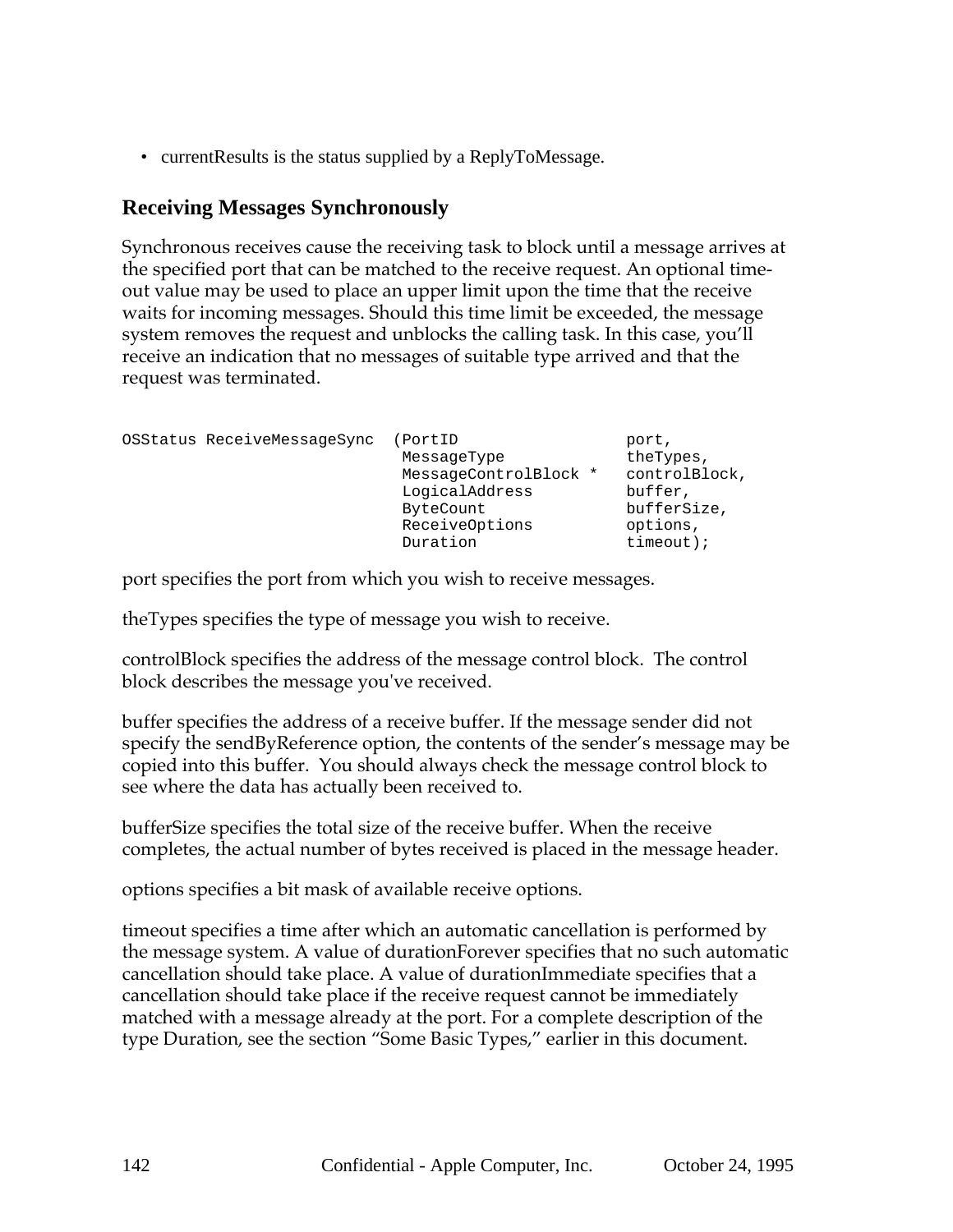• current Results is the status supplied by a ReplyToMessage.

### **Receiving Messages Synchronously**

Synchronous receives cause the receiving task to block until a message arrives at the specified port that can be matched to the receive request. An optional timeout value may be used to place an upper limit upon the time that the receive waits for incoming messages. Should this time limit be exceeded, the message system removes the request and unblocks the calling task. In this case, you'll receive an indication that no messages of suitable type arrived and that the request was terminated.

| OSStatus ReceiveMessageSync | PortID<br>MessageType<br>MessageControlBlock *<br>LogicalAddress<br>ByteCount<br>ReceiveOptions | port,<br>theTypes,<br>controlBlock,<br>buffer,<br>bufferSize,<br>options, |
|-----------------------------|-------------------------------------------------------------------------------------------------|---------------------------------------------------------------------------|
|                             | Duration                                                                                        | $timeout$ );                                                              |

port specifies the port from which you wish to receive messages.

theTypes specifies the type of message you wish to receive.

controlBlock specifies the address of the message control block. The control block describes the message you've received.

buffer specifies the address of a receive buffer. If the message sender did not specify the sendByReference option, the contents of the sender's message may be copied into this buffer. You should always check the message control block to see where the data has actually been received to.

bufferSize specifies the total size of the receive buffer. When the receive completes, the actual number of bytes received is placed in the message header.

options specifies a bit mask of available receive options.

timeout specifies a time after which an automatic cancellation is performed by the message system. A value of durationForever specifies that no such automatic cancellation should take place. A value of durationImmediate specifies that a cancellation should take place if the receive request cannot be immediately matched with a message already at the port. For a complete description of the type Duration, see the section "Some Basic Types," earlier in this document.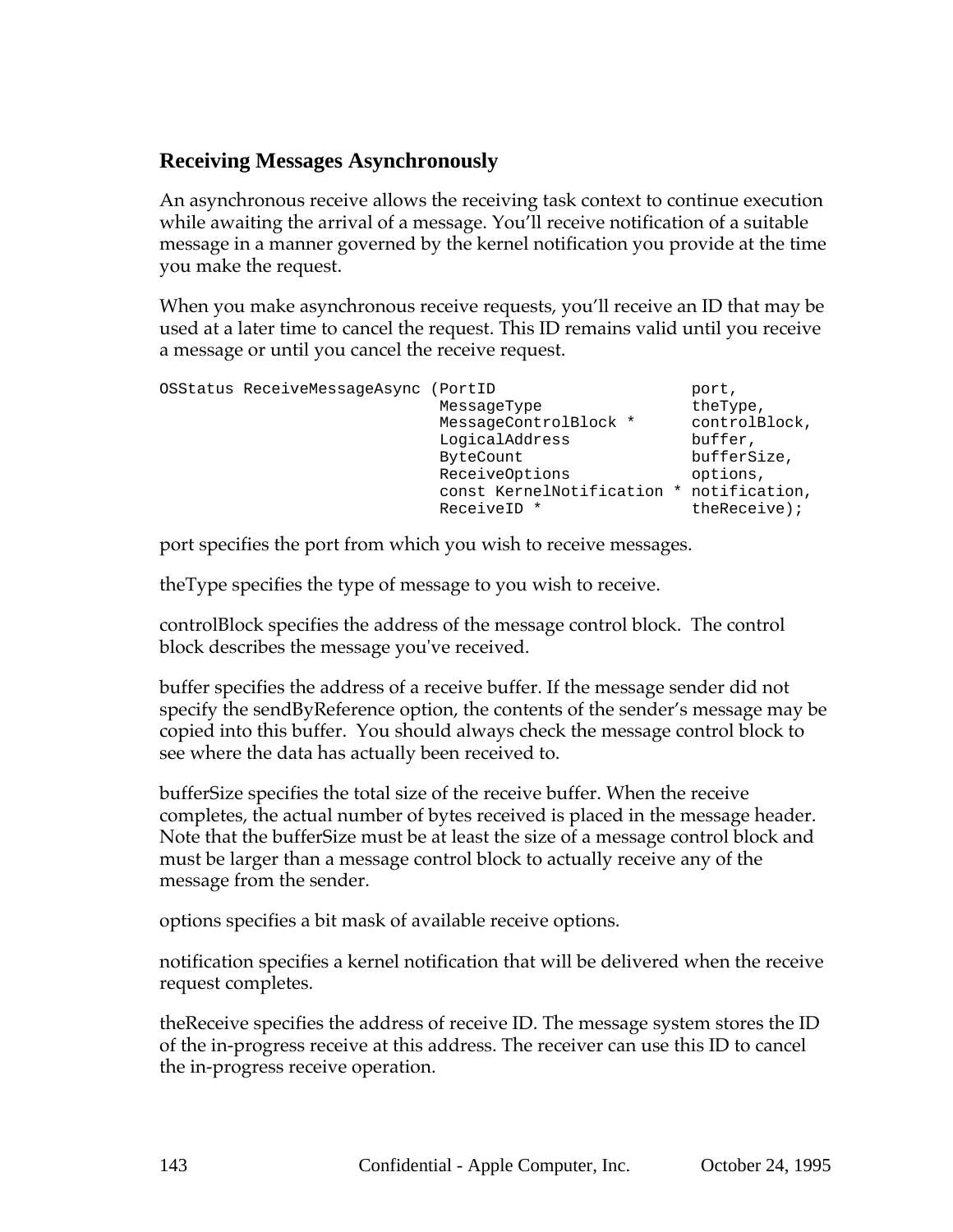# **Receiving Messages Asynchronously**

An asynchronous receive allows the receiving task context to continue execution while awaiting the arrival of a message. You'll receive notification of a suitable message in a manner governed by the kernel notification you provide at the time you make the request.

When you make asynchronous receive requests, you'll receive an ID that may be used at a later time to cancel the request. This ID remains valid until you receive a message or until you cancel the receive request.

| OSStatus ReceiveMessageAsync (PortID | MessageType<br>MessageControlBlock *<br>LogicalAddress<br>ByteCount<br>ReceiveOptions<br>const KernelNotification * | port,<br>theType,<br>controlBlock,<br>buffer,<br>bufferSize,<br>options,<br>notification, |
|--------------------------------------|---------------------------------------------------------------------------------------------------------------------|-------------------------------------------------------------------------------------------|
|                                      | ReceiveID *                                                                                                         | $therefore$ );                                                                            |

port specifies the port from which you wish to receive messages.

theType specifies the type of message to you wish to receive.

controlBlock specifies the address of the message control block. The control block describes the message you've received.

buffer specifies the address of a receive buffer. If the message sender did not specify the sendByReference option, the contents of the sender's message may be copied into this buffer. You should always check the message control block to see where the data has actually been received to.

bufferSize specifies the total size of the receive buffer. When the receive completes, the actual number of bytes received is placed in the message header. Note that the bufferSize must be at least the size of a message control block and must be larger than a message control block to actually receive any of the message from the sender.

options specifies a bit mask of available receive options.

notification specifies a kernel notification that will be delivered when the receive request completes.

theReceive specifies the address of receive ID. The message system stores the ID of the in-progress receive at this address. The receiver can use this ID to cancel the in-progress receive operation.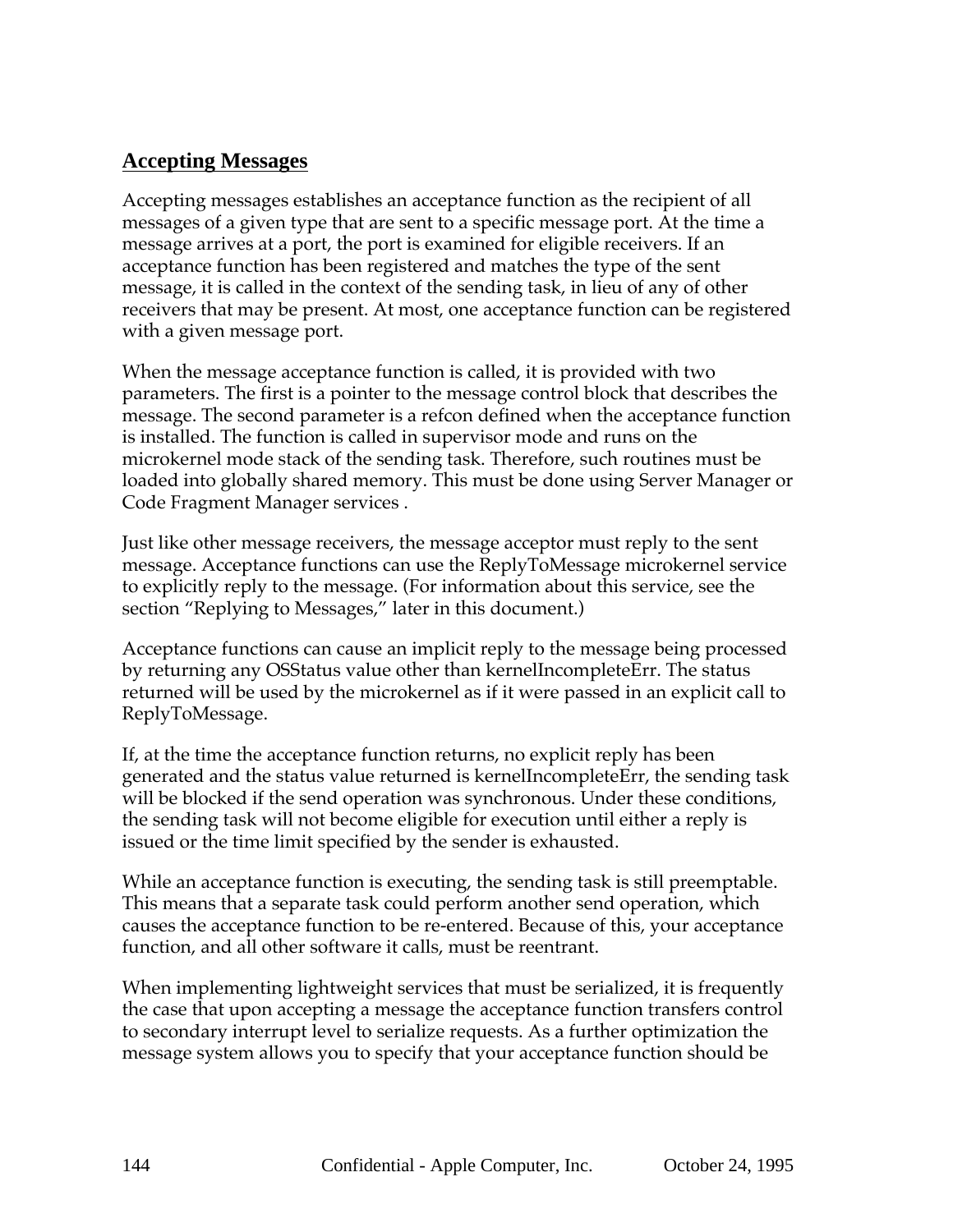# **Accepting Messages**

Accepting messages establishes an acceptance function as the recipient of all messages of a given type that are sent to a specific message port. At the time a message arrives at a port, the port is examined for eligible receivers. If an acceptance function has been registered and matches the type of the sent message, it is called in the context of the sending task, in lieu of any of other receivers that may be present. At most, one acceptance function can be registered with a given message port.

When the message acceptance function is called, it is provided with two parameters. The first is a pointer to the message control block that describes the message. The second parameter is a refcon defined when the acceptance function is installed. The function is called in supervisor mode and runs on the microkernel mode stack of the sending task. Therefore, such routines must be loaded into globally shared memory. This must be done using Server Manager or Code Fragment Manager services .

Just like other message receivers, the message acceptor must reply to the sent message. Acceptance functions can use the ReplyToMessage microkernel service to explicitly reply to the message. (For information about this service, see the section "Replying to Messages," later in this document.)

Acceptance functions can cause an implicit reply to the message being processed by returning any OSStatus value other than kernelIncompleteErr. The status returned will be used by the microkernel as if it were passed in an explicit call to ReplyToMessage.

If, at the time the acceptance function returns, no explicit reply has been generated and the status value returned is kernelIncompleteErr, the sending task will be blocked if the send operation was synchronous. Under these conditions, the sending task will not become eligible for execution until either a reply is issued or the time limit specified by the sender is exhausted.

While an acceptance function is executing, the sending task is still preemptable. This means that a separate task could perform another send operation, which causes the acceptance function to be re-entered. Because of this, your acceptance function, and all other software it calls, must be reentrant.

When implementing lightweight services that must be serialized, it is frequently the case that upon accepting a message the acceptance function transfers control to secondary interrupt level to serialize requests. As a further optimization the message system allows you to specify that your acceptance function should be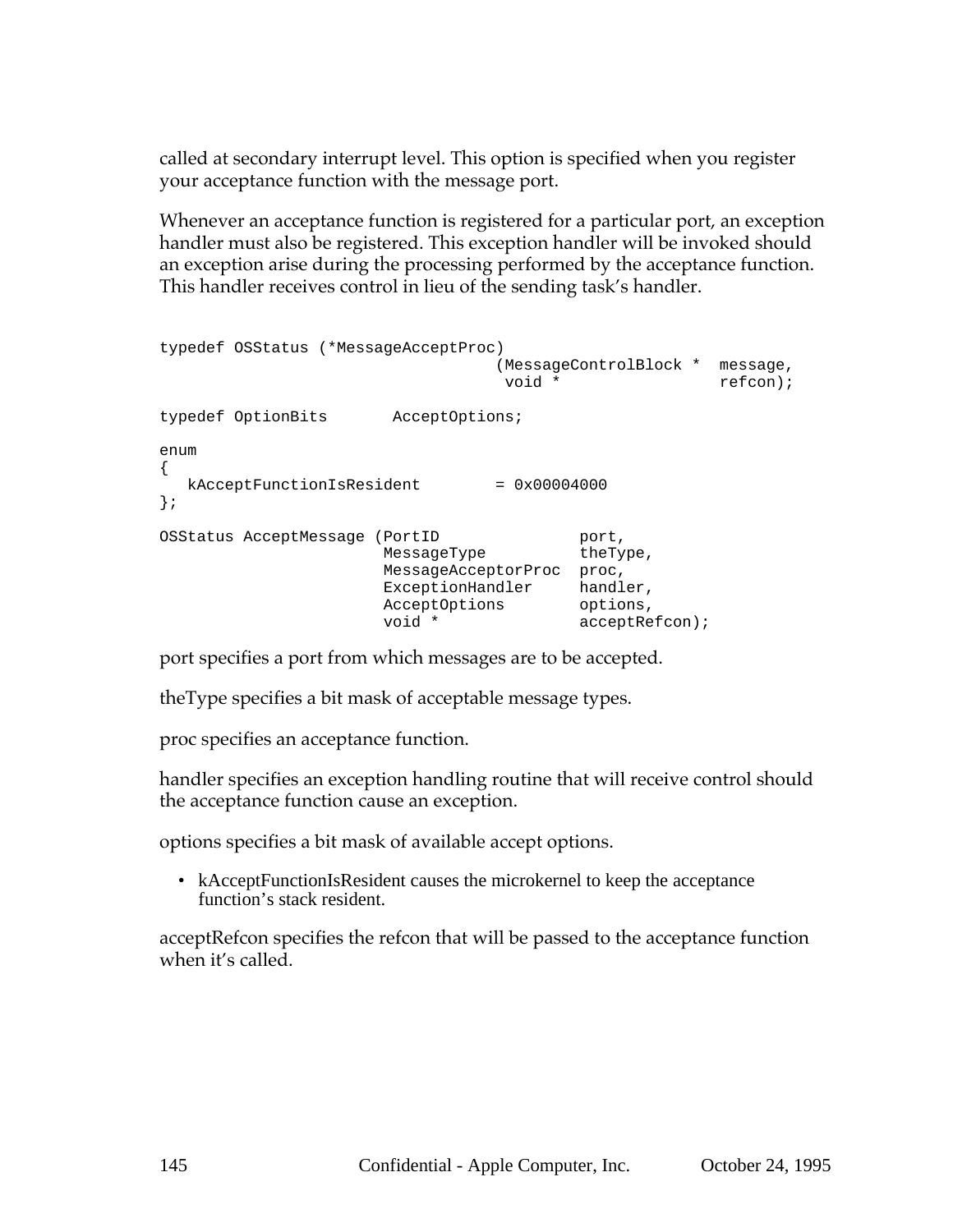called at secondary interrupt level. This option is specified when you register your acceptance function with the message port.

Whenever an acceptance function is registered for a particular port, an exception handler must also be registered. This exception handler will be invoked should an exception arise during the processing performed by the acceptance function. This handler receives control in lieu of the sending task's handler.

```
typedef OSStatus (*MessageAcceptProc)
                               (MessageControlBlock * message,
                                void * refcon);
typedef OptionBits AcceptOptions;
enum
{
  kAcceptFunctionIsResident = 0x00004000};
OSStatus AcceptMessage (PortID
                    (PortID port,<br>MessageType theType,
                     MessageAcceptorProc proc,
                     ExceptionHandler handler,
                     AcceptOptions options,
                     void * acceptRefcon);
```
port specifies a port from which messages are to be accepted.

theType specifies a bit mask of acceptable message types.

proc specifies an acceptance function.

handler specifies an exception handling routine that will receive control should the acceptance function cause an exception.

options specifies a bit mask of available accept options.

• kAcceptFunctionIsResident causes the microkernel to keep the acceptance function's stack resident.

acceptRefcon specifies the refcon that will be passed to the acceptance function when it's called.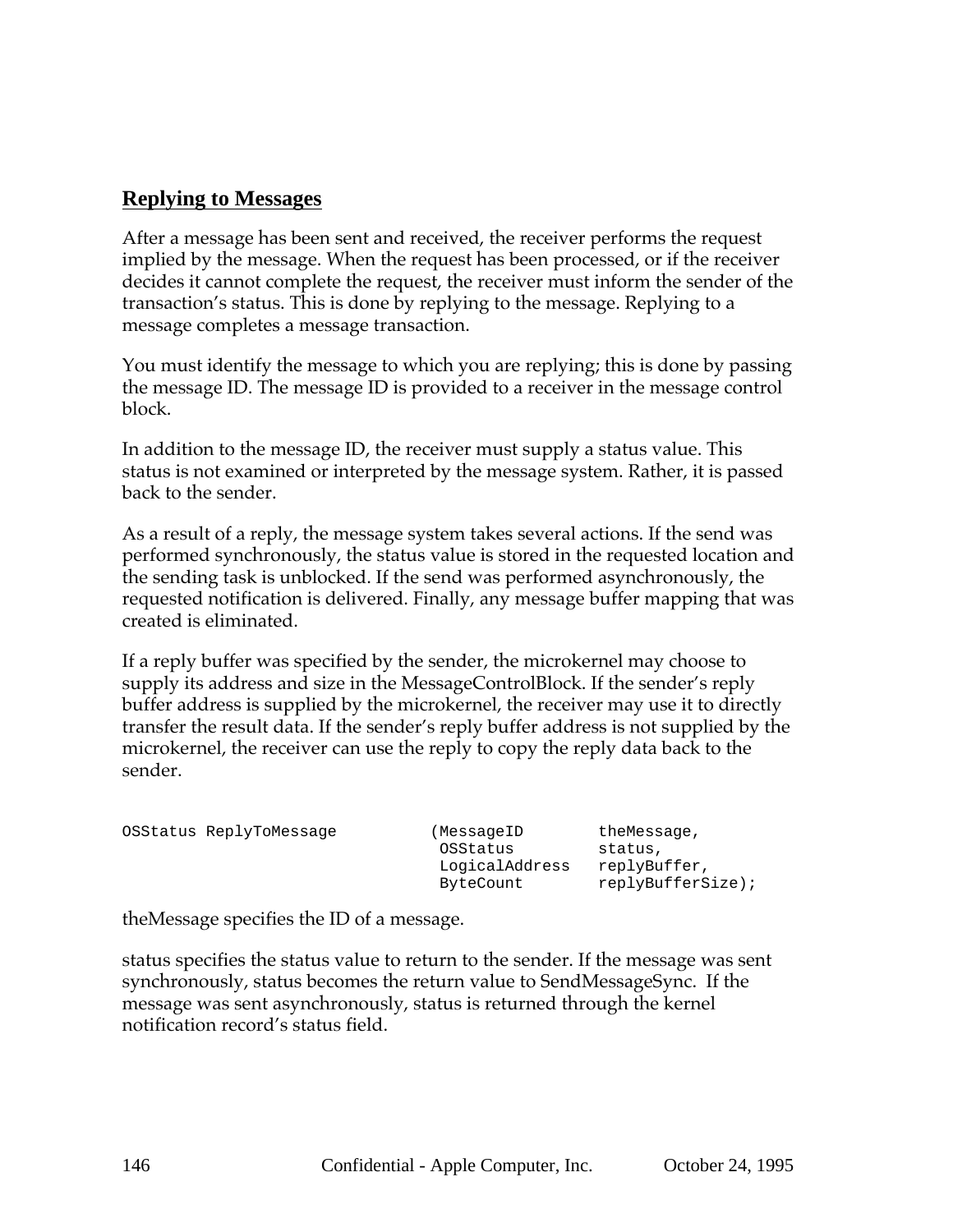### **Replying to Messages**

After a message has been sent and received, the receiver performs the request implied by the message. When the request has been processed, or if the receiver decides it cannot complete the request, the receiver must inform the sender of the transaction's status. This is done by replying to the message. Replying to a message completes a message transaction.

You must identify the message to which you are replying; this is done by passing the message ID. The message ID is provided to a receiver in the message control block.

In addition to the message ID, the receiver must supply a status value. This status is not examined or interpreted by the message system. Rather, it is passed back to the sender.

As a result of a reply, the message system takes several actions. If the send was performed synchronously, the status value is stored in the requested location and the sending task is unblocked. If the send was performed asynchronously, the requested notification is delivered. Finally, any message buffer mapping that was created is eliminated.

If a reply buffer was specified by the sender, the microkernel may choose to supply its address and size in the MessageControlBlock. If the sender's reply buffer address is supplied by the microkernel, the receiver may use it to directly transfer the result data. If the sender's reply buffer address is not supplied by the microkernel, the receiver can use the reply to copy the reply data back to the sender.

|  | OSStatus ReplyToMessage | (MessageID     | theMessage,       |
|--|-------------------------|----------------|-------------------|
|  |                         | OSStatus       | status,           |
|  |                         | LogicalAddress | replyBuffer,      |
|  |                         | ByteCount      | replyBufferSize); |

theMessage specifies the ID of a message.

status specifies the status value to return to the sender. If the message was sent synchronously, status becomes the return value to SendMessageSync. If the message was sent asynchronously, status is returned through the kernel notification record's status field.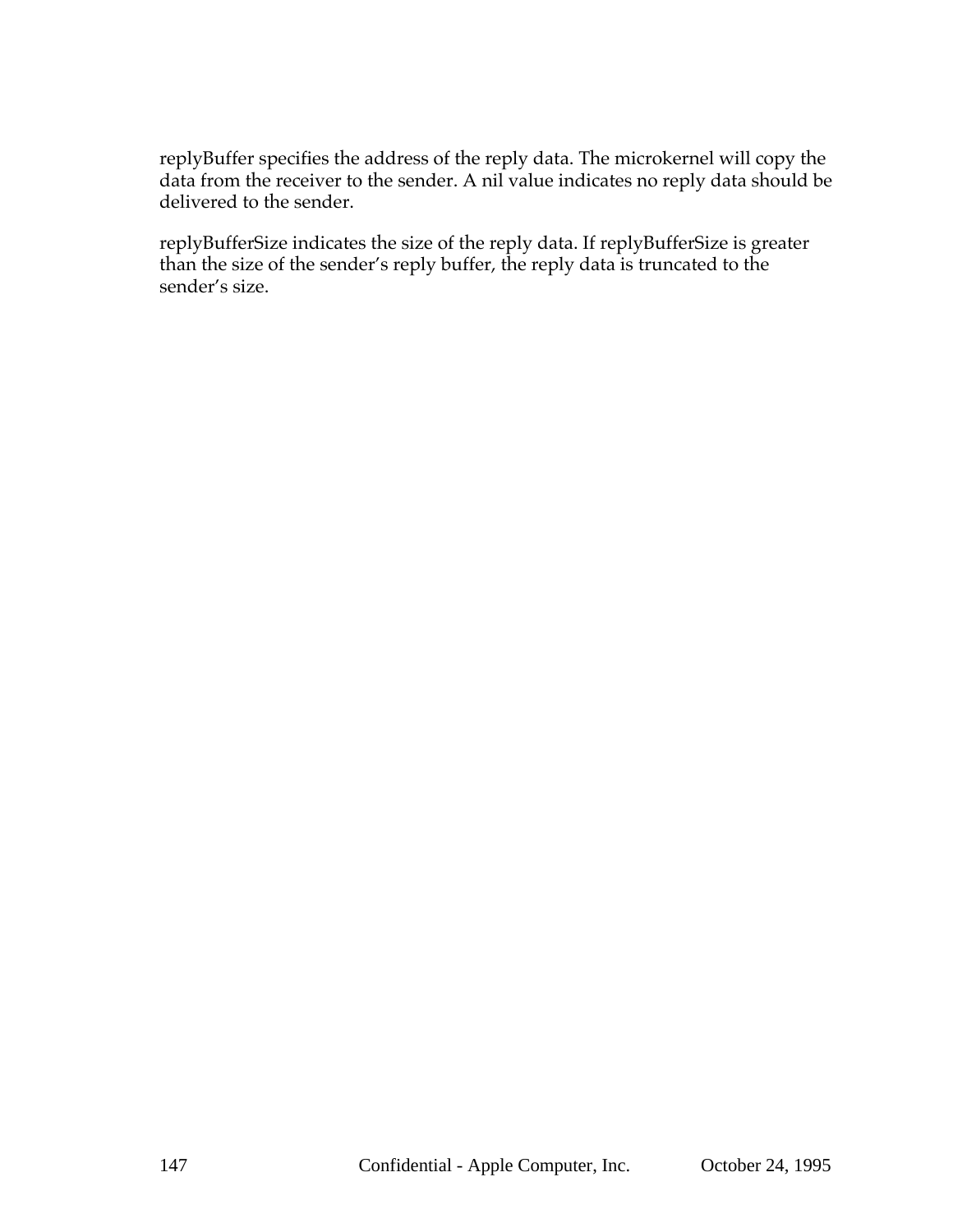replyBuffer specifies the address of the reply data. The microkernel will copy the data from the receiver to the sender. A nil value indicates no reply data should be delivered to the sender.

replyBufferSize indicates the size of the reply data. If replyBufferSize is greater than the size of the sender's reply buffer, the reply data is truncated to the sender's size.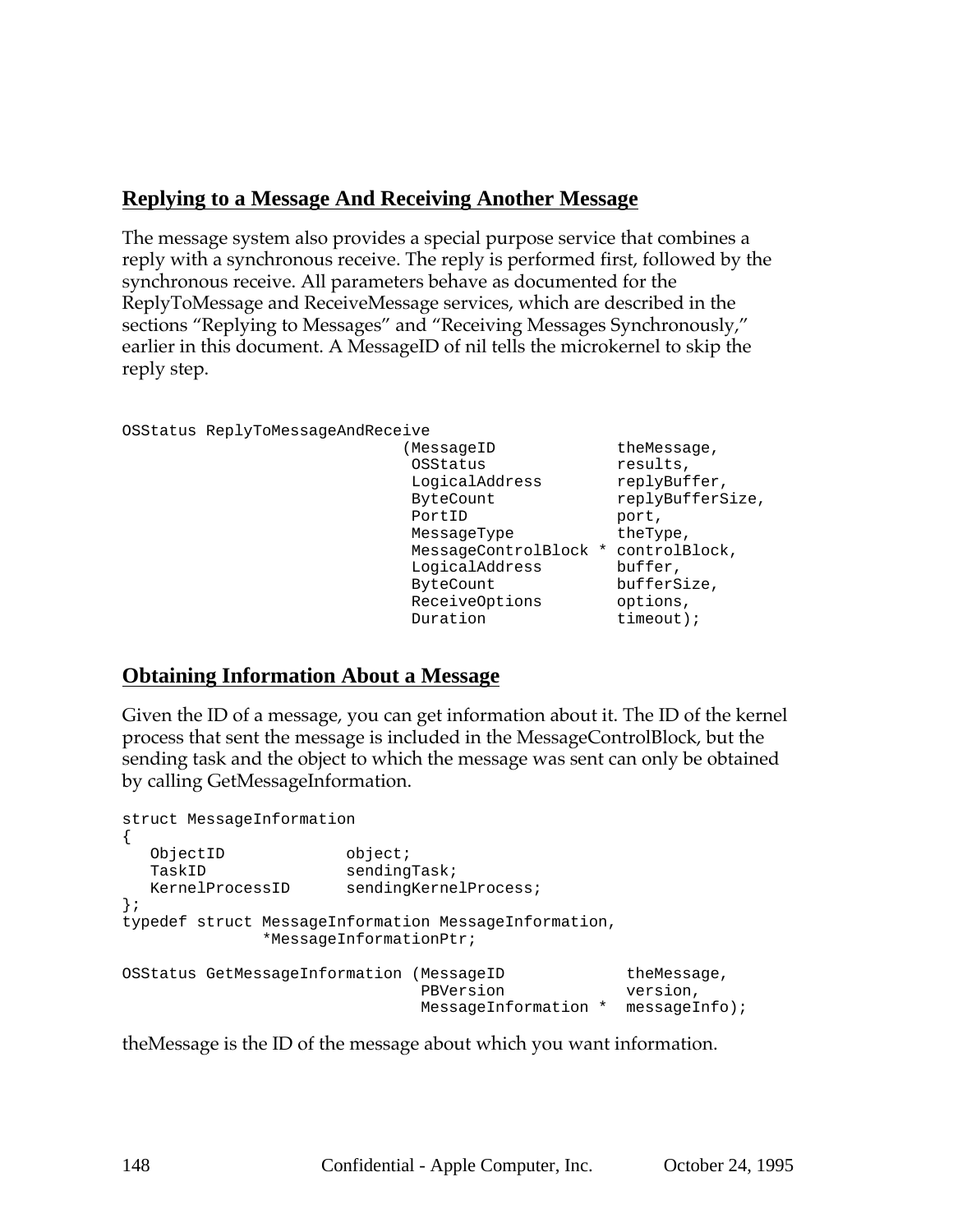## **Replying to a Message And Receiving Another Message**

The message system also provides a special purpose service that combines a reply with a synchronous receive. The reply is performed first, followed by the synchronous receive. All parameters behave as documented for the ReplyToMessage and ReceiveMessage services, which are described in the sections "Replying to Messages" and "Receiving Messages Synchronously," earlier in this document. A MessageID of nil tells the microkernel to skip the reply step.

```
OSStatus ReplyToMessageAndReceive
```

```
(MessageID theMessage,
OSStatus results,
LogicalAddress replyBuffer,
ByteCount replyBufferSize,
PortID port,
MessageType theType,
 MessageControlBlock * controlBlock,
 LogicalAddress buffer,
ByteCount bufferSize,
 ReceiveOptions options,
Duration timeout);
```
### **Obtaining Information About a Message**

Given the ID of a message, you can get information about it. The ID of the kernel process that sent the message is included in the MessageControlBlock, but the sending task and the object to which the message was sent can only be obtained by calling GetMessageInformation.

```
struct MessageInformation
{
  ObjectID object;
  TaskID sendingTask;
  KernelProcessID sendingKernelProcess;
};
typedef struct MessageInformation MessageInformation,
            *MessageInformationPtr;
OSStatus GetMessageInformation (MessageID theMessage,
                         PBVersion version,
                            MessageInformation * messageInfo);
```
theMessage is the ID of the message about which you want information.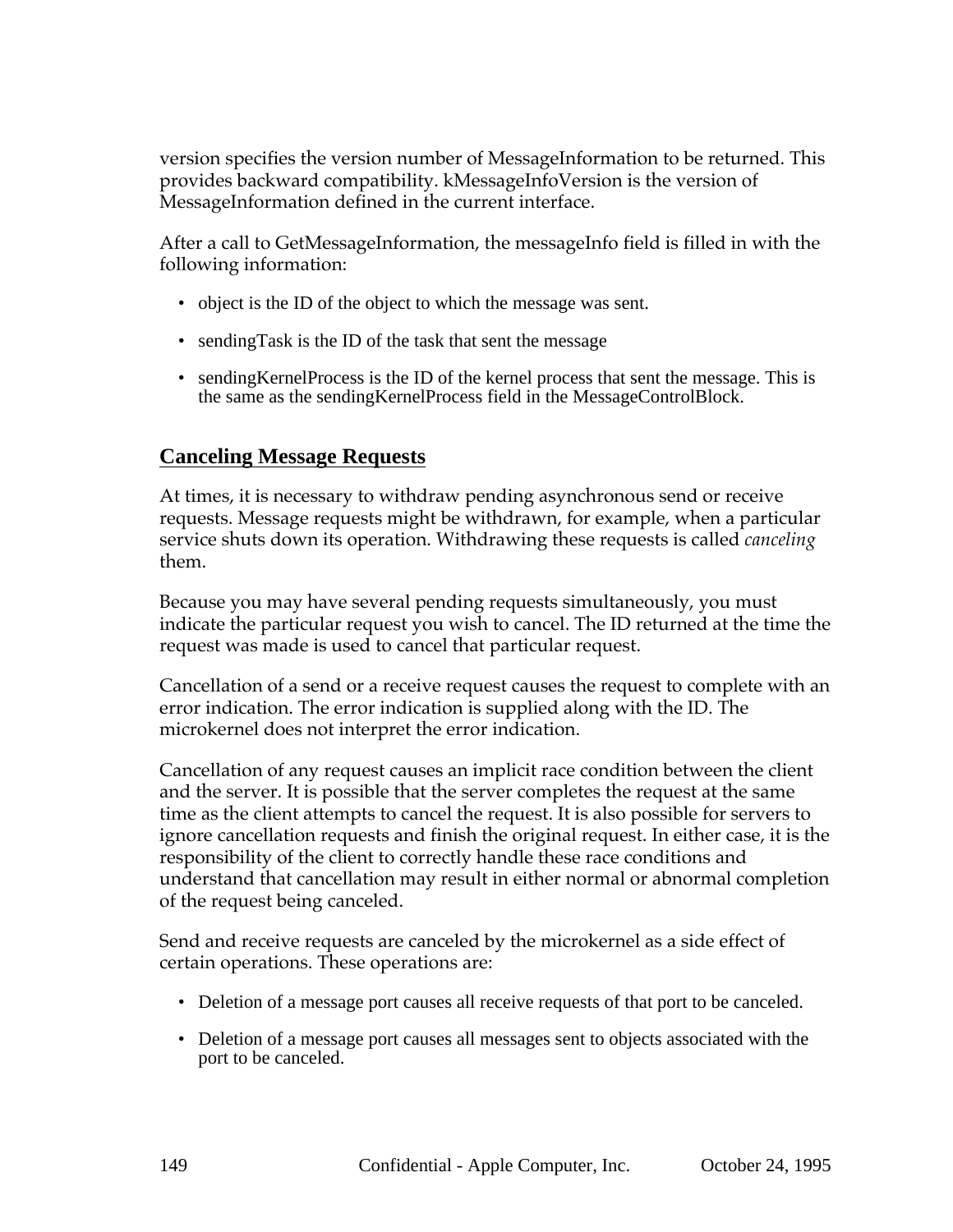version specifies the version number of MessageInformation to be returned. This provides backward compatibility. kMessageInfoVersion is the version of MessageInformation defined in the current interface.

After a call to GetMessageInformation, the messageInfo field is filled in with the following information:

- object is the ID of the object to which the message was sent.
- sending Task is the ID of the task that sent the message
- sendingKernelProcess is the ID of the kernel process that sent the message. This is the same as the sendingKernelProcess field in the MessageControlBlock.

# **Canceling Message Requests**

At times, it is necessary to withdraw pending asynchronous send or receive requests. Message requests might be withdrawn, for example, when a particular service shuts down its operation. Withdrawing these requests is called *canceling* them.

Because you may have several pending requests simultaneously, you must indicate the particular request you wish to cancel. The ID returned at the time the request was made is used to cancel that particular request.

Cancellation of a send or a receive request causes the request to complete with an error indication. The error indication is supplied along with the ID. The microkernel does not interpret the error indication.

Cancellation of any request causes an implicit race condition between the client and the server. It is possible that the server completes the request at the same time as the client attempts to cancel the request. It is also possible for servers to ignore cancellation requests and finish the original request. In either case, it is the responsibility of the client to correctly handle these race conditions and understand that cancellation may result in either normal or abnormal completion of the request being canceled.

Send and receive requests are canceled by the microkernel as a side effect of certain operations. These operations are:

- Deletion of a message port causes all receive requests of that port to be canceled.
- Deletion of a message port causes all messages sent to objects associated with the port to be canceled.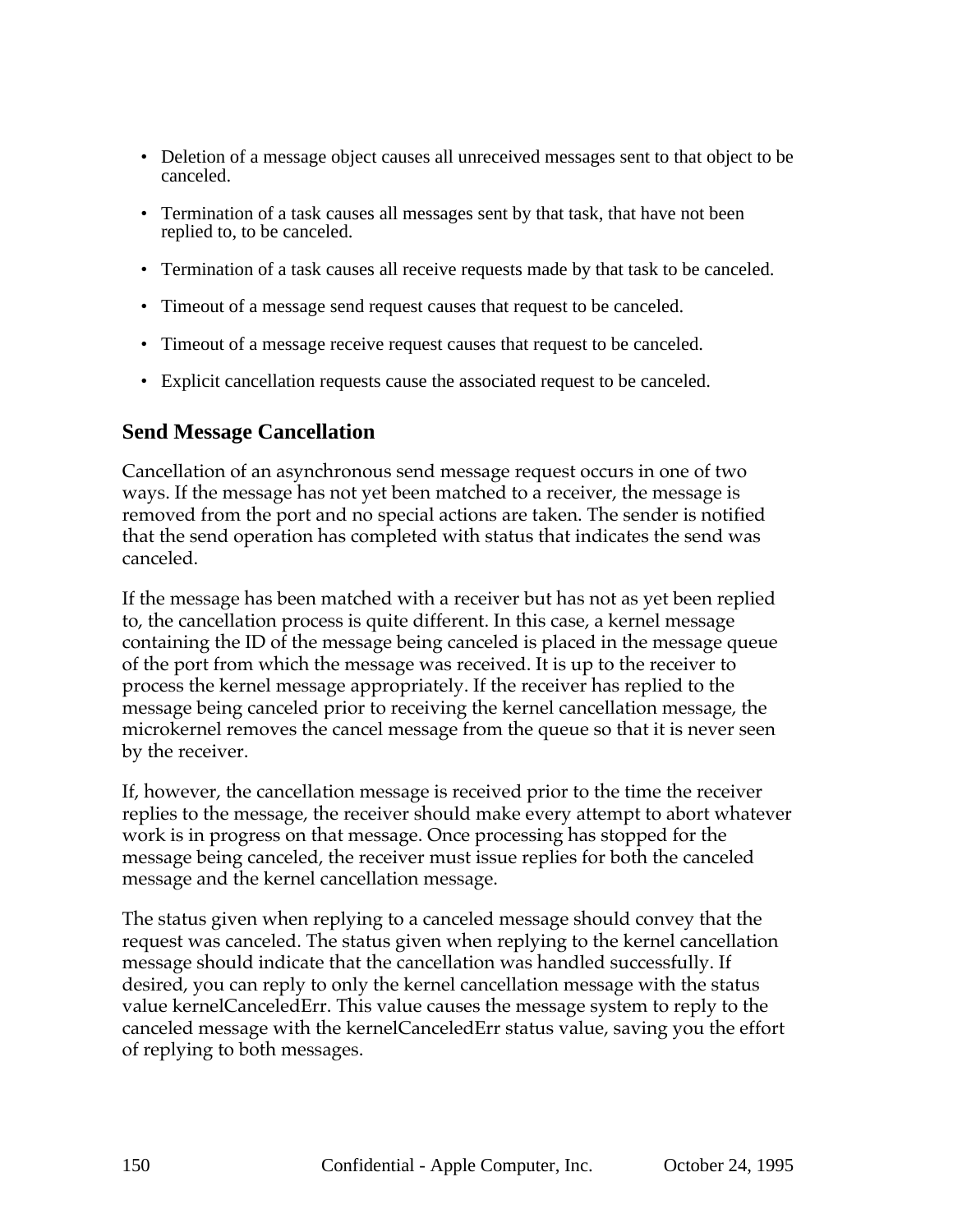- Deletion of a message object causes all unreceived messages sent to that object to be canceled.
- Termination of a task causes all messages sent by that task, that have not been replied to, to be canceled.
- Termination of a task causes all receive requests made by that task to be canceled.
- Timeout of a message send request causes that request to be canceled.
- Timeout of a message receive request causes that request to be canceled.
- Explicit cancellation requests cause the associated request to be canceled.

### **Send Message Cancellation**

Cancellation of an asynchronous send message request occurs in one of two ways. If the message has not yet been matched to a receiver, the message is removed from the port and no special actions are taken. The sender is notified that the send operation has completed with status that indicates the send was canceled.

If the message has been matched with a receiver but has not as yet been replied to, the cancellation process is quite different. In this case, a kernel message containing the ID of the message being canceled is placed in the message queue of the port from which the message was received. It is up to the receiver to process the kernel message appropriately. If the receiver has replied to the message being canceled prior to receiving the kernel cancellation message, the microkernel removes the cancel message from the queue so that it is never seen by the receiver.

If, however, the cancellation message is received prior to the time the receiver replies to the message, the receiver should make every attempt to abort whatever work is in progress on that message. Once processing has stopped for the message being canceled, the receiver must issue replies for both the canceled message and the kernel cancellation message.

The status given when replying to a canceled message should convey that the request was canceled. The status given when replying to the kernel cancellation message should indicate that the cancellation was handled successfully. If desired, you can reply to only the kernel cancellation message with the status value kernelCanceledErr. This value causes the message system to reply to the canceled message with the kernelCanceledErr status value, saving you the effort of replying to both messages.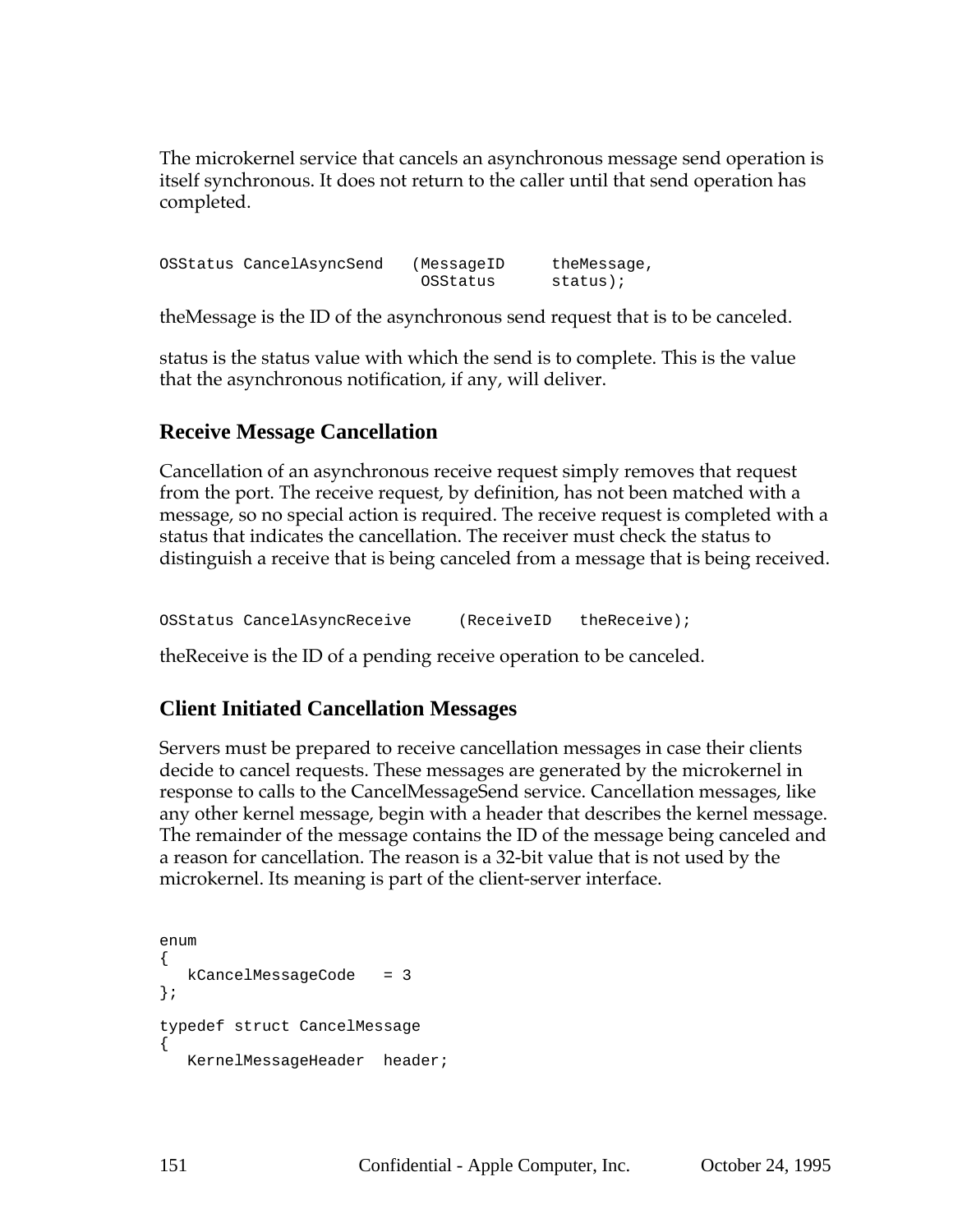The microkernel service that cancels an asynchronous message send operation is itself synchronous. It does not return to the caller until that send operation has completed.

OSStatus CancelAsyncSend (MessageID theMessage, OSStatus status);

theMessage is the ID of the asynchronous send request that is to be canceled.

status is the status value with which the send is to complete. This is the value that the asynchronous notification, if any, will deliver.

## **Receive Message Cancellation**

Cancellation of an asynchronous receive request simply removes that request from the port. The receive request, by definition, has not been matched with a message, so no special action is required. The receive request is completed with a status that indicates the cancellation. The receiver must check the status to distinguish a receive that is being canceled from a message that is being received.

OSStatus CancelAsyncReceive (ReceiveID theReceive);

theReceive is the ID of a pending receive operation to be canceled.

# **Client Initiated Cancellation Messages**

Servers must be prepared to receive cancellation messages in case their clients decide to cancel requests. These messages are generated by the microkernel in response to calls to the CancelMessageSend service. Cancellation messages, like any other kernel message, begin with a header that describes the kernel message. The remainder of the message contains the ID of the message being canceled and a reason for cancellation. The reason is a 32-bit value that is not used by the microkernel. Its meaning is part of the client-server interface.

```
enum
{
  kCancelMessageCode = 3
};
typedef struct CancelMessage
{
  KernelMessageHeader header;
```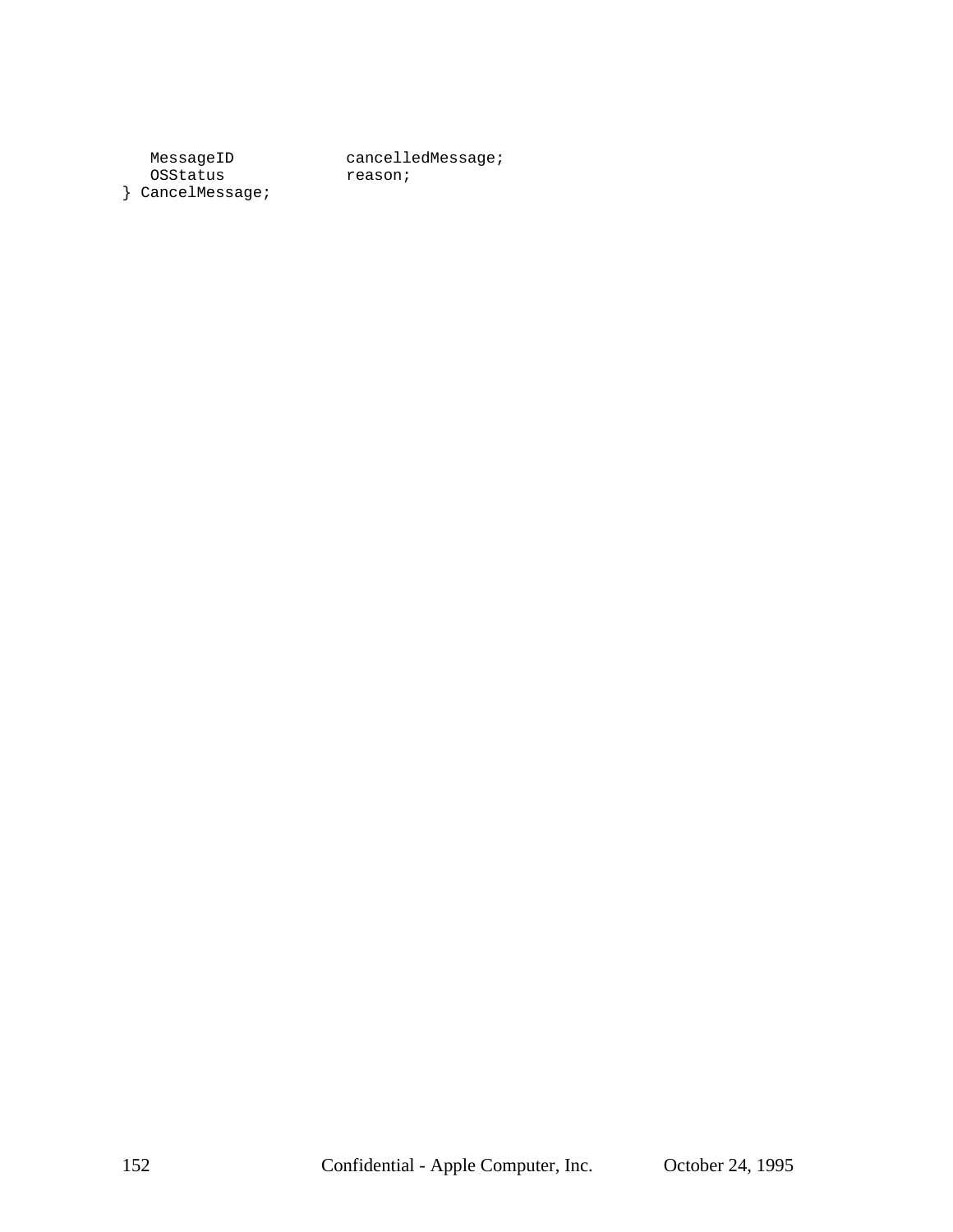OSStatus } CancelMessage;

MessageID cancelledMessage;<br>OSStatus reason;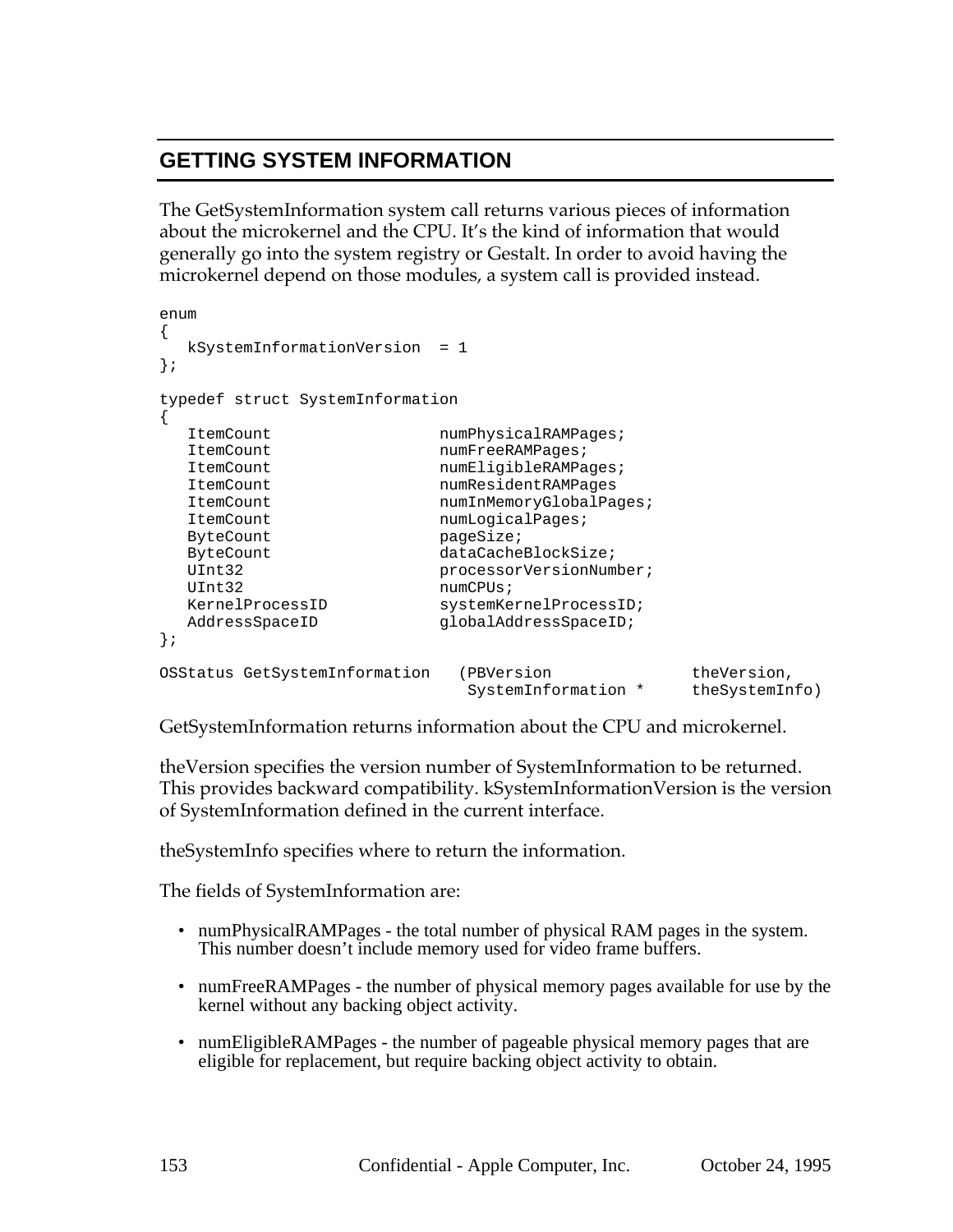# **GETTING SYSTEM INFORMATION**

The GetSystemInformation system call returns various pieces of information about the microkernel and the CPU. It's the kind of information that would generally go into the system registry or Gestalt. In order to avoid having the microkernel depend on those modules, a system call is provided instead.

```
enum
{
  kSystemInformationVersion = 1
};
typedef struct SystemInformation
{
  ItemCount numPhysicalRAMPages;
  ItemCount numFreeRAMPages;
  ItemCount numEligibleRAMPages;
  ItemCount numResidentRAMPages
  ItemCount numInMemoryGlobalPages;
  ItemCount numLogicalPages;
 ByteCount pageSize;
 ByteCount dataCacheBlockSize;
 UInt32 processorVersionNumber;
 UInt32 numCPUs;
  KernelProcessID systemKernelProcessID;
  AddressSpaceID globalAddressSpaceID;
};
OSStatus GetSystemInformation (PBVersion theVersion,
                       SystemInformation * theSystemInfo)
```
GetSystemInformation returns information about the CPU and microkernel.

theVersion specifies the version number of SystemInformation to be returned. This provides backward compatibility. kSystemInformationVersion is the version of SystemInformation defined in the current interface.

theSystemInfo specifies where to return the information.

The fields of SystemInformation are:

- numPhysicalRAMPages the total number of physical RAM pages in the system. This number doesn't include memory used for video frame buffers.
- numFreeRAMPages the number of physical memory pages available for use by the kernel without any backing object activity.
- numEligibleRAMPages the number of pageable physical memory pages that are eligible for replacement, but require backing object activity to obtain.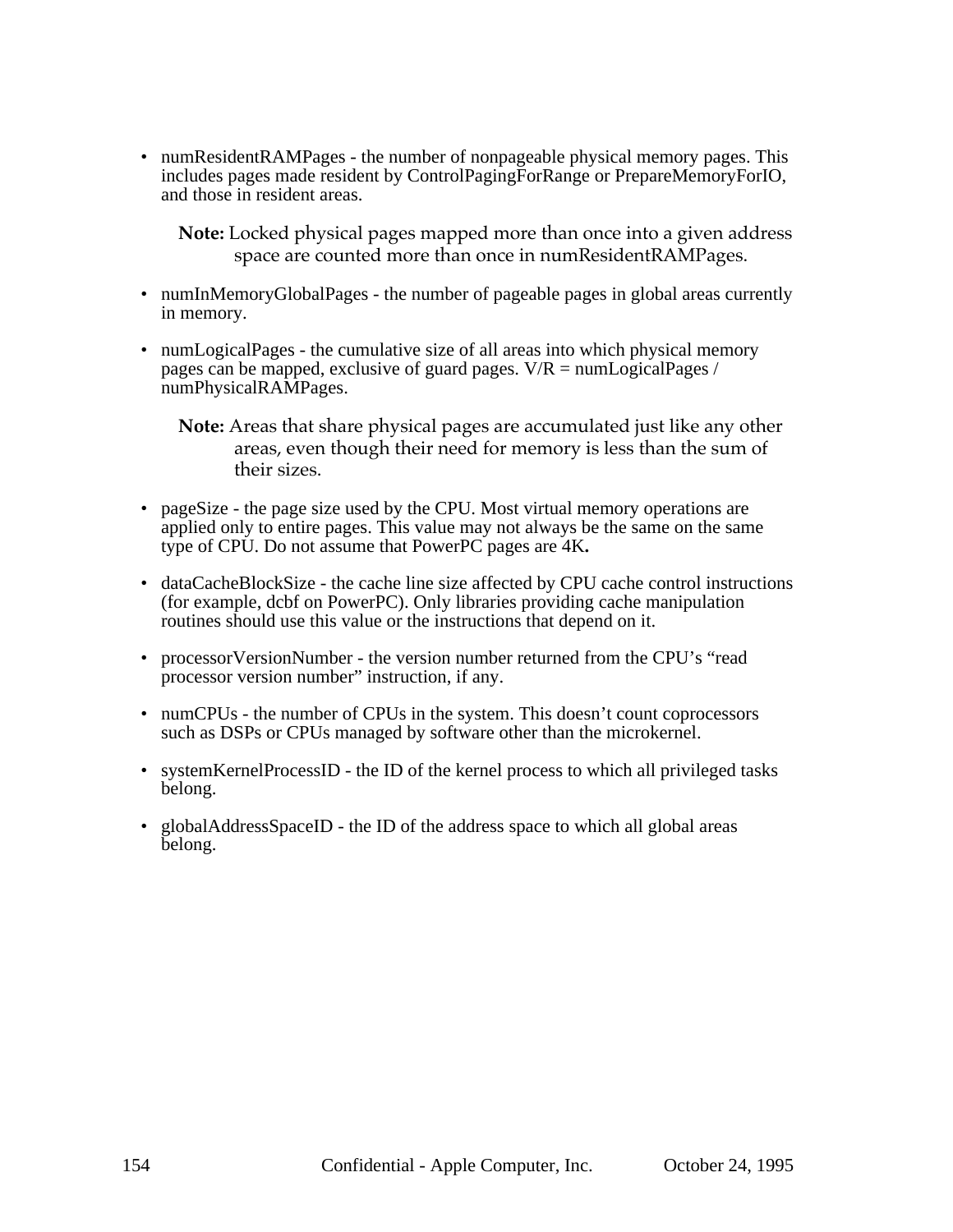• numResidentRAMPages - the number of nonpageable physical memory pages. This includes pages made resident by ControlPagingForRange or PrepareMemoryForIO, and those in resident areas.

**Note:** Locked physical pages mapped more than once into a given address space are counted more than once in numResidentRAMPages.

- numInMemoryGlobalPages the number of pageable pages in global areas currently in memory.
- numLogicalPages the cumulative size of all areas into which physical memory pages can be mapped, exclusive of guard pages.  $V/R = \text{numLogical Pages} /$ numPhysicalRAMPages.

**Note:** Areas that share physical pages are accumulated just like any other areas, even though their need for memory is less than the sum of their sizes.

- pageSize the page size used by the CPU. Most virtual memory operations are applied only to entire pages. This value may not always be the same on the same type of CPU. Do not assume that PowerPC pages are 4K**.**
- dataCacheBlockSize the cache line size affected by CPU cache control instructions (for example, dcbf on PowerPC). Only libraries providing cache manipulation routines should use this value or the instructions that depend on it.
- processor Version Number the version number returned from the CPU's "read processor version number" instruction, if any.
- numCPUs the number of CPUs in the system. This doesn't count coprocessors such as DSPs or CPUs managed by software other than the microkernel.
- systemKernelProcessID the ID of the kernel process to which all privileged tasks belong.
- globalAddressSpaceID the ID of the address space to which all global areas belong.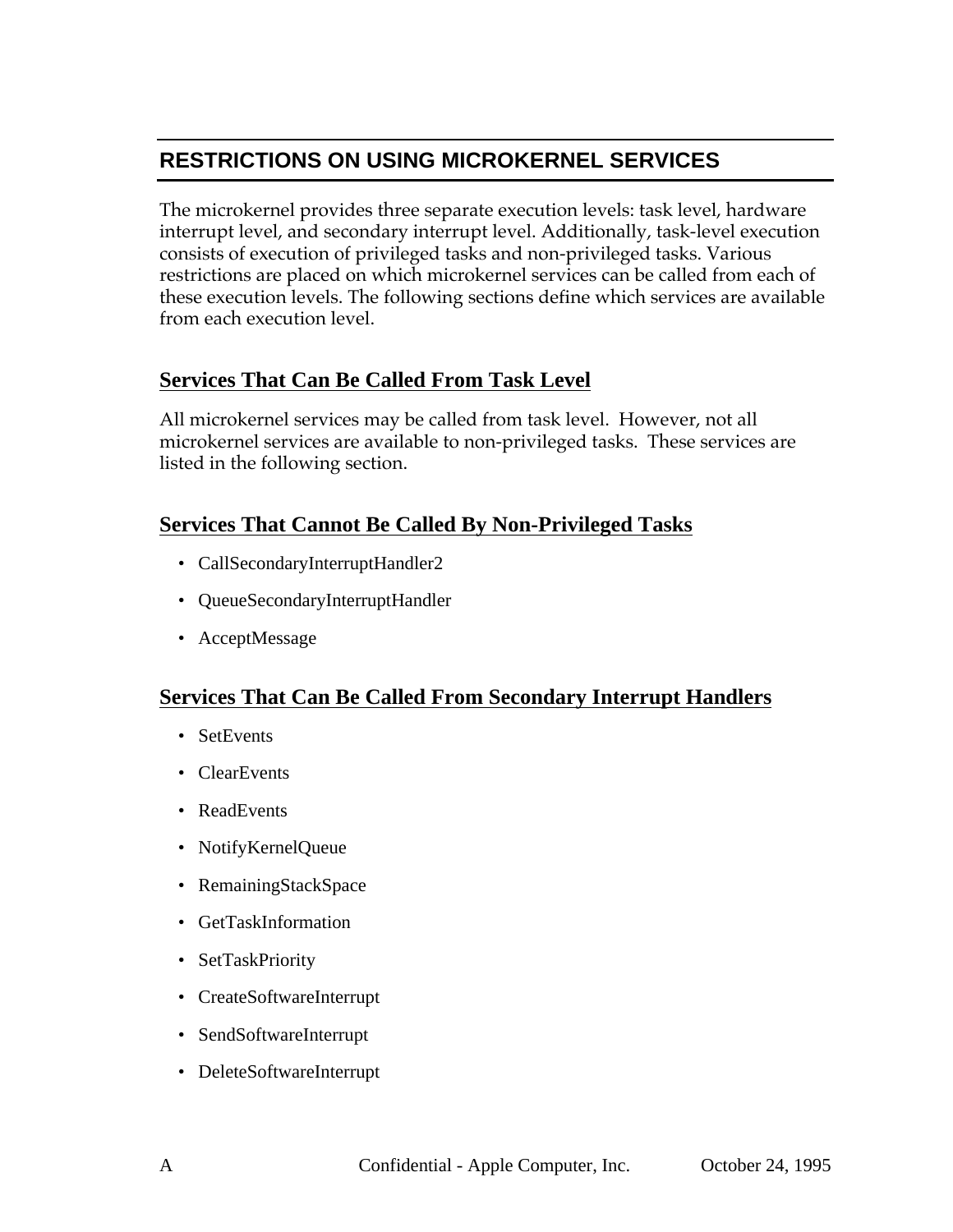# **RESTRICTIONS ON USING MICROKERNEL SERVICES**

The microkernel provides three separate execution levels: task level, hardware interrupt level, and secondary interrupt level. Additionally, task-level execution consists of execution of privileged tasks and non-privileged tasks. Various restrictions are placed on which microkernel services can be called from each of these execution levels. The following sections define which services are available from each execution level.

# **Services That Can Be Called From Task Level**

All microkernel services may be called from task level. However, not all microkernel services are available to non-privileged tasks. These services are listed in the following section.

## **Services That Cannot Be Called By Non-Privileged Tasks**

- CallSecondaryInterruptHandler2
- QueueSecondaryInterruptHandler
- AcceptMessage

### **Services That Can Be Called From Secondary Interrupt Handlers**

- SetEvents
- ClearEvents
- ReadEvents
- NotifyKernelQueue
- RemainingStackSpace
- GetTaskInformation
- SetTaskPriority
- CreateSoftwareInterrupt
- SendSoftwareInterrupt
- DeleteSoftwareInterrupt